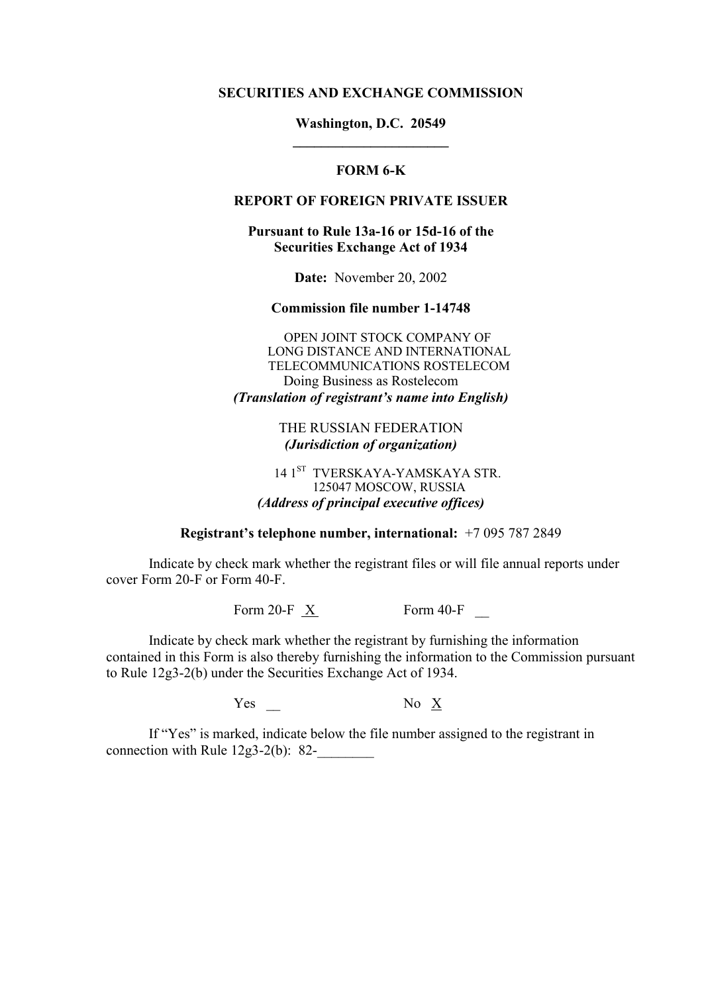#### **SECURITIES AND EXCHANGE COMMISSION**

# **Washington, D.C. 20549 \_\_\_\_\_\_\_\_\_\_\_\_\_\_\_\_\_\_\_\_\_\_**

### **FORM 6-K**

# **REPORT OF FOREIGN PRIVATE ISSUER**

### **Pursuant to Rule 13a-16 or 15d-16 of the Securities Exchange Act of 1934**

**Date:** November 20, 2002

#### **Commission file number 1-14748**

OPEN JOINT STOCK COMPANY OF LONG DISTANCE AND INTERNATIONAL TELECOMMUNICATIONS ROSTELECOM Doing Business as Rostelecom *(Translation of registrant's name into English)* 

> THE RUSSIAN FEDERATION *(Jurisdiction of organization)*

# 14 1<sup>ST</sup> TVERSKAYA-YAMSKAYA STR. 125047 MOSCOW, RUSSIA *(Address of principal executive offices)*

#### **Registrant's telephone number, international:**  $+70957872849$

Indicate by check mark whether the registrant files or will file annual reports under cover Form 20-F or Form 40-F.

Form 20-F  $\overline{X}$  Form 40-F

Indicate by check mark whether the registrant by furnishing the information contained in this Form is also thereby furnishing the information to the Commission pursuant to Rule 12g3-2(b) under the Securities Exchange Act of 1934.

Yes  $\qquad \qquad$  No  $\underline{X}$ 

If "Yes" is marked, indicate below the file number assigned to the registrant in connection with Rule  $12g3-2(b)$ : 82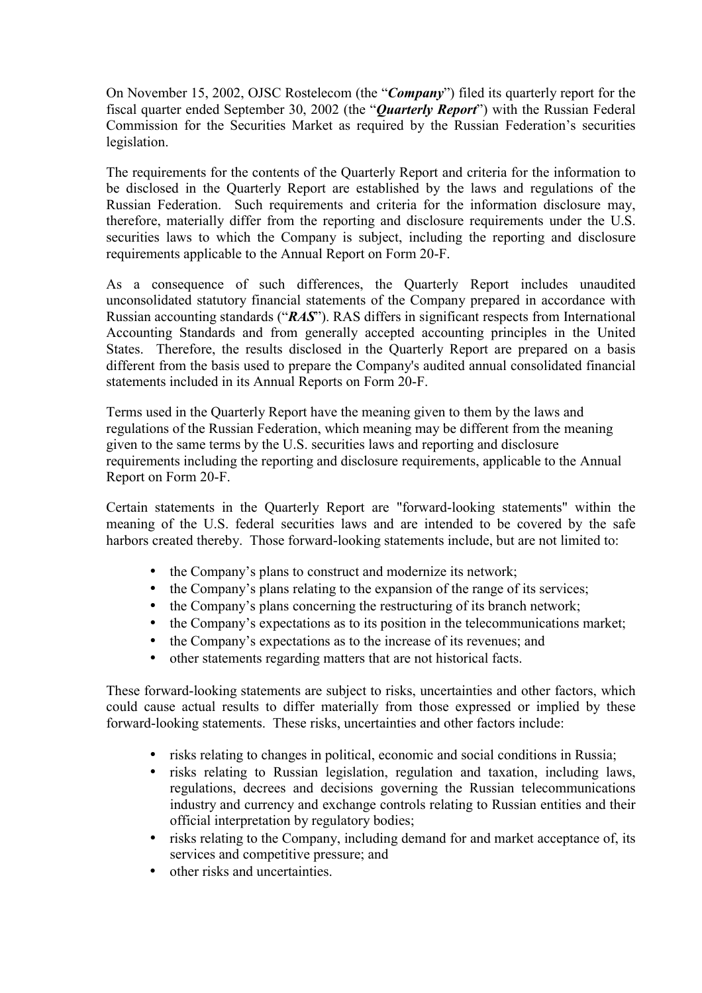On November 15, 2002, OJSC Rostelecom (the "*Company*") filed its quarterly report for the fiscal quarter ended September 30, 2002 (the *"Quarterly Report"*) with the Russian Federal Commission for the Securities Market as required by the Russian Federation's securities legislation.

The requirements for the contents of the Quarterly Report and criteria for the information to be disclosed in the Quarterly Report are established by the laws and regulations of the Russian Federation. Such requirements and criteria for the information disclosure may, therefore, materially differ from the reporting and disclosure requirements under the U.S. securities laws to which the Company is subject, including the reporting and disclosure requirements applicable to the Annual Report on Form 20-F.

As a consequence of such differences, the Quarterly Report includes unaudited unconsolidated statutory financial statements of the Company prepared in accordance with Russian accounting standards (*'RAS*<sup>*'*</sup>). RAS differs in significant respects from International Accounting Standards and from generally accepted accounting principles in the United States. Therefore, the results disclosed in the Quarterly Report are prepared on a basis different from the basis used to prepare the Company's audited annual consolidated financial statements included in its Annual Reports on Form 20-F.

Terms used in the Quarterly Report have the meaning given to them by the laws and regulations of the Russian Federation, which meaning may be different from the meaning given to the same terms by the U.S. securities laws and reporting and disclosure requirements including the reporting and disclosure requirements, applicable to the Annual Report on Form 20-F.

Certain statements in the Quarterly Report are "forward-looking statements" within the meaning of the U.S. federal securities laws and are intended to be covered by the safe harbors created thereby. Those forward-looking statements include, but are not limited to:

- the Company's plans to construct and modernize its network;
- the Company's plans relating to the expansion of the range of its services;
- the Company's plans concerning the restructuring of its branch network;
- $\bullet$  the Company's expectations as to its position in the telecommunications market;
- the Company's expectations as to the increase of its revenues; and
- other statements regarding matters that are not historical facts.

These forward-looking statements are subject to risks, uncertainties and other factors, which could cause actual results to differ materially from those expressed or implied by these forward-looking statements. These risks, uncertainties and other factors include:

- risks relating to changes in political, economic and social conditions in Russia;
- risks relating to Russian legislation, regulation and taxation, including laws, regulations, decrees and decisions governing the Russian telecommunications industry and currency and exchange controls relating to Russian entities and their official interpretation by regulatory bodies;
- risks relating to the Company, including demand for and market acceptance of, its services and competitive pressure; and
- other risks and uncertainties.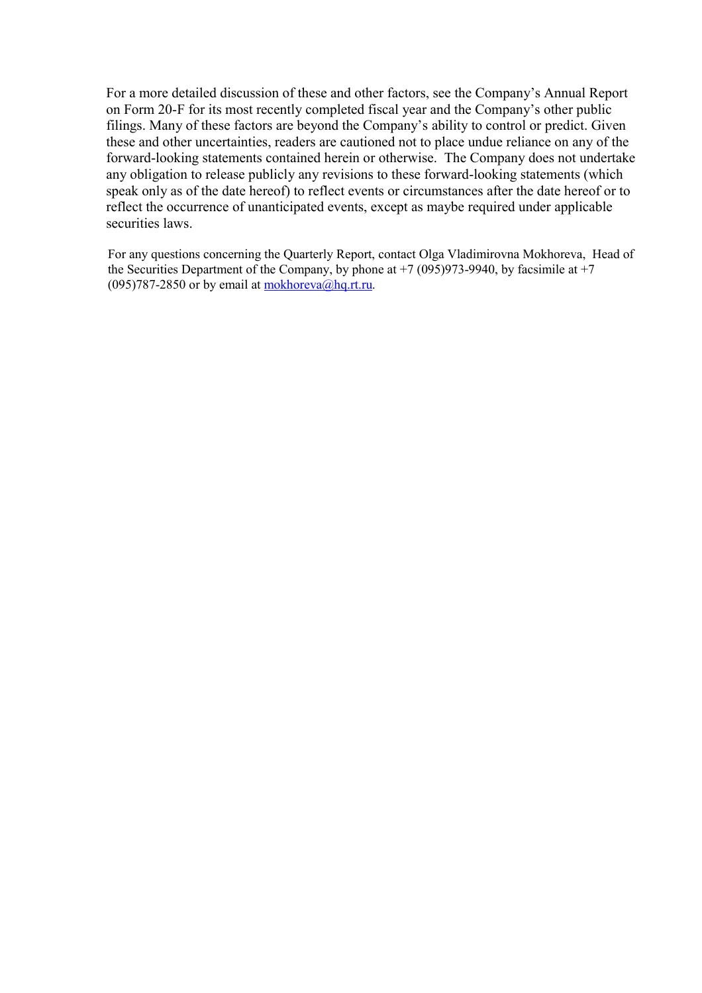For a more detailed discussion of these and other factors, see the Company's Annual Report on Form 20-F for its most recently completed fiscal year and the Company's other public filings. Many of these factors are beyond the Company's ability to control or predict. Given these and other uncertainties, readers are cautioned not to place undue reliance on any of the forward-looking statements contained herein or otherwise. The Company does not undertake any obligation to release publicly any revisions to these forward-looking statements (which speak only as of the date hereof) to reflect events or circumstances after the date hereof or to reflect the occurrence of unanticipated events, except as maybe required under applicable securities laws.

For any questions concerning the Quarterly Report, contact Olga Vladimirovna Mokhoreva, Head of the Securities Department of the Company, by phone at  $+7$  (095)973-9940, by facsimile at  $+7$ (095)787-2850 or by email at mokhoreva@hq.rt.ru*.*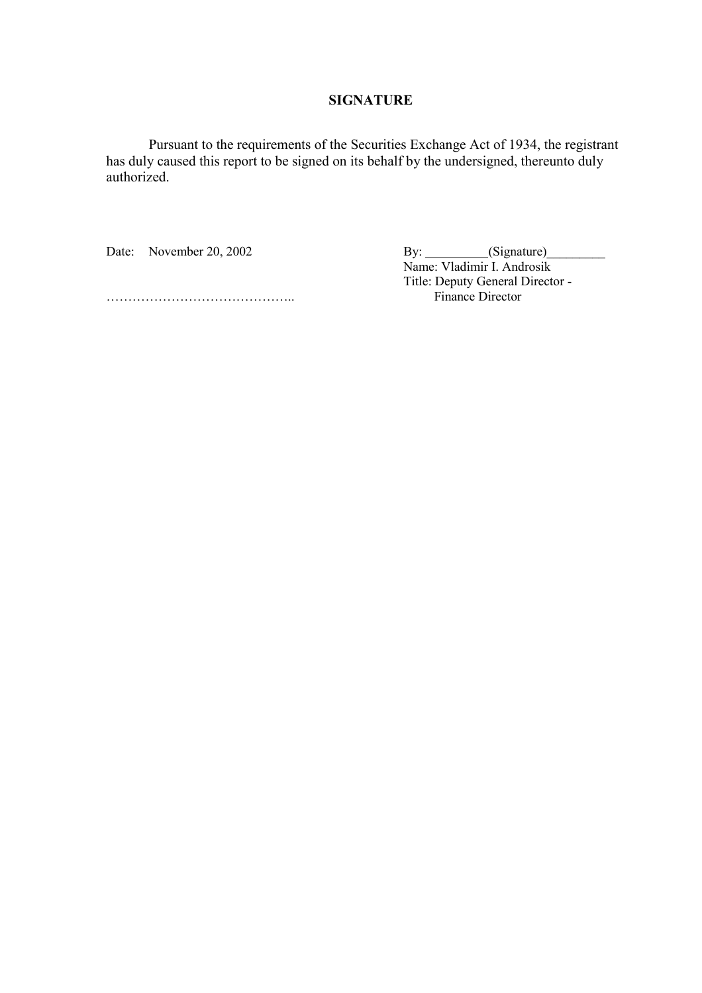# **SIGNATURE**

Pursuant to the requirements of the Securities Exchange Act of 1934, the registrant has duly caused this report to be signed on its behalf by the undersigned, thereunto duly authorized.

Date: November 20, 2002 By: Gignature) Name: Vladimir I. Androsik Title: Deputy General Director -

ÖÖÖÖÖÖÖÖÖÖÖÖÖÖ.. Finance Director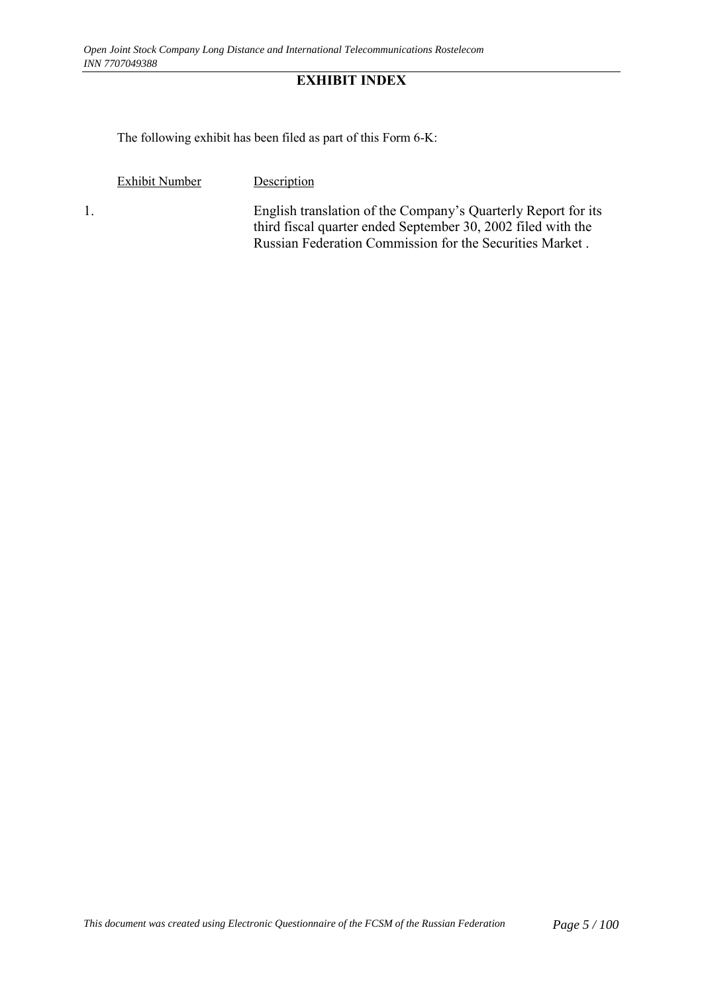# **EXHIBIT INDEX**

The following exhibit has been filed as part of this Form 6-K:

Exhibit Number Description

1. English translation of the Company's Quarterly Report for its third fiscal quarter ended September 30, 2002 filed with the Russian Federation Commission for the Securities Market .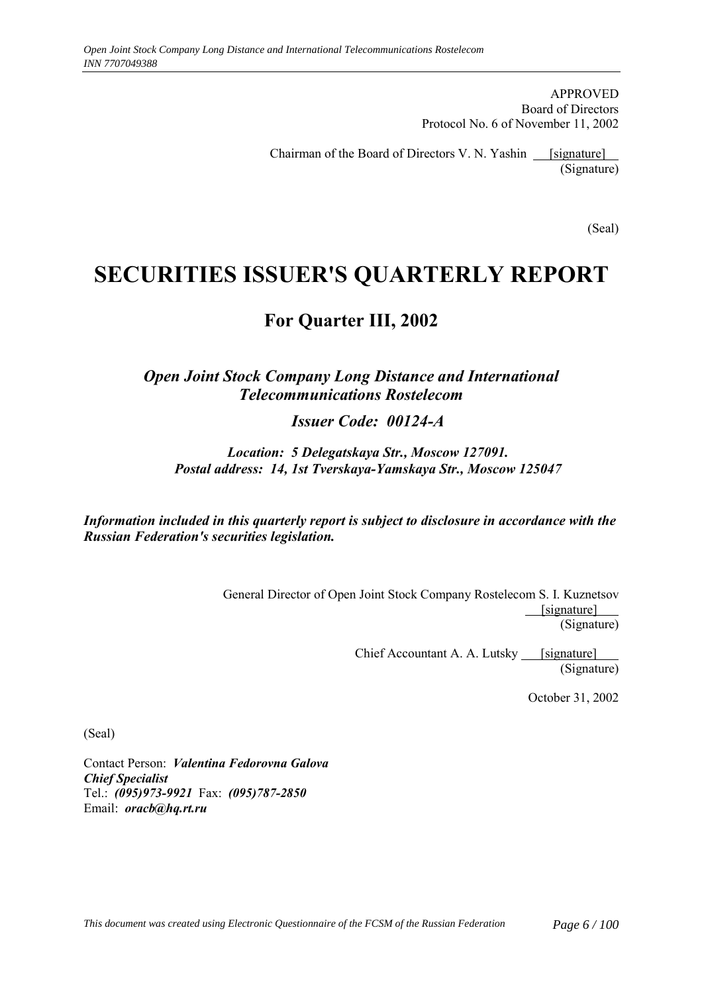APPROVED Board of Directors Protocol No. 6 of November 11, 2002

Chairman of the Board of Directors V. N. Yashin  $\qquad$  [signature] (Signature)

(Seal)

# **SECURITIES ISSUER'S QUARTERLY REPORT**

# **For Quarter III, 2002**

# *Open Joint Stock Company Long Distance and International Telecommunications Rostelecom*

*Issuer Code: 00124-A*

*Location: 5 Delegatskaya Str., Moscow 127091. Postal address: 14, 1st Tverskaya-Yamskaya Str., Moscow 125047*

*Information included in this quarterly report is subject to disclosure in accordance with the Russian Federation's securities legislation.*

> General Director of Open Joint Stock Company Rostelecom S. I. Kuznetsov [signature] (Signature)

> > Chief Accountant A. A. Lutsky [signature] (Signature)

> > > October 31, 2002

(Seal)

Contact Person: *Valentina Fedorovna Galova Chief Specialist* Tel.: *(095)973-9921* Fax: *(095)787-2850* Email: *oracb@hq.rt.ru*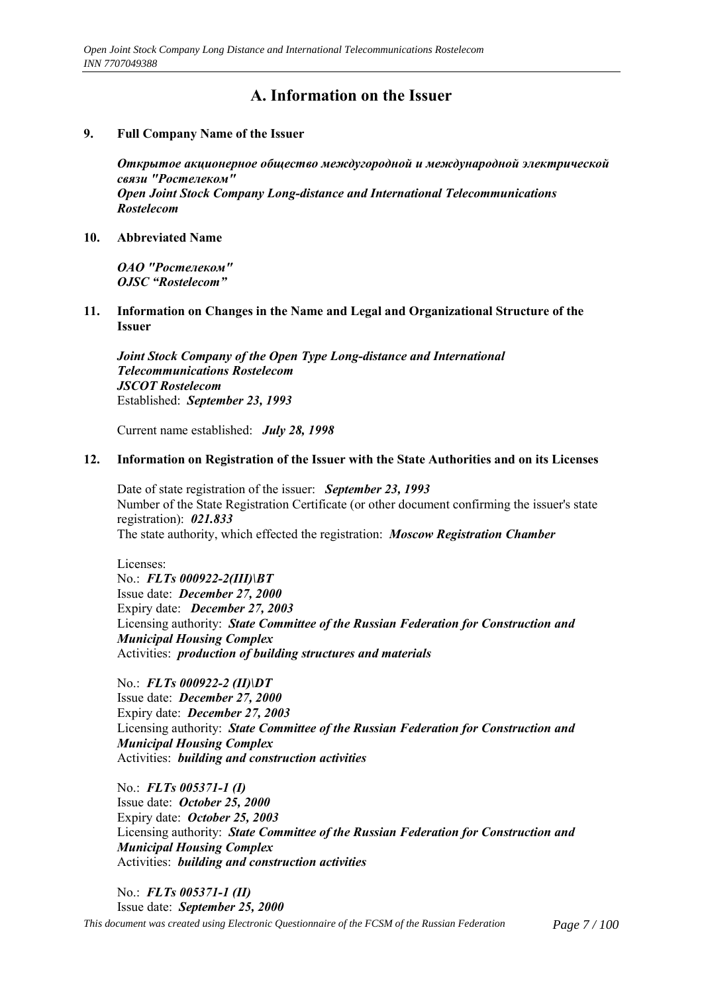# **А. Information on the Issuer**

#### **9. Full Company Name of the Issuer**

*Открытое акционерное общество междугородной и международной электрической связи "Ростелеком" Open Joint Stock Company Long-distance and International Telecommunications Rostelecom*

**10. Abbreviated Name**

*ОАО "Ростелеком"* **OJSC** "Rostelecom"

**11. Information on Changes in the Name and Legal and Organizational Structure of the Issuer**

*Joint Stock Company of the Open Type Long-distance and International Telecommunications Rostelecom JSCOT Rostelecom* Established: *September 23, 1993*

Current name established: *July 28, 1998*

#### **12. Information on Registration of the Issuer with the State Authorities and on its Licenses**

Date of state registration of the issuer: *September 23, 1993* Number of the State Registration Certificate (or other document confirming the issuer's state registration): *021.833* The state authority, which effected the registration: *Moscow Registration Chamber*

Licenses: No.: *FLTs 000922-2(III)\BT* Issue date: *December 27, 2000* Expiry date: *December 27, 2003* Licensing authority: *State Committee of the Russian Federation for Construction and Municipal Housing Complex* Activities: *production of building structures and materials*

No.: *FLTs 000922-2 (II)\DT* Issue date: *December 27, 2000* Expiry date: *December 27, 2003* Licensing authority: *State Committee of the Russian Federation for Construction and Municipal Housing Complex* Activities: *building and construction activities*

No.: *FLTs 005371-1 (I)* Issue date: *October 25, 2000* Expiry date: *October 25, 2003* Licensing authority: *State Committee of the Russian Federation for Construction and Municipal Housing Complex* Activities: *building and construction activities*

*This document was created using Electronic Questionnaire of the FCSM of the Russian Federation Page 7 / 100* No.: *FLTs 005371-1 (II)* Issue date: *September 25, 2000*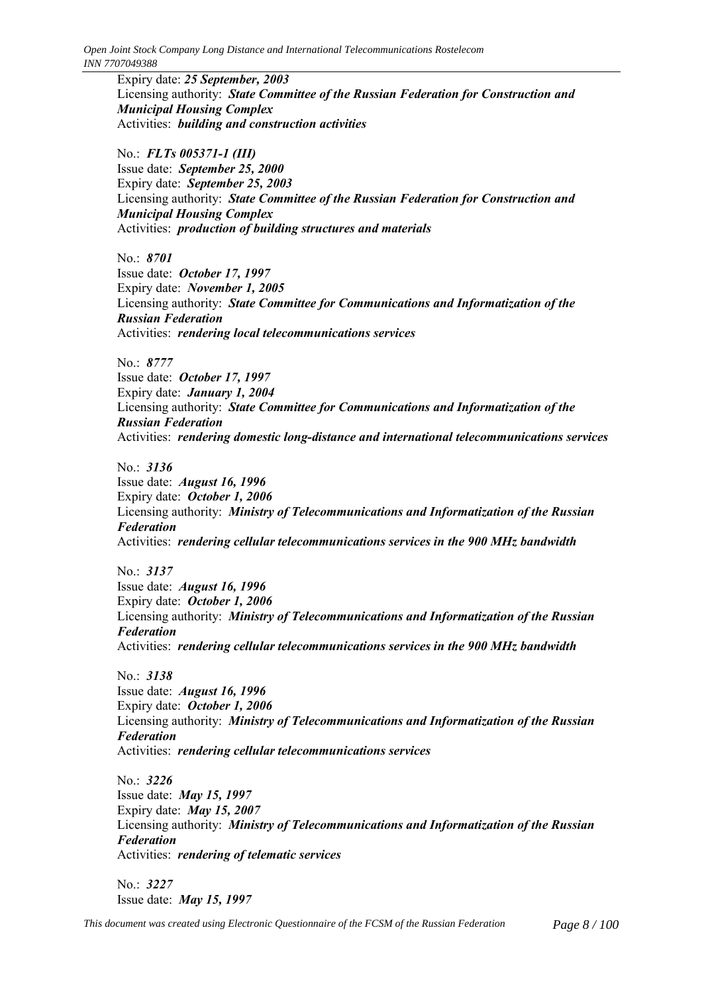Expiry date: *25 September, 2003* Licensing authority: *State Committee of the Russian Federation for Construction and Municipal Housing Complex* Activities: *building and construction activities*

No.: *FLTs 005371-1 (III)* Issue date: *September 25, 2000* Expiry date: *September 25, 2003* Licensing authority: *State Committee of the Russian Federation for Construction and Municipal Housing Complex* Activities: *production of building structures and materials*

No.: *8701* Issue date: *October 17, 1997* Expiry date: *November 1, 2005* Licensing authority: *State Committee for Communications and Informatization of the Russian Federation* Activities: *rendering local telecommunications services*

No.: *8777* Issue date: *October 17, 1997* Expiry date: *January 1, 2004* Licensing authority: *State Committee for Communications and Informatization of the Russian Federation* Activities: *rendering domestic long-distance and international telecommunications services*

No.: *3136*

Issue date: *August 16, 1996* Expiry date: *October 1, 2006* Licensing authority: *Ministry of Telecommunications and Informatization of the Russian Federation* Activities: *rendering cellular telecommunications services in the 900 MHz bandwidth*

No.: *3137* Issue date: *August 16, 1996* Expiry date: *October 1, 2006* Licensing authority: *Ministry of Telecommunications and Informatization of the Russian Federation* Activities: *rendering cellular telecommunications services in the 900 MHz bandwidth*

No.: *3138* Issue date: *August 16, 1996* Expiry date: *October 1, 2006* Licensing authority: *Ministry of Telecommunications and Informatization of the Russian Federation* Activities: *rendering cellular telecommunications services*

No.: *3226* Issue date: *May 15, 1997* Expiry date: *May 15, 2007* Licensing authority: *Ministry of Telecommunications and Informatization of the Russian Federation* Activities: *rendering of telematic services*

No.: *3227* Issue date: *May 15, 1997*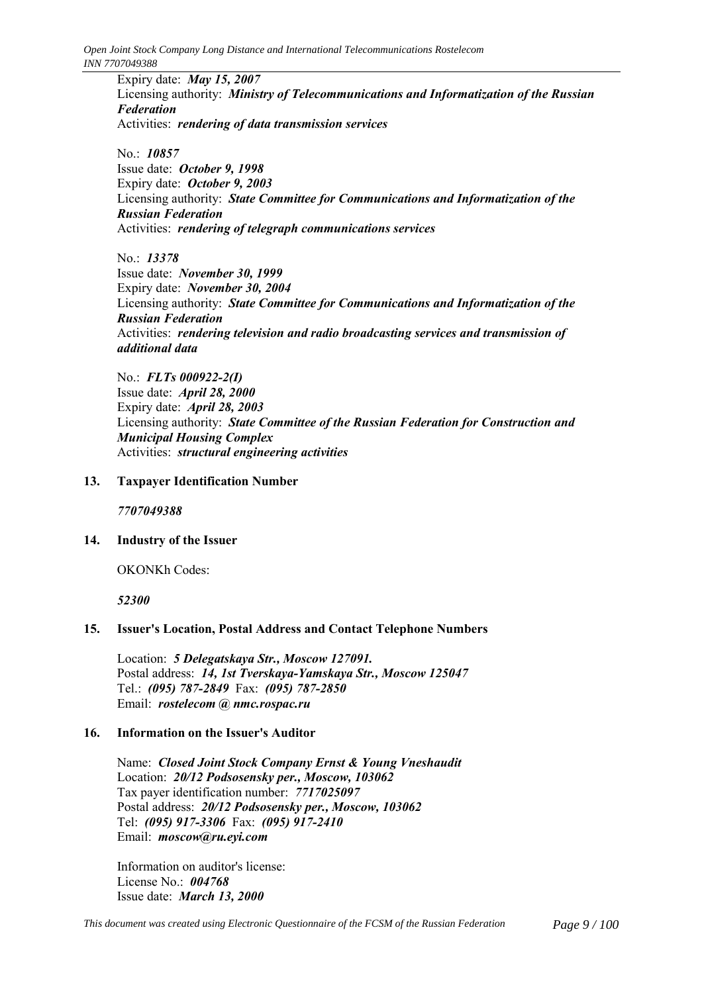Expiry date: *May 15, 2007* Licensing authority: *Ministry of Telecommunications and Informatization of the Russian Federation* Activities: *rendering of data transmission services*

No.: *10857* Issue date: *October 9, 1998* Expiry date: *October 9, 2003* Licensing authority: *State Committee for Communications and Informatization of the Russian Federation* Activities: *rendering of telegraph communications services*

No.: *13378* Issue date: *November 30, 1999* Expiry date: *November 30, 2004* Licensing authority: *State Committee for Communications and Informatization of the Russian Federation* Activities: *rendering television and radio broadcasting services and transmission of additional data*

No.: *FLTs 000922-2(I)* Issue date: *April 28, 2000* Expiry date: *April 28, 2003* Licensing authority: *State Committee of the Russian Federation for Construction and Municipal Housing Complex* Activities: *structural engineering activities*

### **13. Taxpayer Identification Number**

*7707049388*

#### **14. Industry of the Issuer**

OKONKh Codes:

*52300*

# **15. Issuer's Location, Postal Address and Contact Telephone Numbers**

Location: *5 Delegatskaya Str., Moscow 127091.* Postal address: *14, 1st Tverskaya-Yamskaya Str., Moscow 125047* Тel.: *(095) 787-2849* Fax: *(095) 787-2850* Email: *rostelecom @ nmc.rospac.ru*

### **16. Information on the Issuer's Auditor**

Name: *Closed Joint Stock Company Ernst & Young Vneshaudit* Location: *20/12 Podsosensky per., Moscow, 103062* Tax payer identification number: *7717025097* Postal address: *20/12 Podsosensky per., Moscow, 103062* Tel: *(095) 917-3306* Fax: *(095) 917-2410* Email: *moscow@ru.eyi.com*

Information on auditor's license: License No.: *004768* Issue date: *March 13, 2000*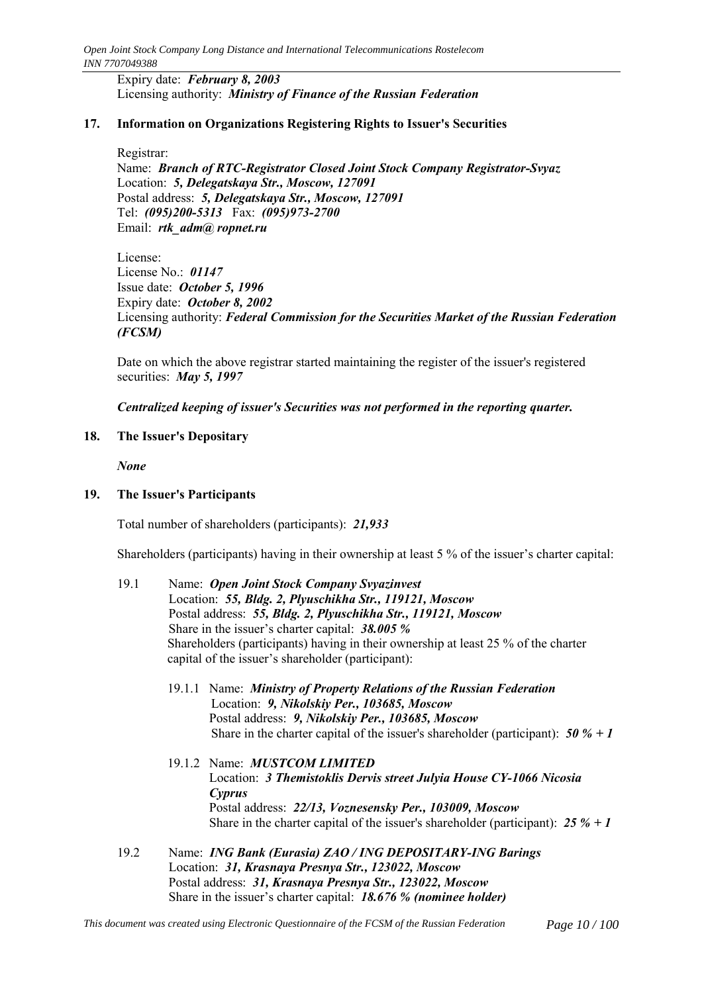Expiry date: *February 8, 2003* Licensing authority: *Ministry of Finance of the Russian Federation*

### **17. Information on Organizations Registering Rights to Issuer's Securities**

Registrar:

Name: *Branch of RTC-Registrator Closed Joint Stock Company Registrator-Svyaz* Location: *5, Delegatskaya Str., Moscow, 127091* Postal address: *5, Delegatskaya Str., Moscow, 127091* Tel: *(095)200-5313* Fax: *(095)973-2700* Email: *rtk\_adm@ ropnet.ru*

License: License No.: *01147* Issue date: *October 5, 1996* Expiry date: *October 8, 2002* Licensing authority: *Federal Commission for the Securities Market of the Russian Federation (FCSM)*

Date on which the above registrar started maintaining the register of the issuer's registered securities: *May 5, 1997*

*Centralized keeping of issuer's Securities was not performed in the reporting quarter.*

### **18. The Issuer's Depositary**

*None*

### **19. The Issuer's Participants**

Total number of shareholders (participants): *21,933*

Shareholders (participants) having in their ownership at least  $5\%$  of the issuer's charter capital:

- 19.1 Name: *Open Joint Stock Company Svyazinvest* Location: *55, Bldg. 2, Plyuschikha Str., 119121, Moscow* Postal address: *55, Bldg. 2, Plyuschikha Str., 119121, Moscow* Share in the issuer's charter capital: 38.005 % Shareholders (participants) having in their ownership at least 25 % of the charter capital of the issuer's shareholder (participant):
	- 19.1.1 Name: *Ministry of Property Relations of the Russian Federation* Location: *9, Nikolskiy Per., 103685, Moscow* Postal address: *9, Nikolskiy Per., 103685, Moscow* Share in the charter capital of the issuer's shareholder (participant): *50 % + 1*
	- 19.1.2 Name: *MUSTCOM LIMITED* Location: *3 Themistoklis Dervis street Julyia House CY-1066 Nicosia Cyprus* Postal address: *22/13, Voznesensky Per., 103009, Moscow* Share in the charter capital of the issuer's shareholder (participant): *25 % + 1*
- 19.2 Name: *ING Bank (Eurasia) ZAO / ING DEPOSITARY-ING Barings* Location: *31, Krasnaya Presnya Str., 123022, Moscow* Postal address: *31, Krasnaya Presnya Str., 123022, Moscow* Share in the issuer's charter capital: **18.676 % (nominee holder)**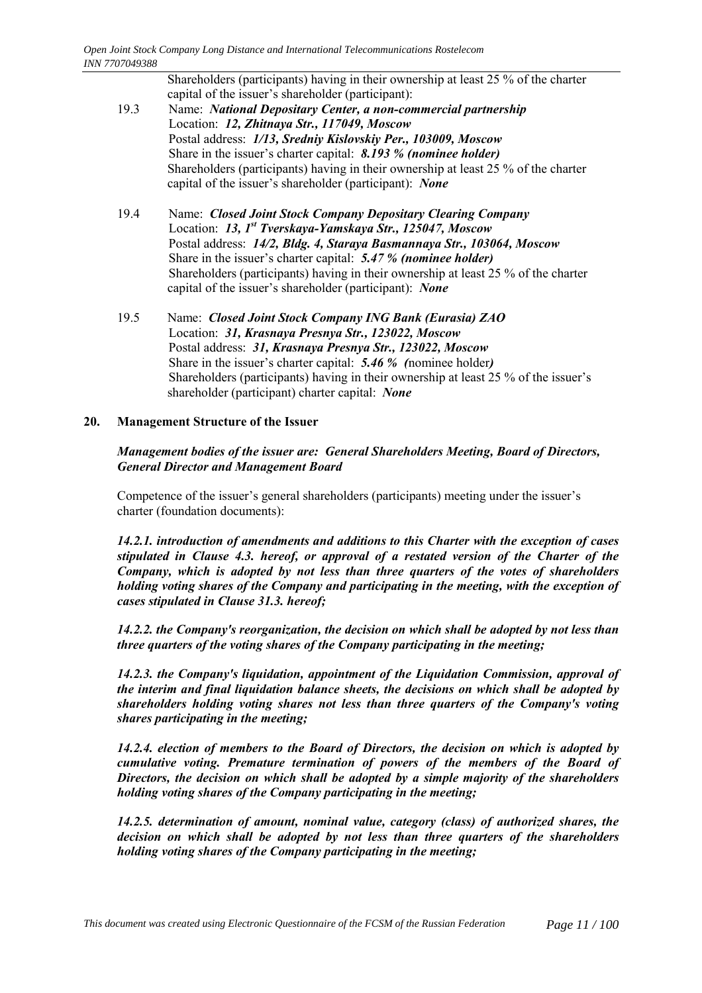|                 | Shareholders (participants) having in their ownership at least 25 % of the charter<br>capital of the issuer's shareholder (participant): |
|-----------------|------------------------------------------------------------------------------------------------------------------------------------------|
| 19.3            | Name: National Depositary Center, a non-commercial partnership                                                                           |
|                 | Location: 12, Zhitnaya Str., 117049, Moscow                                                                                              |
|                 | Postal address: 1/13, Sredniy Kislovskiy Per., 103009, Moscow                                                                            |
|                 | Share in the issuer's charter capital: 8.193 % (nominee holder)                                                                          |
|                 | Shareholders (participants) having in their ownership at least 25 % of the charter                                                       |
|                 | capital of the issuer's shareholder (participant): None                                                                                  |
|                 |                                                                                                                                          |
| 10 <sub>4</sub> | Nomo: Closed Joint Stock Company Depository Cleaving Company                                                                             |

- 19.4 Name: *Closed Joint Stock Company Depositary Clearing Company* Location: *13, 1st Tverskaya-Yamskaya Str., 125047, Moscow* Postal address: *14/2, Bldg. 4, Staraya Basmannaya Str., 103064, Moscow* Share in the issuer's charter capital: 5.47 % (nominee holder) Shareholders (participants) having in their ownership at least 25 % of the charter capital of the issuer's shareholder (participant): *None*
- 19.5 Name: *Closed Joint Stock Company ING Bank (Eurasia) ZAO* Location: *31, Krasnaya Presnya Str., 123022, Moscow* Postal address: *31, Krasnaya Presnya Str., 123022, Moscow* Share in the issuer's charter capital: **5.46** % (nominee holder) Shareholders (participants) having in their ownership at least  $25\%$  of the issuer's shareholder (participant) charter capital: *None*

### **20. Management Structure of the Issuer**

#### *Management bodies of the issuer are: General Shareholders Meeting, Board of Directors, General Director and Management Board*

Competence of the issuer's general shareholders (participants) meeting under the issuer's charter (foundation documents):

*14.2.1. introduction of amendments and additions to this Charter with the exception of cases stipulated in Clause 4.3. hereof, or approval of a restated version of the Charter of the Company, which is adopted by not less than three quarters of the votes of shareholders holding voting shares of the Company and participating in the meeting, with the exception of cases stipulated in Clause 31.3. hereof;*

*14.2.2. the Company's reorganization, the decision on which shall be adopted by not less than three quarters of the voting shares of the Company participating in the meeting;*

*14.2.3. the Company's liquidation, appointment of the Liquidation Commission, approval of the interim and final liquidation balance sheets, the decisions on which shall be adopted by shareholders holding voting shares not less than three quarters of the Company's voting shares participating in the meeting;*

*14.2.4. election of members to the Board of Directors, the decision on which is adopted by cumulative voting. Premature termination of powers of the members of the Board of Directors, the decision on which shall be adopted by a simple majority of the shareholders holding voting shares of the Company participating in the meeting;*

*14.2.5. determination of amount, nominal value, category (class) of authorized shares, the decision on which shall be adopted by not less than three quarters of the shareholders holding voting shares of the Company participating in the meeting;*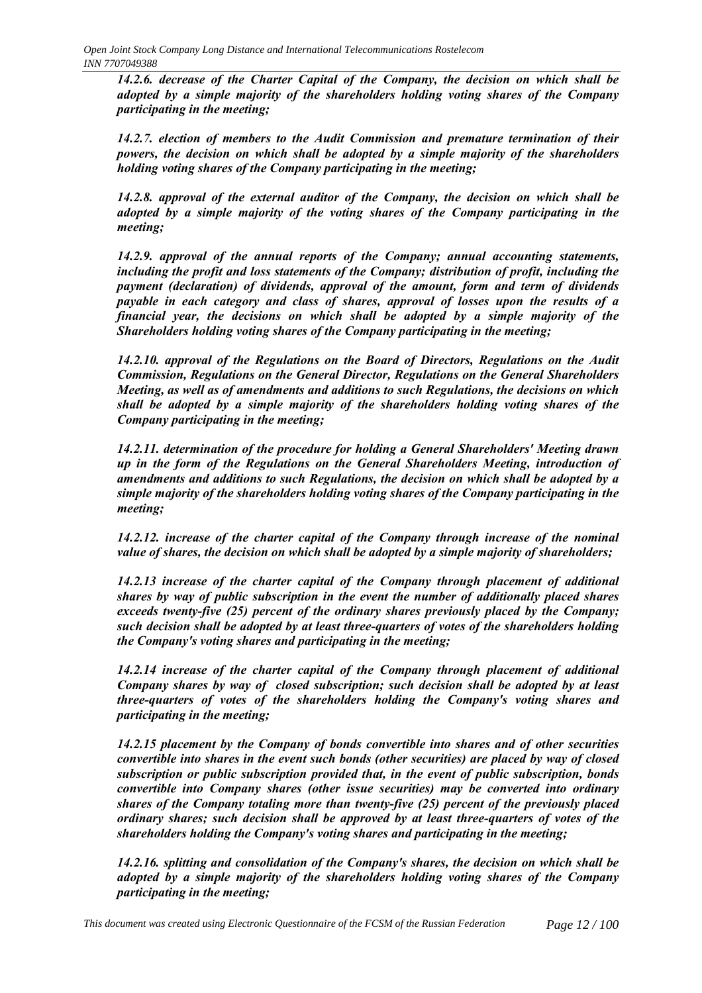*14.2.6. decrease of the Charter Capital of the Company, the decision on which shall be adopted by a simple majority of the shareholders holding voting shares of the Company participating in the meeting;*

*14.2.7. election of members to the Audit Commission and premature termination of their powers, the decision on which shall be adopted by a simple majority of the shareholders holding voting shares of the Company participating in the meeting;*

*14.2.8. approval of the external auditor of the Company, the decision on which shall be adopted by a simple majority of the voting shares of the Company participating in the meeting;*

*14.2.9. approval of the annual reports of the Company; annual accounting statements, including the profit and loss statements of the Company; distribution of profit, including the payment (declaration) of dividends, approval of the amount, form and term of dividends payable in each category and class of shares, approval of losses upon the results of a financial year, the decisions on which shall be adopted by a simple majority of the Shareholders holding voting shares of the Company participating in the meeting;*

*14.2.10. approval of the Regulations on the Board of Directors, Regulations on the Audit Commission, Regulations on the General Director, Regulations on the General Shareholders Meeting, as well as of amendments and additions to such Regulations, the decisions on which shall be adopted by a simple majority of the shareholders holding voting shares of the Company participating in the meeting;*

*14.2.11. determination of the procedure for holding a General Shareholders' Meeting drawn up in the form of the Regulations on the General Shareholders Meeting, introduction of amendments and additions to such Regulations, the decision on which shall be adopted by a simple majority of the shareholders holding voting shares of the Company participating in the meeting;*

*14.2.12. increase of the charter capital of the Company through increase of the nominal value of shares, the decision on which shall be adopted by a simple majority of shareholders;*

*14.2.13 increase of the charter capital of the Company through placement of additional shares by way of public subscription in the event the number of additionally placed shares exceeds twenty-five (25) percent of the ordinary shares previously placed by the Company; such decision shall be adopted by at least three-quarters of votes of the shareholders holding the Company's voting shares and participating in the meeting;*

*14.2.14 increase of the charter capital of the Company through placement of additional Company shares by way of closed subscription; such decision shall be adopted by at least three-quarters of votes of the shareholders holding the Company's voting shares and participating in the meeting;*

*14.2.15 placement by the Company of bonds convertible into shares and of other securities convertible into shares in the event such bonds (other securities) are placed by way of closed subscription or public subscription provided that, in the event of public subscription, bonds convertible into Company shares (other issue securities) may be converted into ordinary shares of the Company totaling more than twenty-five (25) percent of the previously placed ordinary shares; such decision shall be approved by at least three-quarters of votes of the shareholders holding the Company's voting shares and participating in the meeting;*

*14.2.16. splitting and consolidation of the Company's shares, the decision on which shall be adopted by a simple majority of the shareholders holding voting shares of the Company participating in the meeting;*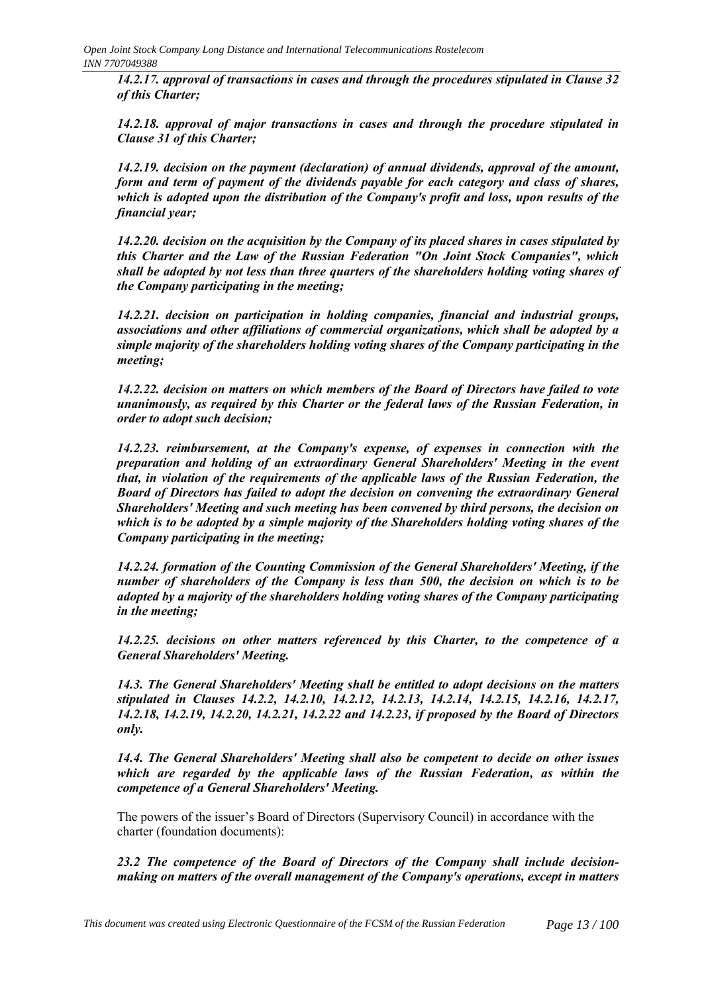*14.2.17. approval of transactions in cases and through the procedures stipulated in Clause 32 of this Charter;*

*14.2.18. approval of major transactions in cases and through the procedure stipulated in Clause 31 of this Charter;*

*14.2.19. decision on the payment (declaration) of annual dividends, approval of the amount, form and term of payment of the dividends payable for each category and class of shares, which is adopted upon the distribution of the Company's profit and loss, upon results of the financial year;*

*14.2.20. decision on the acquisition by the Company of its placed shares in cases stipulated by this Charter and the Law of the Russian Federation "On Joint Stock Companies", which shall be adopted by not less than three quarters of the shareholders holding voting shares of the Company participating in the meeting;*

*14.2.21. decision on participation in holding companies, financial and industrial groups, associations and other affiliations of commercial organizations, which shall be adopted by a simple majority of the shareholders holding voting shares of the Company participating in the meeting;*

*14.2.22. decision on matters on which members of the Board of Directors have failed to vote unanimously, as required by this Charter or the federal laws of the Russian Federation, in order to adopt such decision;*

*14.2.23. reimbursement, at the Company's expense, of expenses in connection with the preparation and holding of an extraordinary General Shareholders' Meeting in the event that, in violation of the requirements of the applicable laws of the Russian Federation, the Board of Directors has failed to adopt the decision on convening the extraordinary General Shareholders' Meeting and such meeting has been convened by third persons, the decision on which is to be adopted by a simple majority of the Shareholders holding voting shares of the Company participating in the meeting;*

*14.2.24. formation of the Counting Commission of the General Shareholders' Meeting, if the number of shareholders of the Company is less than 500, the decision on which is to be adopted by a majority of the shareholders holding voting shares of the Company participating in the meeting;*

*14.2.25. decisions on other matters referenced by this Charter, to the competence of a General Shareholders' Meeting.*

*14.3. The General Shareholders' Meeting shall be entitled to adopt decisions on the matters stipulated in Clauses 14.2.2, 14.2.10, 14.2.12, 14.2.13, 14.2.14, 14.2.15, 14.2.16, 14.2.17, 14.2.18, 14.2.19, 14.2.20, 14.2.21, 14.2.22 and 14.2.23, if proposed by the Board of Directors only.*

*14.4. The General Shareholders' Meeting shall also be competent to decide on other issues which are regarded by the applicable laws of the Russian Federation, as within the competence of a General Shareholders' Meeting.*

The powers of the issuer's Board of Directors (Supervisory Council) in accordance with the charter (foundation documents):

*23.2 The competence of the Board of Directors of the Company shall include decisionmaking on matters of the overall management of the Company's operations, except in matters*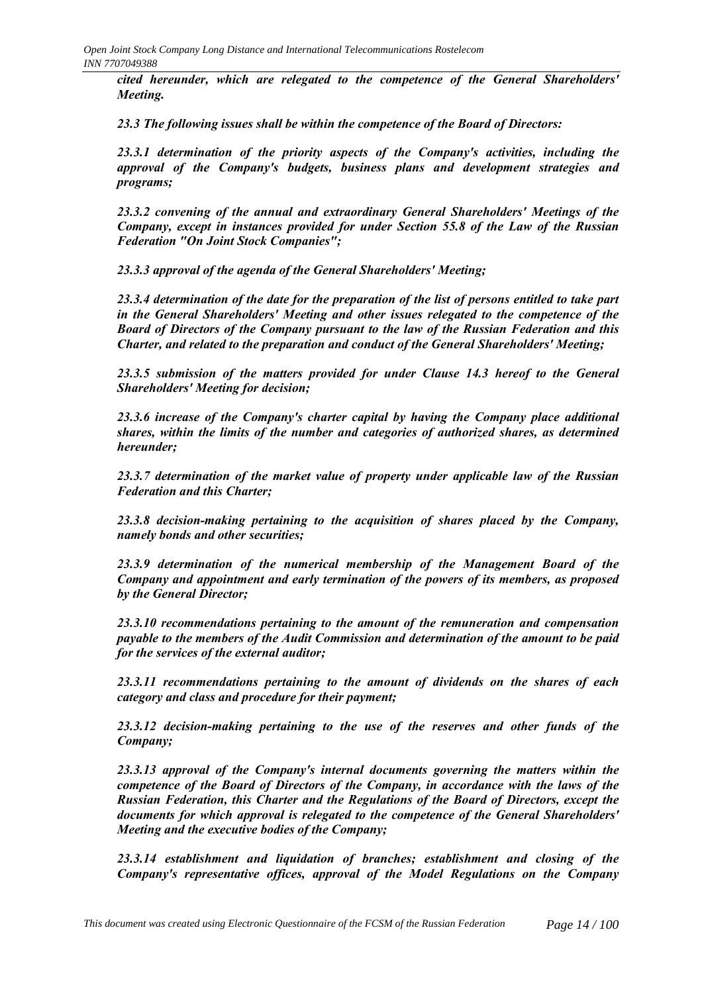*cited hereunder, which are relegated to the competence of the General Shareholders' Meeting.*

*23.3 The following issues shall be within the competence of the Board of Directors:*

*23.3.1 determination of the priority aspects of the Company's activities, including the approval of the Company's budgets, business plans and development strategies and programs;*

*23.3.2 convening of the annual and extraordinary General Shareholders' Meetings of the Company, except in instances provided for under Section 55.8 of the Law of the Russian Federation "On Joint Stock Companies";*

*23.3.3 approval of the agenda of the General Shareholders' Meeting;*

*23.3.4 determination of the date for the preparation of the list of persons entitled to take part in the General Shareholders' Meeting and other issues relegated to the competence of the Board of Directors of the Company pursuant to the law of the Russian Federation and this Charter, and related to the preparation and conduct of the General Shareholders' Meeting;*

*23.3.5 submission of the matters provided for under Clause 14.3 hereof to the General Shareholders' Meeting for decision;*

*23.3.6 increase of the Company's charter capital by having the Company place additional shares, within the limits of the number and categories of authorized shares, as determined hereunder;*

*23.3.7 determination of the market value of property under applicable law of the Russian Federation and this Charter;*

*23.3.8 decision-making pertaining to the acquisition of shares placed by the Company, namely bonds and other securities;*

*23.3.9 determination of the numerical membership of the Management Board of the Company and appointment and early termination of the powers of its members, as proposed by the General Director;*

*23.3.10 recommendations pertaining to the amount of the remuneration and compensation payable to the members of the Audit Commission and determination of the amount to be paid for the services of the external auditor;*

*23.3.11 recommendations pertaining to the amount of dividends on the shares of each category and class and procedure for their payment;*

*23.3.12 decision-making pertaining to the use of the reserves and other funds of the Company;*

*23.3.13 approval of the Company's internal documents governing the matters within the competence of the Board of Directors of the Company, in accordance with the laws of the Russian Federation, this Charter and the Regulations of the Board of Directors, except the documents for which approval is relegated to the competence of the General Shareholders' Meeting and the executive bodies of the Company;*

*23.3.14 establishment and liquidation of branches; establishment and closing of the Company's representative offices, approval of the Model Regulations on the Company*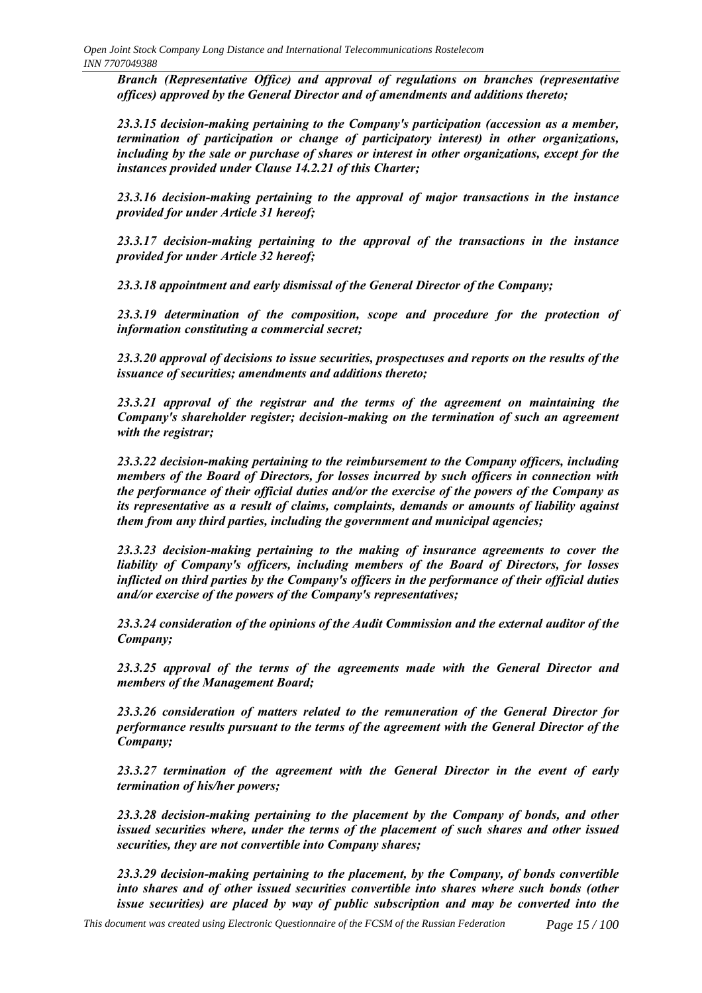*Branch (Representative Office) and approval of regulations on branches (representative offices) approved by the General Director and of amendments and additions thereto;*

*23.3.15 decision-making pertaining to the Company's participation (accession as a member, termination of participation or change of participatory interest) in other organizations, including by the sale or purchase of shares or interest in other organizations, except for the instances provided under Clause 14.2.21 of this Charter;*

*23.3.16 decision-making pertaining to the approval of major transactions in the instance provided for under Article 31 hereof;*

*23.3.17 decision-making pertaining to the approval of the transactions in the instance provided for under Article 32 hereof;*

*23.3.18 appointment and early dismissal of the General Director of the Company;*

*23.3.19 determination of the composition, scope and procedure for the protection of information constituting a commercial secret;*

*23.3.20 approval of decisions to issue securities, prospectuses and reports on the results of the issuance of securities; amendments and additions thereto;*

*23.3.21 approval of the registrar and the terms of the agreement on maintaining the Company's shareholder register; decision-making on the termination of such an agreement with the registrar;*

*23.3.22 decision-making pertaining to the reimbursement to the Company officers, including members of the Board of Directors, for losses incurred by such officers in connection with the performance of their official duties and/or the exercise of the powers of the Company as its representative as a result of claims, complaints, demands or amounts of liability against them from any third parties, including the government and municipal agencies;*

*23.3.23 decision-making pertaining to the making of insurance agreements to cover the liability of Company's officers, including members of the Board of Directors, for losses inflicted on third parties by the Company's officers in the performance of their official duties and/or exercise of the powers of the Company's representatives;*

*23.3.24 consideration of the opinions of the Audit Commission and the external auditor of the Company;*

*23.3.25 approval of the terms of the agreements made with the General Director and members of the Management Board;*

*23.3.26 consideration of matters related to the remuneration of the General Director for performance results pursuant to the terms of the agreement with the General Director of the Company;*

*23.3.27 termination of the agreement with the General Director in the event of early termination of his/her powers;*

*23.3.28 decision-making pertaining to the placement by the Company of bonds, and other issued securities where, under the terms of the placement of such shares and other issued securities, they are not convertible into Company shares;*

*23.3.29 decision-making pertaining to the placement, by the Company, of bonds convertible into shares and of other issued securities convertible into shares where such bonds (other issue securities) are placed by way of public subscription and may be converted into the*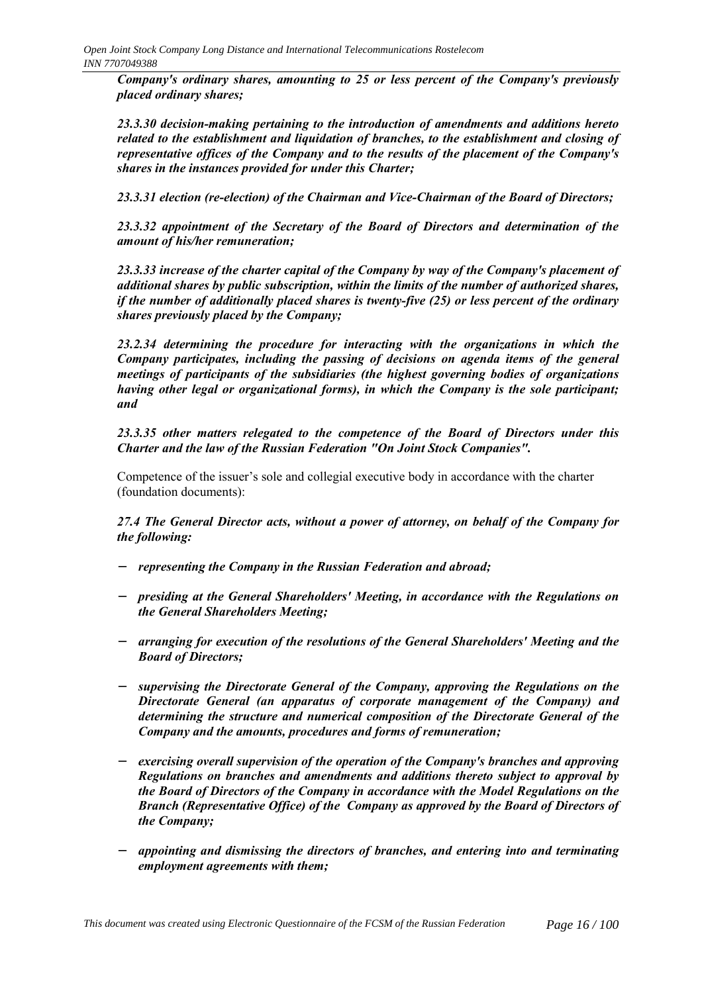*Company's ordinary shares, amounting to 25 or less percent of the Company's previously placed ordinary shares;*

*23.3.30 decision-making pertaining to the introduction of amendments and additions hereto related to the establishment and liquidation of branches, to the establishment and closing of representative offices of the Company and to the results of the placement of the Company's shares in the instances provided for under this Charter;*

*23.3.31 election (re-election) of the Chairman and Vice-Chairman of the Board of Directors;*

*23.3.32 appointment of the Secretary of the Board of Directors and determination of the amount of his/her remuneration;*

*23.3.33 increase of the charter capital of the Company by way of the Company's placement of additional shares by public subscription, within the limits of the number of authorized shares, if the number of additionally placed shares is twenty-five (25) or less percent of the ordinary shares previously placed by the Company;*

*23.2.34 determining the procedure for interacting with the organizations in which the Company participates, including the passing of decisions on agenda items of the general meetings of participants of the subsidiaries (the highest governing bodies of organizations having other legal or organizational forms), in which the Company is the sole participant; and*

*23.3.35 other matters relegated to the competence of the Board of Directors under this Charter and the law of the Russian Federation "On Joint Stock Companies".*

Competence of the issuer's sole and collegial executive body in accordance with the charter (foundation documents):

*27.4 The General Director acts, without a power of attorney, on behalf of the Company for the following:*

- − *representing the Company in the Russian Federation and abroad;*
- − *presiding at the General Shareholders' Meeting, in accordance with the Regulations on the General Shareholders Meeting;*
- − *arranging for execution of the resolutions of the General Shareholders' Meeting and the Board of Directors;*
- − *supervising the Directorate General of the Company, approving the Regulations on the Directorate General (an apparatus of corporate management of the Company) and determining the structure and numerical composition of the Directorate General of the Company and the amounts, procedures and forms of remuneration;*
- − *exercising overall supervision of the operation of the Company's branches and approving Regulations on branches and amendments and additions thereto subject to approval by the Board of Directors of the Company in accordance with the Model Regulations on the Branch (Representative Office) of the Company as approved by the Board of Directors of the Company;*
- − *appointing and dismissing the directors of branches, and entering into and terminating employment agreements with them;*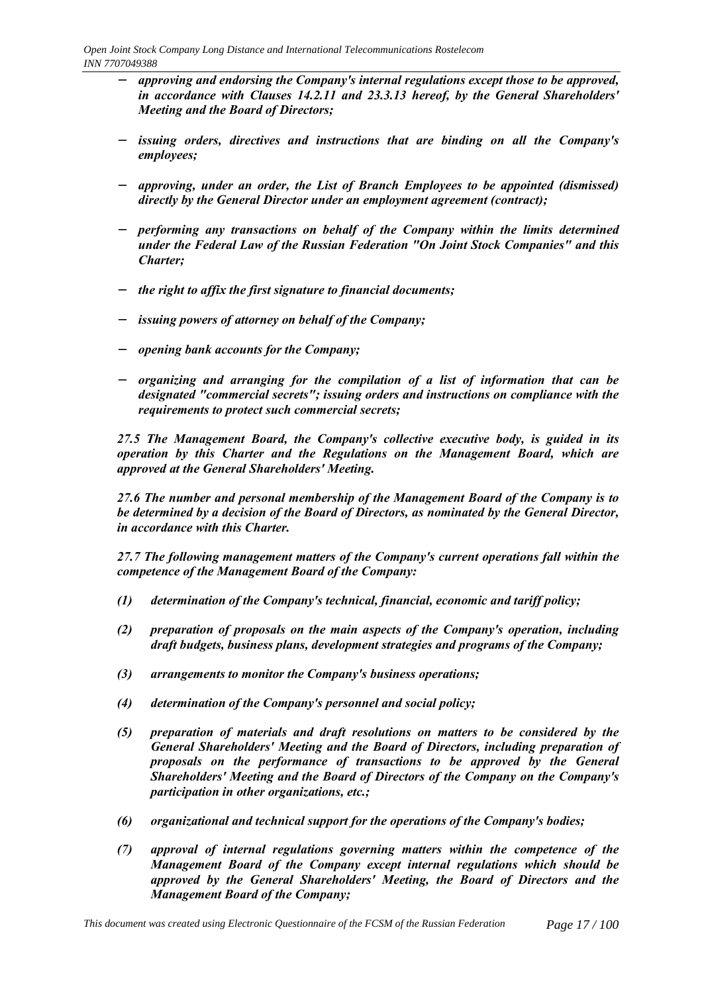- − *approving and endorsing the Company's internal regulations except those to be approved, in accordance with Clauses 14.2.11 and 23.3.13 hereof, by the General Shareholders' Meeting and the Board of Directors;*
- − *issuing orders, directives and instructions that are binding on all the Company's employees;*
- − *approving, under an order, the List of Branch Employees to be appointed (dismissed) directly by the General Director under an employment agreement (contract);*
- − *performing any transactions on behalf of the Company within the limits determined under the Federal Law of the Russian Federation "On Joint Stock Companies" and this Charter;*
- − *the right to affix the first signature to financial documents;*
- − *issuing powers of attorney on behalf of the Company;*
- − *opening bank accounts for the Company;*
- − *organizing and arranging for the compilation of a list of information that can be designated "commercial secrets"; issuing orders and instructions on compliance with the requirements to protect such commercial secrets;*

*27.5 The Management Board, the Company's collective executive body, is guided in its operation by this Charter and the Regulations on the Management Board, which are approved at the General Shareholders' Meeting.*

*27.6 The number and personal membership of the Management Board of the Company is to be determined by a decision of the Board of Directors, as nominated by the General Director, in accordance with this Charter.*

*27.7 The following management matters of the Company's current operations fall within the competence of the Management Board of the Company:*

- *(1) determination of the Company's technical, financial, economic and tariff policy;*
- *(2) preparation of proposals on the main aspects of the Company's operation, including draft budgets, business plans, development strategies and programs of the Company;*
- *(3) arrangements to monitor the Company's business operations;*
- *(4) determination of the Company's personnel and social policy;*
- *(5) preparation of materials and draft resolutions on matters to be considered by the General Shareholders' Meeting and the Board of Directors, including preparation of proposals on the performance of transactions to be approved by the General Shareholders' Meeting and the Board of Directors of the Company on the Company's participation in other organizations, etc.;*
- *(6) organizational and technical support for the operations of the Company's bodies;*
- *(7) approval of internal regulations governing matters within the competence of the Management Board of the Company except internal regulations which should be approved by the General Shareholders' Meeting, the Board of Directors and the Management Board of the Company;*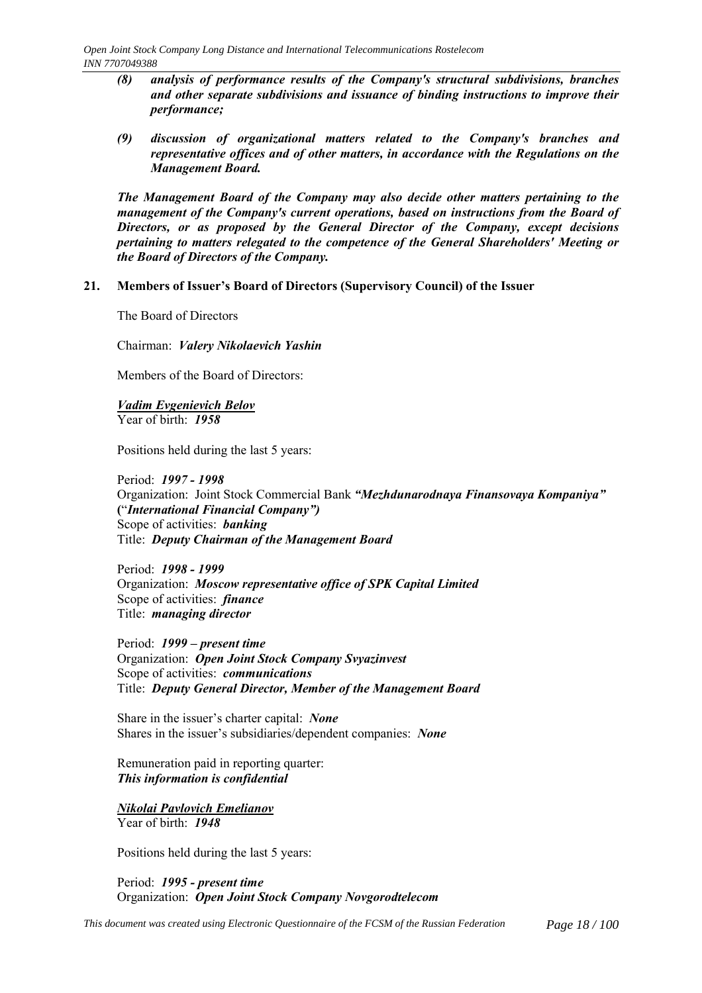- *(8) analysis of performance results of the Company's structural subdivisions, branches and other separate subdivisions and issuance of binding instructions to improve their performance;*
- *(9) discussion of organizational matters related to the Company's branches and representative offices and of other matters, in accordance with the Regulations on the Management Board.*

*The Management Board of the Company may also decide other matters pertaining to the management of the Company's current operations, based on instructions from the Board of Directors, or as proposed by the General Director of the Company, except decisions pertaining to matters relegated to the competence of the General Shareholders' Meeting or the Board of Directors of the Company.*

#### 21. Members of Issuer's Board of Directors (Supervisory Council) of the Issuer

The Board of Directors

Chairman: *Valery Nikolaevich Yashin*

Members of the Board of Directors:

*Vadim Evgenievich Belov* Year of birth: *1958*

Positions held during the last 5 years:

Period: *1997 - 1998* Organization: Joint Stock Commercial Bank *ìMezhdunarodnaya Finansovaya Kompaniyaî* **(**ì*International Financial Companyî)* Scope of activities: *banking* Title: *Deputy Chairman of the Management Board*

Period: *1998 - 1999* Organization: *Moscow representative office of SPK Capital Limited* Scope of activities: *finance* Title: *managing director*

Period: 1999 – present time Organization: *Open Joint Stock Company Svyazinvest* Scope of activities: *communications* Title: *Deputy General Director, Member of the Management Board*

Share in the issuer's charter capital: *None* Shares in the issuer's subsidiaries/dependent companies: *None* 

Remuneration paid in reporting quarter: *This information is confidential*

*Nikolai Pavlovich Emelianov* Year of birth: *1948*

Positions held during the last 5 years:

Period: *1995 - present time* Organization: *Open Joint Stock Company Novgorodtelecom*

*This document was created using Electronic Questionnaire of the FCSM of the Russian Federation Page 18 / 100*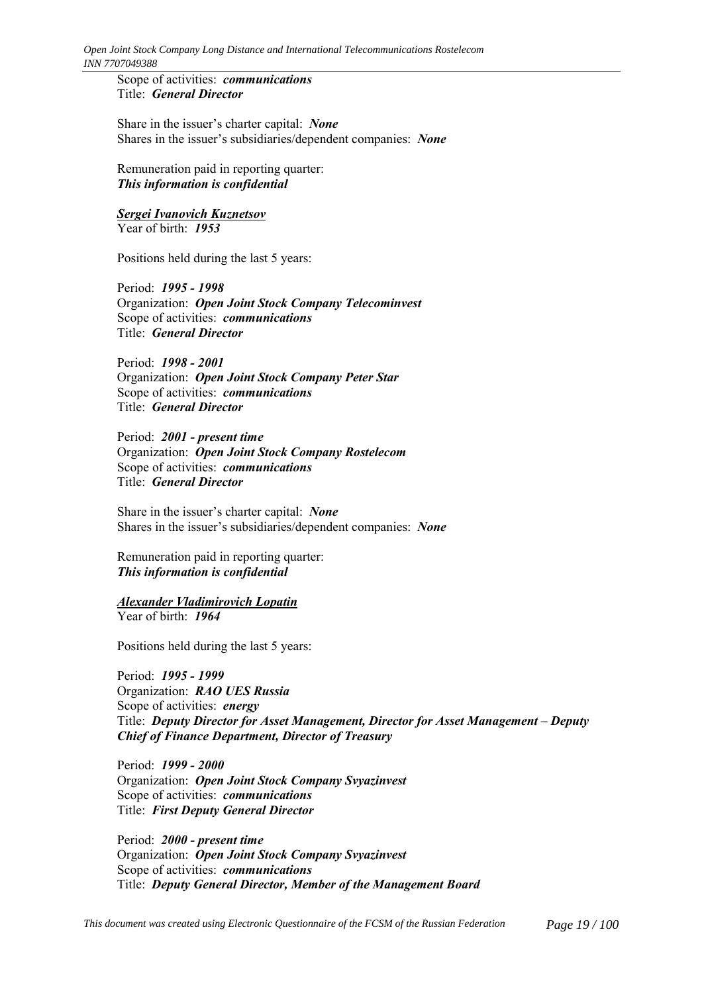Scope of activities: *communications* Title: *General Director*

Share in the issuer's charter capital: *None* Shares in the issuer's subsidiaries/dependent companies: *None* 

Remuneration paid in reporting quarter: *This information is confidential*

*Sergei Ivanovich Kuznetsov* Year of birth: *1953*

Positions held during the last 5 years:

Period: *1995 - 1998* Organization: *Open Joint Stock Company Telecominvest* Scope of activities: *communications* Title: *General Director*

Period: *1998 - 2001* Organization: *Open Joint Stock Company Peter Star* Scope of activities: *communications* Title: *General Director*

Period: *2001 - present time* Organization: *Open Joint Stock Company Rostelecom* Scope of activities: *communications* Title: *General Director*

Share in the issuer's charter capital: *None* Shares in the issuer's subsidiaries/dependent companies: *None* 

Remuneration paid in reporting quarter: *This information is confidential*

*Alexander Vladimirovich Lopatin* Year of birth: *1964*

Positions held during the last 5 years:

Period: *1995 - 1999* Organization: *RAO UES Russia* Scope of activities: *energy* Title: *Deputy Director for Asset Management, Director for Asset Management – Deputy Chief of Finance Department, Director of Treasury*

Period: *1999 - 2000* Organization: *Open Joint Stock Company Svyazinvest* Scope of activities: *communications* Title: *First Deputy General Director*

Period: *2000 - present time* Organization: *Open Joint Stock Company Svyazinvest* Scope of activities: *communications* Title: *Deputy General Director, Member of the Management Board*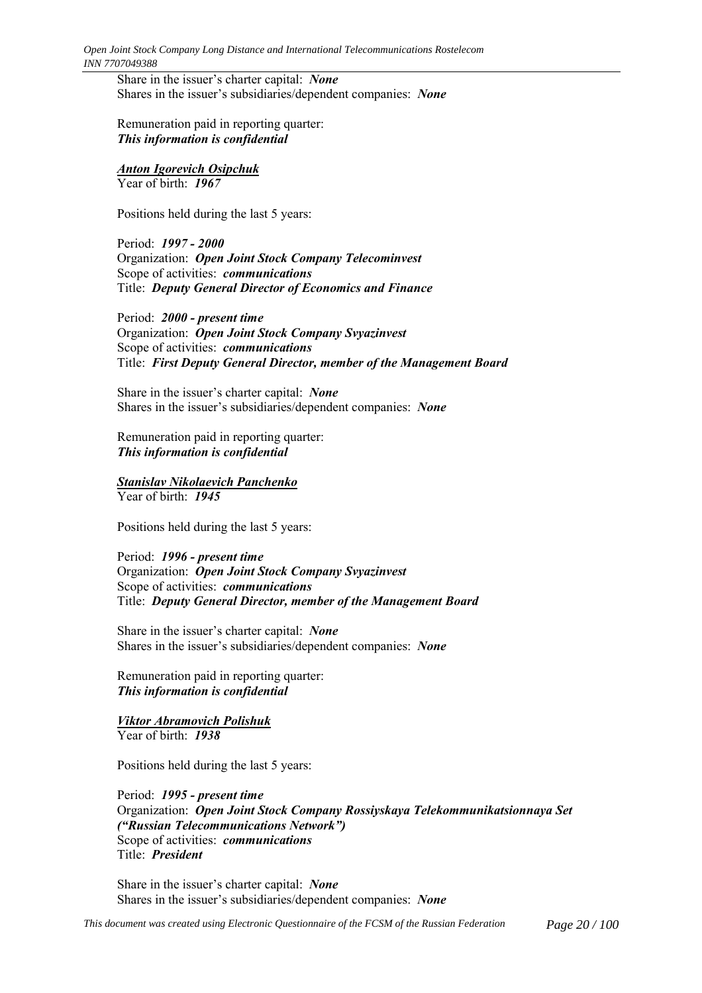Share in the issuer's charter capital: *None* Shares in the issuer's subsidiaries/dependent companies: *None* 

Remuneration paid in reporting quarter: *This information is confidential*

*Anton Igorevich Osipchuk* Year of birth: *1967*

Positions held during the last 5 years:

Period: *1997 - 2000* Organization: *Open Joint Stock Company Telecominvest* Scope of activities: *communications* Title: *Deputy General Director of Economics and Finance*

Period: *2000 - present time* Organization: *Open Joint Stock Company Svyazinvest* Scope of activities: *communications* Title: *First Deputy General Director, member of the Management Board*

Share in the issuer's charter capital: *None* Shares in the issuer's subsidiaries/dependent companies: *None* 

Remuneration paid in reporting quarter: *This information is confidential*

*Stanislav Nikolaevich Panchenko* Year of birth: *1945*

Positions held during the last 5 years:

Period: *1996 - present time* Organization: *Open Joint Stock Company Svyazinvest* Scope of activities: *communications* Title: *Deputy General Director, member of the Management Board*

Share in the issuer's charter capital: *None* Shares in the issuer's subsidiaries/dependent companies: *None* 

Remuneration paid in reporting quarter: *This information is confidential*

*Viktor Abramovich Polishuk* Year of birth: *1938*

Positions held during the last 5 years:

Period: *1995 - present time* Organization: *Open Joint Stock Company Rossiyskaya Telekommunikatsionnaya Set (ìRussian Telecommunications Networkî)* Scope of activities: *communications* Title: *President*

Share in the issuer's charter capital: *None* Shares in the issuer's subsidiaries/dependent companies: *None* 

*This document was created using Electronic Questionnaire of the FCSM of the Russian Federation Page 20 / 100*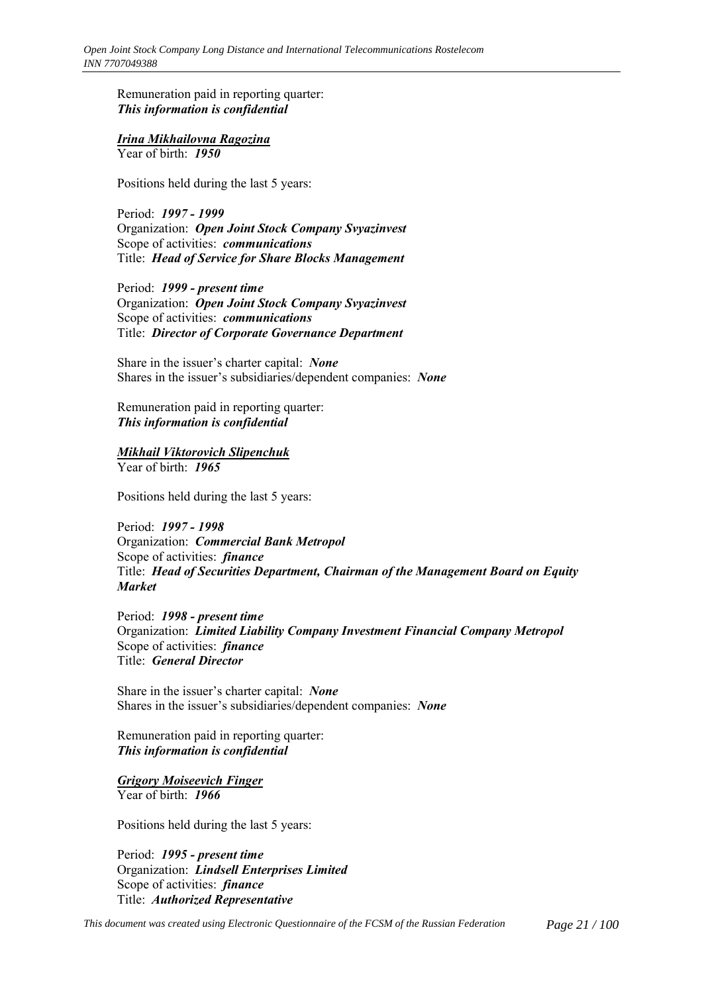Remuneration paid in reporting quarter: *This information is confidential*

### *Irina Mikhailovna Ragozina*

Year of birth: *1950*

Positions held during the last 5 years:

Period: *1997 - 1999* Organization: *Open Joint Stock Company Svyazinvest* Scope of activities: *communications* Title: *Head of Service for Share Blocks Management*

Period: *1999 - present time* Organization: *Open Joint Stock Company Svyazinvest* Scope of activities: *communications* Title: *Director of Corporate Governance Department*

Share in the issuer's charter capital: *None* Shares in the issuer's subsidiaries/dependent companies: *None* 

Remuneration paid in reporting quarter: *This information is confidential*

### *Mikhail Viktorovich Slipenchuk*

Year of birth: *1965*

Positions held during the last 5 years:

Period: *1997 - 1998* Organization: *Commercial Bank Metropol* Scope of activities: *finance* Title: *Head of Securities Department, Chairman of the Management Board on Equity Market*

Period: *1998 - present time* Organization: *Limited Liability Company Investment Financial Company Metropol* Scope of activities: *finance* Title: *General Director*

Share in the issuer's charter capital: *None* Shares in the issuer's subsidiaries/dependent companies: *None* 

Remuneration paid in reporting quarter: *This information is confidential*

*Grigory Moiseevich Finger* Year of birth: *1966*

Positions held during the last 5 years:

Period: *1995 - present time* Organization: *Lindsell Enterprises Limited* Scope of activities: *finance* Title: *Authorized Representative*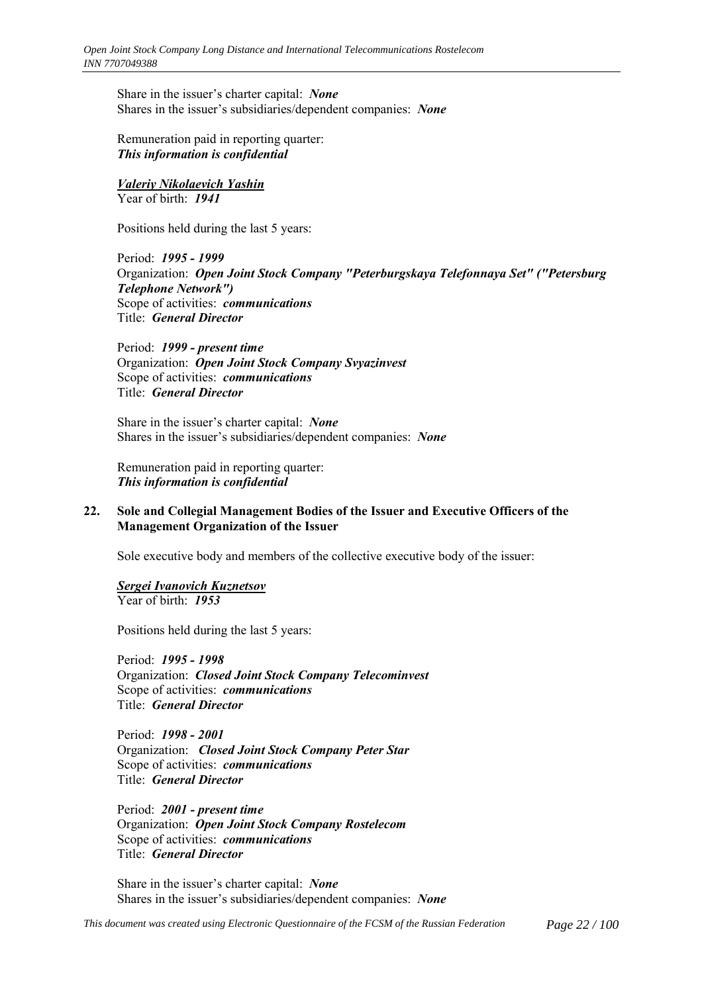Share in the issuer's charter capital: *None* Shares in the issuer's subsidiaries/dependent companies: *None* 

Remuneration paid in reporting quarter: *This information is confidential*

*Valeriy Nikolaevich Yashin* Year of birth: *1941*

Positions held during the last 5 years:

Period: *1995 - 1999* Organization: *Open Joint Stock Company "Peterburgskaya Telefonnaya Set" ("Petersburg Telephone Network")* Scope of activities: *communications* Title: *General Director*

Period: *1999 - present time* Organization: *Open Joint Stock Company Svyazinvest* Scope of activities: *communications* Title: *General Director*

Share in the issuer's charter capital: *None* Shares in the issuer's subsidiaries/dependent companies: *None* 

Remuneration paid in reporting quarter: *This information is confidential*

### **22. Sole and Collegial Management Bodies of the Issuer and Executive Officers of the Management Organization of the Issuer**

Sole executive body and members of the collective executive body of the issuer:

#### *Sergei Ivanovich Kuznetsov*

Year of birth: *1953*

Positions held during the last 5 years:

Period: *1995 - 1998* Organization: *Closed Joint Stock Company Telecominvest* Scope of activities: *communications* Title: *General Director*

Period: *1998 - 2001* Organization: *Closed Joint Stock Company Peter Star* Scope of activities: *communications* Title: *General Director*

Period: *2001 - present time* Organization: *Open Joint Stock Company Rostelecom* Scope of activities: *communications* Title: *General Director*

Share in the issuer's charter capital: *None* Shares in the issuer's subsidiaries/dependent companies: *None*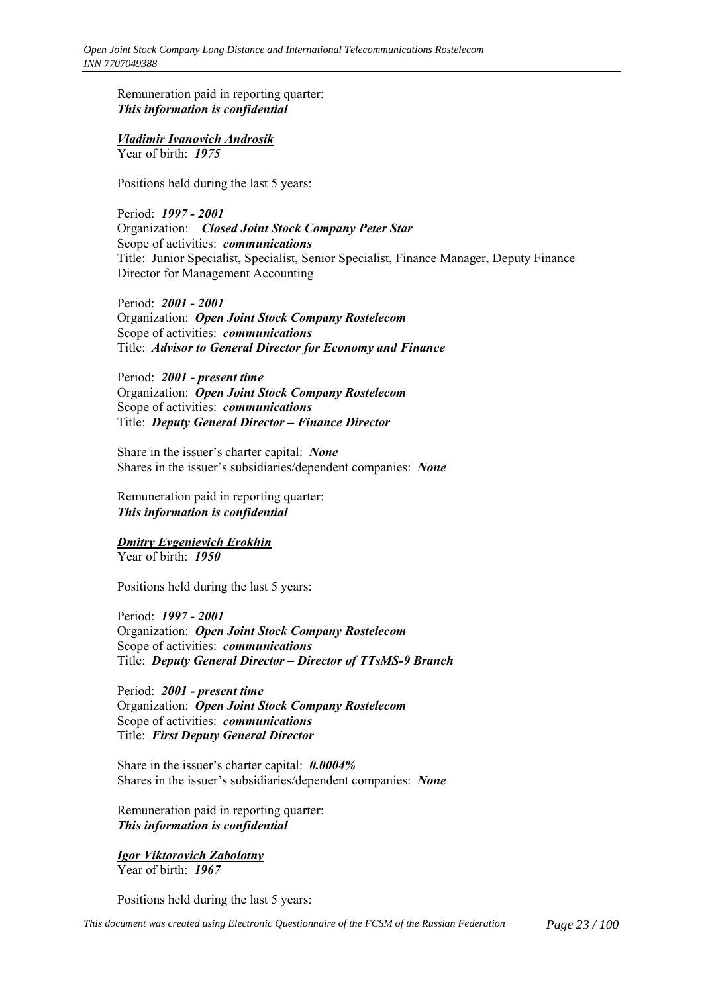Remuneration paid in reporting quarter: *This information is confidential*

# *Vladimir Ivanovich Androsik*

Year of birth: *1975*

Positions held during the last 5 years:

Period: *1997 - 2001* Organization: *Closed Joint Stock Company Peter Star* Scope of activities: *communications* Title: Junior Specialist, Specialist, Senior Specialist, Finance Manager, Deputy Finance Director for Management Accounting

Period: *2001 - 2001* Organization: *Open Joint Stock Company Rostelecom* Scope of activities: *communications* Title: *Advisor to General Director for Economy and Finance*

Period: *2001 - present time* Organization: *Open Joint Stock Company Rostelecom* Scope of activities: *communications* Title: *Deputy General Director - Finance Director* 

Share in the issuer's charter capital: *None* Shares in the issuer's subsidiaries/dependent companies: *None* 

Remuneration paid in reporting quarter: *This information is confidential*

# *Dmitry Evgenievich Erokhin*

Year of birth: *1950*

Positions held during the last 5 years:

Period: *1997 - 2001* Organization: *Open Joint Stock Company Rostelecom* Scope of activities: *communications* Title: *Deputy General Director - Director of TTsMS-9 Branch* 

Period: *2001 - present time* Organization: *Open Joint Stock Company Rostelecom* Scope of activities: *communications* Title: *First Deputy General Director*

Share in the issuer's charter capital:  $0.0004\%$ Shares in the issuer's subsidiaries/dependent companies: *None* 

Remuneration paid in reporting quarter: *This information is confidential*

# *Igor Viktorovich Zabolotny*

Year of birth: *1967*

Positions held during the last 5 years: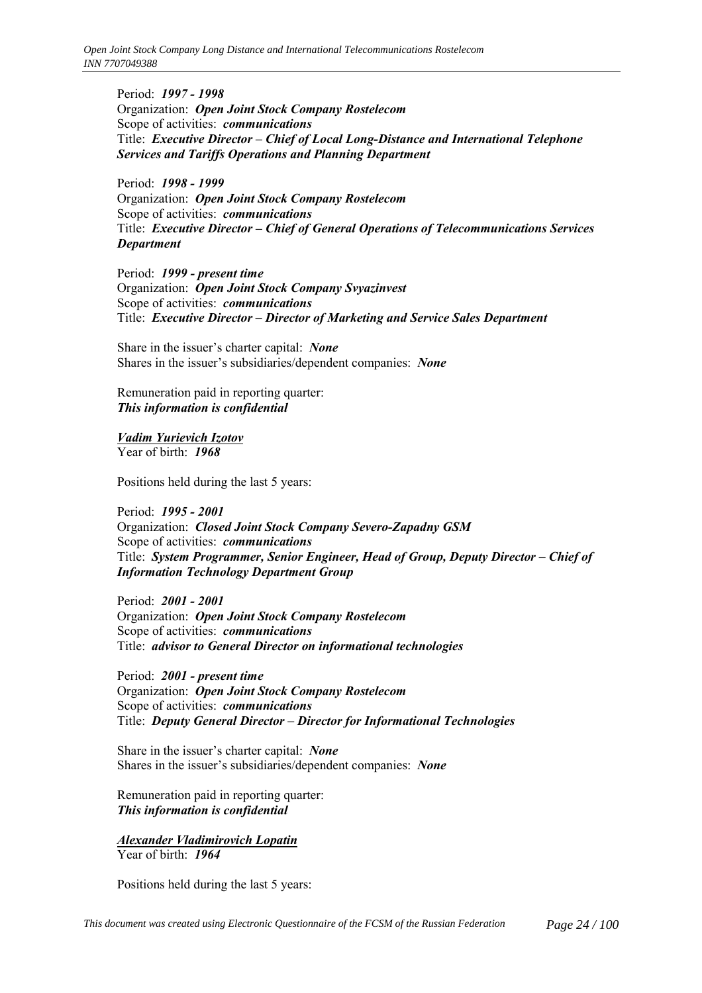Period: *1997 - 1998* Organization: *Open Joint Stock Company Rostelecom* Scope of activities: *communications* Title: *Executive Director – Chief of Local Long-Distance and International Telephone Services and Tariffs Operations and Planning Department*

Period: *1998 - 1999* Organization: *Open Joint Stock Company Rostelecom* Scope of activities: *communications* Title: *Executive Director – Chief of General Operations of Telecommunications Services Department*

Period: *1999 - present time* Organization: *Open Joint Stock Company Svyazinvest* Scope of activities: *communications* Title: *Executive Director – Director of Marketing and Service Sales Department* 

Share in the issuer's charter capital: *None* Shares in the issuer's subsidiaries/dependent companies: *None* 

Remuneration paid in reporting quarter: *This information is confidential*

*Vadim Yurievich Izotov* Year of birth: *1968*

Positions held during the last 5 years:

Period: *1995 - 2001* Organization: *Closed Joint Stock Company Severo-Zapadny GSM* Scope of activities: *communications* Title: *System Programmer, Senior Engineer, Head of Group, Deputy Director – Chief of Information Technology Department Group*

Period: *2001 - 2001* Organization: *Open Joint Stock Company Rostelecom* Scope of activities: *communications* Title: *advisor to General Director on informational technologies*

Period: *2001 - present time* Organization: *Open Joint Stock Company Rostelecom* Scope of activities: *communications* Title: *Deputy General Director - Director for Informational Technologies* 

Share in the issuer's charter capital: *None* Shares in the issuer's subsidiaries/dependent companies: *None* 

Remuneration paid in reporting quarter: *This information is confidential*

*Alexander Vladimirovich Lopatin* Year of birth: *1964*

Positions held during the last 5 years: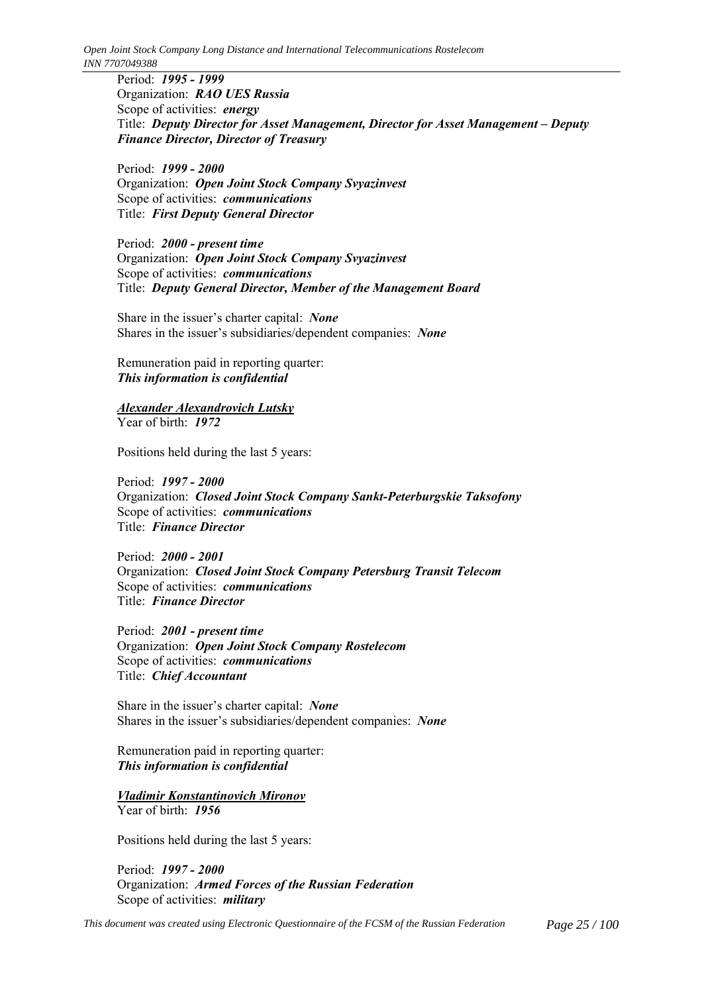*Open Joint Stock Company Long Distance and International Telecommunications Rostelecom INN 7707049388*

Period: *1995 - 1999* Organization: *RAO UES Russia* Scope of activities: *energy* Title: *Deputy Director for Asset Management, Director for Asset Management – Deputy Finance Director, Director of Treasury*

Period: *1999 - 2000* Organization: *Open Joint Stock Company Svyazinvest* Scope of activities: *communications* Title: *First Deputy General Director*

Period: *2000 - present time* Organization: *Open Joint Stock Company Svyazinvest* Scope of activities: *communications* Title: *Deputy General Director, Member of the Management Board*

Share in the issuer's charter capital: *None* Shares in the issuer's subsidiaries/dependent companies: *None* 

Remuneration paid in reporting quarter: *This information is confidential*

*Alexander Alexandrovich Lutsky* Year of birth: *1972*

Positions held during the last 5 years:

Period: *1997 - 2000* Organization: *Closed Joint Stock Company Sankt-Peterburgskie Taksofony* Scope of activities: *communications* Title: *Finance Director*

Period: *2000 - 2001* Organization: *Closed Joint Stock Company Petersburg Transit Telecom* Scope of activities: *communications* Title: *Finance Director*

Period: *2001 - present time* Organization: *Open Joint Stock Company Rostelecom* Scope of activities: *communications* Title: *Chief Accountant*

Share in the issuer's charter capital: *None* Shares in the issuer's subsidiaries/dependent companies: *None* 

Remuneration paid in reporting quarter: *This information is confidential*

*Vladimir Konstantinovich Mironov* Year of birth: *1956*

Positions held during the last 5 years:

Period: *1997 - 2000* Organization: *Armed Forces of the Russian Federation* Scope of activities: *military*

*This document was created using Electronic Questionnaire of the FCSM of the Russian Federation Page 25 / 100*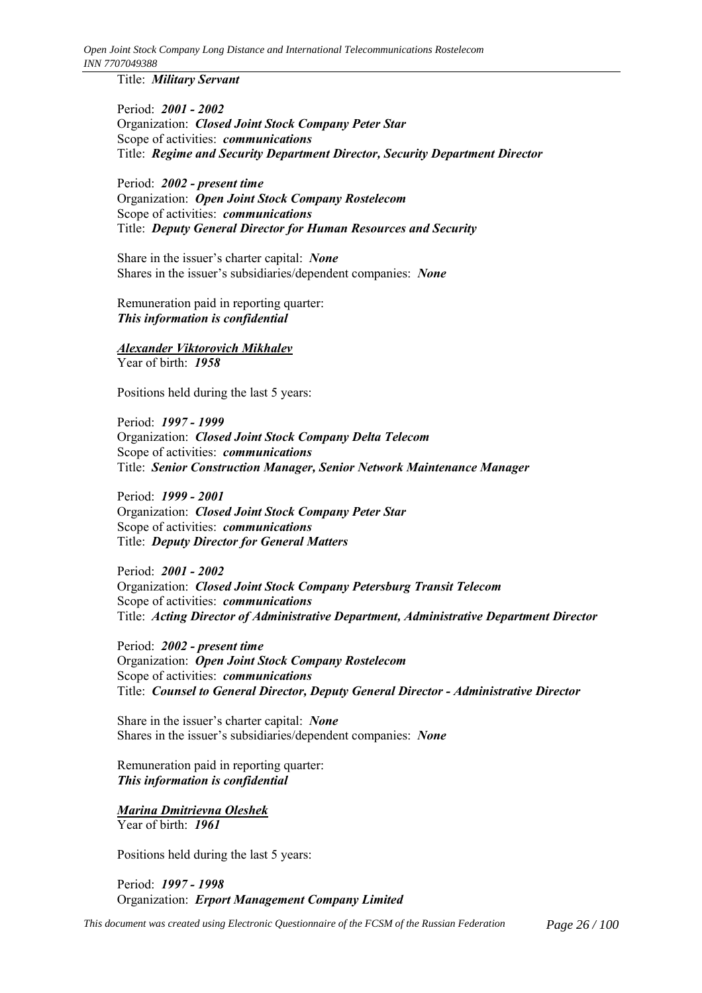Title: *Military Servant*

Period: *2001 - 2002* Organization: *Closed Joint Stock Company Peter Star* Scope of activities: *communications* Title: *Regime and Security Department Director, Security Department Director*

Period: *2002 - present time* Organization: *Open Joint Stock Company Rostelecom* Scope of activities: *communications* Title: *Deputy General Director for Human Resources and Security*

Share in the issuer's charter capital: *None* Shares in the issuer's subsidiaries/dependent companies: *None* 

Remuneration paid in reporting quarter: *This information is confidential*

# *Alexander Viktorovich Mikhalev*

Year of birth: *1958*

Positions held during the last 5 years:

Period: *1997 - 1999* Organization: *Closed Joint Stock Company Delta Telecom* Scope of activities: *communications* Title: *Senior Construction Manager, Senior Network Maintenance Manager*

Period: *1999 - 2001* Organization: *Closed Joint Stock Company Peter Star* Scope of activities: *communications* Title: *Deputy Director for General Matters*

Period: *2001 - 2002* Organization: *Closed Joint Stock Company Petersburg Transit Telecom* Scope of activities: *communications* Title: *Acting Director of Administrative Department, Administrative Department Director*

Period: *2002 - present time* Organization: *Open Joint Stock Company Rostelecom* Scope of activities: *communications* Title: *Counsel to General Director, Deputy General Director - Administrative Director*

Share in the issuer's charter capital: *None* Shares in the issuer's subsidiaries/dependent companies: *None* 

Remuneration paid in reporting quarter: *This information is confidential*

*Marina Dmitrievna Oleshek* Year of birth: *1961*

Positions held during the last 5 years:

Period: *1997 - 1998* Organization: *Erport Management Company Limited*

*This document was created using Electronic Questionnaire of the FCSM of the Russian Federation Page 26 / 100*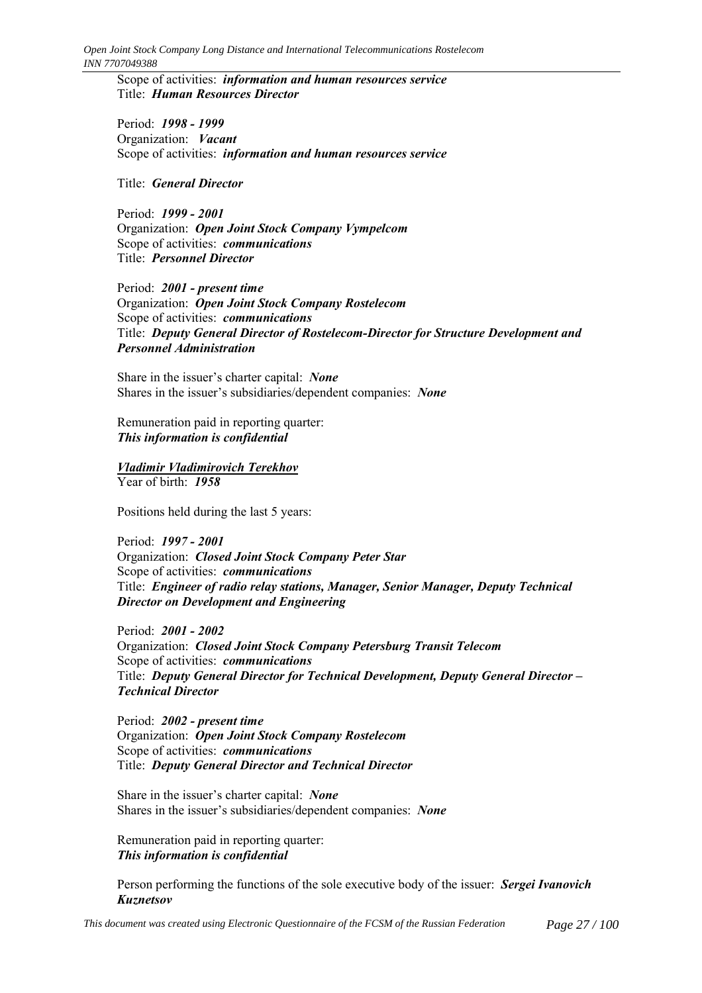*Open Joint Stock Company Long Distance and International Telecommunications Rostelecom INN 7707049388*

Scope of activities: *information and human resources service* Title: *Human Resources Director*

Period: *1998 - 1999* Organization: *Vacant* Scope of activities: *information and human resources service*

Title: *General Director*

Period: *1999 - 2001* Organization: *Open Joint Stock Company Vympelcom* Scope of activities: *communications* Title: *Personnel Director*

Period: *2001 - present time* Organization: *Open Joint Stock Company Rostelecom* Scope of activities: *communications* Title: *Deputy General Director of Rostelecom-Director for Structure Development and Personnel Administration*

Share in the issuer's charter capital: *None* Shares in the issuer's subsidiaries/dependent companies: *None* 

Remuneration paid in reporting quarter: *This information is confidential*

#### *Vladimir Vladimirovich Terekhov* Year of birth: *1958*

Positions held during the last 5 years:

Period: *1997 - 2001* Organization: *Closed Joint Stock Company Peter Star* Scope of activities: *communications* Title: *Engineer of radio relay stations, Manager, Senior Manager, Deputy Technical Director on Development and Engineering*

Period: *2001 - 2002* Organization: *Closed Joint Stock Company Petersburg Transit Telecom* Scope of activities: *communications* Title: *Deputy General Director for Technical Development, Deputy General Director ñ Technical Director*

Period: *2002 - present time* Organization: *Open Joint Stock Company Rostelecom* Scope of activities: *communications* Title: *Deputy General Director and Technical Director*

Share in the issuer's charter capital: *None* Shares in the issuer's subsidiaries/dependent companies: *None* 

Remuneration paid in reporting quarter: *This information is confidential*

Person performing the functions of the sole executive body of the issuer: *Sergei Ivanovich Kuznetsov*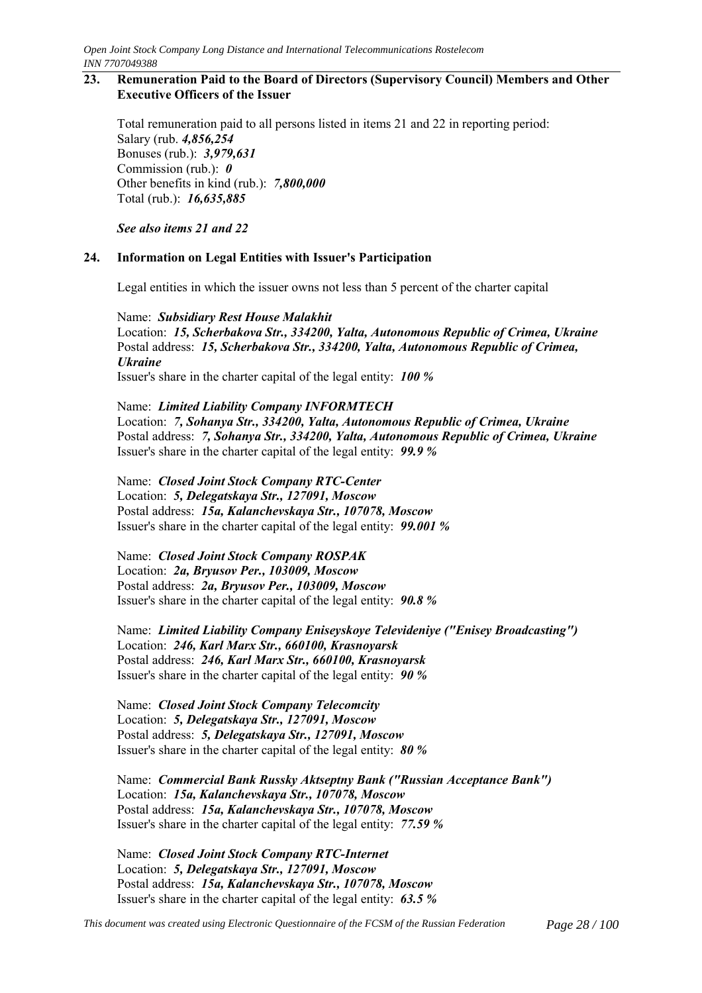#### **23. Remuneration Paid to the Board of Directors (Supervisory Council) Members and Other Executive Officers of the Issuer**

Total remuneration paid to all persons listed in items 21 and 22 in reporting period: Salary (rub. *4,856,254* Bonuses (rub.): *3,979,631* Commission (rub.): *0* Other benefits in kind (rub.): *7,800,000* Total (rub.): *16,635,885*

*See also items 21 and 22*

#### **24. Information on Legal Entities with Issuer's Participation**

Legal entities in which the issuer owns not less than 5 percent of the charter capital

Name: *Subsidiary Rest House Malakhit* Location: *15, Scherbakova Str., 334200, Yalta, Autonomous Republic of Crimea, Ukraine* Postal address: *15, Scherbakova Str., 334200, Yalta, Autonomous Republic of Crimea, Ukraine*

Issuer's share in the charter capital of the legal entity: *100 %*

Name: *Limited Liability Company INFORMTECH* Location: *7, Sohanya Str., 334200, Yalta, Autonomous Republic of Crimea, Ukraine* Postal address: *7, Sohanya Str., 334200, Yalta, Autonomous Republic of Crimea, Ukraine* Issuer's share in the charter capital of the legal entity: *99.9 %*

Name: *Closed Joint Stock Company RTC-Center* Location: *5, Delegatskaya Str., 127091, Moscow* Postal address: *15a, Kalanchevskaya Str., 107078, Moscow* Issuer's share in the charter capital of the legal entity: *99.001 %*

Name: *Closed Joint Stock Company ROSPAK* Location: *2a, Bryusov Per., 103009, Moscow* Postal address: *2a, Bryusov Per., 103009, Moscow* Issuer's share in the charter capital of the legal entity: *90.8 %*

Name: *Limited Liability Company Eniseyskoye Televideniye ("Enisey Broadcasting")* Location: *246, Karl Marx Str., 660100, Krasnoyarsk* Postal address: *246, Karl Marx Str., 660100, Krasnoyarsk* Issuer's share in the charter capital of the legal entity: *90 %*

Name: *Closed Joint Stock Company Telecomcity* Location: *5, Delegatskaya Str., 127091, Moscow* Postal address: *5, Delegatskaya Str., 127091, Moscow* Issuer's share in the charter capital of the legal entity: *80 %*

Name: *Commercial Bank Russky Aktseptny Bank ("Russian Acceptance Bank")* Location: *15a, Kalanchevskaya Str., 107078, Moscow* Postal address: *15a, Kalanchevskaya Str., 107078, Moscow* Issuer's share in the charter capital of the legal entity: *77.59 %*

Name: *Closed Joint Stock Company RTC-Internet* Location: *5, Delegatskaya Str., 127091, Moscow* Postal address: *15a, Kalanchevskaya Str., 107078, Moscow* Issuer's share in the charter capital of the legal entity: *63.5 %*

*This document was created using Electronic Questionnaire of the FCSM of the Russian Federation Page 28 / 100*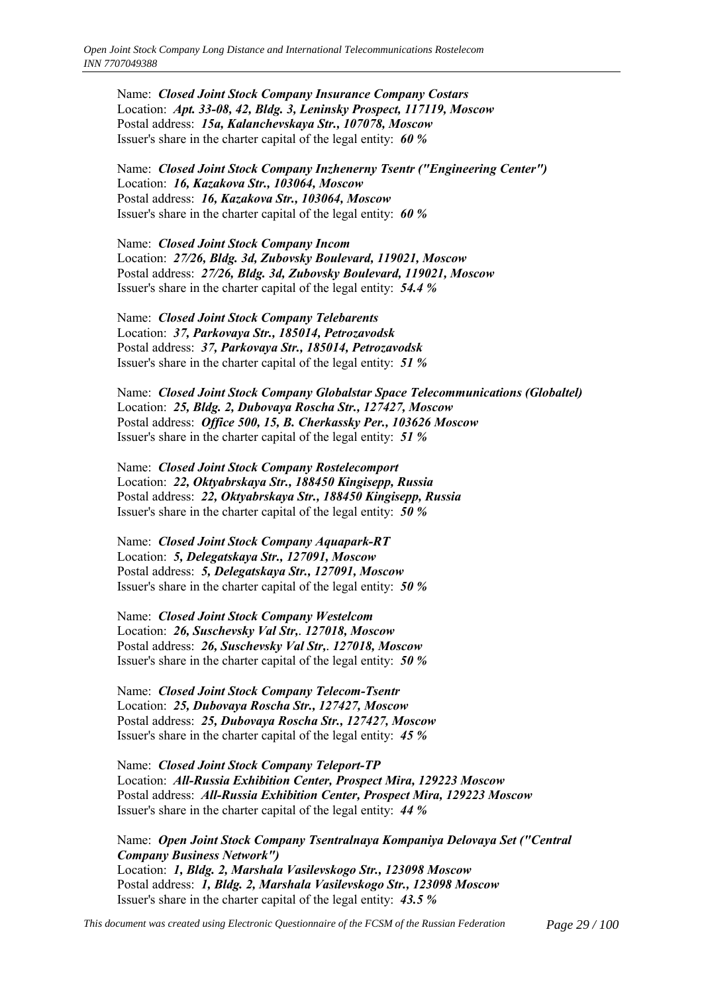Name: *Closed Joint Stock Company Insurance Company Costars* Location: *Apt. 33-08, 42, Bldg. 3, Leninsky Prospect, 117119, Moscow* Postal address: *15a, Kalanchevskaya Str., 107078, Moscow* Issuer's share in the charter capital of the legal entity: *60 %*

Name: *Closed Joint Stock Company Inzhenerny Tsentr ("Engineering Center")* Location: *16, Kazakova Str., 103064, Moscow* Postal address: *16, Kazakova Str., 103064, Moscow* Issuer's share in the charter capital of the legal entity: *60 %*

Name: *Closed Joint Stock Company Incom* Location: *27/26, Bldg. 3d, Zubovsky Boulevard, 119021, Moscow* Postal address: *27/26, Bldg. 3d, Zubovsky Boulevard, 119021, Moscow* Issuer's share in the charter capital of the legal entity: *54.4 %*

Name: *Closed Joint Stock Company Telebarents* Location: *37, Parkovaya Str., 185014, Petrozavodsk* Postal address: *37, Parkovaya Str., 185014, Petrozavodsk* Issuer's share in the charter capital of the legal entity: *51 %*

Name: *Closed Joint Stock Company Globalstar Space Telecommunications (Globaltel)* Location: *25, Bldg. 2, Dubovaya Roscha Str., 127427, Moscow* Postal address: *Office 500, 15, B. Cherkassky Per., 103626 Moscow* Issuer's share in the charter capital of the legal entity: *51 %*

Name: *Closed Joint Stock Company Rostelecomport* Location: *22, Oktyabrskaya Str., 188450 Kingisepp, Russia* Postal address: *22, Oktyabrskaya Str., 188450 Kingisepp, Russia* Issuer's share in the charter capital of the legal entity: *50 %*

Name: *Closed Joint Stock Company Aquapark-RT* Location: *5, Delegatskaya Str., 127091, Moscow* Postal address: *5, Delegatskaya Str., 127091, Moscow* Issuer's share in the charter capital of the legal entity: *50 %*

Name: *Closed Joint Stock Company Westelcom* Location: *26, Suschevsky Val Str,. 127018, Moscow* Postal address: *26, Suschevsky Val Str,. 127018, Moscow* Issuer's share in the charter capital of the legal entity: *50 %*

Name: *Closed Joint Stock Company Telecom-Tsentr* Location: *25, Dubovaya Roscha Str., 127427, Moscow* Postal address: *25, Dubovaya Roscha Str., 127427, Moscow* Issuer's share in the charter capital of the legal entity: *45 %*

Name: *Closed Joint Stock Company Teleport-TP* Location: *All-Russia Exhibition Center, Prospect Mira, 129223 Moscow* Postal address: *All-Russia Exhibition Center, Prospect Mira, 129223 Moscow* Issuer's share in the charter capital of the legal entity: *44 %*

Name: *Open Joint Stock Company Tsentralnaya Kompaniya Delovaya Set ("Central Company Business Network")* Location: *1, Bldg. 2, Marshala Vasilevskogo Str., 123098 Moscow* Postal address: *1, Bldg. 2, Marshala Vasilevskogo Str., 123098 Moscow* Issuer's share in the charter capital of the legal entity: *43.5 %*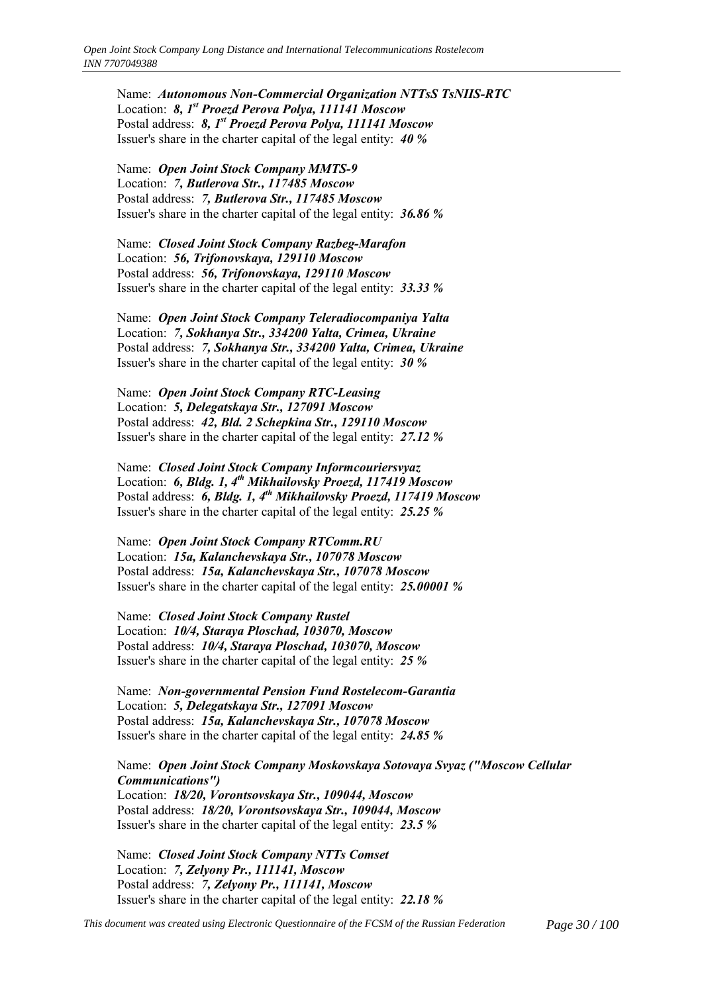Name: *Autonomous Non-Commercial Organization NTTsS TsNIIS-RTC* Location: *8, 1st Proezd Perova Polya, 111141 Moscow* Postal address: *8, 1st Proezd Perova Polya, 111141 Moscow* Issuer's share in the charter capital of the legal entity: *40 %*

Name: *Open Joint Stock Company MMTS-9* Location: *7, Butlerova Str., 117485 Moscow* Postal address: *7, Butlerova Str., 117485 Moscow* Issuer's share in the charter capital of the legal entity: *36.86 %*

Name: *Closed Joint Stock Company Razbeg-Marafon* Location: *56, Trifonovskaya, 129110 Moscow* Postal address: *56, Trifonovskaya, 129110 Moscow* Issuer's share in the charter capital of the legal entity: *33.33 %*

Name: *Open Joint Stock Company Teleradiocompaniya Yalta* Location: *7, Sokhanya Str., 334200 Yalta, Crimea, Ukraine* Postal address: *7, Sokhanya Str., 334200 Yalta, Crimea, Ukraine* Issuer's share in the charter capital of the legal entity: *30 %*

Name: *Open Joint Stock Company RTC-Leasing* Location: *5, Delegatskaya Str., 127091 Moscow* Postal address: *42, Bld. 2 Schepkina Str., 129110 Moscow* Issuer's share in the charter capital of the legal entity: *27.12 %*

Name: *Closed Joint Stock Company Informcouriersvyaz* Location: **6, Bldg. 1, 4<sup>th</sup> Mikhailovsky Proezd, 117419 Moscow** Postal address: *6, Bldg. 1, 4th Mikhailovsky Proezd, 117419 Moscow* Issuer's share in the charter capital of the legal entity: *25.25 %*

Name: *Open Joint Stock Company RTComm.RU* Location: *15a, Kalanchevskaya Str., 107078 Moscow* Postal address: *15a, Kalanchevskaya Str., 107078 Moscow* Issuer's share in the charter capital of the legal entity: *25.00001 %*

Name: *Closed Joint Stock Company Rustel* Location: *10/4, Staraya Ploschad, 103070, Moscow* Postal address: *10/4, Staraya Ploschad, 103070, Moscow* Issuer's share in the charter capital of the legal entity: *25 %*

Name: *Non-governmental Pension Fund Rostelecom-Garantia* Location: *5, Delegatskaya Str., 127091 Moscow* Postal address: *15a, Kalanchevskaya Str., 107078 Moscow* Issuer's share in the charter capital of the legal entity: *24.85 %*

Name: *Open Joint Stock Company Moskovskaya Sotovaya Svyaz ("Moscow Cellular Communications")* Location: *18/20, Vorontsovskaya Str., 109044, Moscow* Postal address: *18/20, Vorontsovskaya Str., 109044, Moscow* Issuer's share in the charter capital of the legal entity: *23.5 %*

Name: *Closed Joint Stock Company NTTs Comset* Location: *7, Zelyony Pr., 111141, Moscow* Postal address: *7, Zelyony Pr., 111141, Moscow* Issuer's share in the charter capital of the legal entity: *22.18 %*

*This document was created using Electronic Questionnaire of the FCSM of the Russian Federation Page 30 / 100*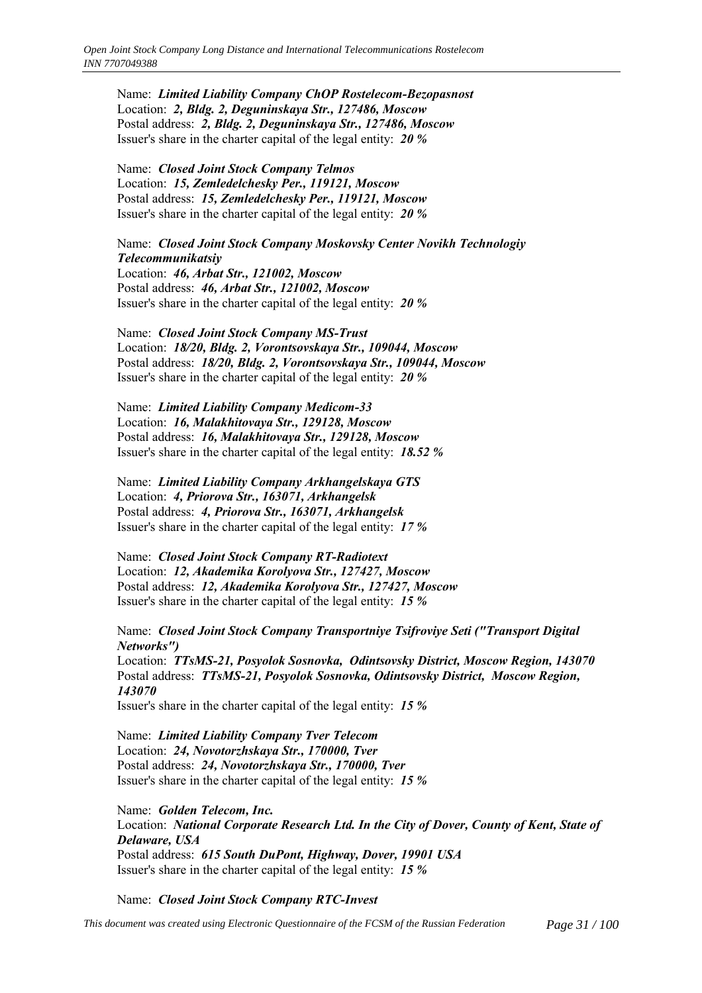Name: *Limited Liability Company ChOP Rostelecom-Bezopasnost* Location: *2, Bldg. 2, Deguninskaya Str., 127486, Moscow* Postal address: *2, Bldg. 2, Deguninskaya Str., 127486, Moscow* Issuer's share in the charter capital of the legal entity: *20 %*

Name: *Closed Joint Stock Company Telmos* Location: *15, Zemledelchesky Per., 119121, Moscow* Postal address: *15, Zemledelchesky Per., 119121, Moscow* Issuer's share in the charter capital of the legal entity: *20 %*

Name: *Closed Joint Stock Company Moskovsky Center Novikh Technologiy Telecommunikatsiy* Location: *46, Arbat Str., 121002, Moscow*

Postal address: *46, Arbat Str., 121002, Moscow* Issuer's share in the charter capital of the legal entity: *20 %*

Name: *Closed Joint Stock Company MS-Trust* Location: *18/20, Bldg. 2, Vorontsovskaya Str., 109044, Moscow* Postal address: *18/20, Bldg. 2, Vorontsovskaya Str., 109044, Moscow* Issuer's share in the charter capital of the legal entity: *20 %*

Name: *Limited Liability Company Medicom-33* Location: *16, Malakhitovaya Str., 129128, Moscow* Postal address: *16, Malakhitovaya Str., 129128, Moscow* Issuer's share in the charter capital of the legal entity: *18.52 %*

Name: *Limited Liability Company Arkhangelskaya GTS* Location: *4, Priorova Str., 163071, Arkhangelsk* Postal address: *4, Priorova Str., 163071, Arkhangelsk* Issuer's share in the charter capital of the legal entity: *17 %*

Name: *Closed Joint Stock Company RT-Radiotext* Location: *12, Akademika Korolyova Str., 127427, Moscow* Postal address: *12, Akademika Korolyova Str., 127427, Moscow* Issuer's share in the charter capital of the legal entity: *15 %*

Name: *Closed Joint Stock Company Transportniye Tsifroviye Seti ("Transport Digital Networks")* Location: *TTsMS-21, Posyolok Sosnovka, Odintsovsky District, Moscow Region, 143070* Postal address: *TTsMS-21, Posyolok Sosnovka, Odintsovsky District, Moscow Region, 143070* Issuer's share in the charter capital of the legal entity: *15 %*

Name: *Limited Liability Company Tver Telecom* Location: *24, Novotorzhskaya Str., 170000, Tver* Postal address: *24, Novotorzhskaya Str., 170000, Tver*

Issuer's share in the charter capital of the legal entity: *15 %*

Name: *Golden Telecom, Inc.* Location: *National Corporate Research Ltd. In the City of Dover, County of Kent, State of Delaware, USA* Postal address: *615 South DuPont, Highway, Dover, 19901 USA* Issuer's share in the charter capital of the legal entity: *15 %*

Name: *Closed Joint Stock Company RTC-Invest*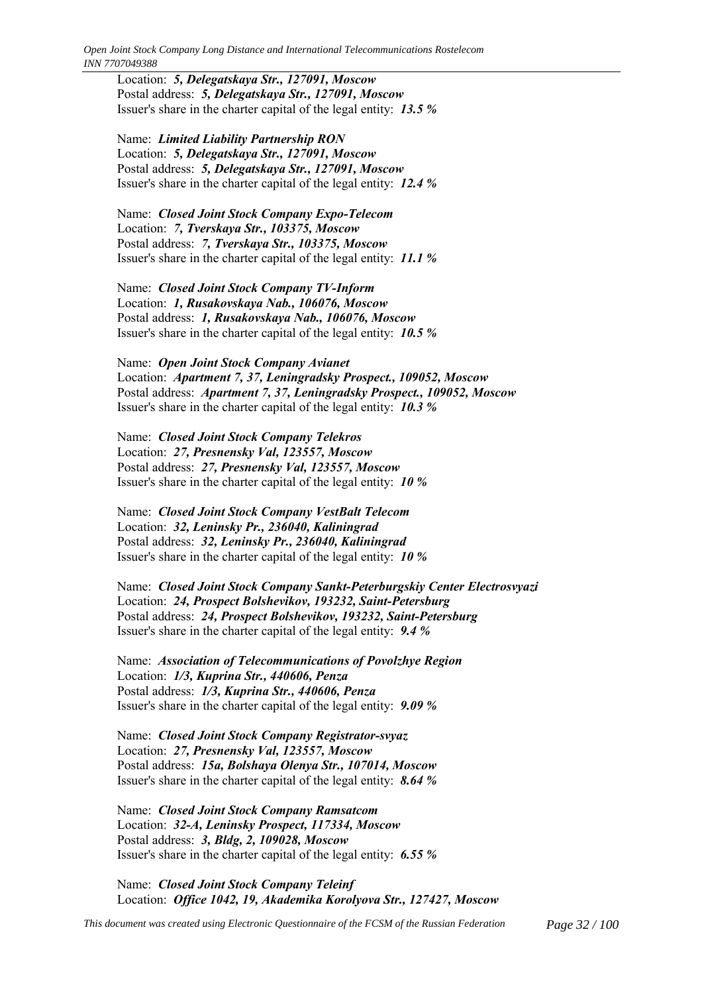*Open Joint Stock Company Long Distance and International Telecommunications Rostelecom INN 7707049388*

Location: *5, Delegatskaya Str., 127091, Moscow* Postal address: *5, Delegatskaya Str., 127091, Moscow* Issuer's share in the charter capital of the legal entity: *13.5 %*

Name: *Limited Liability Partnership RON* Location: *5, Delegatskaya Str., 127091, Moscow* Postal address: *5, Delegatskaya Str., 127091, Moscow* Issuer's share in the charter capital of the legal entity: *12.4 %*

Name: *Closed Joint Stock Company Expo-Telecom* Location: *7, Tverskaya Str., 103375, Moscow* Postal address: *7, Tverskaya Str., 103375, Moscow* Issuer's share in the charter capital of the legal entity: *11.1 %*

Name: *Closed Joint Stock Company TV-Inform* Location: *1, Rusakovskaya Nab., 106076, Moscow* Postal address: *1, Rusakovskaya Nab., 106076, Moscow* Issuer's share in the charter capital of the legal entity: *10.5 %*

Name: *Open Joint Stock Company Avianet* Location: *Apartment 7, 37, Leningradsky Prospect., 109052, Moscow* Postal address: *Apartment 7, 37, Leningradsky Prospect., 109052, Moscow* Issuer's share in the charter capital of the legal entity: *10.3 %*

Name: *Closed Joint Stock Company Telekros* Location: *27, Presnensky Val, 123557, Moscow* Postal address: *27, Presnensky Val, 123557, Moscow* Issuer's share in the charter capital of the legal entity: *10 %*

Name: *Closed Joint Stock Company VestBalt Telecom* Location: *32, Leninsky Pr., 236040, Kaliningrad* Postal address: *32, Leninsky Pr., 236040, Kaliningrad* Issuer's share in the charter capital of the legal entity: *10 %*

Name: *Closed Joint Stock Company Sankt-Peterburgskiy Center Electrosvyazi* Location: *24, Prospect Bolshevikov, 193232, Saint-Petersburg* Postal address: *24, Prospect Bolshevikov, 193232, Saint-Petersburg* Issuer's share in the charter capital of the legal entity: *9.4 %*

Name: *Association of Telecommunications of Povolzhye Region* Location: *1/3, Kuprina Str., 440606, Penza* Postal address: *1/3, Kuprina Str., 440606, Penza* Issuer's share in the charter capital of the legal entity: *9.09 %*

Name: *Closed Joint Stock Company Registrator-svyaz* Location: *27, Presnensky Val, 123557, Moscow* Postal address: *15a, Bolshaya Olenya Str., 107014, Moscow* Issuer's share in the charter capital of the legal entity: *8.64 %*

Name: *Closed Joint Stock Company Ramsatcom* Location: *32-A, Leninsky Prospect, 117334, Moscow* Postal address: *3, Bldg, 2, 109028, Moscow* Issuer's share in the charter capital of the legal entity: *6.55 %*

Name: *Closed Joint Stock Company Teleinf* Location: *Office 1042, 19, Akademika Korolyova Str., 127427, Moscow*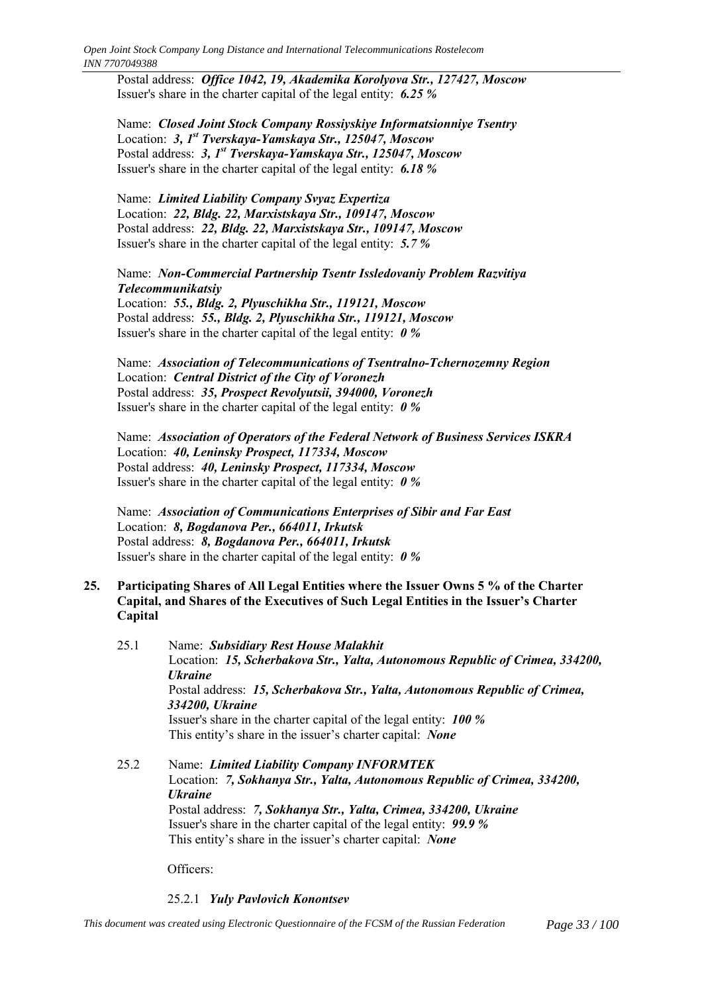Postal address: *Office 1042, 19, Akademika Korolyova Str., 127427, Moscow* Issuer's share in the charter capital of the legal entity: *6.25 %*

Name: *Closed Joint Stock Company Rossiyskiye Informatsionniye Tsentry* Location: *3, 1st Tverskaya-Yamskaya Str., 125047, Moscow* Postal address: *3, 1st Tverskaya-Yamskaya Str., 125047, Moscow* Issuer's share in the charter capital of the legal entity: *6.18 %*

Name: *Limited Liability Company Svyaz Expertiza* Location: *22, Bldg. 22, Marxistskaya Str., 109147, Moscow* Postal address: *22, Bldg. 22, Marxistskaya Str., 109147, Moscow* Issuer's share in the charter capital of the legal entity: *5.7 %*

Name: *Non-Commercial Partnership Tsentr Issledovaniy Problem Razvitiya Telecommunikatsiy* Location: *55., Bldg. 2, Plyuschikha Str., 119121, Moscow* Postal address: *55., Bldg. 2, Plyuschikha Str., 119121, Moscow* Issuer's share in the charter capital of the legal entity: *0 %*

Name: *Association of Telecommunications of Tsentralno-Tchernozemny Region* Location: *Central District of the City of Voronezh* Postal address: *35, Prospect Revolyutsii, 394000, Voronezh* Issuer's share in the charter capital of the legal entity: *0 %*

Name: *Association of Operators of the Federal Network of Business Services ISKRA* Location: *40, Leninsky Prospect, 117334, Moscow* Postal address: *40, Leninsky Prospect, 117334, Moscow* Issuer's share in the charter capital of the legal entity: *0 %*

Name: *Association of Communications Enterprises of Sibir and Far East* Location: *8, Bogdanova Per., 664011, Irkutsk* Postal address: *8, Bogdanova Per., 664011, Irkutsk* Issuer's share in the charter capital of the legal entity: *0 %*

### **25. Participating Shares of All Legal Entities where the Issuer Owns 5 % of the Charter Capital, and Shares of the Executives of Such Legal Entities in the Issuer's Charter Capital**

25.1 Name: *Subsidiary Rest House Malakhit* Location: *15, Scherbakova Str., Yalta, Autonomous Republic of Crimea, 334200, Ukraine* Postal address: *15, Scherbakova Str., Yalta, Autonomous Republic of Crimea, 334200, Ukraine* Issuer's share in the charter capital of the legal entity: *100 %* This entity's share in the issuer's charter capital: *None* 

25.2 Name: *Limited Liability Company INFORMTEK* Location: *7, Sokhanya Str., Yalta, Autonomous Republic of Crimea, 334200, Ukraine* Postal address: *7, Sokhanya Str., Yalta, Crimea, 334200, Ukraine* Issuer's share in the charter capital of the legal entity: *99.9 %* This entity's share in the issuer's charter capital: *None* 

Officers:

# 25.2.1 *Yuly Pavlovich Konontsev*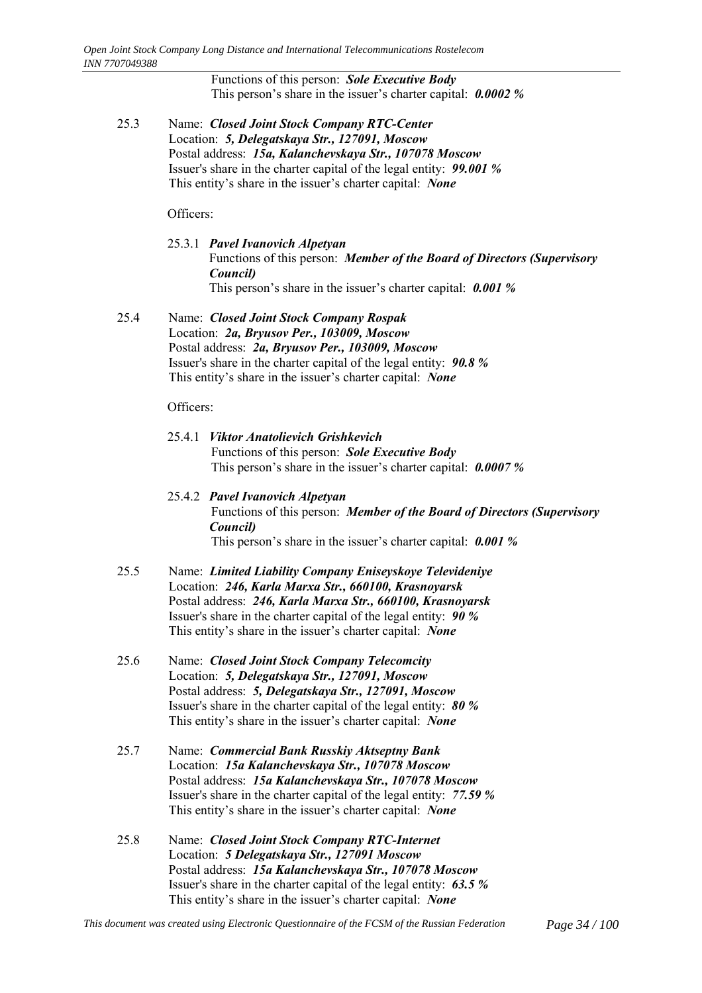Functions of this person: *Sole Executive Body* This person's share in the issuer's charter capital: **0.0002** %

25.3 Name: *Closed Joint Stock Company RTC-Center* Location: *5, Delegatskaya Str., 127091, Moscow* Postal address: *15a, Kalanchevskaya Str., 107078 Moscow* Issuer's share in the charter capital of the legal entity: *99.001 %* This entity's share in the issuer's charter capital: *None* 

Officers:

25.3.1 *Pavel Ivanovich Alpetyan* Functions of this person: *Member of the Board of Directors (Supervisory Council)* This person's share in the issuer's charter capital: **0.001** %

25.4 Name: *Closed Joint Stock Company Rospak* Location: *2a, Bryusov Per., 103009, Moscow* Postal address: *2a, Bryusov Per., 103009, Moscow* Issuer's share in the charter capital of the legal entity: *90.8 %* This entity's share in the issuer's charter capital: *None* 

Officers:

- 25.4.1 *Viktor Anatolievich Grishkevich* Functions of this person: *Sole Executive Body* This person's share in the issuer's charter capital: **0.0007** %
- 25.4.2 *Pavel Ivanovich Alpetyan* Functions of this person: *Member of the Board of Directors (Supervisory Council)* This person's share in the issuer's charter capital: **0.001** %
- 25.5 Name: *Limited Liability Company Eniseyskoye Televideniye* Location: *246, Karla Marxa Str., 660100, Krasnoyarsk* Postal address: *246, Karla Marxa Str., 660100, Krasnoyarsk* Issuer's share in the charter capital of the legal entity: *90 %* This entity's share in the issuer's charter capital: *None*
- 25.6 Name: *Closed Joint Stock Company Telecomcity* Location: *5, Delegatskaya Str., 127091, Moscow* Postal address: *5, Delegatskaya Str., 127091, Moscow* Issuer's share in the charter capital of the legal entity: *80 %* This entity's share in the issuer's charter capital: *None*
- 25.7 Name: *Commercial Bank Russkiy Aktseptny Bank* Location: *15a Kalanchevskaya Str., 107078 Moscow* Postal address: *15a Kalanchevskaya Str., 107078 Moscow* Issuer's share in the charter capital of the legal entity: *77.59 %* This entity's share in the issuer's charter capital: *None*
- 25.8 Name: *Closed Joint Stock Company RTC-Internet* Location: *5 Delegatskaya Str., 127091 Moscow* Postal address: *15a Kalanchevskaya Str., 107078 Moscow* Issuer's share in the charter capital of the legal entity: *63.5 %* This entity's share in the issuer's charter capital: *None*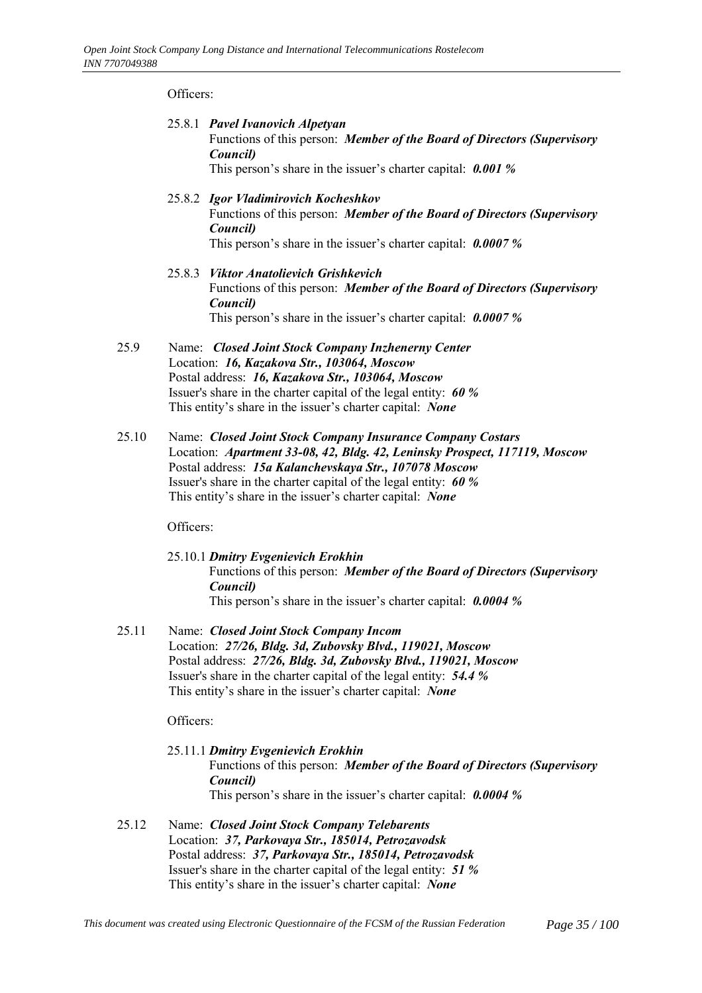Officers:

- 25.8.1 *Pavel Ivanovich Alpetyan* Functions of this person: *Member of the Board of Directors (Supervisory Council)* This person's share in the issuer's charter capital: **0.001** %
- 25.8.2 *Igor Vladimirovich Kocheshkov* Functions of this person: *Member of the Board of Directors (Supervisory Council)* This person's share in the issuer's charter capital: **0.0007 %**
- 25.8.3 *Viktor Anatolievich Grishkevich* Functions of this person: *Member of the Board of Directors (Supervisory Council)* This person's share in the issuer's charter capital: **0.0007 %**
- 25.9 Name: *Closed Joint Stock Company Inzhenerny Center* Location: *16, Kazakova Str., 103064, Moscow* Postal address: *16, Kazakova Str., 103064, Moscow* Issuer's share in the charter capital of the legal entity: *60 %* This entity's share in the issuer's charter capital: *None*
- 25.10 Name: *Closed Joint Stock Company Insurance Company Costars* Location: *Apartment 33-08, 42, Bldg. 42, Leninsky Prospect, 117119, Moscow* Postal address: *15a Kalanchevskaya Str., 107078 Moscow* Issuer's share in the charter capital of the legal entity: *60 %* This entity's share in the issuer's charter capital: *None*

Officers:

- 25.10.1 *Dmitry Evgenievich Erokhin* Functions of this person: *Member of the Board of Directors (Supervisory Council)* This person's share in the issuer's charter capital: **0.0004** %
- 25.11 Name: *Closed Joint Stock Company Incom* Location: *27/26, Bldg. 3d, Zubovsky Blvd., 119021, Moscow* Postal address: *27/26, Bldg. 3d, Zubovsky Blvd., 119021, Moscow* Issuer's share in the charter capital of the legal entity: *54.4 %* This entity's share in the issuer's charter capital: *None*

Officers:

- 25.11.1 *Dmitry Evgenievich Erokhin* Functions of this person: *Member of the Board of Directors (Supervisory Council)* This person's share in the issuer's charter capital: **0.0004** %
- 25.12 Name: *Closed Joint Stock Company Telebarents* Location: *37, Parkovaya Str., 185014, Petrozavodsk* Postal address: *37, Parkovaya Str., 185014, Petrozavodsk* Issuer's share in the charter capital of the legal entity: *51 %* This entity's share in the issuer's charter capital: *None*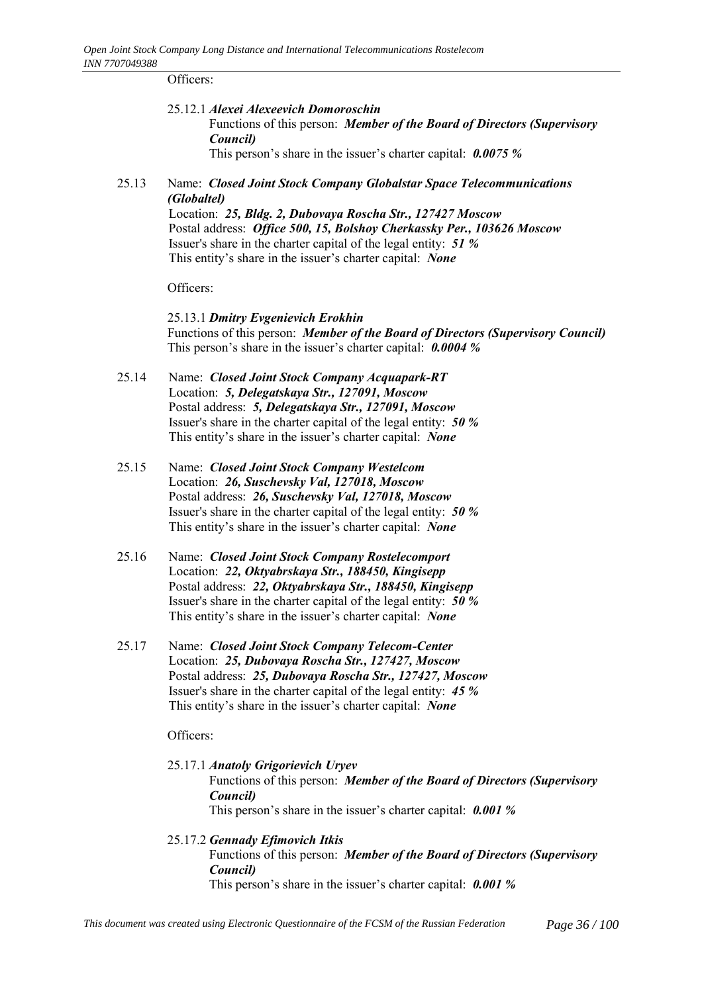Officers:

25.12.1 *Alexei Alexeevich Domoroschin*

Functions of this person: *Member of the Board of Directors (Supervisory Council)*

This person's share in the issuer's charter capital: **0.0075** %

25.13 Name: *Closed Joint Stock Company Globalstar Space Telecommunications (Globaltel)*

Location: *25, Bldg. 2, Dubovaya Roscha Str., 127427 Moscow* Postal address: *Office 500, 15, Bolshoy Cherkassky Per., 103626 Moscow* Issuer's share in the charter capital of the legal entity: *51 %* This entity's share in the issuer's charter capital: *None* 

Officers:

25.13.1 *Dmitry Evgenievich Erokhin* Functions of this person: *Member of the Board of Directors (Supervisory Council)* This person's share in the issuer's charter capital: **0.0004** %

- 25.14 Name: *Closed Joint Stock Company Acquapark-RT* Location: *5, Delegatskaya Str., 127091, Moscow* Postal address: *5, Delegatskaya Str., 127091, Moscow* Issuer's share in the charter capital of the legal entity: *50 %* This entity's share in the issuer's charter capital: *None*
- 25.15 Name: *Closed Joint Stock Company Westelcom* Location: *26, Suschevsky Val, 127018, Moscow* Postal address: *26, Suschevsky Val, 127018, Moscow* Issuer's share in the charter capital of the legal entity: *50 %* This entity's share in the issuer's charter capital: *None*
- 25.16 Name: *Closed Joint Stock Company Rostelecomport* Location: *22, Oktyabrskaya Str., 188450, Kingisepp* Postal address: *22, Oktyabrskaya Str., 188450, Kingisepp* Issuer's share in the charter capital of the legal entity: *50 %* This entity's share in the issuer's charter capital: *None*
- 25.17 Name: *Closed Joint Stock Company Telecom-Center* Location: *25, Dubovaya Roscha Str., 127427, Moscow* Postal address: *25, Dubovaya Roscha Str., 127427, Moscow* Issuer's share in the charter capital of the legal entity: *45 %* This entity's share in the issuer's charter capital: *None*

Officers:

- 25.17.1 *Anatoly Grigorievich Uryev* Functions of this person: *Member of the Board of Directors (Supervisory Council)* This person's share in the issuer's charter capital: **0.001** %
- 25.17.2 *Gennady Efimovich Itkis* Functions of this person: *Member of the Board of Directors (Supervisory Council)* This person's share in the issuer's charter capital: **0.001** %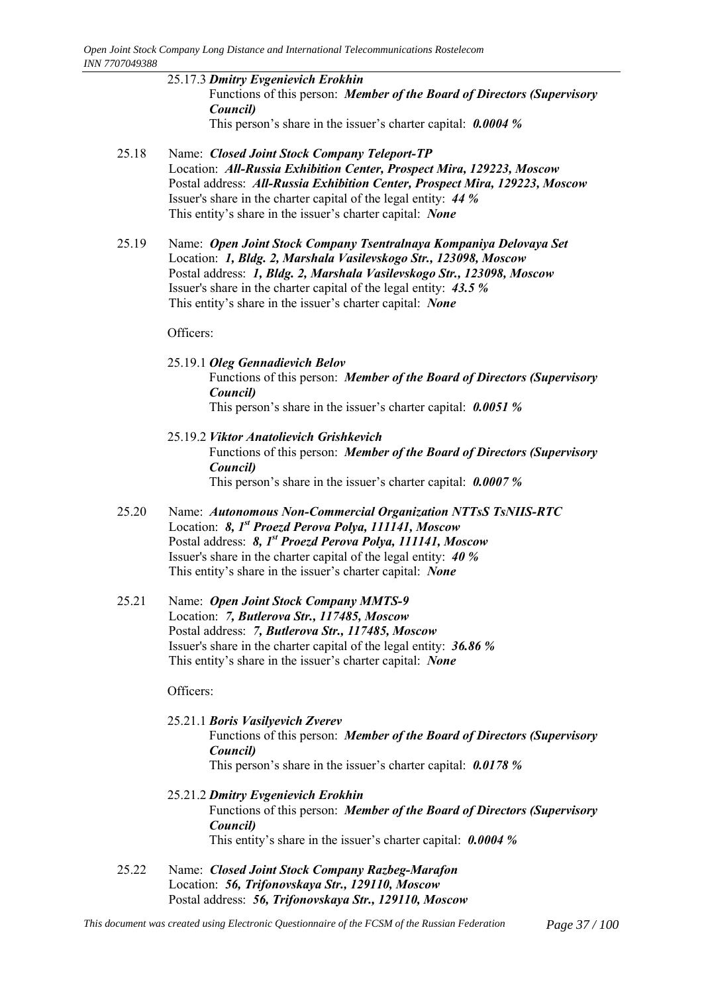- 25.17.3 *Dmitry Evgenievich Erokhin* Functions of this person: *Member of the Board of Directors (Supervisory Council)* This person's share in the issuer's charter capital: **0.0004** %
- 25.18 Name: *Closed Joint Stock Company Teleport-TP* Location: *All-Russia Exhibition Center, Prospect Mira, 129223, Moscow* Postal address: *All-Russia Exhibition Center, Prospect Mira, 129223, Moscow* Issuer's share in the charter capital of the legal entity: *44 %* This entity's share in the issuer's charter capital: *None*
- 25.19 Name: *Open Joint Stock Company Tsentralnaya Kompaniya Delovaya Set* Location: *1, Bldg. 2, Marshala Vasilevskogo Str., 123098, Moscow* Postal address: *1, Bldg. 2, Marshala Vasilevskogo Str., 123098, Moscow* Issuer's share in the charter capital of the legal entity: *43.5 %* This entity's share in the issuer's charter capital: *None*

Officers:

- 25.19.1 *Oleg Gennadievich Belov* Functions of this person: *Member of the Board of Directors (Supervisory Council)* This person's share in the issuer's charter capital: **0.0051** %
- 25.19.2 *Viktor Anatolievich Grishkevich* Functions of this person: *Member of the Board of Directors (Supervisory Council)* This person's share in the issuer's charter capital: **0.0007 %**
- 25.20 Name: *Autonomous Non-Commercial Organization NTTsS TsNIIS-RTC* Location: *8, 1st Proezd Perova Polya, 111141, Moscow* Postal address: *8, 1st Proezd Perova Polya, 111141, Moscow* Issuer's share in the charter capital of the legal entity: *40 %* This entity's share in the issuer's charter capital: *None*
- 25.21 Name: *Open Joint Stock Company MMTS-9* Location: *7, Butlerova Str., 117485, Moscow* Postal address: *7, Butlerova Str., 117485, Moscow* Issuer's share in the charter capital of the legal entity: *36.86 %* This entity's share in the issuer's charter capital: *None*

- 25.21.1 *Boris Vasilyevich Zverev* Functions of this person: *Member of the Board of Directors (Supervisory Council)* This person's share in the issuer's charter capital: **0.0178 %**
- 25.21.2 *Dmitry Evgenievich Erokhin* Functions of this person: *Member of the Board of Directors (Supervisory Council)* This entity's share in the issuer's charter capital: **0.0004** %
- 25.22 Name: *Closed Joint Stock Company Razbeg-Marafon* Location: *56, Trifonovskaya Str., 129110, Moscow* Postal address: *56, Trifonovskaya Str., 129110, Moscow*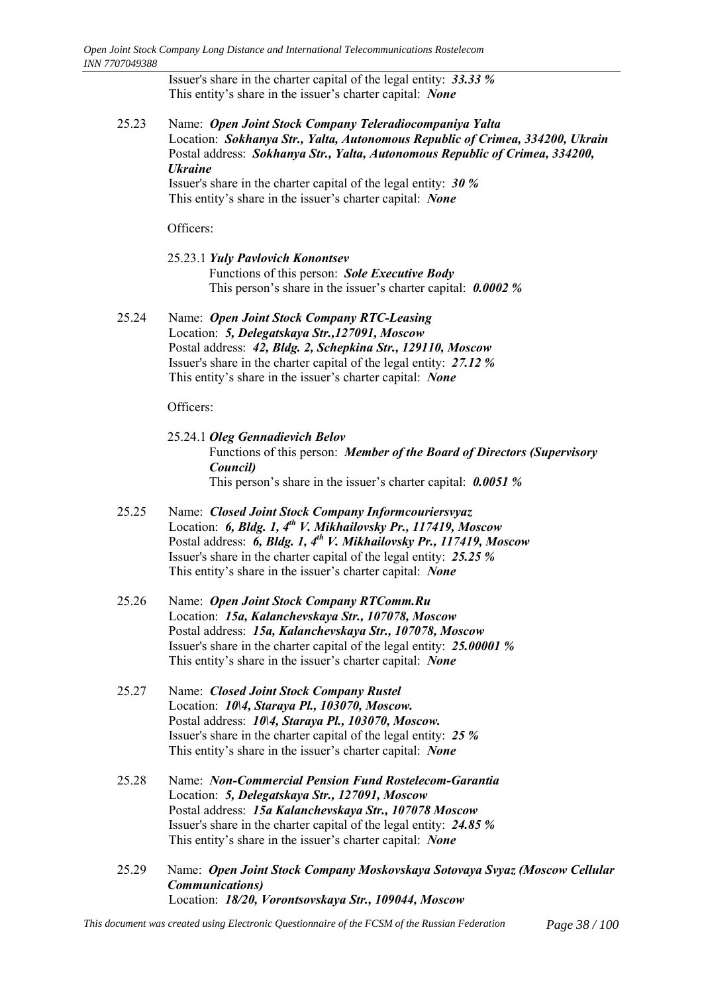Issuer's share in the charter capital of the legal entity: *33.33 %* This entity's share in the issuer's charter capital: *None* 

25.23 Name: *Open Joint Stock Company Teleradiocompaniya Yalta* Location: *Sokhanya Str., Yalta, Autonomous Republic of Crimea, 334200, Ukrain* Postal address: *Sokhanya Str., Yalta, Autonomous Republic of Crimea, 334200, Ukraine*

Issuer's share in the charter capital of the legal entity: *30 %* This entity's share in the issuer's charter capital: *None* 

Officers:

- 25.23.1 *Yuly Pavlovich Konontsev* Functions of this person: *Sole Executive Body* This person's share in the issuer's charter capital: **0.0002** %
- 25.24 Name: *Open Joint Stock Company RTC-Leasing* Location: *5, Delegatskaya Str.,127091, Moscow* Postal address: *42, Bldg. 2, Schepkina Str., 129110, Moscow* Issuer's share in the charter capital of the legal entity: *27.12 %* This entity's share in the issuer's charter capital: *None*

- 25.24.1 *Oleg Gennadievich Belov* Functions of this person: *Member of the Board of Directors (Supervisory Council)* This person's share in the issuer's charter capital: **0.0051** %
- 25.25 Name: *Closed Joint Stock Company Informcouriersvyaz* Location: **6, Bldg. 1, 4<sup>th</sup> V. Mikhailovsky Pr., 117419, Moscow** Postal address: *6, Bldg. 1, 4th V. Mikhailovsky Pr., 117419, Moscow* Issuer's share in the charter capital of the legal entity: *25.25 %* This entity's share in the issuer's charter capital: *None*
- 25.26 Name: *Open Joint Stock Company RTComm.Ru* Location: *15a, Kalanchevskaya Str., 107078, Moscow* Postal address: *15a, Kalanchevskaya Str., 107078, Moscow* Issuer's share in the charter capital of the legal entity: *25.00001 %* This entity's share in the issuer's charter capital: *None*
- 25.27 Name: *Closed Joint Stock Company Rustel* Location: *10\4, Staraya Pl., 103070, Moscow.* Postal address: *10\4, Staraya Pl., 103070, Moscow.* Issuer's share in the charter capital of the legal entity: *25 %* This entity's share in the issuer's charter capital: *None*
- 25.28 Name: *Non-Commercial Pension Fund Rostelecom-Garantia* Location: *5, Delegatskaya Str., 127091, Moscow* Postal address: *15a Kalanchevskaya Str., 107078 Moscow* Issuer's share in the charter capital of the legal entity: *24.85 %* This entity's share in the issuer's charter capital: *None*
- 25.29 Name: *Open Joint Stock Company Moskovskaya Sotovaya Svyaz (Moscow Cellular Communications)* Location: *18/20, Vorontsovskaya Str., 109044, Moscow*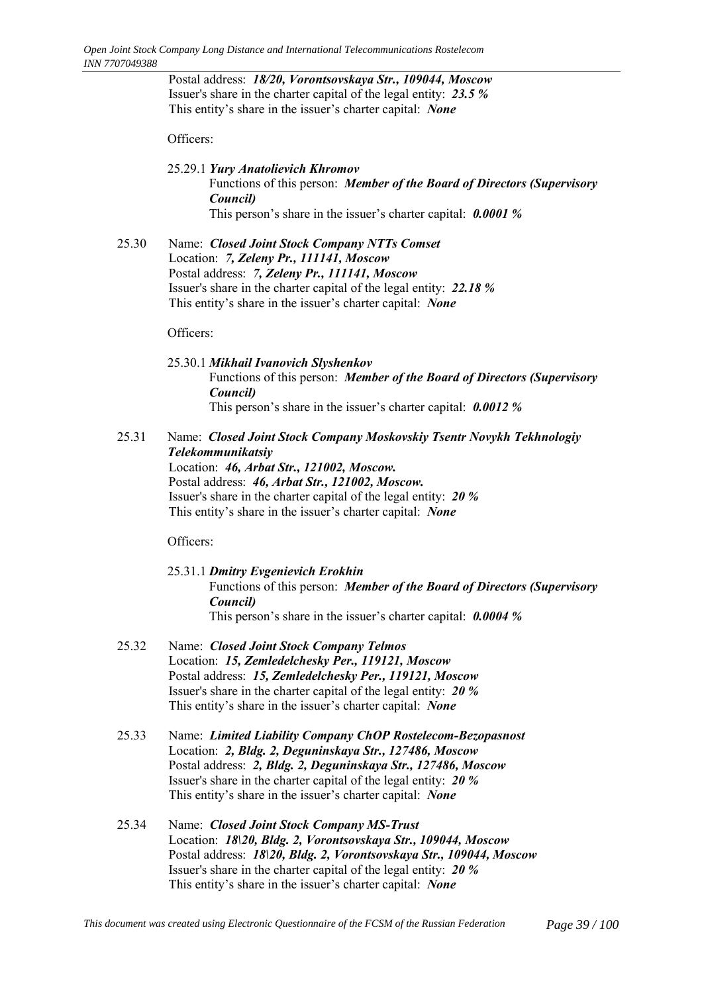Postal address: *18/20, Vorontsovskaya Str., 109044, Moscow* Issuer's share in the charter capital of the legal entity: *23.5 %* This entity's share in the issuer's charter capital: *None* 

Officers:

- 25.29.1 *Yury Anatolievich Khromov* Functions of this person: *Member of the Board of Directors (Supervisory Council)* This person's share in the issuer's charter capital: **0.0001** %
- 25.30 Name: *Closed Joint Stock Company NTTs Comset* Location: *7, Zeleny Pr., 111141, Moscow* Postal address: *7, Zeleny Pr., 111141, Moscow* Issuer's share in the charter capital of the legal entity: *22.18 %* This entity's share in the issuer's charter capital: *None*

Officers:

- 25.30.1 *Mikhail Ivanovich Slyshenkov* Functions of this person: *Member of the Board of Directors (Supervisory Council)* This person's share in the issuer's charter capital: **0.0012** %
- 25.31 Name: *Closed Joint Stock Company Moskovskiy Tsentr Novykh Tekhnologiy Telekommunikatsiy* Location: *46, Arbat Str., 121002, Moscow.*

Postal address: *46, Arbat Str., 121002, Moscow.* Issuer's share in the charter capital of the legal entity: *20 %* This entity's share in the issuer's charter capital: *None* 

- 25.31.1 *Dmitry Evgenievich Erokhin* Functions of this person: *Member of the Board of Directors (Supervisory Council)* This person's share in the issuer's charter capital: **0.0004** %
- 25.32 Name: *Closed Joint Stock Company Telmos* Location: *15, Zemledelchesky Per., 119121, Moscow* Postal address: *15, Zemledelchesky Per., 119121, Moscow* Issuer's share in the charter capital of the legal entity: *20 %* This entity's share in the issuer's charter capital: *None*
- 25.33 Name: *Limited Liability Company ChOP Rostelecom-Bezopasnost* Location: *2, Bldg. 2, Deguninskaya Str., 127486, Moscow* Postal address: *2, Bldg. 2, Deguninskaya Str., 127486, Moscow* Issuer's share in the charter capital of the legal entity: *20 %* This entity's share in the issuer's charter capital: *None*
- 25.34 Name: *Closed Joint Stock Company MS-Trust* Location: *18\20, Bldg. 2, Vorontsovskaya Str., 109044, Moscow* Postal address: *18\20, Bldg. 2, Vorontsovskaya Str., 109044, Moscow* Issuer's share in the charter capital of the legal entity: *20 %* This entity's share in the issuer's charter capital: *None*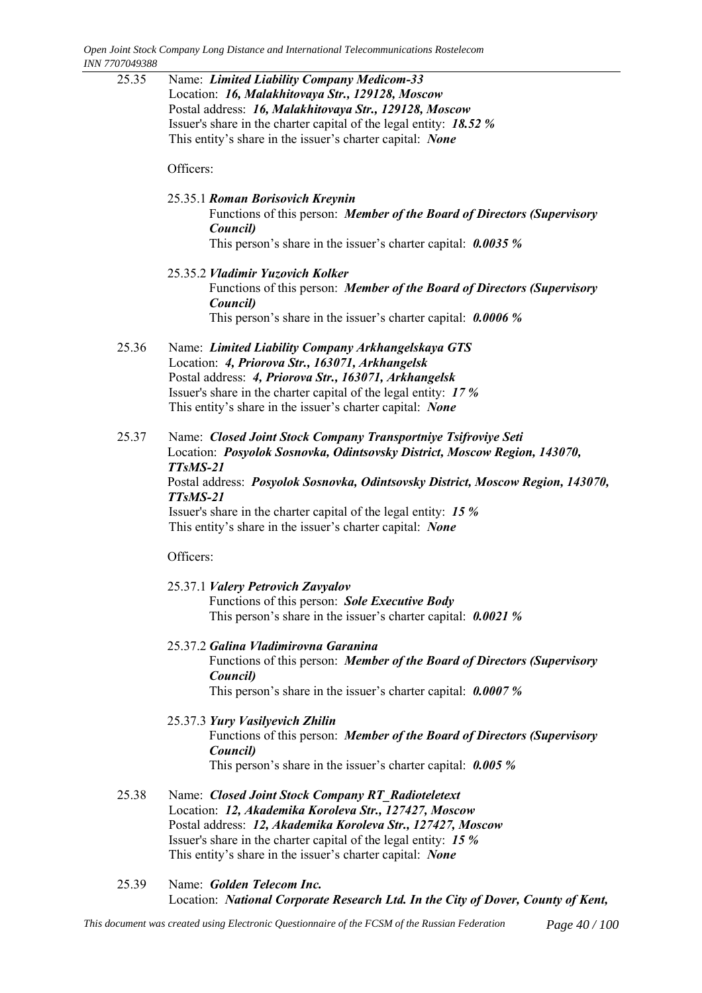25.35 Name: *Limited Liability Company Medicom-33* Location: *16, Malakhitovaya Str., 129128, Moscow* Postal address: *16, Malakhitovaya Str., 129128, Moscow* Issuer's share in the charter capital of the legal entity: *18.52 %* This entity's share in the issuer's charter capital: *None* Officers: 25.35.1 *Roman Borisovich Kreynin* Functions of this person: *Member of the Board of Directors (Supervisory Council)* This person's share in the issuer's charter capital: **0.0035** % 25.35.2 *Vladimir Yuzovich Kolker* Functions of this person: *Member of the Board of Directors (Supervisory Council)* This person's share in the issuer's charter capital: **0.0006** % 25.36 Name: *Limited Liability Company Arkhangelskaya GTS* Location: *4, Priorova Str., 163071, Arkhangelsk* Postal address: *4, Priorova Str., 163071, Arkhangelsk* Issuer's share in the charter capital of the legal entity: *17 %* This entity's share in the issuer's charter capital: *None* 25.37 Name: *Closed Joint Stock Company Transportniye Tsifroviye Seti* Location: *Posyolok Sosnovka, Odintsovsky District, Moscow Region, 143070, TTsMS-21* Postal address: *Posyolok Sosnovka, Odintsovsky District, Moscow Region, 143070, TTsMS-21* Issuer's share in the charter capital of the legal entity: *15 %* This entity's share in the issuer's charter capital: *None* 

Officers:

25.37.1 *Valery Petrovich Zavyalov* Functions of this person: *Sole Executive Body*

This person's share in the issuer's charter capital: **0.0021** %

- 25.37.2 *Galina Vladimirovna Garanina*
	- Functions of this person: *Member of the Board of Directors (Supervisory Council)*

This person's share in the issuer's charter capital: **0.0007 %** 

25.37.3 *Yury Vasilyevich Zhilin*

Functions of this person: *Member of the Board of Directors (Supervisory Council)* This person's share in the issuer's charter capital: **0.005** %

- 25.38 Name: *Closed Joint Stock Company RT\_Radioteletext* Location: *12, Akademika Koroleva Str., 127427, Moscow* Postal address: *12, Akademika Koroleva Str., 127427, Moscow* Issuer's share in the charter capital of the legal entity: *15 %* This entity's share in the issuer's charter capital: *None*
- 25.39 Name: *Golden Telecom Inc.* Location: *National Corporate Research Ltd. In the City of Dover, County of Kent,*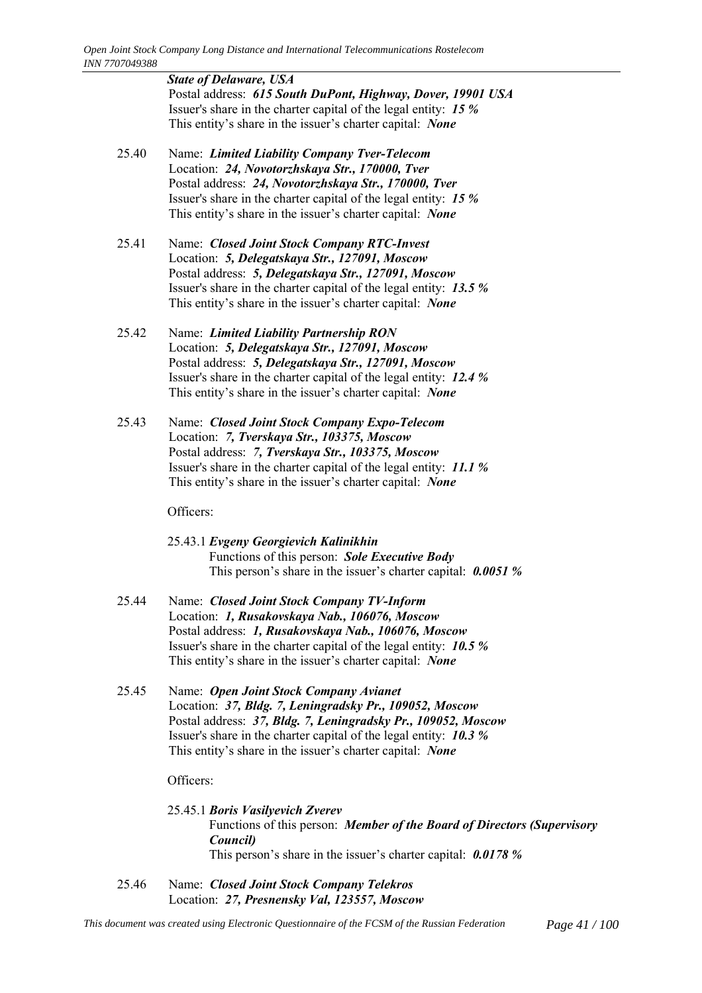*State of Delaware, USA* Postal address: *615 South DuPont, Highway, Dover, 19901 USA* Issuer's share in the charter capital of the legal entity: *15 %* This entity's share in the issuer's charter capital: *None* 

- 25.40 Name: *Limited Liability Company Tver-Telecom* Location: *24, Novotorzhskaya Str., 170000, Tver* Postal address: *24, Novotorzhskaya Str., 170000, Tver* Issuer's share in the charter capital of the legal entity: *15 %* This entity's share in the issuer's charter capital: *None*
- 25.41 Name: *Closed Joint Stock Company RTC-Invest* Location: *5, Delegatskaya Str., 127091, Moscow* Postal address: *5, Delegatskaya Str., 127091, Moscow* Issuer's share in the charter capital of the legal entity: *13.5 %* This entity's share in the issuer's charter capital: *None*
- 25.42 Name: *Limited Liability Partnership RON* Location: *5, Delegatskaya Str., 127091, Moscow* Postal address: *5, Delegatskaya Str., 127091, Moscow* Issuer's share in the charter capital of the legal entity: *12.4 %* This entity's share in the issuer's charter capital: *None*
- 25.43 Name: *Closed Joint Stock Company Expo-Telecom* Location: *7, Tverskaya Str., 103375, Moscow* Postal address: *7, Tverskaya Str., 103375, Moscow* Issuer's share in the charter capital of the legal entity: *11.1 %* This entity's share in the issuer's charter capital: *None*

Officers:

25.43.1 *Evgeny Georgievich Kalinikhin* Functions of this person: *Sole Executive Body* This person's share in the issuer's charter capital: **0.0051** %

- 25.44 Name: *Closed Joint Stock Company TV-Inform* Location: *1, Rusakovskaya Nab., 106076, Moscow* Postal address: *1, Rusakovskaya Nab., 106076, Moscow* Issuer's share in the charter capital of the legal entity: *10.5 %* This entity's share in the issuer's charter capital: *None*
- 25.45 Name: *Open Joint Stock Company Avianet* Location: *37, Bldg. 7, Leningradsky Pr., 109052, Moscow* Postal address: *37, Bldg. 7, Leningradsky Pr., 109052, Moscow* Issuer's share in the charter capital of the legal entity: *10.3 %* This entity's share in the issuer's charter capital: *None*

Officers:

25.45.1 *Boris Vasilyevich Zverev* Functions of this person: *Member of the Board of Directors (Supervisory Council)* This person's share in the issuer's charter capital: **0.0178 %** 

25.46 Name: *Closed Joint Stock Company Telekros* Location: *27, Presnensky Val, 123557, Moscow*

*This document was created using Electronic Questionnaire of the FCSM of the Russian Federation Page 41 / 100*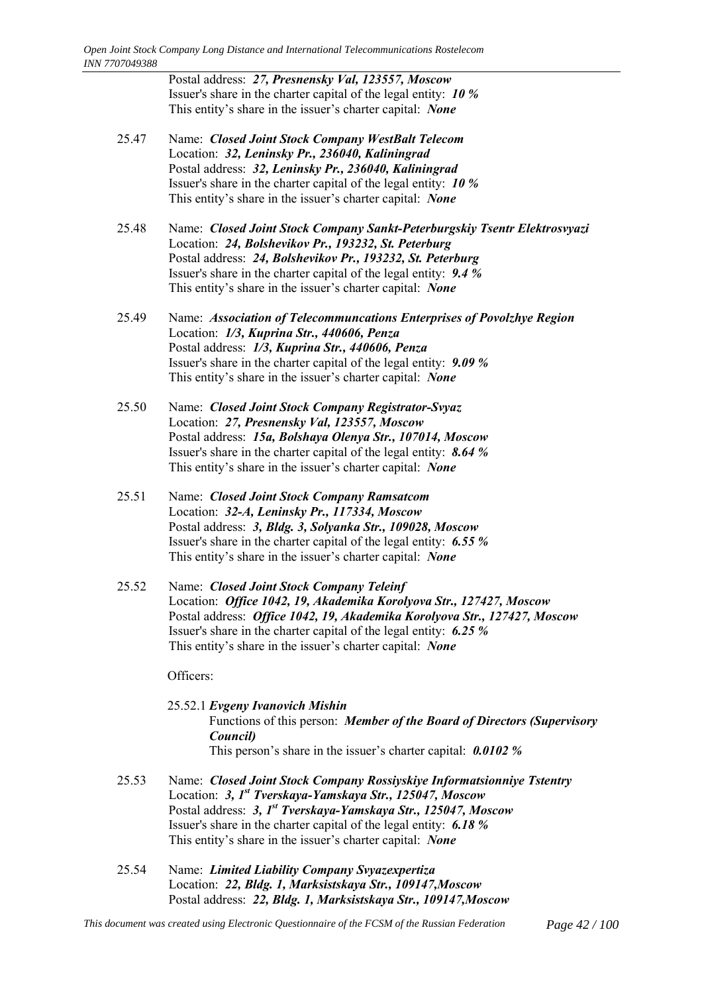Postal address: *27, Presnensky Val, 123557, Moscow* Issuer's share in the charter capital of the legal entity: *10 %* This entity's share in the issuer's charter capital: *None* 

- 25.47 Name: *Closed Joint Stock Company WestBalt Telecom* Location: *32, Leninsky Pr., 236040, Kaliningrad* Postal address: *32, Leninsky Pr., 236040, Kaliningrad* Issuer's share in the charter capital of the legal entity: *10 %* This entity's share in the issuer's charter capital: *None*
- 25.48 Name: *Closed Joint Stock Company Sankt-Peterburgskiy Tsentr Elektrosvyazi* Location: *24, Bolshevikov Pr., 193232, St. Peterburg* Postal address: *24, Bolshevikov Pr., 193232, St. Peterburg* Issuer's share in the charter capital of the legal entity: *9.4 %* This entity's share in the issuer's charter capital: *None*
- 25.49 Name: *Association of Telecommuncations Enterprises of Povolzhye Region* Location: *1/3, Kuprina Str., 440606, Penza* Postal address: *1/3, Kuprina Str., 440606, Penza* Issuer's share in the charter capital of the legal entity: *9.09 %* This entity's share in the issuer's charter capital: *None*
- 25.50 Name: *Closed Joint Stock Company Registrator-Svyaz* Location: *27, Presnensky Val, 123557, Moscow* Postal address: *15а, Bolshaya Olenya Str., 107014, Moscow* Issuer's share in the charter capital of the legal entity: *8.64 %* This entity's share in the issuer's charter capital: *None*
- 25.51 Name: *Closed Joint Stock Company Ramsatcom* Location: *32-А, Leninsky Pr., 117334, Moscow* Postal address: *3, Bldg. 3, Solyanka Str., 109028, Moscow* Issuer's share in the charter capital of the legal entity: *6.55 %* This entity's share in the issuer's charter capital: *None*
- 25.52 Name: *Closed Joint Stock Company Teleinf* Location: *Office 1042, 19, Akademika Korolyova Str., 127427, Moscow* Postal address: *Office 1042, 19, Akademika Korolyova Str., 127427, Moscow* Issuer's share in the charter capital of the legal entity: *6.25 %* This entity's share in the issuer's charter capital: *None*

- 25.52.1 *Evgeny Ivanovich Mishin* Functions of this person: *Member of the Board of Directors (Supervisory Council)* This person's share in the issuer's charter capital: **0.0102** %
- 25.53 Name: *Closed Joint Stock Company Rossiyskiye Informatsionniye Tstentry* Location: *3, 1st Tverskaya-Yamskaya Str., 125047, Moscow* Postal address: *3, 1st Tverskaya-Yamskaya Str., 125047, Moscow* Issuer's share in the charter capital of the legal entity: *6.18 %* This entity's share in the issuer's charter capital: *None*
- 25.54 Name: *Limited Liability Company Svyazexpertiza* Location: *22, Bldg. 1, Marksistskaya Str., 109147,Moscow* Postal address: *22, Bldg. 1, Marksistskaya Str., 109147,Moscow*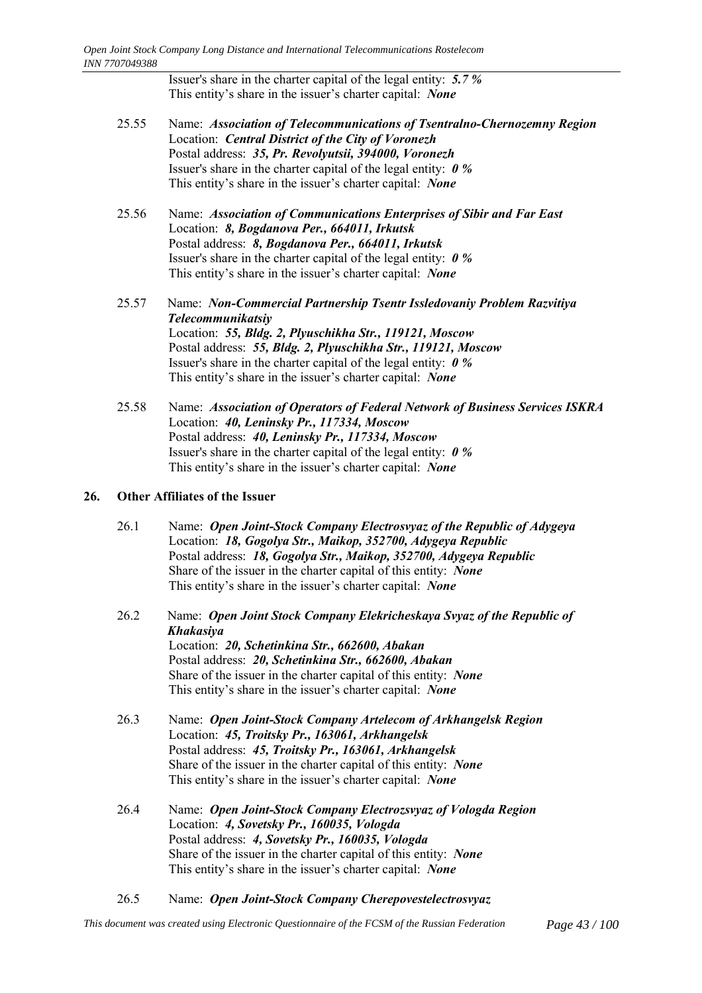Issuer's share in the charter capital of the legal entity: *5.7 %* This entity's share in the issuer's charter capital: *None* 

- 25.55 Name: *Association of Telecommunications of Tsentralno-Chernozemny Region* Location: *Central District of the City of Voronezh* Postal address: *35, Pr. Revolyutsii, 394000, Voronezh* Issuer's share in the charter capital of the legal entity: *0 %* This entity's share in the issuer's charter capital: *None*
- 25.56 Name: *Association of Communications Enterprises of Sibir and Far East* Location: *8, Bogdanova Per., 664011, Irkutsk* Postal address: *8, Bogdanova Per., 664011, Irkutsk* Issuer's share in the charter capital of the legal entity: *0 %* This entity's share in the issuer's charter capital: *None*
- 25.57 Name: *Non-Commercial Partnership Tsentr Issledovaniy Problem Razvitiya Telecommunikatsiy* Location: *55, Bldg. 2, Plyuschikha Str., 119121, Moscow* Postal address: *55, Bldg. 2, Plyuschikha Str., 119121, Moscow* Issuer's share in the charter capital of the legal entity: *0 %* This entity's share in the issuer's charter capital: *None*
- 25.58 Name: *Association of Operators of Federal Network of Business Services ISKRA* Location: *40, Leninsky Pr., 117334, Moscow* Postal address: *40, Leninsky Pr., 117334, Moscow* Issuer's share in the charter capital of the legal entity: *0 %* This entity's share in the issuer's charter capital: *None*

# **26. Other Affiliates of the Issuer**

- 26.1 Name: *Open Joint-Stock Company Electrosvyaz of the Republic of Adygeya* Location: *18, Gogolya Str., Maikop, 352700, Adygeya Republic* Postal address: *18, Gogolya Str., Maikop, 352700, Adygeya Republic* Share of the issuer in the charter capital of this entity: *None* This entity's share in the issuer's charter capital: *None*
- 26.2 Name: *Open Joint Stock Company Elekricheskaya Svyaz of the Republic of Khakasiya* Location: *20, Schetinkina Str., 662600, Abakan* Postal address: *20, Schetinkina Str., 662600, Abakan* Share of the issuer in the charter capital of this entity: *None* This entity's share in the issuer's charter capital: *None*
- 26.3 Name: *Open Joint-Stock Company Artelecom of Arkhangelsk Region* Location: *45, Troitsky Pr., 163061, Arkhangelsk* Postal address: *45, Troitsky Pr., 163061, Arkhangelsk* Share of the issuer in the charter capital of this entity: *None* This entity's share in the issuer's charter capital: *None*
- 26.4 Name: *Open Joint-Stock Company Electrozsvyaz of Vologda Region* Location: *4, Sovetsky Pr., 160035, Vologda* Postal address: *4, Sovetsky Pr., 160035, Vologda* Share of the issuer in the charter capital of this entity: *None* This entity's share in the issuer's charter capital: *None*
- 26.5 Name: *Open Joint-Stock Company Cherepovestelectrosvyaz*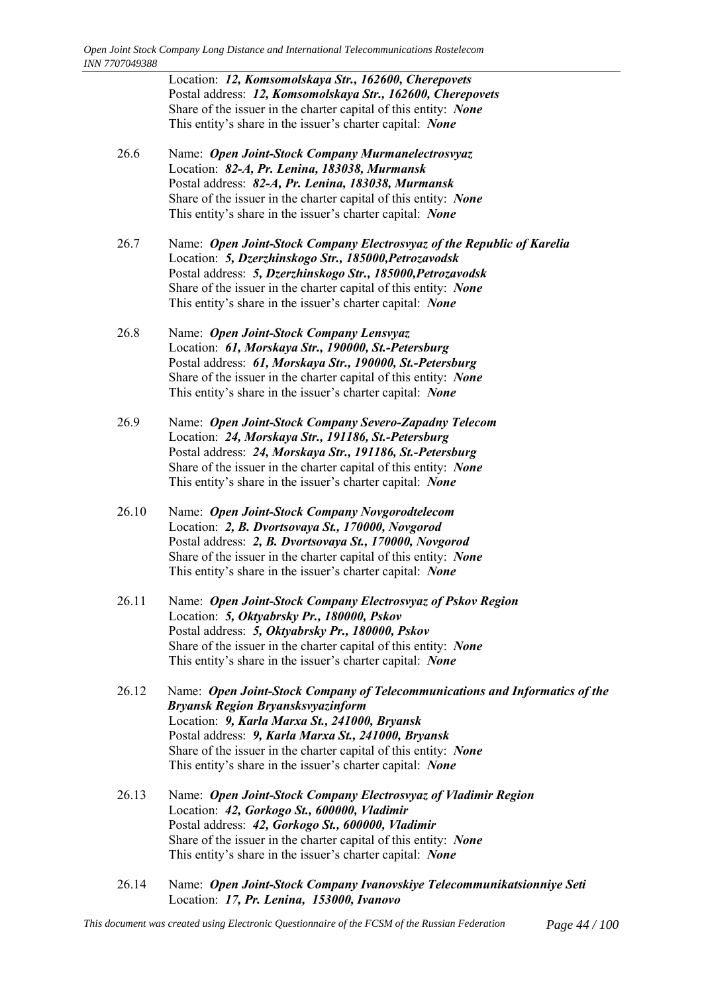Location: *12, Komsomolskaya Str., 162600, Cherepovets* Postal address: *12, Komsomolskaya Str., 162600, Cherepovets* Share of the issuer in the charter capital of this entity: *None* This entity's share in the issuer's charter capital: *None* 

- 26.6 Name: *Open Joint-Stock Company Murmanelectrosvyaz* Location: *82-А, Pr. Lenina, 183038, Murmansk* Postal address: *82-А, Pr. Lenina, 183038, Murmansk* Share of the issuer in the charter capital of this entity: *None* This entity's share in the issuer's charter capital: *None*
- 26.7 Name: *Open Joint-Stock Company Electrosvyaz of the Republic of Karelia* Location: *5, Dzerzhinskogo Str., 185000,Petrozavodsk* Postal address: *5, Dzerzhinskogo Str., 185000,Petrozavodsk* Share of the issuer in the charter capital of this entity: *None* This entity's share in the issuer's charter capital: *None*
- 26.8 Name: *Open Joint-Stock Company Lensvyaz* Location: *61, Morskaya Str., 190000, St.-Petersburg* Postal address: *61, Morskaya Str., 190000, St.-Petersburg* Share of the issuer in the charter capital of this entity: *None* This entity's share in the issuer's charter capital: *None*
- 26.9 Name: *Open Joint-Stock Company Severo-Zapadny Telecom* Location: *24, Morskaya Str., 191186, St.-Petersburg* Postal address: *24, Morskaya Str., 191186, St.-Petersburg* Share of the issuer in the charter capital of this entity: *None* This entity's share in the issuer's charter capital: *None*
- 26.10 Name: *Open Joint-Stock Company Novgorodtelecom* Location: *2, B. Dvortsovaya St., 170000, Novgorod* Postal address: *2, B. Dvortsovaya St., 170000, Novgorod* Share of the issuer in the charter capital of this entity: *None* This entity's share in the issuer's charter capital: *None*
- 26.11 Name: *Open Joint-Stock Company Electrosvyaz of Pskov Region* Location: *5, Oktyabrsky Pr., 180000, Pskov* Postal address: *5, Oktyabrsky Pr., 180000, Pskov* Share of the issuer in the charter capital of this entity: *None* This entity's share in the issuer's charter capital: *None*
- 26.12 Name: *Open Joint-Stock Company of Telecommunications and Informatics of the Bryansk Region Bryansksvyazinform* Location: *9, Karla Marxa St., 241000, Bryansk* Postal address: *9, Karla Marxa St., 241000, Bryansk* Share of the issuer in the charter capital of this entity: *None* This entity's share in the issuer's charter capital: *None*
- 26.13 Name: *Open Joint-Stock Company Electrosvyaz of Vladimir Region* Location: *42, Gorkogo St., 600000, Vladimir* Postal address: *42, Gorkogo St., 600000, Vladimir* Share of the issuer in the charter capital of this entity: *None* This entity's share in the issuer's charter capital: *None*
- 26.14 Name: *Open Joint-Stock Company Ivanovskiye Telecommunikatsionniye Seti* Location: *17, Pr. Lenina, 153000, Ivanovo*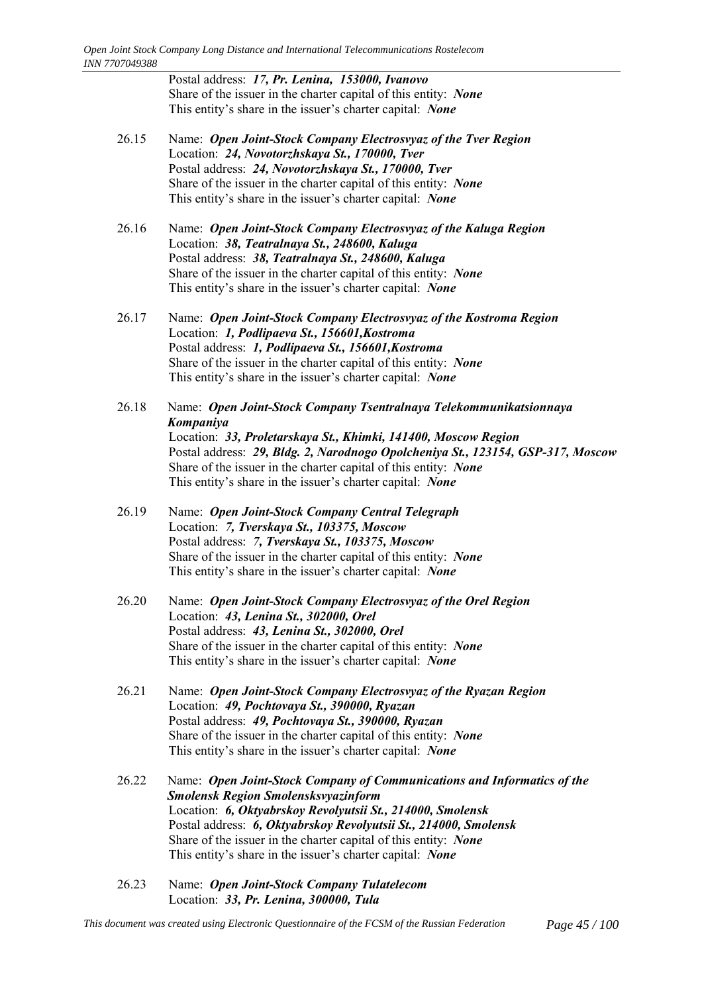Postal address: *17, Pr. Lenina, 153000, Ivanovo* Share of the issuer in the charter capital of this entity: *None* This entity's share in the issuer's charter capital: *None* 

- 26.15 Name: *Open Joint-Stock Company Electrosvyaz of the Tver Region* Location: *24, Novotorzhskaya St., 170000, Tver* Postal address: *24, Novotorzhskaya St., 170000, Tver* Share of the issuer in the charter capital of this entity: *None* This entity's share in the issuer's charter capital: *None*
- 26.16 Name: *Open Joint-Stock Company Electrosvyaz of the Kaluga Region* Location: *38, Teatralnaya St., 248600, Kaluga* Postal address: *38, Teatralnaya St., 248600, Kaluga* Share of the issuer in the charter capital of this entity: *None* This entity's share in the issuer's charter capital: *None*
- 26.17 Name: *Open Joint-Stock Company Electrosvyaz of the Kostroma Region* Location: *1, Podlipaeva St., 156601,Kostroma* Postal address: *1, Podlipaeva St., 156601,Kostroma* Share of the issuer in the charter capital of this entity: *None* This entity's share in the issuer's charter capital: *None*
- 26.18 Name: *Open Joint-Stock Company Tsentralnaya Telekommunikatsionnaya Kompaniya* Location: *33, Proletarskaya St., Khimki, 141400, Moscow Region* Postal address: *29, Bldg. 2, Narodnogo Opolcheniya St., 123154, GSP-317, Moscow* Share of the issuer in the charter capital of this entity: *None* This entity's share in the issuer's charter capital: *None*
- 26.19 Name: *Open Joint-Stock Company Central Telegraph* Location: *7, Tverskaya St., 103375, Moscow* Postal address: *7, Tverskaya St., 103375, Moscow* Share of the issuer in the charter capital of this entity: *None* This entity's share in the issuer's charter capital: *None*
- 26.20 Name: *Open Joint-Stock Company Electrosvyaz of the Orel Region* Location: *43, Lenina St., 302000, Orel* Postal address: *43, Lenina St., 302000, Orel* Share of the issuer in the charter capital of this entity: *None* This entity's share in the issuer's charter capital: *None*
- 26.21 Name: *Open Joint-Stock Company Electrosvyaz of the Ryazan Region* Location: *49, Pochtovaya St., 390000, Ryazan* Postal address: *49, Pochtovaya St., 390000, Ryazan* Share of the issuer in the charter capital of this entity: *None* This entity's share in the issuer's charter capital: *None*
- 26.22 Name: *Open Joint-Stock Company of Communications and Informatics of the Smolensk Region Smolensksvyazinform* Location: *6, Oktyabrskoy Revolyutsii St., 214000, Smolensk* Postal address: *6, Oktyabrskoy Revolyutsii St., 214000, Smolensk* Share of the issuer in the charter capital of this entity: *None* This entity's share in the issuer's charter capital: *None*
- 26.23 Name: *Open Joint-Stock Company Tulatelecom* Location: *33, Pr. Lenina, 300000, Tula*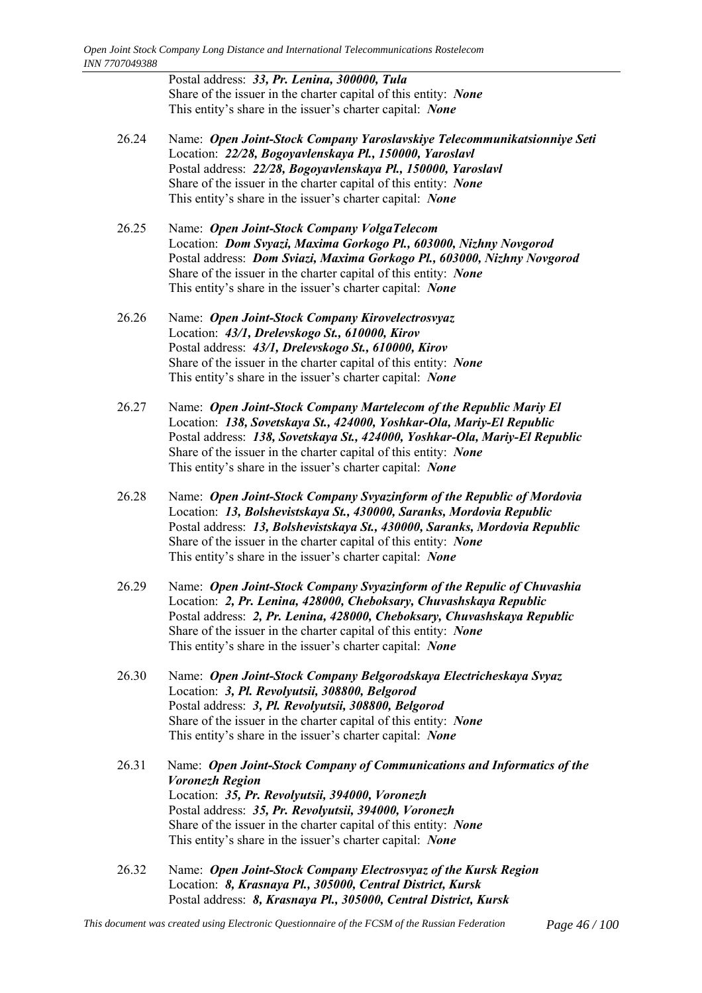Postal address: *33, Pr. Lenina, 300000, Tula* Share of the issuer in the charter capital of this entity: *None* This entity's share in the issuer's charter capital: *None* 

- 26.24 Name: *Open Joint-Stock Company Yaroslavskiye Telecommunikatsionniye Seti* Location: *22/28, Bogoyavlenskaya Pl., 150000, Yaroslavl* Postal address: *22/28, Bogoyavlenskaya Pl., 150000, Yaroslavl* Share of the issuer in the charter capital of this entity: *None* This entity's share in the issuer's charter capital: *None*
- 26.25 Name: *Open Joint-Stock Company VolgaTelecom* Location: *Dom Svyazi, Maxima Gorkogo Pl., 603000, Nizhny Novgorod* Postal address: *Dom Sviazi, Maxima Gorkogo Pl., 603000, Nizhny Novgorod* Share of the issuer in the charter capital of this entity: *None* This entity's share in the issuer's charter capital: *None*
- 26.26 Name: *Open Joint-Stock Company Kirovelectrosvyaz* Location: *43/1, Drelevskogo St., 610000, Kirov* Postal address: *43/1, Drelevskogo St., 610000, Kirov* Share of the issuer in the charter capital of this entity: *None* This entity's share in the issuer's charter capital: *None*
- 26.27 Name: *Open Joint-Stock Company Martelecom of the Republic Mariy El* Location: *138, Sovetskaya St., 424000, Yoshkar-Ola, Mariy-El Republic* Postal address: *138, Sovetskaya St., 424000, Yoshkar-Ola, Mariy-El Republic* Share of the issuer in the charter capital of this entity: *None* This entity's share in the issuer's charter capital: *None*
- 26.28 Name: *Open Joint-Stock Company Svyazinform of the Republic of Mordovia* Location: *13, Bolshevistskaya St., 430000, Saranks, Mordovia Republic* Postal address: *13, Bolshevistskaya St., 430000, Saranks, Mordovia Republic* Share of the issuer in the charter capital of this entity: *None* This entity's share in the issuer's charter capital: *None*
- 26.29 Name: *Open Joint-Stock Company Svyazinform of the Repulic of Chuvashia* Location: *2, Pr. Lenina, 428000, Cheboksary, Chuvashskaya Republic* Postal address: *2, Pr. Lenina, 428000, Cheboksary, Chuvashskaya Republic* Share of the issuer in the charter capital of this entity: *None* This entity's share in the issuer's charter capital: *None*
- 26.30 Name: *Open Joint-Stock Company Belgorodskaya Electricheskaya Svyaz* Location: *3, Pl. Revolyutsii, 308800, Belgorod* Postal address: *3, Pl. Revolyutsii, 308800, Belgorod* Share of the issuer in the charter capital of this entity: *None* This entity's share in the issuer's charter capital: *None*
- 26.31 Name: *Open Joint-Stock Company of Communications and Informatics of the Voronezh Region* Location: *35, Pr. Revolyutsii, 394000, Voronezh* Postal address: *35, Pr. Revolyutsii, 394000, Voronezh* Share of the issuer in the charter capital of this entity: *None* This entity's share in the issuer's charter capital: *None*
- 26.32 Name: *Open Joint-Stock Company Electrosvyaz of the Kursk Region* Location: *8, Krasnaya Pl., 305000, Central District, Kursk* Postal address: *8, Krasnaya Pl., 305000, Central District, Kursk*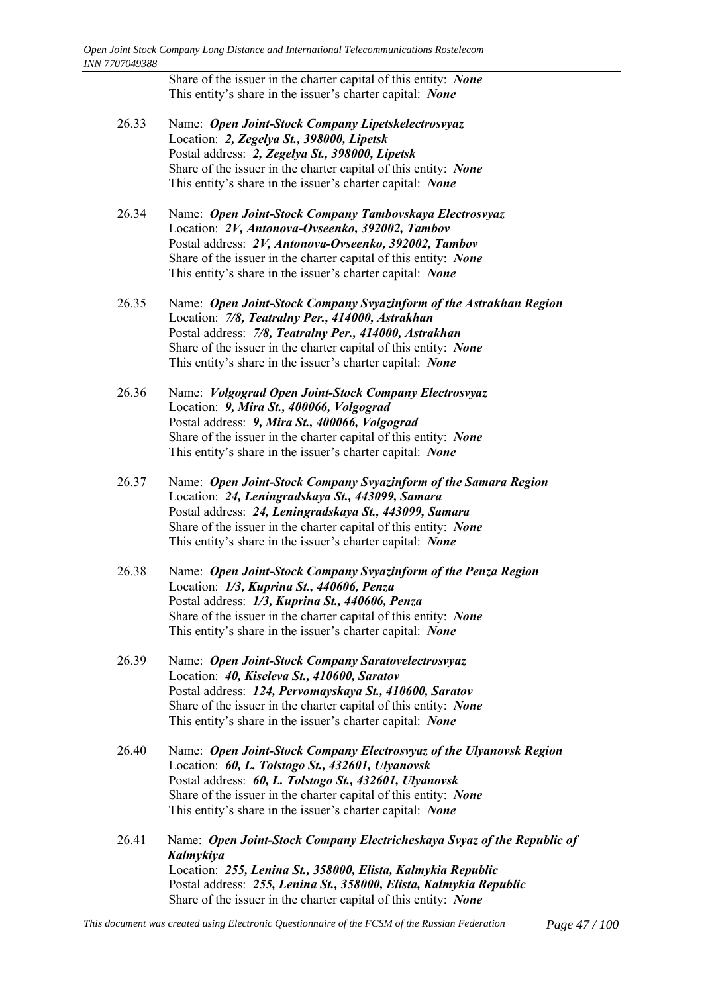Share of the issuer in the charter capital of this entity: *None* This entity's share in the issuer's charter capital: *None* 

- 26.33 Name: *Open Joint-Stock Company Lipetskelectrosvyaz* Location: *2, Zegelya St., 398000, Lipetsk* Postal address: *2, Zegelya St., 398000, Lipetsk* Share of the issuer in the charter capital of this entity: *None* This entity's share in the issuer's charter capital: *None*
- 26.34 Name: *Open Joint-Stock Company Tambovskaya Electrosvyaz* Location: *2V, Antonova-Ovseenko, 392002, Tambov* Postal address: *2V, Antonova-Ovseenko, 392002, Tambov* Share of the issuer in the charter capital of this entity: *None* This entity's share in the issuer's charter capital: *None*
- 26.35 Name: *Open Joint-Stock Company Svyazinform of the Astrakhan Region* Location: *7/8, Teatralny Per., 414000, Astrakhan* Postal address: *7/8, Teatralny Per., 414000, Astrakhan* Share of the issuer in the charter capital of this entity: *None* This entity's share in the issuer's charter capital: *None*
- 26.36 Name: *Volgograd Open Joint-Stock Company Electrosvyaz* Location: *9, Mira St., 400066, Volgograd* Postal address: *9, Mira St., 400066, Volgograd* Share of the issuer in the charter capital of this entity: *None* This entity's share in the issuer's charter capital: *None*
- 26.37 Name: *Open Joint-Stock Company Svyazinform of the Samara Region* Location: *24, Leningradskaya St., 443099, Samara* Postal address: *24, Leningradskaya St., 443099, Samara* Share of the issuer in the charter capital of this entity: *None* This entity's share in the issuer's charter capital: *None*
- 26.38 Name: *Open Joint-Stock Company Svyazinform of the Penza Region* Location: *1/3, Kuprina St., 440606, Penza* Postal address: *1/3, Kuprina St., 440606, Penza* Share of the issuer in the charter capital of this entity: *None* This entity's share in the issuer's charter capital: *None*
- 26.39 Name: *Open Joint-Stock Company Saratovelectrosvyaz* Location: *40, Kiseleva St., 410600, Saratov* Postal address: *124, Pervomayskaya St., 410600, Saratov* Share of the issuer in the charter capital of this entity: *None* This entity's share in the issuer's charter capital: *None*
- 26.40 Name: *Open Joint-Stock Company Electrosvyaz of the Ulyanovsk Region* Location: *60, L. Tolstogo St., 432601, Ulyanovsk* Postal address: *60, L. Tolstogo St., 432601, Ulyanovsk* Share of the issuer in the charter capital of this entity: *None* This entity's share in the issuer's charter capital: *None*
- 26.41 Name: *Open Joint-Stock Company Electricheskaya Svyaz of the Republic of Kalmykiya* Location: *255, Lenina St., 358000, Elista, Kalmykia Republic* Postal address: *255, Lenina St., 358000, Elista, Kalmykia Republic* Share of the issuer in the charter capital of this entity: *None*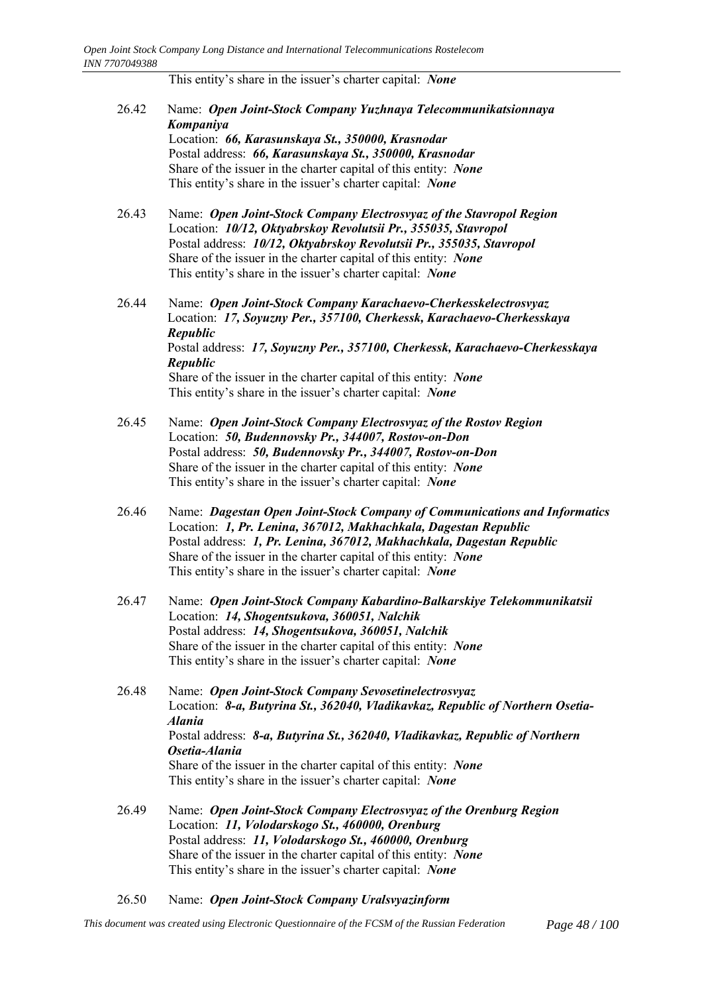This entity's share in the issuer's charter capital: *None* 

| 26.42 | Name: Open Joint-Stock Company Yuzhnaya Telecommunikatsionnaya<br>Kompaniya<br>Location: 66, Karasunskaya St., 350000, Krasnodar<br>Postal address: 66, Karasunskaya St., 350000, Krasnodar<br>Share of the issuer in the charter capital of this entity: None<br>This entity's share in the issuer's charter capital: None                                                              |
|-------|------------------------------------------------------------------------------------------------------------------------------------------------------------------------------------------------------------------------------------------------------------------------------------------------------------------------------------------------------------------------------------------|
| 26.43 | Name: Open Joint-Stock Company Electrosvyaz of the Stavropol Region<br>Location: 10/12, Oktyabrskoy Revolutsii Pr., 355035, Stavropol<br>Postal address: 10/12, Oktyabrskoy Revolutsii Pr., 355035, Stavropol<br>Share of the issuer in the charter capital of this entity: None<br>This entity's share in the issuer's charter capital: None                                            |
| 26.44 | Name: Open Joint-Stock Company Karachaevo-Cherkesskelectrosvyaz<br>Location: 17, Soyuzny Per., 357100, Cherkessk, Karachaevo-Cherkesskaya<br>Republic<br>Postal address: 17, Soyuzny Per., 357100, Cherkessk, Karachaevo-Cherkesskaya<br><b>Republic</b><br>Share of the issuer in the charter capital of this entity: None<br>This entity's share in the issuer's charter capital: None |
| 26.45 | Name: Open Joint-Stock Company Electrosvyaz of the Rostov Region<br>Location: 50, Budennovsky Pr., 344007, Rostov-on-Don<br>Postal address: 50, Budennovsky Pr., 344007, Rostov-on-Don<br>Share of the issuer in the charter capital of this entity: None<br>This entity's share in the issuer's charter capital: None                                                                   |
| 26.46 | Name: Dagestan Open Joint-Stock Company of Communications and Informatics<br>Location: 1, Pr. Lenina, 367012, Makhachkala, Dagestan Republic<br>Postal address: 1, Pr. Lenina, 367012, Makhachkala, Dagestan Republic<br>Share of the issuer in the charter capital of this entity: None<br>This entity's share in the issuer's charter capital: None                                    |
| 26.47 | Name: Open Joint-Stock Company Kabardino-Balkarskiye Telekommunikatsii<br>Location: 14, Shogentsukova, 360051, Nalchik<br>Postal address: 14, Shogentsukova, 360051, Nalchik<br>Share of the issuer in the charter capital of this entity: None<br>This entity's share in the issuer's charter capital: None                                                                             |
| 26.48 | Name: Open Joint-Stock Company Sevosetinelectrosvyaz<br>Location: 8-a, Butyrina St., 362040, Vladikavkaz, Republic of Northern Osetia-<br><b>Alania</b><br>Postal address: 8-a, Butyrina St., 362040, Vladikavkaz, Republic of Northern<br>Osetia-Alania<br>Share of the issuer in the charter capital of this entity: None<br>This entity's share in the issuer's charter capital: None |
| 26.49 | Name: Open Joint-Stock Company Electrosvyaz of the Orenburg Region<br>Location: 11, Volodarskogo St., 460000, Orenburg<br>Postal address: 11, Volodarskogo St., 460000, Orenburg<br>Share of the issuer in the charter capital of this entity: None<br>This entity's share in the issuer's charter capital: None                                                                         |

26.50 Name: *Open Joint-Stock Company Uralsvyazinform*

*This document was created using Electronic Questionnaire of the FCSM of the Russian Federation Page 48 / 100*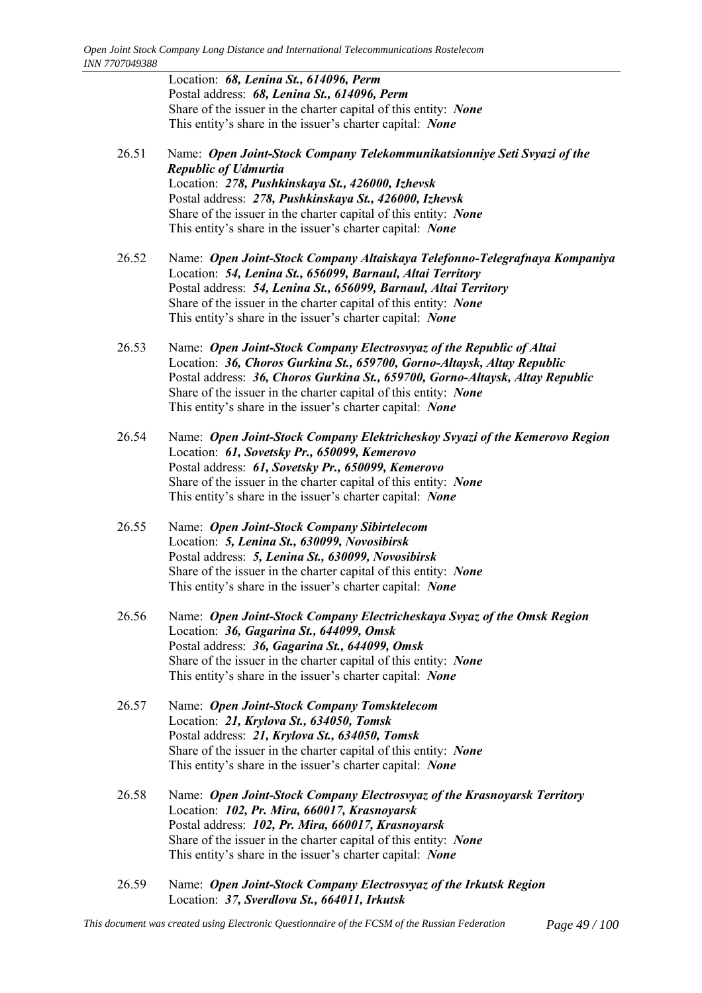Location: *68, Lenina St., 614096, Perm* Postal address: *68, Lenina St., 614096, Perm* Share of the issuer in the charter capital of this entity: *None* This entity's share in the issuer's charter capital: *None* 

- 26.51 Name: *Open Joint-Stock Company Telekommunikatsionniye Seti Svyazi of the Republic of Udmurtia* Location: *278, Pushkinskaya St., 426000, Izhevsk* Postal address: *278, Pushkinskaya St., 426000, Izhevsk* Share of the issuer in the charter capital of this entity: *None* This entity's share in the issuer's charter capital: *None*
- 26.52 Name: *Open Joint-Stock Company Altaiskaya Telefonno-Telegrafnaya Kompaniya* Location: *54, Lenina St., 656099, Barnaul, Altai Territory* Postal address: *54, Lenina St., 656099, Barnaul, Altai Territory* Share of the issuer in the charter capital of this entity: *None* This entity's share in the issuer's charter capital: *None*
- 26.53 Name: *Open Joint-Stock Company Electrosvyaz of the Republic of Altai* Location: *36, Choros Gurkina St., 659700, Gorno-Altaysk, Altay Republic* Postal address: *36, Choros Gurkina St., 659700, Gorno-Altaysk, Altay Republic* Share of the issuer in the charter capital of this entity: *None* This entity's share in the issuer's charter capital: *None*
- 26.54 Name: *Open Joint-Stock Company Elektricheskoy Svyazi of the Kemerovo Region* Location: *61, Sovetsky Pr., 650099, Kemerovo* Postal address: *61, Sovetsky Pr., 650099, Kemerovo* Share of the issuer in the charter capital of this entity: *None* This entity's share in the issuer's charter capital: *None*
- 26.55 Name: *Open Joint-Stock Company Sibirtelecom* Location: *5, Lenina St., 630099, Novosibirsk* Postal address: *5, Lenina St., 630099, Novosibirsk* Share of the issuer in the charter capital of this entity: *None* This entity's share in the issuer's charter capital: *None*
- 26.56 Name: *Open Joint-Stock Company Electricheskaya Svyaz of the Omsk Region* Location: *36, Gagarina St., 644099, Omsk* Postal address: *36, Gagarina St., 644099, Omsk* Share of the issuer in the charter capital of this entity: *None* This entity's share in the issuer's charter capital: *None*
- 26.57 Name: *Open Joint-Stock Company Tomsktelecom* Location: *21, Krylova St., 634050, Tomsk* Postal address: *21, Krylova St., 634050, Tomsk* Share of the issuer in the charter capital of this entity: *None* This entity's share in the issuer's charter capital: *None*
- 26.58 Name: *Open Joint-Stock Company Electrosvyaz of the Krasnoyarsk Territory* Location: *102, Pr. Mira, 660017, Krasnoyarsk* Postal address: *102, Pr. Mira, 660017, Krasnoyarsk* Share of the issuer in the charter capital of this entity: *None* This entity's share in the issuer's charter capital: *None*
- 26.59 Name: *Open Joint-Stock Company Electrosvyaz of the Irkutsk Region* Location: *37, Sverdlova St., 664011, Irkutsk*

*This document was created using Electronic Questionnaire of the FCSM of the Russian Federation Page 49 / 100*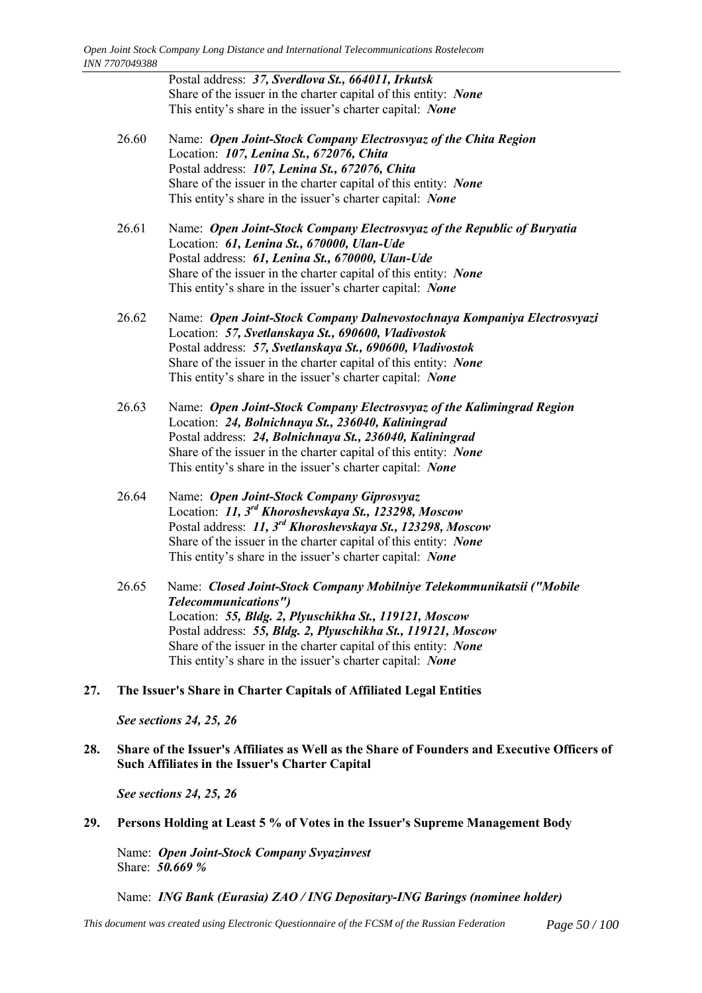Postal address: *37, Sverdlova St., 664011, Irkutsk* Share of the issuer in the charter capital of this entity: *None* This entity's share in the issuer's charter capital: *None* 

- 26.60 Name: *Open Joint-Stock Company Electrosvyaz of the Chita Region* Location: *107, Lenina St., 672076, Chita* Postal address: *107, Lenina St., 672076, Chita* Share of the issuer in the charter capital of this entity: *None* This entity's share in the issuer's charter capital: *None*
- 26.61 Name: *Open Joint-Stock Company Electrosvyaz of the Republic of Buryatia* Location: *61, Lenina St., 670000, Ulan-Ude* Postal address: *61, Lenina St., 670000, Ulan-Ude* Share of the issuer in the charter capital of this entity: *None* This entity's share in the issuer's charter capital: *None*
- 26.62 Name: *Open Joint-Stock Company Dalnevostochnaya Kompaniya Electrosvyazi* Location: *57, Svetlanskaya St., 690600, Vladivostok* Postal address: *57, Svetlanskaya St., 690600, Vladivostok* Share of the issuer in the charter capital of this entity: *None* This entity's share in the issuer's charter capital: *None*
- 26.63 Name: *Open Joint-Stock Company Electrosvyaz of the Kalimingrad Region* Location: *24, Bolnichnaya St., 236040, Kaliningrad* Postal address: *24, Bolnichnaya St., 236040, Kaliningrad* Share of the issuer in the charter capital of this entity: *None* This entity's share in the issuer's charter capital: *None*
- 26.64 Name: *Open Joint-Stock Company Giprosvyaz* Location: *11, 3rd Khoroshevskaya St., 123298, Moscow* Postal address: *11, 3rd Khoroshevskaya St., 123298, Moscow* Share of the issuer in the charter capital of this entity: *None* This entity's share in the issuer's charter capital: *None*
- 26.65 Name: *Closed Joint-Stock Company Mobilniye Telekommunikatsii ("Mobile Telecommunications")* Location: *55, Bldg. 2, Plyuschikha St., 119121, Moscow* Postal address: *55, Bldg. 2, Plyuschikha St., 119121, Moscow* Share of the issuer in the charter capital of this entity: *None* This entity's share in the issuer's charter capital: *None*
- **27. The Issuer's Share in Charter Capitals of Affiliated Legal Entities**

# *See sections 24, 25, 26*

**28. Share of the Issuer's Affiliates as Well as the Share of Founders and Executive Officers of Such Affiliates in the Issuer's Charter Capital**

*See sections 24, 25, 26*

# **29. Persons Holding at Least 5 % of Votes in the Issuer's Supreme Management Body**

Name: *Open Joint-Stock Company Svyazinvest* Share: *50.669 %*

Name: *ING Bank (Eurasia) ZAO / ING Depositary-ING Barings (nominee holder)*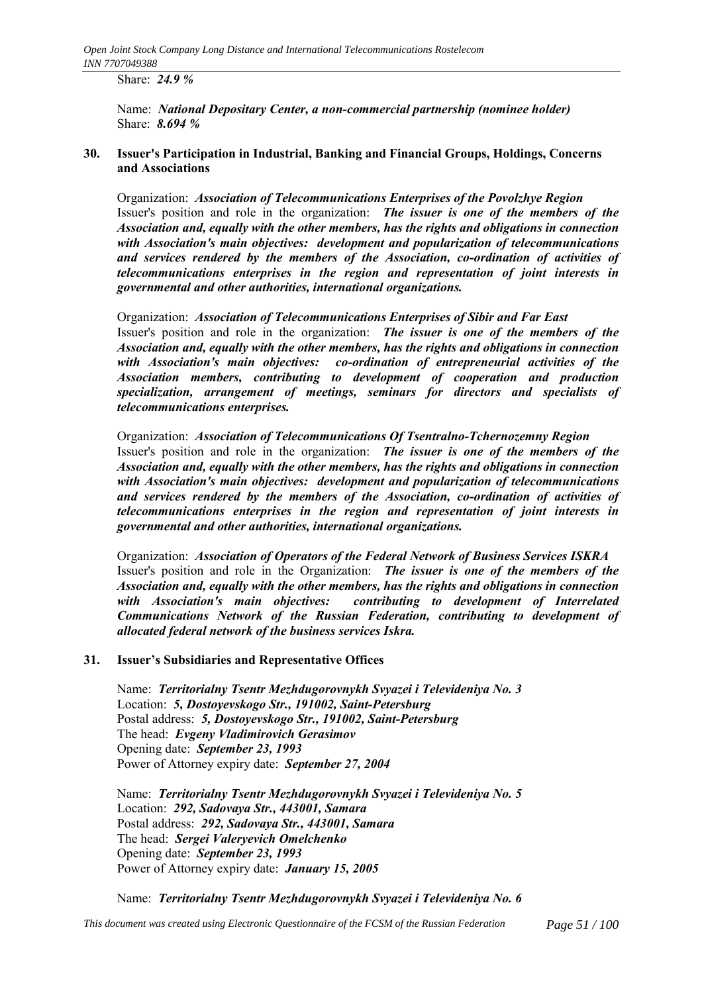Share: *24.9 %*

Name: *National Depositary Center, a non-commercial partnership (nominee holder)* Share: *8.694 %*

# **30. Issuer's Participation in Industrial, Banking and Financial Groups, Holdings, Concerns and Associations**

Organization: *Association of Telecommunications Enterprises of the Povolzhye Region* Issuer's position and role in the organization: *The issuer is one of the members of the Association and, equally with the other members, has the rights and obligations in connection with Association's main objectives: development and popularization of telecommunications and services rendered by the members of the Association, co-ordination of activities of telecommunications enterprises in the region and representation of joint interests in governmental and other authorities, international organizations.*

Organization: *Association of Telecommunications Enterprises of Sibir and Far East* Issuer's position and role in the organization: *The issuer is one of the members of the Association and, equally with the other members, has the rights and obligations in connection with Association's main objectives: co-ordination of entrepreneurial activities of the Association members, contributing to development of cooperation and production specialization, arrangement of meetings, seminars for directors and specialists of telecommunications enterprises.*

Organization: *Association of Telecommunications Of Tsentralno-Tchernozemny Region* Issuer's position and role in the organization: *The issuer is one of the members of the Association and, equally with the other members, has the rights and obligations in connection with Association's main objectives: development and popularization of telecommunications and services rendered by the members of the Association, co-ordination of activities of telecommunications enterprises in the region and representation of joint interests in governmental and other authorities, international organizations.*

Organization: *Association of Operators of the Federal Network of Business Services ISKRA* Issuer's position and role in the Organization: *The issuer is one of the members of the Association and, equally with the other members, has the rights and obligations in connection with Association's main objectives: contributing to development of Interrelated Communications Network of the Russian Federation, contributing to development of allocated federal network of the business services Iskra.*

# **31.** Issuer's Subsidiaries and Representative Offices

Name: *Territorialny Tsentr Mezhdugorovnykh Svyazei i Televideniya No. 3* Location: *5, Dostoyevskogo Str., 191002, Saint-Petersburg* Postal address: *5, Dostoyevskogo Str., 191002, Saint-Petersburg* The head: *Evgeny Vladimirovich Gerasimov* Opening date: *September 23, 1993* Power of Attorney expiry date: *September 27, 2004*

Name: *Territorialny Tsentr Mezhdugorovnykh Svyazei i Televideniya No. 5* Location: *292, Sadovaya Str., 443001, Samara* Postal address: *292, Sadovaya Str., 443001, Samara* The head: *Sergei Valeryevich Omelchenko* Opening date: *September 23, 1993* Power of Attorney expiry date: *January 15, 2005*

Name: *Territorialny Tsentr Mezhdugorovnykh Svyazei i Televideniya No. 6*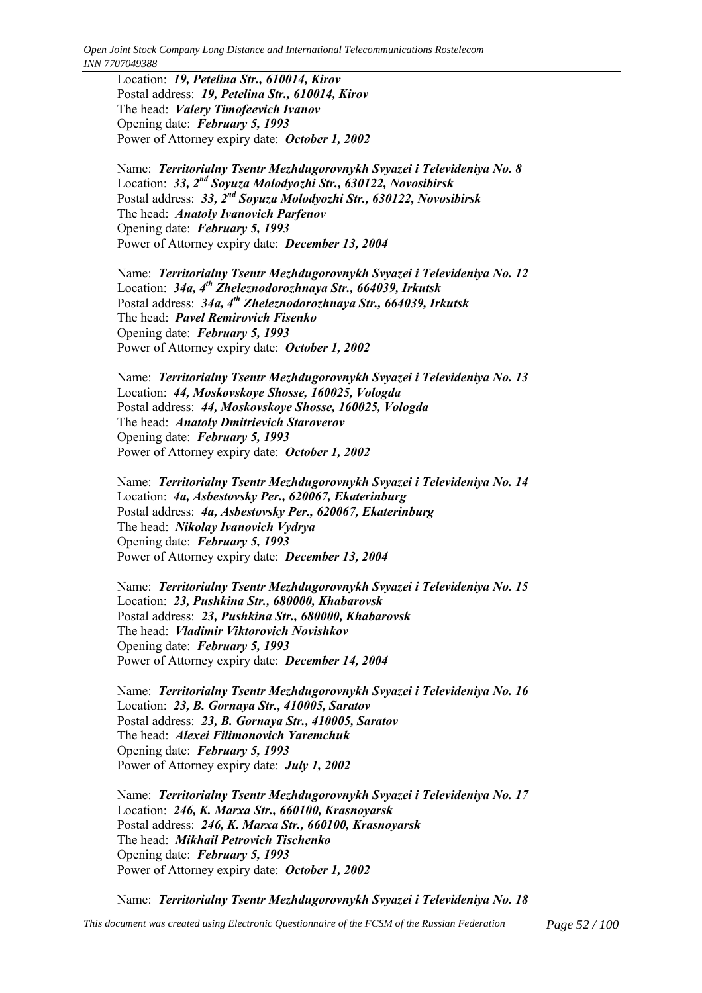Location: *19, Petelina Str., 610014, Kirov* Postal address: *19, Petelina Str., 610014, Kirov* The head: *Valery Timofeevich Ivanov* Opening date: *February 5, 1993* Power of Attorney expiry date: *October 1, 2002*

Name: *Territorialny Tsentr Mezhdugorovnykh Svyazei i Televideniya No. 8* Location: *33, 2nd Soyuza Molodyozhi Str., 630122, Novosibirsk* Postal address: *33, 2nd Soyuza Molodyozhi Str., 630122, Novosibirsk* The head: *Anatoly Ivanovich Parfenov* Opening date: *February 5, 1993* Power of Attorney expiry date: *December 13, 2004*

Name: *Territorialny Tsentr Mezhdugorovnykh Svyazei i Televideniya No. 12* Location: *34a, 4th Zheleznodorozhnaya Str., 664039, Irkutsk* Postal address: *34a, 4th Zheleznodorozhnaya Str., 664039, Irkutsk* The head: *Pavel Remirovich Fisenko* Opening date: *February 5, 1993* Power of Attorney expiry date: *October 1, 2002*

Name: *Territorialny Tsentr Mezhdugorovnykh Svyazei i Televideniya No. 13* Location: *44, Moskovskoye Shosse, 160025, Vologda* Postal address: *44, Moskovskoye Shosse, 160025, Vologda* The head: *Anatoly Dmitrievich Staroverov* Opening date: *February 5, 1993* Power of Attorney expiry date: *October 1, 2002*

Name: *Territorialny Tsentr Mezhdugorovnykh Svyazei i Televideniya No. 14* Location: *4a, Asbestovsky Per., 620067, Ekaterinburg* Postal address: *4a, Asbestovsky Per., 620067, Ekaterinburg* The head: *Nikolay Ivanovich Vydrya* Opening date: *February 5, 1993* Power of Attorney expiry date: *December 13, 2004*

Name: *Territorialny Tsentr Mezhdugorovnykh Svyazei i Televideniya No. 15* Location: *23, Pushkina Str., 680000, Khabarovsk* Postal address: *23, Pushkina Str., 680000, Khabarovsk* The head: *Vladimir Viktorovich Novishkov* Opening date: *February 5, 1993* Power of Attorney expiry date: *December 14, 2004*

Name: *Territorialny Tsentr Mezhdugorovnykh Svyazei i Televideniya No. 16* Location: *23, B. Gornaya Str., 410005, Saratov* Postal address: *23, B. Gornaya Str., 410005, Saratov* The head: *Alexei Filimonovich Yaremchuk* Opening date: *February 5, 1993* Power of Attorney expiry date: *July 1, 2002*

Name: *Territorialny Tsentr Mezhdugorovnykh Svyazei i Televideniya No. 17* Location: *246, K. Marxa Str., 660100, Krasnoyarsk* Postal address: *246, K. Marxa Str., 660100, Krasnoyarsk* The head: *Mikhail Petrovich Tischenko* Opening date: *February 5, 1993* Power of Attorney expiry date: *October 1, 2002*

Name: *Territorialny Tsentr Mezhdugorovnykh Svyazei i Televideniya No. 18*

*This document was created using Electronic Questionnaire of the FCSM of the Russian Federation Page 52 / 100*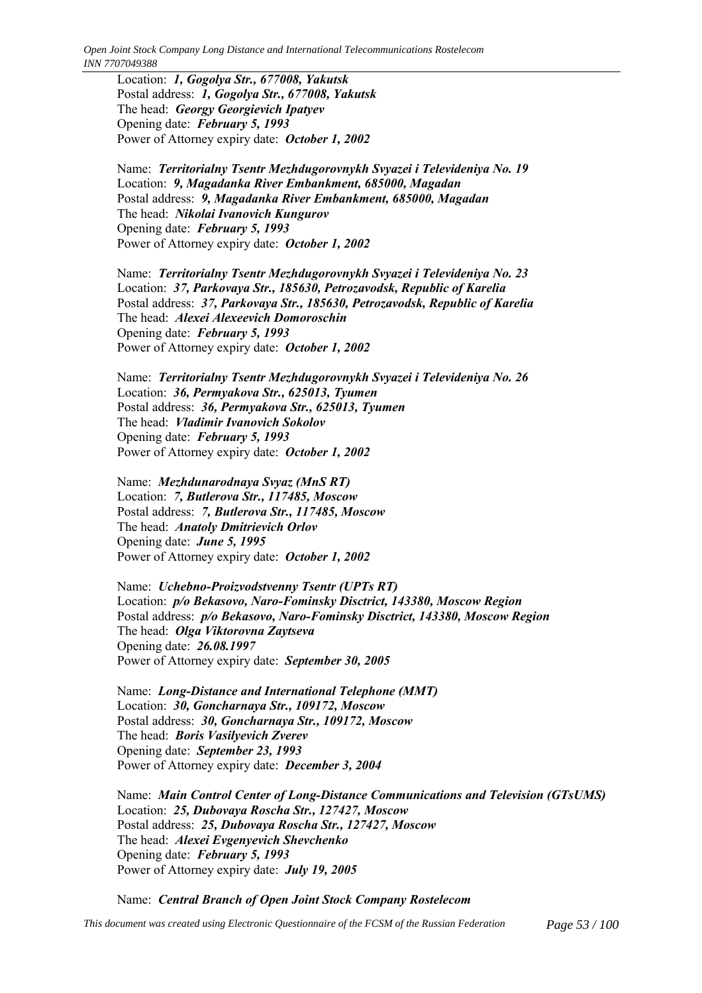Location: *1, Gogolya Str., 677008, Yakutsk* Postal address: *1, Gogolya Str., 677008, Yakutsk* The head: *Georgy Georgievich Ipatyev* Opening date: *February 5, 1993* Power of Attorney expiry date: *October 1, 2002*

Name: *Territorialny Tsentr Mezhdugorovnykh Svyazei i Televideniya No. 19* Location: *9, Magadanka River Embankment, 685000, Magadan* Postal address: *9, Magadanka River Embankment, 685000, Magadan* The head: *Nikolai Ivanovich Kungurov* Opening date: *February 5, 1993* Power of Attorney expiry date: *October 1, 2002*

Name: *Territorialny Tsentr Mezhdugorovnykh Svyazei i Televideniya No. 23* Location: *37, Parkovaya Str., 185630, Petrozavodsk, Republic of Karelia* Postal address: *37, Parkovaya Str., 185630, Petrozavodsk, Republic of Karelia* The head: *Alexei Alexeevich Domoroschin* Opening date: *February 5, 1993* Power of Attorney expiry date: *October 1, 2002*

Name: *Territorialny Tsentr Mezhdugorovnykh Svyazei i Televideniya No. 26* Location: *36, Permyakova Str., 625013, Tyumen* Postal address: *36, Permyakova Str., 625013, Tyumen* The head: *Vladimir Ivanovich Sokolov* Opening date: *February 5, 1993* Power of Attorney expiry date: *October 1, 2002*

Name: *Mezhdunarodnaya Svyaz (MnS RT)* Location: *7, Butlerova Str., 117485, Moscow* Postal address: *7, Butlerova Str., 117485, Moscow* The head: *Anatoly Dmitrievich Orlov* Opening date: *June 5, 1995* Power of Attorney expiry date: *October 1, 2002*

Name: *Uchebno-Proizvodstvenny Tsentr (UPTs RT)* Location: *p/o Bekasovo, Naro-Fominsky Disctrict, 143380, Moscow Region* Postal address: *p/o Bekasovo, Naro-Fominsky Disctrict, 143380, Moscow Region* The head: *Olga Viktorovna Zaytseva* Opening date: *26.08.1997* Power of Attorney expiry date: *September 30, 2005*

Name: *Long-Distance and International Telephone (MMT)* Location: *30, Goncharnaya Str., 109172, Moscow* Postal address: *30, Goncharnaya Str., 109172, Moscow* The head: *Boris Vasilyevich Zverev* Opening date: *September 23, 1993* Power of Attorney expiry date: *December 3, 2004*

Name: *Main Control Center of Long-Distance Communications and Television (GTsUMS)* Location: *25, Dubovaya Roscha Str., 127427, Moscow* Postal address: *25, Dubovaya Roscha Str., 127427, Moscow* The head: *Alexei Evgenyevich Shevchenko* Opening date: *February 5, 1993* Power of Attorney expiry date: *July 19, 2005*

Name: *Central Branch of Open Joint Stock Company Rostelecom*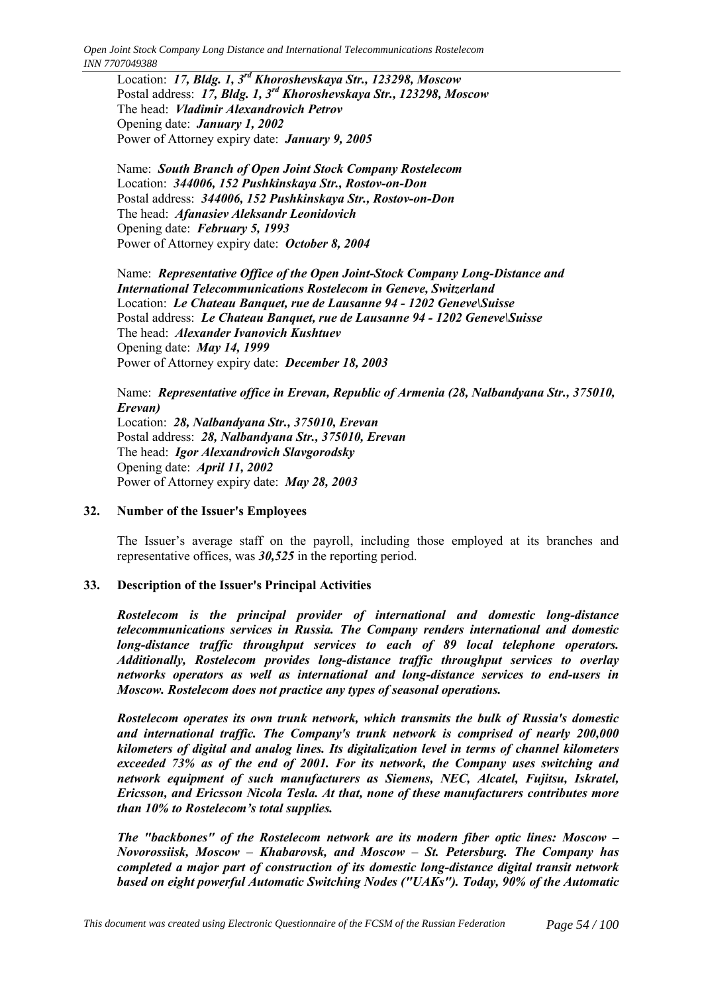Location: *17, Bldg. 1, 3rd Khoroshevskaya Str., 123298, Moscow* Postal address: *17, Bldg. 1, 3rd Khoroshevskaya Str., 123298, Moscow* The head: *Vladimir Alexandrovich Petrov* Opening date: *January 1, 2002* Power of Attorney expiry date: *January 9, 2005*

Name: *South Branch of Open Joint Stock Company Rostelecom* Location: *344006, 152 Pushkinskaya Str., Rostov-on-Don* Postal address: *344006, 152 Pushkinskaya Str., Rostov-on-Don* The head: *Afanasiev Aleksandr Leonidovich* Opening date: *February 5, 1993* Power of Attorney expiry date: *October 8, 2004*

Name: *Representative Office of the Open Joint-Stock Company Long-Distance and International Telecommunications Rostelecom in Geneve, Switzerland* Location: *Le Chateau Banquet, rue de Lausanne 94 - 1202 Geneve\Suisse* Postal address: *Le Chateau Banquet, rue de Lausanne 94 - 1202 Geneve\Suisse* The head: *Alexander Ivanovich Kushtuev* Opening date: *May 14, 1999* Power of Attorney expiry date: *December 18, 2003*

Name: *Representative office in Erevan, Republic of Armenia (28, Nalbandyana Str., 375010, Erevan)* Location: *28, Nalbandyana Str., 375010, Erevan* Postal address: *28, Nalbandyana Str., 375010, Erevan* The head: *Igor Alexandrovich Slavgorodsky* Opening date: *April 11, 2002* Power of Attorney expiry date: *May 28, 2003*

### **32. Number of the Issuer's Employees**

The Issuer's average staff on the payroll, including those employed at its branches and representative offices, was *30,525* in the reporting period.

# **33. Description of the Issuer's Principal Activities**

*Rostelecom is the principal provider of international and domestic long-distance telecommunications services in Russia. The Company renders international and domestic long-distance traffic throughput services to each of 89 local telephone operators. Additionally, Rostelecom provides long-distance traffic throughput services to overlay networks operators as well as international and long-distance services to end-users in Moscow. Rostelecom does not practice any types of seasonal operations.*

*Rostelecom operates its own trunk network, which transmits the bulk of Russia's domestic and international traffic. The Company's trunk network is comprised of nearly 200,000 kilometers of digital and analog lines. Its digitalization level in terms of channel kilometers exceeded 73% as of the end of 2001. For its network, the Company uses switching and network equipment of such manufacturers as Siemens, NEC, Alcatel, Fujitsu, Iskratel, Ericsson, and Ericsson Nicola Tesla. At that, none of these manufacturers contributes more than 10% to Rostelecom's total supplies.* 

*The "backbones" of the Rostelecom network are its modern fiber optic lines: Moscow – Novorossiisk, Moscow – Khabarovsk, and Moscow – St. Petersburg. The Company has completed a major part of construction of its domestic long-distance digital transit network based on eight powerful Automatic Switching Nodes ("UAKs"). Today, 90% of the Automatic*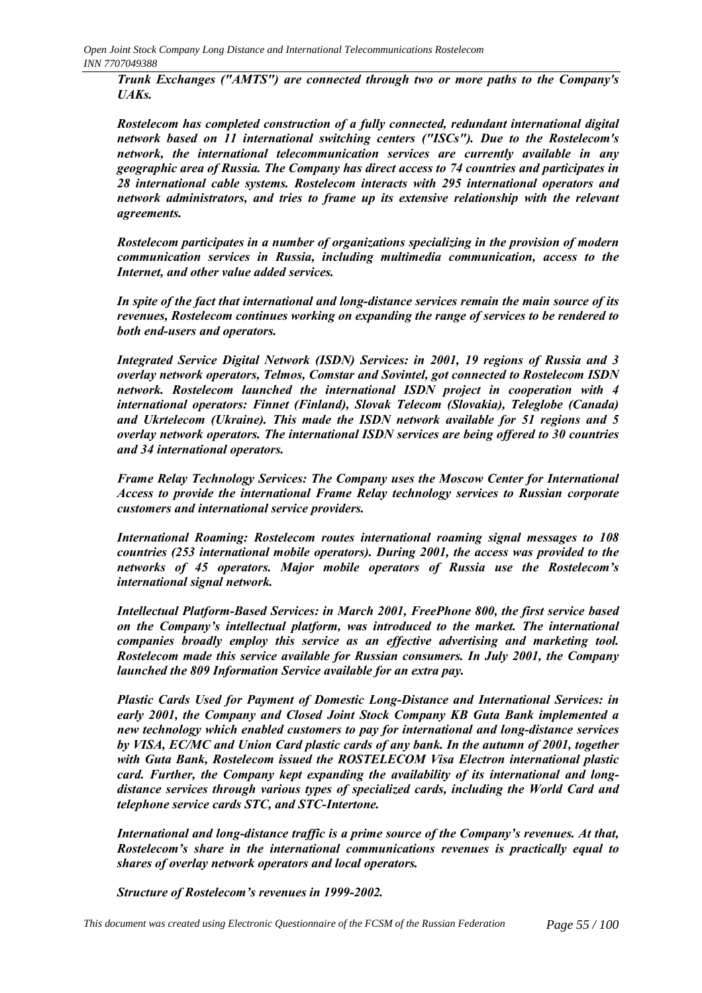*Trunk Exchanges ("AMTS") are connected through two or more paths to the Company's UAKs.*

*Rostelecom has completed construction of a fully connected, redundant international digital network based on 11 international switching centers ("ISCs"). Due to the Rostelecom's network, the international telecommunication services are currently available in any geographic area of Russia. The Company has direct access to 74 countries and participates in 28 international cable systems. Rostelecom interacts with 295 international operators and network administrators, and tries to frame up its extensive relationship with the relevant agreements.*

*Rostelecom participates in a number of organizations specializing in the provision of modern communication services in Russia, including multimedia communication, access to the Internet, and other value added services.*

*In spite of the fact that international and long-distance services remain the main source of its revenues, Rostelecom continues working on expanding the range of services to be rendered to both end-users and operators.*

*Integrated Service Digital Network (ISDN) Services: in 2001, 19 regions of Russia and 3 overlay network operators, Telmos, Comstar and Sovintel, got connected to Rostelecom ISDN network. Rostelecom launched the international ISDN project in cooperation with 4 international operators: Finnet (Finland), Slovak Telecom (Slovakia), Teleglobe (Canada) and Ukrtelecom (Ukraine). This made the ISDN network available for 51 regions and 5 overlay network operators. The international ISDN services are being offered to 30 countries and 34 international operators.*

*Frame Relay Technology Services: The Company uses the Moscow Center for International Access to provide the international Frame Relay technology services to Russian corporate customers and international service providers.*

*International Roaming: Rostelecom routes international roaming signal messages to 108 countries (253 international mobile operators). During 2001, the access was provided to the networks of 45 operators. Major mobile operators of Russia use the Rostelecomís international signal network.*

*Intellectual Platform-Based Services: in March 2001, FreePhone 800, the first service based on the Companyís intellectual platform, was introduced to the market. The international companies broadly employ this service as an effective advertising and marketing tool. Rostelecom made this service available for Russian consumers. In July 2001, the Company launched the 809 Information Service available for an extra pay.*

*Plastic Cards Used for Payment of Domestic Long-Distance and International Services: in early 2001, the Company and Closed Joint Stock Company KB Guta Bank implemented a new technology which enabled customers to pay for international and long-distance services by VISA, EC/MC and Union Card plastic cards of any bank. In the autumn of 2001, together with Guta Bank, Rostelecom issued the ROSTELECOM Visa Electron international plastic card. Further, the Company kept expanding the availability of its international and longdistance services through various types of specialized cards, including the World Card and telephone service cards STC, and STC-Intertone.*

International and long-distance traffic is a prime source of the Company's revenues. At that, *Rostelecomís share in the international communications revenues is practically equal to shares of overlay network operators and local operators.*

*Structure of Rostelecom's revenues in 1999-2002.*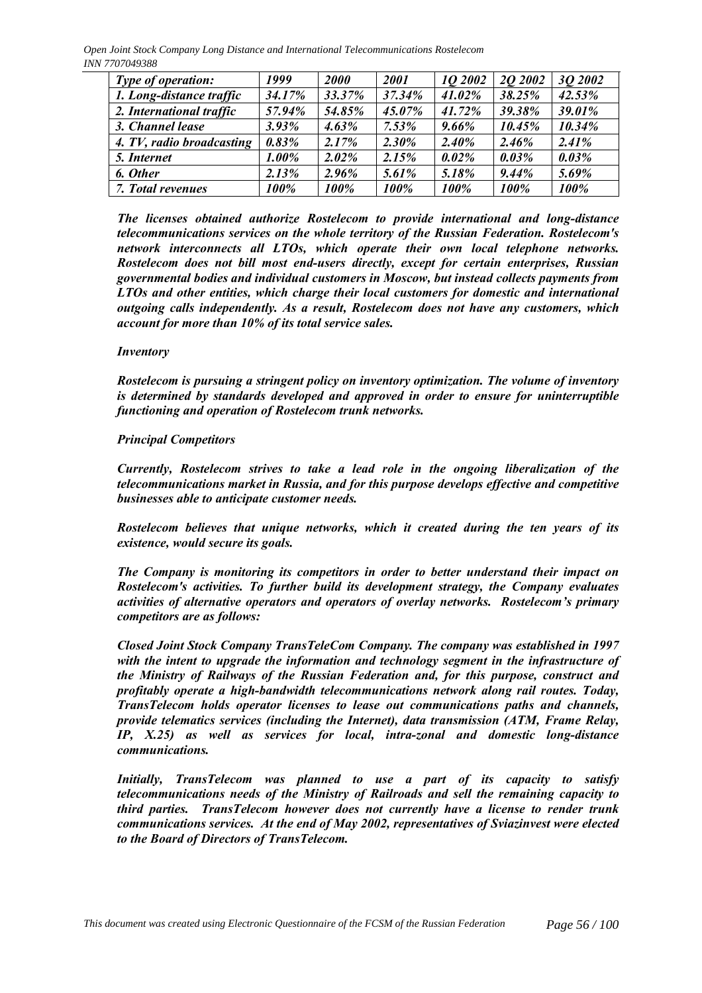| Type of operation:        | 1999     | <b>2000</b> | 2001     | 10 2002  | 20 2002  | 3Q 2002 |
|---------------------------|----------|-------------|----------|----------|----------|---------|
| 1. Long-distance traffic  | 34.17%   | 33.37%      | 37.34%   | 41.02%   | 38.25%   | 42.53%  |
| 2. International traffic  | 57.94%   | 54.85%      | 45.07%   | 41.72%   | 39.38%   | 39.01%  |
| 3. Channel lease          | $3.93\%$ | $4.63\%$    | 7.53%    | $9.66\%$ | 10.45%   | 10.34%  |
| 4. TV, radio broadcasting | 0.83%    | 2.17%       | $2.30\%$ | 2.40%    | 2.46%    | 2.41%   |
| 5. Internet               | $1.00\%$ | 2.02%       | 2.15%    | 0.02%    | $0.03\%$ | 0.03%   |
| 6. Other                  | 2.13%    | 2.96%       | 5.61%    | 5.18%    | 9.44%    | 5.69%   |
| 7. Total revenues         | 100%     | 100%        | 100%     | 100%     | 100%     | 100%    |

*The licenses obtained authorize Rostelecom to provide international and long-distance telecommunications services on the whole territory of the Russian Federation. Rostelecom's network interconnects all LTOs, which operate their own local telephone networks. Rostelecom does not bill most end-users directly, except for certain enterprises, Russian governmental bodies and individual customers in Moscow, but instead collects payments from LTOs and other entities, which charge their local customers for domestic and international outgoing calls independently. As a result, Rostelecom does not have any customers, which account for more than 10% of its total service sales.*

# *Inventory*

*Rostelecom is pursuing a stringent policy on inventory optimization. The volume of inventory is determined by standards developed and approved in order to ensure for uninterruptible functioning and operation of Rostelecom trunk networks.*

#### *Principal Competitors*

*Currently, Rostelecom strives to take a lead role in the ongoing liberalization of the telecommunications market in Russia, and for this purpose develops effective and competitive businesses able to anticipate customer needs.*

*Rostelecom believes that unique networks, which it created during the ten years of its existence, would secure its goals.*

*The Company is monitoring its competitors in order to better understand their impact on Rostelecom's activities. To further build its development strategy, the Company evaluates activities of alternative operators and operators of overlay networks. Rostelecom's primary competitors are as follows:*

*Closed Joint Stock Company TransTeleCom Company. The company was established in 1997 with the intent to upgrade the information and technology segment in the infrastructure of the Ministry of Railways of the Russian Federation and, for this purpose, construct and profitably operate a high-bandwidth telecommunications network along rail routes. Today, TransTelecom holds operator licenses to lease out communications paths and channels, provide telematics services (including the Internet), data transmission (ATM, Frame Relay, IP, X.25) as well as services for local, intra-zonal and domestic long-distance communications.*

*Initially, TransTelecom was planned to use a part of its capacity to satisfy telecommunications needs of the Ministry of Railroads and sell the remaining capacity to third parties. TransTelecom however does not currently have a license to render trunk communications services. At the end of May 2002, representatives of Sviazinvest were elected to the Board of Directors of TransTelecom.*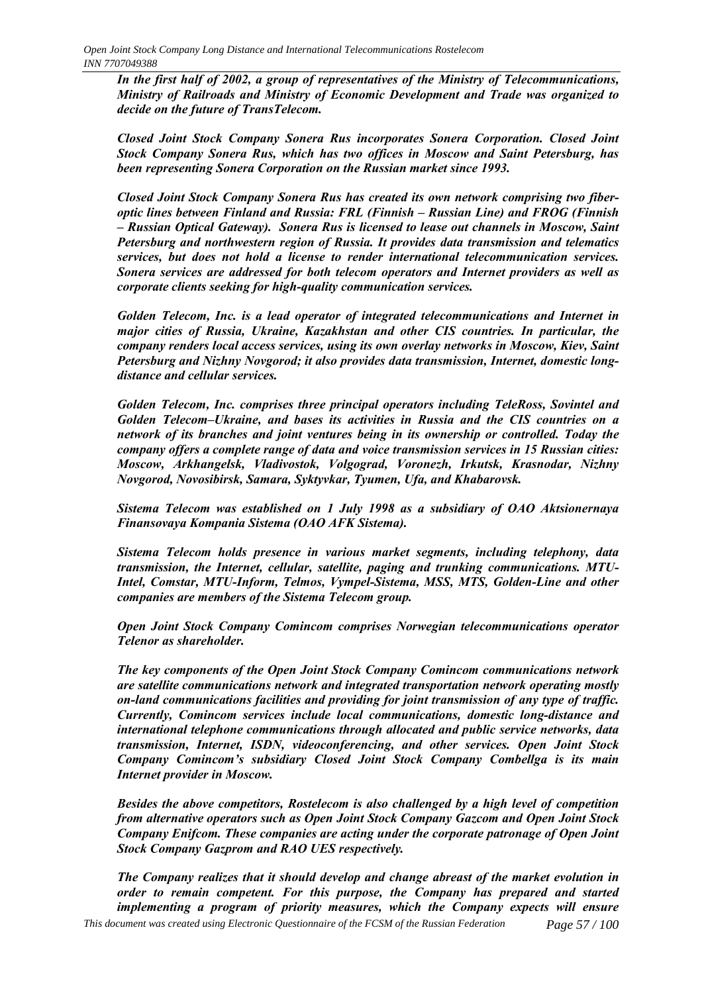*In the first half of 2002, a group of representatives of the Ministry of Telecommunications, Ministry of Railroads and Ministry of Economic Development and Trade was organized to decide on the future of TransTelecom.*

*Closed Joint Stock Company Sonera Rus incorporates Sonera Corporation. Closed Joint Stock Company Sonera Rus, which has two offices in Moscow and Saint Petersburg, has been representing Sonera Corporation on the Russian market since 1993.*

*Closed Joint Stock Company Sonera Rus has created its own network comprising two fiberoptic lines between Finland and Russia: FRL (Finnish – Russian Line) and FROG (Finnish ñ Russian Optical Gateway). Sonera Rus is licensed to lease out channels in Moscow, Saint Petersburg and northwestern region of Russia. It provides data transmission and telematics services, but does not hold a license to render international telecommunication services. Sonera services are addressed for both telecom operators and Internet providers as well as corporate clients seeking for high-quality communication services.*

*Golden Telecom, Inc. is a lead operator of integrated telecommunications and Internet in major cities of Russia, Ukraine, Kazakhstan and other CIS countries. In particular, the company renders local access services, using its own overlay networks in Moscow, Kiev, Saint Petersburg and Nizhny Novgorod; it also provides data transmission, Internet, domestic longdistance and cellular services.*

*Golden Telecom, Inc. comprises three principal operators including TeleRoss, Sovintel and Golden Telecom–Ukraine, and bases its activities in Russia and the CIS countries on a network of its branches and joint ventures being in its ownership or controlled. Today the company offers a complete range of data and voice transmission services in 15 Russian cities: Moscow, Arkhangelsk, Vladivostok, Volgograd, Voronezh, Irkutsk, Krasnodar, Nizhny Novgorod, Novosibirsk, Samara, Syktyvkar, Tyumen, Ufa, and Khabarovsk.*

*Sistema Telecom was established on 1 July 1998 as a subsidiary of ОАО Aktsionernaya Finansovaya Kompania Sistema (ОАО AFK Sistema).*

*Sistema Telecom holds presence in various market segments, including telephony, data transmission, the Internet, cellular, satellite, paging and trunking communications. MTU-Intel, Comstar, MTU-Inform, Telmos, Vympel-Sistema, MSS, MTS, Golden-Line and other companies are members of the Sistema Telecom group.*

*Open Joint Stock Company Comincom comprises Norwegian telecommunications operator Telenor as shareholder.*

*The key components of the Open Joint Stock Company Comincom communications network are satellite communications network and integrated transportation network operating mostly on-land communications facilities and providing for joint transmission of any type of traffic. Currently, Comincom services include local communications, domestic long-distance and international telephone communications through allocated and public service networks, data transmission, Internet, ISDN, videoconferencing, and other services. Open Joint Stock Company Comincomís subsidiary Closed Joint Stock Company Combellga is its main Internet provider in Moscow.*

*Besides the above competitors, Rostelecom is also challenged by a high level of competition from alternative operators such as Open Joint Stock Company Gazcom and Open Joint Stock Company Enifcom. These companies are acting under the corporate patronage of Open Joint Stock Company Gazprom and RAO UES respectively.*

*This document was created using Electronic Questionnaire of the FCSM of the Russian Federation Page 57 / 100 The Company realizes that it should develop and change abreast of the market evolution in order to remain competent. For this purpose, the Company has prepared and started implementing a program of priority measures, which the Company expects will ensure*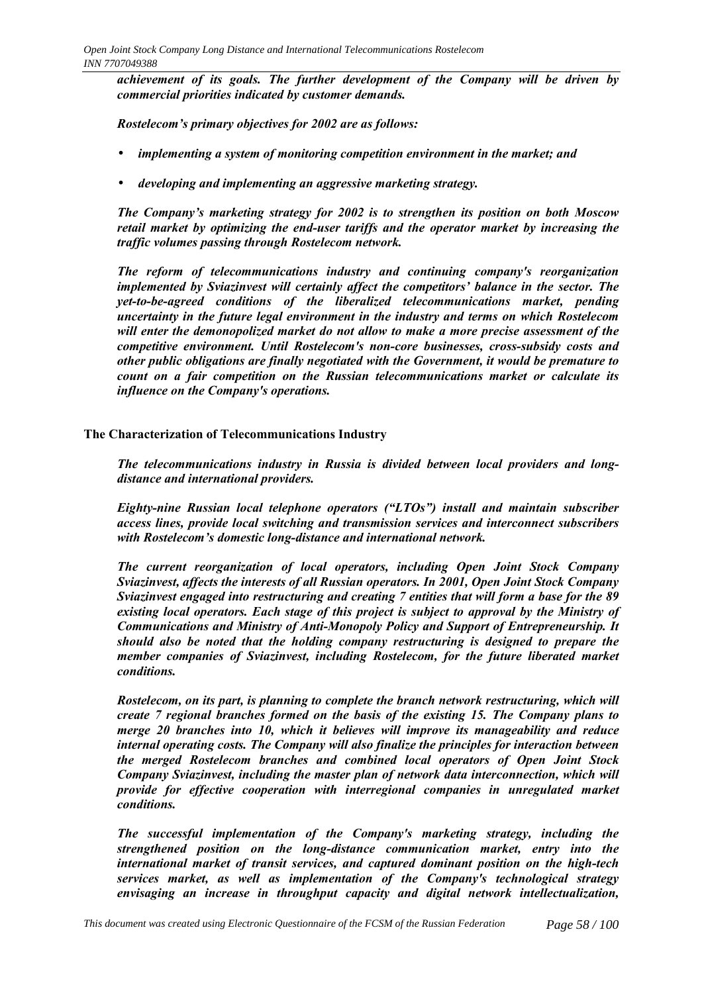*achievement of its goals. The further development of the Company will be driven by commercial priorities indicated by customer demands.*

*Rostelecomís primary objectives for 2002 are as follows:*

- *implementing a system of monitoring competition environment in the market; and*
- *developing and implementing an aggressive marketing strategy.*

*The Companyís marketing strategy for 2002 is to strengthen its position on both Moscow retail market by optimizing the end-user tariffs and the operator market by increasing the traffic volumes passing through Rostelecom network.*

*The reform of telecommunications industry and continuing company's reorganization implemented by Sviazinvest will certainly affect the competitors' balance in the sector. The yet-to-be-agreed conditions of the liberalized telecommunications market, pending uncertainty in the future legal environment in the industry and terms on which Rostelecom will enter the demonopolized market do not allow to make a more precise assessment of the competitive environment. Until Rostelecom's non-core businesses, cross-subsidy costs and other public obligations are finally negotiated with the Government, it would be premature to count on a fair competition on the Russian telecommunications market or calculate its influence on the Company's operations.*

# **The Characterization of Telecommunications Industry**

*The telecommunications industry in Russia is divided between local providers and longdistance and international providers.*

*Eighty-nine Russian local telephone operators ("LTOs") install and maintain subscriber access lines, provide local switching and transmission services and interconnect subscribers* with Rostelecom's domestic long-distance and international network.

*The current reorganization of local operators, including Open Joint Stock Company Sviazinvest, affects the interests of all Russian operators. In 2001, Open Joint Stock Company Sviazinvest engaged into restructuring and creating 7 entities that will form a base for the 89 existing local operators. Each stage of this project is subject to approval by the Ministry of Communications and Ministry of Anti-Monopoly Policy and Support of Entrepreneurship. It should also be noted that the holding company restructuring is designed to prepare the member companies of Sviazinvest, including Rostelecom, for the future liberated market conditions.*

*Rostelecom, on its part, is planning to complete the branch network restructuring, which will create 7 regional branches formed on the basis of the existing 15. The Company plans to merge 20 branches into 10, which it believes will improve its manageability and reduce internal operating costs. The Company will also finalize the principles for interaction between the merged Rostelecom branches and combined local operators of Open Joint Stock Company Sviazinvest, including the master plan of network data interconnection, which will provide for effective cooperation with interregional companies in unregulated market conditions.*

*The successful implementation of the Company's marketing strategy, including the strengthened position on the long-distance communication market, entry into the international market of transit services, and captured dominant position on the high-tech services market, as well as implementation of the Company's technological strategy envisaging an increase in throughput capacity and digital network intellectualization,*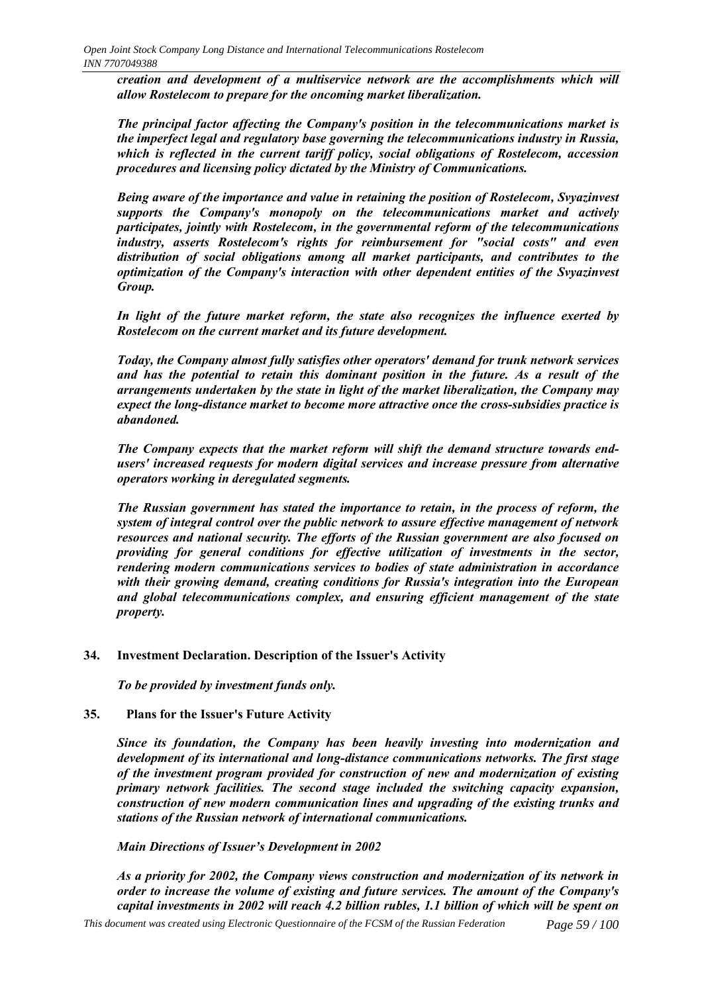*creation and development of a multiservice network are the accomplishments which will allow Rostelecom to prepare for the oncoming market liberalization.*

*The principal factor affecting the Company's position in the telecommunications market is the imperfect legal and regulatory base governing the telecommunications industry in Russia, which is reflected in the current tariff policy, social obligations of Rostelecom, accession procedures and licensing policy dictated by the Ministry of Communications.*

*Being aware of the importance and value in retaining the position of Rostelecom, Svyazinvest supports the Company's monopoly on the telecommunications market and actively participates, jointly with Rostelecom, in the governmental reform of the telecommunications industry, asserts Rostelecom's rights for reimbursement for "social costs" and even distribution of social obligations among all market participants, and contributes to the optimization of the Company's interaction with other dependent entities of the Svyazinvest Group.*

*In light of the future market reform, the state also recognizes the influence exerted by Rostelecom on the current market and its future development.*

*Today, the Company almost fully satisfies other operators' demand for trunk network services and has the potential to retain this dominant position in the future. As a result of the arrangements undertaken by the state in light of the market liberalization, the Company may expect the long-distance market to become more attractive once the cross-subsidies practice is abandoned.*

*The Company expects that the market reform will shift the demand structure towards endusers' increased requests for modern digital services and increase pressure from alternative operators working in deregulated segments.*

*The Russian government has stated the importance to retain, in the process of reform, the system of integral control over the public network to assure effective management of network resources and national security. The efforts of the Russian government are also focused on providing for general conditions for effective utilization of investments in the sector, rendering modern communications services to bodies of state administration in accordance with their growing demand, creating conditions for Russia's integration into the European and global telecommunications complex, and ensuring efficient management of the state property.*

# **34. Investment Declaration. Description of the Issuer's Activity**

*To be provided by investment funds only.*

# **35. Plans for the Issuer's Future Activity**

*Since its foundation, the Company has been heavily investing into modernization and development of its international and long-distance communications networks. The first stage of the investment program provided for construction of new and modernization of existing primary network facilities. The second stage included the switching capacity expansion, construction of new modern communication lines and upgrading of the existing trunks and stations of the Russian network of international communications.*

*Main Directions of Issuer's Development in 2002* 

*As a priority for 2002, the Company views construction and modernization of its network in order to increase the volume of existing and future services. The amount of the Company's capital investments in 2002 will reach 4.2 billion rubles, 1.1 billion of which will be spent on*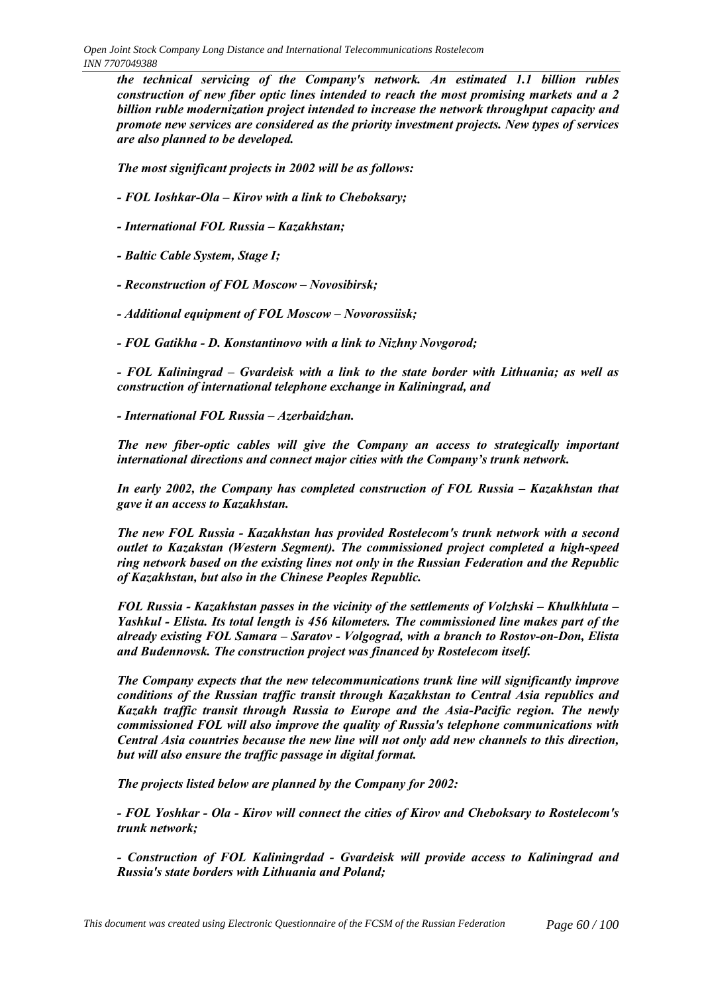*the technical servicing of the Company's network. An estimated 1.1 billion rubles construction of new fiber optic lines intended to reach the most promising markets and a 2 billion ruble modernization project intended to increase the network throughput capacity and promote new services are considered as the priority investment projects. New types of services are also planned to be developed.*

*The most significant projects in 2002 will be as follows:*

- *FOL Ioshkar-Ola Kirov with a link to Cheboksary;*
- *International FOL Russia Kazakhstan;*
- *Baltic Cable System, Stage I;*
- Reconstruction of FOL Moscow Novosibirsk;
- *Additional equipment of FOL Moscow Novorossiisk;*
- *FOL Gatikha D. Konstantinovo with a link to Nizhny Novgorod;*

*- FOL Kaliningrad – Gvardeisk with a link to the state border with Lithuania; as well as construction of international telephone exchange in Kaliningrad, and*

*- International FOL Russia – Azerbaidzhan.* 

*The new fiber-optic cables will give the Company an access to strategically important international directions and connect major cities with the Company's trunk network.* 

*In early 2002, the Company has completed construction of FOL Russia – Kazakhstan that gave it an access to Kazakhstan.*

*The new FOL Russia - Kazakhstan has provided Rostelecom's trunk network with a second outlet to Kazakstan (Western Segment). The commissioned project completed a high-speed ring network based on the existing lines not only in the Russian Federation and the Republic of Kazakhstan, but also in the Chinese Peoples Republic.*

*FOL Russia - Kazakhstan passes in the vicinity of the settlements of Volzhski – Khulkhluta – Yashkul - Elista. Its total length is 456 kilometers. The commissioned line makes part of the already existing FOL Samara – Saratov - Volgograd, with a branch to Rostov-on-Don, Elista and Budennovsk. The construction project was financed by Rostelecom itself.*

*The Company expects that the new telecommunications trunk line will significantly improve conditions of the Russian traffic transit through Kazakhstan to Central Asia republics and Kazakh traffic transit through Russia to Europe and the Asia-Pacific region. The newly commissioned FOL will also improve the quality of Russia's telephone communications with Central Asia countries because the new line will not only add new channels to this direction, but will also ensure the traffic passage in digital format.*

*The projects listed below are planned by the Company for 2002:*

*- FOL Yoshkar - Ola - Kirov will connect the cities of Kirov and Cheboksary to Rostelecom's trunk network;*

*- Construction of FOL Kaliningrdad - Gvardeisk will provide access to Kaliningrad and Russia's state borders with Lithuania and Poland;*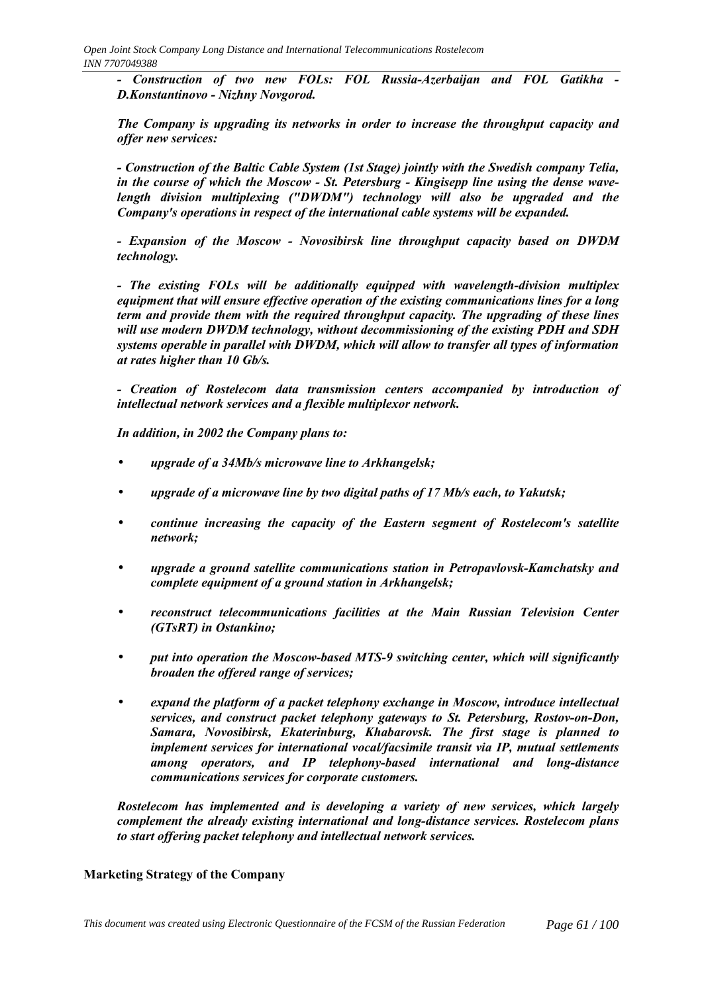*- Construction of two new FOLs: FOL Russia-Azerbaijan and FOL Gatikha - D.Konstantinovo - Nizhny Novgorod.*

*The Company is upgrading its networks in order to increase the throughput capacity and offer new services:*

*- Construction of the Baltic Cable System (1st Stage) jointly with the Swedish company Telia, in the course of which the Moscow - St. Petersburg - Kingisepp line using the dense wavelength division multiplexing ("DWDM") technology will also be upgraded and the Company's operations in respect of the international cable systems will be expanded.*

*- Expansion of the Moscow - Novosibirsk line throughput capacity based on DWDM technology.*

*- The existing FOLs will be additionally equipped with wavelength-division multiplex equipment that will ensure effective operation of the existing communications lines for a long term and provide them with the required throughput capacity. The upgrading of these lines will use modern DWDM technology, without decommissioning of the existing PDH and SDH systems operable in parallel with DWDM, which will allow to transfer all types of information at rates higher than 10 Gb/s.*

*- Creation of Rostelecom data transmission centers accompanied by introduction of intellectual network services and a flexible multiplexor network.*

*In addition, in 2002 the Company plans to:*

- *upgrade of a 34Mb/s microwave line to Arkhangelsk;*
- *upgrade of a microwave line by two digital paths of 17 Mb/s each, to Yakutsk;*
- *continue increasing the capacity of the Eastern segment of Rostelecom's satellite network;*
- *upgrade a ground satellite communications station in Petropavlovsk-Kamchatsky and complete equipment of a ground station in Arkhangelsk;*
- *reconstruct telecommunications facilities at the Main Russian Television Center (GTsRT) in Ostankino;*
- *put into operation the Moscow-based MTS-9 switching center, which will significantly broaden the offered range of services;*
- *expand the platform of a packet telephony exchange in Moscow, introduce intellectual services, and construct packet telephony gateways to St. Petersburg, Rostov-on-Don, Samara, Novosibirsk, Ekaterinburg, Khabarovsk. The first stage is planned to implement services for international vocal/facsimile transit via IP, mutual settlements among operators, and IP telephony-based international and long-distance communications services for corporate customers.*

*Rostelecom has implemented and is developing a variety of new services, which largely complement the already existing international and long-distance services. Rostelecom plans to start offering packet telephony and intellectual network services.*

# **Marketing Strategy of the Company**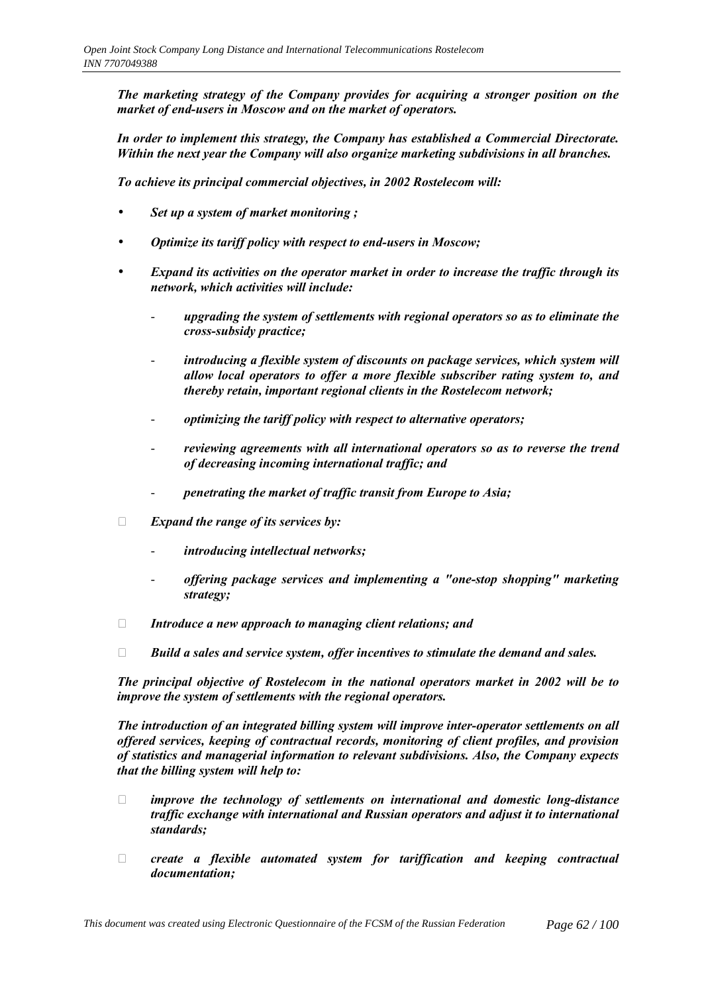*The marketing strategy of the Company provides for acquiring a stronger position on the market of end-users in Moscow and on the market of operators.*

*In order to implement this strategy, the Company has established a Commercial Directorate. Within the next year the Company will also organize marketing subdivisions in all branches.*

*To achieve its principal commercial objectives, in 2002 Rostelecom will:*

- *Set up a system of market monitoring ;*
- *Optimize its tariff policy with respect to end-users in Moscow;*
- *Expand its activities on the operator market in order to increase the traffic through its network, which activities will include:*
	- *upgrading the system of settlements with regional operators so as to eliminate the cross-subsidy practice;*
	- introducing a flexible system of discounts on package services, which system will *allow local operators to offer a more flexible subscriber rating system to, and thereby retain, important regional clients in the Rostelecom network;*
	- *optimizing the tariff policy with respect to alternative operators;*
	- reviewing agreements with all international operators so as to reverse the trend *of decreasing incoming international traffic; and*
	- *penetrating the market of traffic transit from Europe to Asia;*

*Expand the range of its services by:*

- *introducing intellectual networks;*
- *offering package services and implementing a "one-stop shopping" marketing strategy;*

*Introduce a new approach to managing client relations; and*

*Build a sales and service system, offer incentives to stimulate the demand and sales.*

*The principal objective of Rostelecom in the national operators market in 2002 will be to improve the system of settlements with the regional operators.*

*The introduction of an integrated billing system will improve inter-operator settlements on all offered services, keeping of contractual records, monitoring of client profiles, and provision of statistics and managerial information to relevant subdivisions. Also, the Company expects that the billing system will help to:*

 *improve the technology of settlements on international and domestic long-distance traffic exchange with international and Russian operators and adjust it to international standards;*

 *create a flexible automated system for tariffication and keeping contractual documentation;*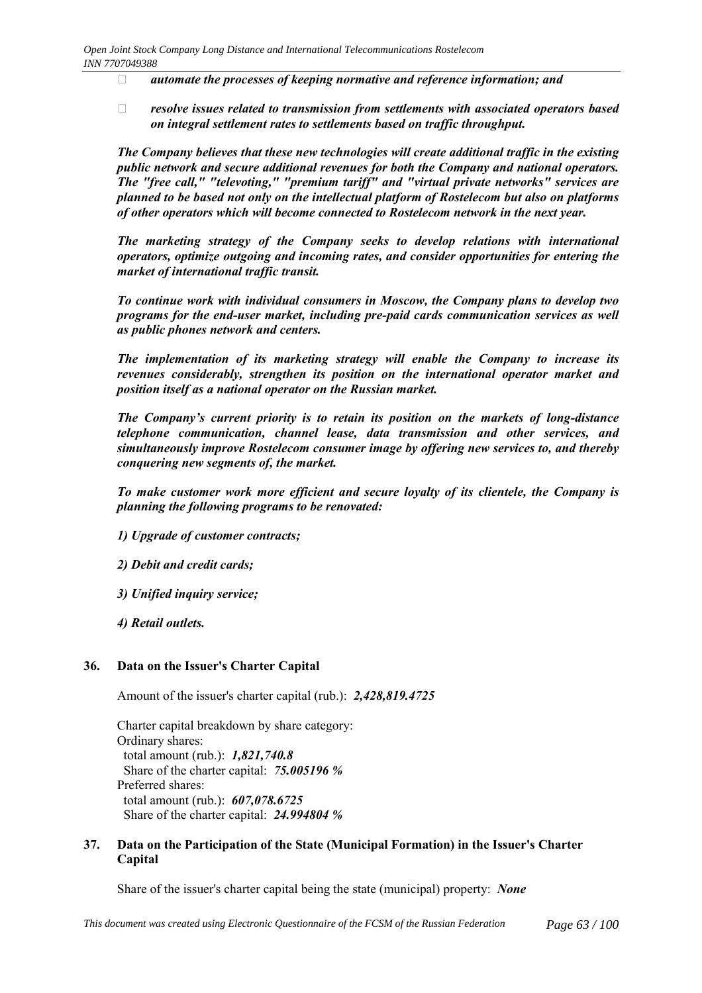*automate the processes of keeping normative and reference information; and*

 *resolve issues related to transmission from settlements with associated operators based on integral settlement rates to settlements based on traffic throughput.*

*The Company believes that these new technologies will create additional traffic in the existing public network and secure additional revenues for both the Company and national operators. The "free call," "televoting," "premium tariff" and "virtual private networks" services are planned to be based not only on the intellectual platform of Rostelecom but also on platforms of other operators which will become connected to Rostelecom network in the next year.*

*The marketing strategy of the Company seeks to develop relations with international operators, optimize outgoing and incoming rates, and consider opportunities for entering the market of international traffic transit.*

*To continue work with individual consumers in Moscow, the Company plans to develop two programs for the end-user market, including pre-paid cards communication services as well as public phones network and centers.*

*The implementation of its marketing strategy will enable the Company to increase its revenues considerably, strengthen its position on the international operator market and position itself as a national operator on the Russian market.*

*The Companyís current priority is to retain its position on the markets of long-distance telephone communication, channel lease, data transmission and other services, and simultaneously improve Rostelecom consumer image by offering new services to, and thereby conquering new segments of, the market.*

*To make customer work more efficient and secure loyalty of its clientele, the Company is planning the following programs to be renovated:*

*1) Upgrade of customer contracts;*

*2) Debit and credit cards;*

*3) Unified inquiry service;*

*4) Retail outlets.*

#### **36. Data on the Issuer's Charter Capital**

Amount of the issuer's charter capital (rub.): *2,428,819.4725*

Charter capital breakdown by share category: Ordinary shares: total amount (rub.): *1,821,740.8* Share of the charter capital: *75.005196 %* Preferred shares: total amount (rub.): *607,078.6725* Share of the charter capital: *24.994804 %*

#### **37. Data on the Participation of the State (Municipal Formation) in the Issuer's Charter Capital**

Share of the issuer's charter capital being the state (municipal) property: *None*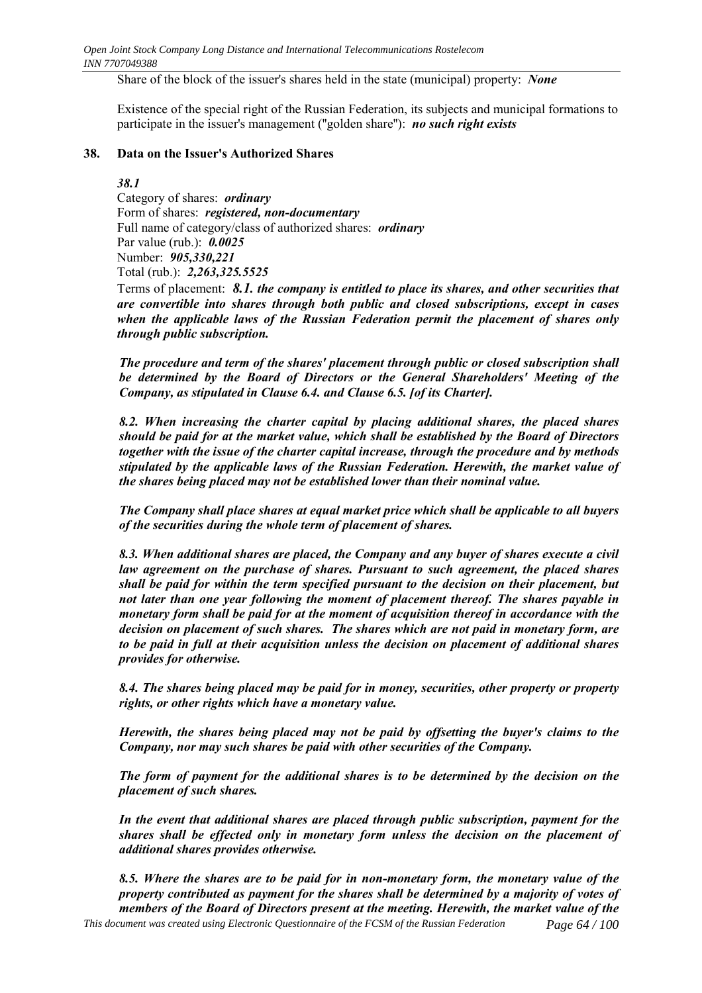Share of the block of the issuer's shares held in the state (municipal) property: *None*

Existence of the special right of the Russian Federation, its subjects and municipal formations to participate in the issuer's management (''golden share''): *no such right exists*

### **38. Data on the Issuer's Authorized Shares**

### *38.1*

Category of shares: *ordinary* Form of shares: *registered, non-documentary* Full name of category/class of authorized shares: *ordinary* Par value (rub.): *0.0025* Number: *905,330,221* Total (rub.): *2,263,325.5525*

Terms of placement: *8.1. the company is entitled to place its shares, and other securities that are convertible into shares through both public and closed subscriptions, except in cases when the applicable laws of the Russian Federation permit the placement of shares only through public subscription.*

*The procedure and term of the shares' placement through public or closed subscription shall be determined by the Board of Directors or the General Shareholders' Meeting of the Company, as stipulated in Clause 6.4. and Clause 6.5. [of its Charter].*

*8.2. When increasing the charter capital by placing additional shares, the placed shares should be paid for at the market value, which shall be established by the Board of Directors together with the issue of the charter capital increase, through the procedure and by methods stipulated by the applicable laws of the Russian Federation. Herewith, the market value of the shares being placed may not be established lower than their nominal value.*

*The Company shall place shares at equal market price which shall be applicable to all buyers of the securities during the whole term of placement of shares.*

*8.3. When additional shares are placed, the Company and any buyer of shares execute a civil law agreement on the purchase of shares. Pursuant to such agreement, the placed shares shall be paid for within the term specified pursuant to the decision on their placement, but not later than one year following the moment of placement thereof. The shares payable in monetary form shall be paid for at the moment of acquisition thereof in accordance with the decision on placement of such shares. The shares which are not paid in monetary form, are to be paid in full at their acquisition unless the decision on placement of additional shares provides for otherwise.*

*8.4. The shares being placed may be paid for in money, securities, other property or property rights, or other rights which have a monetary value.*

*Herewith, the shares being placed may not be paid by offsetting the buyer's claims to the Company, nor may such shares be paid with other securities of the Company.*

*The form of payment for the additional shares is to be determined by the decision on the placement of such shares.*

*In the event that additional shares are placed through public subscription, payment for the shares shall be effected only in monetary form unless the decision on the placement of additional shares provides otherwise.*

*This document was created using Electronic Questionnaire of the FCSM of the Russian Federation Page 64 / 100 8.5. Where the shares are to be paid for in non-monetary form, the monetary value of the property contributed as payment for the shares shall be determined by a majority of votes of members of the Board of Directors present at the meeting. Herewith, the market value of the*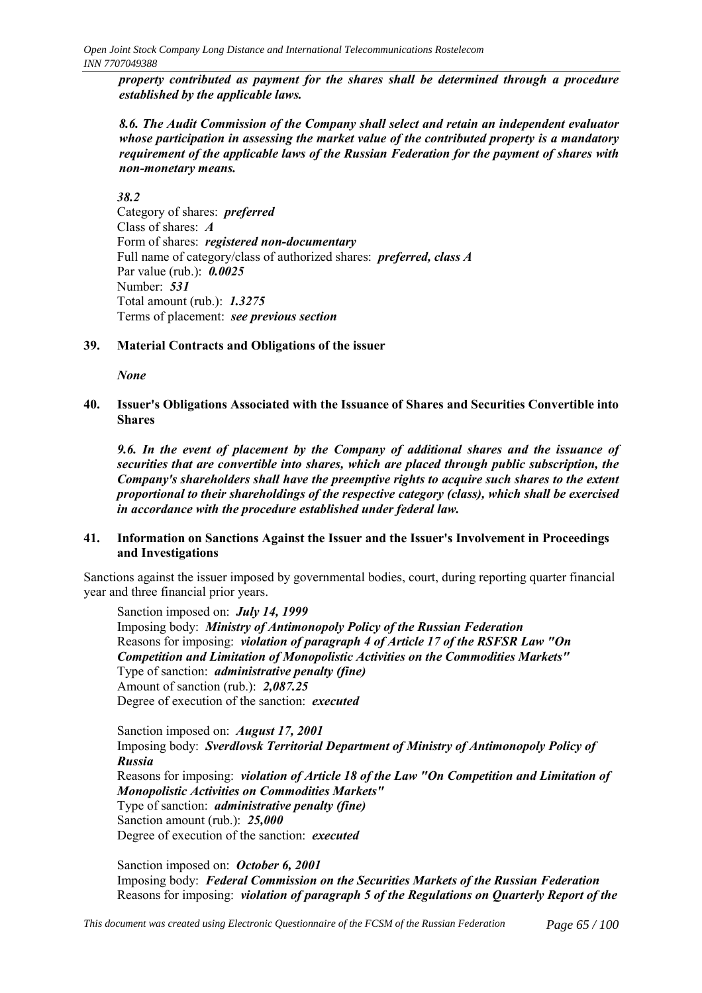*property contributed as payment for the shares shall be determined through a procedure established by the applicable laws.*

*8.6. The Audit Commission of the Company shall select and retain an independent evaluator whose participation in assessing the market value of the contributed property is a mandatory requirement of the applicable laws of the Russian Federation for the payment of shares with non-monetary means.*

# *38.2*

Category of shares: *preferred* Class of shares: *А* Form of shares: *registered non-documentary* Full name of category/class of authorized shares: *preferred, class А* Par value (rub.): *0.0025* Number: *531* Total amount (rub.): *1.3275* Terms of placement: *see previous section*

# **39. Material Contracts and Obligations of the issuer**

*None*

**40. Issuer's Obligations Associated with the Issuance of Shares and Securities Convertible into Shares**

*9.6. In the event of placement by the Company of additional shares and the issuance of securities that are convertible into shares, which are placed through public subscription, the Company's shareholders shall have the preemptive rights to acquire such shares to the extent proportional to their shareholdings of the respective category (class), which shall be exercised in accordance with the procedure established under federal law.*

# **41. Information on Sanctions Against the Issuer and the Issuer's Involvement in Proceedings and Investigations**

Sanctions against the issuer imposed by governmental bodies, court, during reporting quarter financial year and three financial prior years.

Sanction imposed on: *July 14, 1999* Imposing body: *Ministry of Antimonopoly Policy of the Russian Federation* Reasons for imposing: *violation of paragraph 4 of Article 17 of the RSFSR Law "On Competition and Limitation of Monopolistic Activities on the Commodities Markets"* Type of sanction: *administrative penalty (fine)* Amount of sanction (rub.): *2,087.25* Degree of execution of the sanction: *executed*

Sanction imposed on: *August 17, 2001* Imposing body: *Sverdlovsk Territorial Department of Ministry of Antimonopoly Policy of Russia* Reasons for imposing: *violation of Article 18 of the Law "On Competition and Limitation of Monopolistic Activities on Commodities Markets"* Type of sanction: *administrative penalty (fine)* Sanction amount (rub.): *25,000* Degree of execution of the sanction: *executed*

Sanction imposed on: *October 6, 2001* Imposing body: *Federal Commission on the Securities Markets of the Russian Federation* Reasons for imposing: *violation of paragraph 5 of the Regulations on Quarterly Report of the*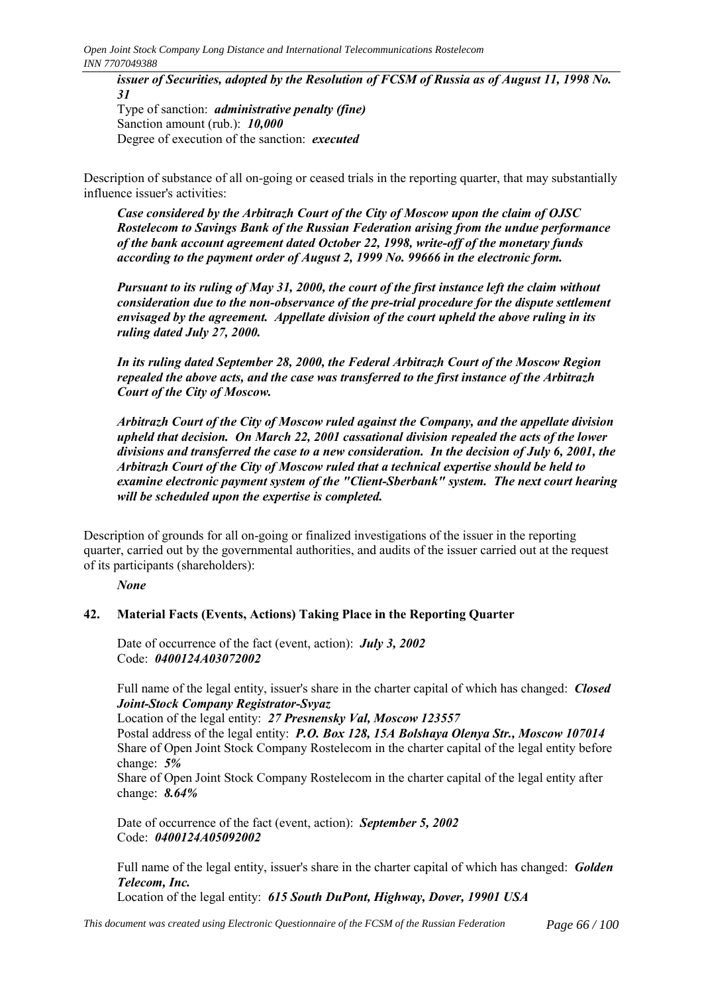*issuer of Securities, adopted by the Resolution of FCSM of Russia as of August 11, 1998 No. 31* Type of sanction: *administrative penalty (fine)* Sanction amount (rub.): *10,000* Degree of execution of the sanction: *executed*

Description of substance of all on-going or ceased trials in the reporting quarter, that may substantially influence issuer's activities:

*Case considered by the Arbitrazh Court of the City of Moscow upon the claim of OJSC Rostelecom to Savings Bank of the Russian Federation arising from the undue performance of the bank account agreement dated October 22, 1998, write-off of the monetary funds according to the payment order of August 2, 1999 No. 99666 in the electronic form.*

*Pursuant to its ruling of May 31, 2000, the court of the first instance left the claim without consideration due to the non-observance of the pre-trial procedure for the dispute settlement envisaged by the agreement. Appellate division of the court upheld the above ruling in its ruling dated July 27, 2000.*

*In its ruling dated September 28, 2000, the Federal Arbitrazh Court of the Moscow Region repealed the above acts, and the case was transferred to the first instance of the Arbitrazh Court of the City of Moscow.*

*Arbitrazh Court of the City of Moscow ruled against the Company, and the appellate division upheld that decision. On March 22, 2001 cassational division repealed the acts of the lower divisions and transferred the case to a new consideration. In the decision of July 6, 2001, the Arbitrazh Court of the City of Moscow ruled that a technical expertise should be held to examine electronic payment system of the "Client-Sberbank" system. The next court hearing will be scheduled upon the expertise is completed.*

Description of grounds for all on-going or finalized investigations of the issuer in the reporting quarter, carried out by the governmental authorities, and audits of the issuer carried out at the request of its participants (shareholders):

*None*

# **42. Material Facts (Events, Actions) Taking Place in the Reporting Quarter**

Date of occurrence of the fact (event, action): *July 3, 2002* Code: *0400124A03072002*

Full name of the legal entity, issuer's share in the charter capital of which has changed: *Closed Joint-Stock Company Registrator-Svyaz*

Location of the legal entity: *27 Presnensky Val, Moscow 123557*

Postal address of the legal entity: *P.O. Box 128, 15A Bolshaya Olenya Str., Moscow 107014* Share of Open Joint Stock Company Rostelecom in the charter capital of the legal entity before change: *5%*

Share of Open Joint Stock Company Rostelecom in the charter capital of the legal entity after change: *8.64%*

Date of occurrence of the fact (event, action): *September 5, 2002* Code: *0400124A05092002*

Full name of the legal entity, issuer's share in the charter capital of which has changed: *Golden Telecom, Inc.*

Location of the legal entity: *615 South DuPont, Highway, Dover, 19901 USA*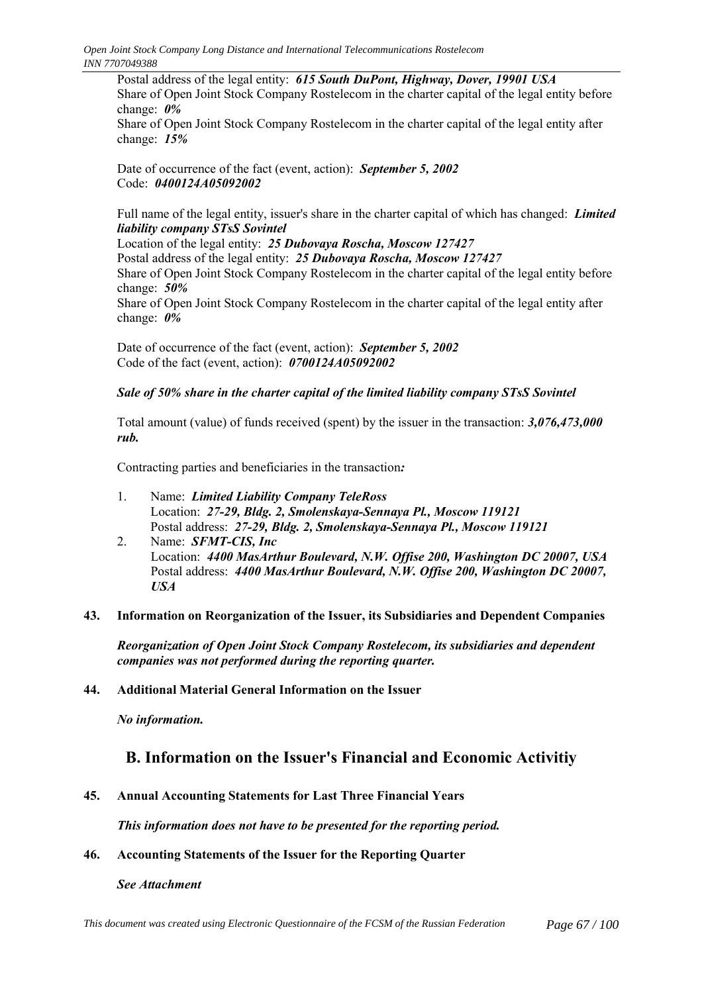Postal address of the legal entity: *615 South DuPont, Highway, Dover, 19901 USA* Share of Open Joint Stock Company Rostelecom in the charter capital of the legal entity before change: *0%*

Share of Open Joint Stock Company Rostelecom in the charter capital of the legal entity after change: *15%*

Date of occurrence of the fact (event, action): *September 5, 2002* Code: *0400124A05092002*

Full name of the legal entity, issuer's share in the charter capital of which has changed: *Limited liability company STsS Sovintel*

Location of the legal entity: *25 Dubovaya Roscha, Moscow 127427* Postal address of the legal entity: *25 Dubovaya Roscha, Moscow 127427* Share of Open Joint Stock Company Rostelecom in the charter capital of the legal entity before change: *50%* Share of Open Joint Stock Company Rostelecom in the charter capital of the legal entity after change: *0%*

Date of occurrence of the fact (event, action): *September 5, 2002* Code of the fact (event, action): *0700124A05092002*

# *Sale of 50% share in the charter capital of the limited liability company STsS Sovintel*

Total amount (value) of funds received (spent) by the issuer in the transaction: *3,076,473,000 rub.*

Contracting parties and beneficiaries in the transaction*:*

- 1. Name: *Limited Liability Company TeleRoss* Location: *27-29, Bldg. 2, Smolenskaya-Sennaya Pl., Moscow 119121* Postal address: *27-29, Bldg. 2, Smolenskaya-Sennaya Pl., Moscow 119121*
- 2. Name: *SFMT-CIS, Inc* Location: *4400 MasArthur Boulevard, N.W. Offise 200, Washington DC 20007, USA* Postal address: *4400 MasArthur Boulevard, N.W. Offise 200, Washington DC 20007, USA*

# **43. Information on Reorganization of the Issuer, its Subsidiaries and Dependent Companies**

*Reorganization of Open Joint Stock Company Rostelecom, its subsidiaries and dependent companies was not performed during the reporting quarter.*

# **44. Additional Material General Information on the Issuer**

*No information.*

# **B. Information on the Issuer's Financial and Economic Activitiy**

**45. Annual Accounting Statements for Last Three Financial Years**

*This information does not have to be presented for the reporting period.*

# **46. Accounting Statements of the Issuer for the Reporting Quarter**

*See Attachment*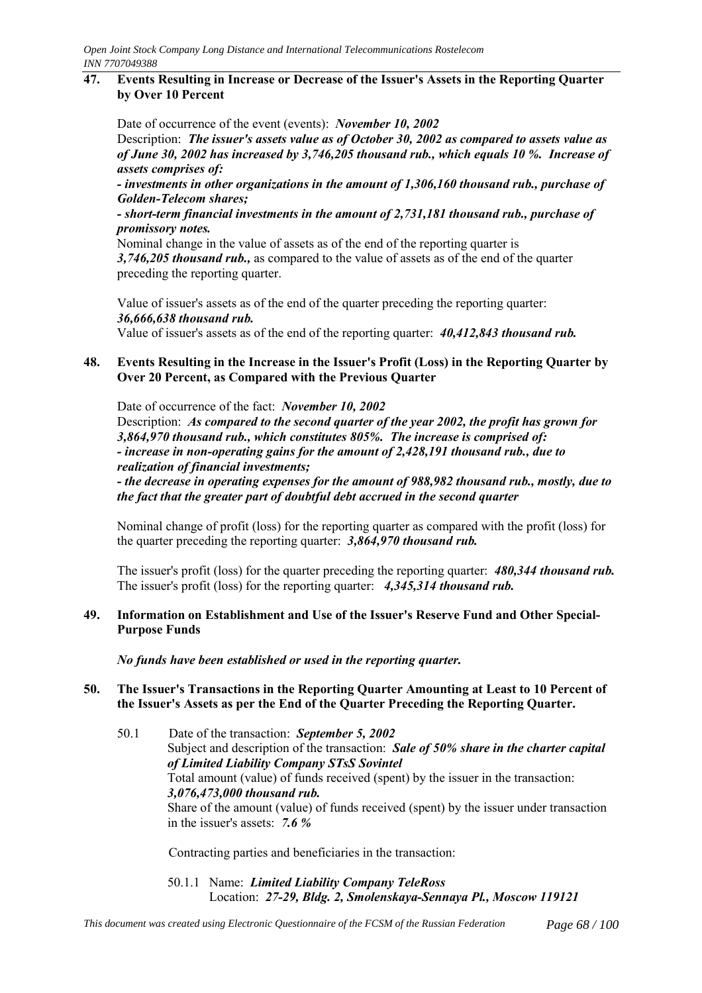# **47. Events Resulting in Increase or Decrease of the Issuer's Assets in the Reporting Quarter by Over 10 Percent**

Date of occurrence of the event (events): *November 10, 2002* Description: *The issuer's assets value as of October 30, 2002 as compared to assets value as of June 30, 2002 has increased by 3,746,205 thousand rub., which equals 10 %. Increase of assets comprises of:*

*- investments in other organizations in the amount of 1,306,160 thousand rub., purchase of Golden-Telecom shares;*

*- short-term financial investments in the amount of 2,731,181 thousand rub., purchase of promissory notes.*

Nominal change in the value of assets as of the end of the reporting quarter is *3,746,205 thousand rub.,* as compared to the value of assets as of the end of the quarter preceding the reporting quarter.

Value of issuer's assets as of the end of the quarter preceding the reporting quarter: *36,666,638 thousand rub.*

Value of issuer's assets as of the end of the reporting quarter: *40,412,843 thousand rub.*

# **48. Events Resulting in the Increase in the Issuer's Profit (Loss) in the Reporting Quarter by Over 20 Percent, as Compared with the Previous Quarter**

Date of occurrence of the fact: *November 10, 2002* Description: *As compared to the second quarter of the year 2002, the profit has grown for 3,864,970 thousand rub., which constitutes 805%. The increase is comprised of: - increase in non-operating gains for the amount of 2,428,191 thousand rub., due to realization of financial investments;*

*- the decrease in operating expenses for the amount of 988,982 thousand rub., mostly, due to the fact that the greater part of doubtful debt accrued in the second quarter*

Nominal change of profit (loss) for the reporting quarter as compared with the profit (loss) for the quarter preceding the reporting quarter: *3,864,970 thousand rub.*

The issuer's profit (loss) for the quarter preceding the reporting quarter: *480,344 thousand rub.* The issuer's profit (loss) for the reporting quarter: *4,345,314 thousand rub.*

# **49. Information on Establishment and Use of the Issuer's Reserve Fund and Other Special-Purpose Funds**

*No funds have been established or used in the reporting quarter.*

# **50. The Issuer's Transactions in the Reporting Quarter Amounting at Least to 10 Percent of the Issuer's Assets as per the End of the Quarter Preceding the Reporting Quarter.**

50.1 Date of the transaction: *September 5, 2002* Subject and description of the transaction: *Sale of 50% share in the charter capital of Limited Liability Company STsS Sovintel* Total amount (value) of funds received (spent) by the issuer in the transaction: *3,076,473,000 thousand rub.* Share of the amount (value) of funds received (spent) by the issuer under transaction in the issuer's assets: *7.6 %*

Contracting parties and beneficiaries in the transaction:

50.1.1 Name: *Limited Liability Company TeleRoss* Location: *27-29, Bldg. 2, Smolenskaya-Sennaya Pl., Moscow 119121*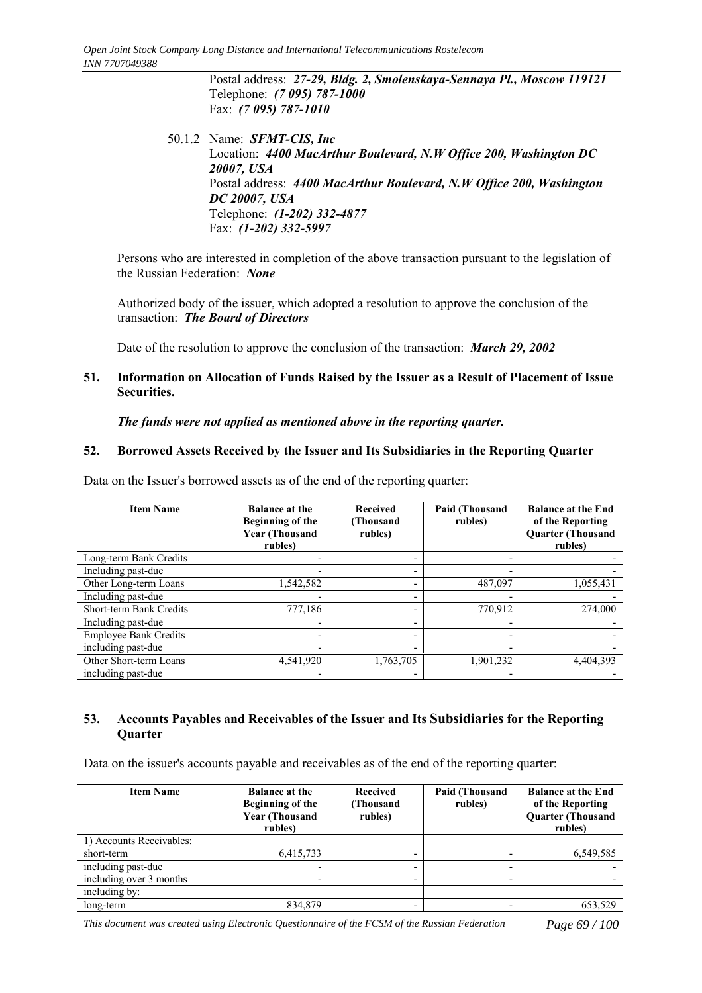Postal address: *27-29, Bldg. 2, Smolenskaya-Sennaya Pl., Moscow 119121* Telephone: *(7 095) 787-1000* Fax: *(7 095) 787-1010*

50.1.2 Name: *SFMT-CIS, Inc* Location: *4400 MacArthur Boulevard, N.W Office 200, Washington DC 20007, USA* Postal address: *4400 MacArthur Boulevard, N.W Office 200, Washington DC 20007, USA* Telephone: *(1-202) 332-4877* Fax: *(1-202) 332-5997*

Persons who are interested in completion of the above transaction pursuant to the legislation of the Russian Federation: *None*

Authorized body of the issuer, which adopted a resolution to approve the conclusion of the transaction: *The Board of Directors*

Date of the resolution to approve the conclusion of the transaction: *March 29, 2002*

# **51. Information on Allocation of Funds Raised by the Issuer as a Result of Placement of Issue Securities.**

*The funds were not applied as mentioned above in the reporting quarter.*

# **52. Borrowed Assets Received by the Issuer and Its Subsidiaries in the Reporting Quarter**

Data on the Issuer's borrowed assets as of the end of the reporting quarter:

| <b>Item Name</b>             | <b>Balance at the</b><br>Beginning of the<br><b>Year (Thousand</b><br>rubles) | <b>Received</b><br>(Thousand<br>rubles) | <b>Paid (Thousand</b><br>rubles) | <b>Balance at the End</b><br>of the Reporting<br><b>Quarter (Thousand</b><br>rubles) |
|------------------------------|-------------------------------------------------------------------------------|-----------------------------------------|----------------------------------|--------------------------------------------------------------------------------------|
| Long-term Bank Credits       |                                                                               |                                         |                                  |                                                                                      |
| Including past-due           | $\overline{\phantom{0}}$                                                      | $\overline{\phantom{0}}$                |                                  |                                                                                      |
| Other Long-term Loans        | 1,542,582                                                                     | $\overline{\phantom{0}}$                | 487,097                          | 1,055,431                                                                            |
| Including past-due           |                                                                               | $\overline{\phantom{0}}$                |                                  |                                                                                      |
| Short-term Bank Credits      | 777,186                                                                       | ٠                                       | 770,912                          | 274.000                                                                              |
| Including past-due           | $\overline{\phantom{0}}$                                                      |                                         |                                  |                                                                                      |
| <b>Employee Bank Credits</b> | -                                                                             | $\overline{\phantom{0}}$                |                                  |                                                                                      |
| including past-due           | $\overline{\phantom{0}}$                                                      | $\overline{\phantom{0}}$                |                                  |                                                                                      |
| Other Short-term Loans       | 4,541,920                                                                     | 1,763,705                               | 1,901,232                        | 4.404.393                                                                            |
| including past-due           | $\overline{\phantom{0}}$                                                      | ٠                                       |                                  |                                                                                      |

# **53. Accounts Payables and Receivables of the Issuer and Its Subsidiaries for the Reporting Quarter**

Data on the issuer's accounts payable and receivables as of the end of the reporting quarter:

| <b>Item Name</b>         | <b>Balance at the</b><br>Beginning of the<br><b>Year (Thousand</b><br>rubles) | <b>Received</b><br>(Thousand<br>rubles) | Paid (Thousand<br>rubles) | <b>Balance at the End</b><br>of the Reporting<br><b>Quarter (Thousand</b><br>rubles) |
|--------------------------|-------------------------------------------------------------------------------|-----------------------------------------|---------------------------|--------------------------------------------------------------------------------------|
| 1) Accounts Receivables: |                                                                               |                                         |                           |                                                                                      |
| short-term               | 6,415,733                                                                     |                                         |                           | 6,549,585                                                                            |
| including past-due       |                                                                               |                                         | -                         |                                                                                      |
| including over 3 months  |                                                                               |                                         |                           |                                                                                      |
| including by:            |                                                                               |                                         |                           |                                                                                      |
| long-term                | 834,879                                                                       |                                         |                           | 653,529                                                                              |

*This document was created using Electronic Questionnaire of the FCSM of the Russian Federation Page 69 / 100*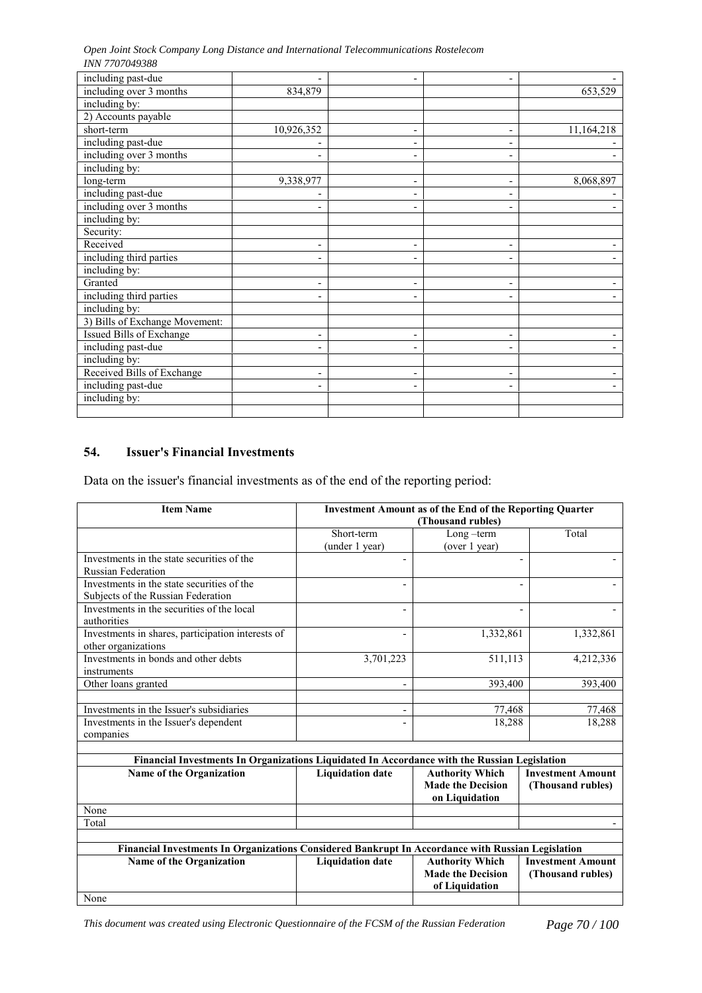*Open Joint Stock Company Long Distance and International Telecommunications Rostelecom INN 7707049388*

| including past-due             |                          | $\overline{\phantom{0}}$ |                          |            |
|--------------------------------|--------------------------|--------------------------|--------------------------|------------|
| including over 3 months        | 834,879                  |                          |                          | 653,529    |
| including by:                  |                          |                          |                          |            |
| 2) Accounts payable            |                          |                          |                          |            |
| short-term                     | 10,926,352               | $\overline{\phantom{a}}$ | $\overline{\phantom{0}}$ | 11,164,218 |
| including past-due             |                          | -                        |                          |            |
| including over 3 months        |                          | $\overline{\phantom{0}}$ |                          |            |
| including by:                  |                          |                          |                          |            |
| long-term                      | 9,338,977                | $\overline{\phantom{a}}$ | $\overline{\phantom{a}}$ | 8,068,897  |
| including past-due             |                          | $\overline{\phantom{a}}$ |                          |            |
| including over 3 months        |                          | $\overline{\phantom{0}}$ |                          |            |
| including by:                  |                          |                          |                          |            |
| Security:                      |                          |                          |                          |            |
| Received                       |                          | -                        |                          |            |
| including third parties        |                          | -                        |                          |            |
| including by:                  |                          |                          |                          |            |
| Granted                        | $\overline{\phantom{a}}$ | -                        | -                        |            |
| including third parties        |                          |                          |                          |            |
| including by:                  |                          |                          |                          |            |
| 3) Bills of Exchange Movement: |                          |                          |                          |            |
| Issued Bills of Exchange       | -                        | -                        |                          |            |
| including past-due             |                          | -                        |                          |            |
| including by:                  |                          |                          |                          |            |
| Received Bills of Exchange     | -                        | -                        | $\blacksquare$           |            |
| including past-due             | $\overline{\phantom{0}}$ | -                        |                          |            |
| including by:                  |                          |                          |                          |            |
|                                |                          |                          |                          |            |

# **54. Issuer's Financial Investments**

Data on the issuer's financial investments as of the end of the reporting period:

| <b>Item Name</b>                                                                                  | <b>Investment Amount as of the End of the Reporting Quarter</b><br>(Thousand rubles) |                          |                          |  |  |
|---------------------------------------------------------------------------------------------------|--------------------------------------------------------------------------------------|--------------------------|--------------------------|--|--|
|                                                                                                   |                                                                                      |                          |                          |  |  |
|                                                                                                   | Short-term                                                                           | Long-term                | Total                    |  |  |
|                                                                                                   | (under 1 year)                                                                       | (over 1 year)            |                          |  |  |
| Investments in the state securities of the                                                        |                                                                                      |                          | $\overline{\phantom{0}}$ |  |  |
| <b>Russian Federation</b>                                                                         |                                                                                      |                          |                          |  |  |
| Investments in the state securities of the                                                        |                                                                                      |                          |                          |  |  |
| Subjects of the Russian Federation                                                                |                                                                                      |                          |                          |  |  |
| Investments in the securities of the local                                                        |                                                                                      |                          |                          |  |  |
| authorities                                                                                       |                                                                                      |                          |                          |  |  |
| Investments in shares, participation interests of                                                 | $\overline{\phantom{0}}$                                                             | 1,332,861                | 1,332,861                |  |  |
| other organizations                                                                               |                                                                                      |                          |                          |  |  |
| Investments in bonds and other debts                                                              | 3,701,223                                                                            | 511,113                  | 4,212,336                |  |  |
| instruments                                                                                       |                                                                                      |                          |                          |  |  |
| Other loans granted                                                                               |                                                                                      | 393,400                  | 393,400                  |  |  |
|                                                                                                   |                                                                                      |                          |                          |  |  |
| Investments in the Issuer's subsidiaries                                                          |                                                                                      | 77,468                   | 77,468                   |  |  |
| Investments in the Issuer's dependent                                                             |                                                                                      | 18,288                   | 18,288                   |  |  |
| companies                                                                                         |                                                                                      |                          |                          |  |  |
|                                                                                                   |                                                                                      |                          |                          |  |  |
| Financial Investments In Organizations Liquidated In Accordance with the Russian Legislation      |                                                                                      |                          |                          |  |  |
| Name of the Organization                                                                          | <b>Liquidation date</b>                                                              | <b>Authority Which</b>   | <b>Investment Amount</b> |  |  |
|                                                                                                   |                                                                                      | <b>Made the Decision</b> | (Thousand rubles)        |  |  |
|                                                                                                   |                                                                                      | on Liquidation           |                          |  |  |
| None                                                                                              |                                                                                      |                          |                          |  |  |
| Total                                                                                             |                                                                                      |                          |                          |  |  |
|                                                                                                   |                                                                                      |                          |                          |  |  |
| Financial Investments In Organizations Considered Bankrupt In Accordance with Russian Legislation |                                                                                      |                          |                          |  |  |
| Name of the Organization                                                                          | <b>Liquidation date</b>                                                              | <b>Authority Which</b>   | <b>Investment Amount</b> |  |  |
|                                                                                                   |                                                                                      | <b>Made the Decision</b> | (Thousand rubles)        |  |  |
|                                                                                                   |                                                                                      | of Liquidation           |                          |  |  |
| None                                                                                              |                                                                                      |                          |                          |  |  |

*This document was created using Electronic Questionnaire of the FCSM of the Russian Federation Page 70 / 100*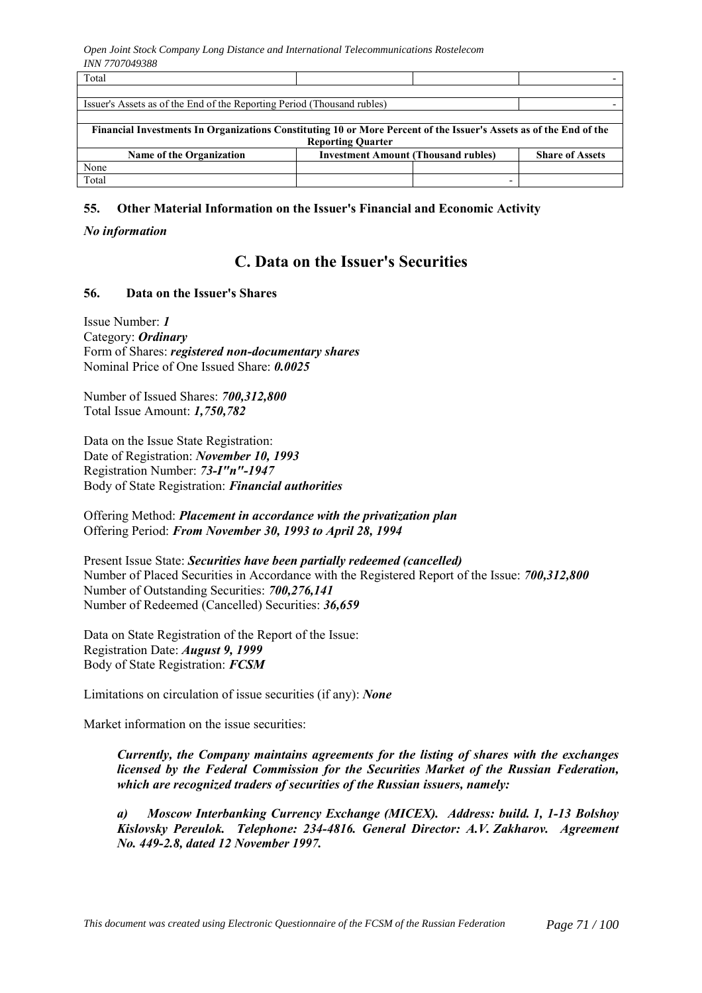| Total                                                                                                              |                                            |  |                        |  |  |  |
|--------------------------------------------------------------------------------------------------------------------|--------------------------------------------|--|------------------------|--|--|--|
|                                                                                                                    |                                            |  |                        |  |  |  |
| Issuer's Assets as of the End of the Reporting Period (Thousand rubles)                                            |                                            |  |                        |  |  |  |
|                                                                                                                    |                                            |  |                        |  |  |  |
| Financial Investments In Organizations Constituting 10 or More Percent of the Issuer's Assets as of the End of the |                                            |  |                        |  |  |  |
| <b>Reporting Quarter</b>                                                                                           |                                            |  |                        |  |  |  |
| <b>Name of the Organization</b>                                                                                    | <b>Investment Amount (Thousand rubles)</b> |  | <b>Share of Assets</b> |  |  |  |
| None                                                                                                               |                                            |  |                        |  |  |  |
| Total                                                                                                              |                                            |  |                        |  |  |  |

# **55. Other Material Information on the Issuer's Financial and Economic Activity**

### *No information*

# **C. Data on the Issuer's Securities**

# **56. Data on the Issuer's Shares**

Issue Number: *1* Category: *Ordinary* Form of Shares: *registered non-documentary shares* Nominal Price of One Issued Share: *0.0025*

Number of Issued Shares: *700,312,800* Total Issue Amount: *1,750,782*

Data on the Issue State Registration: Date of Registration: *November 10, 1993* Registration Number: *73-I"n"-1947* Body of State Registration: *Financial authorities*

Offering Method: *Placement in accordance with the privatization plan* Offering Period: *From November 30, 1993 to April 28, 1994*

Present Issue State: *Securities have been partially redeemed (cancelled)* Number of Placed Securities in Accordance with the Registered Report of the Issue: *700,312,800* Number of Outstanding Securities: *700,276,141* Number of Redeemed (Cancelled) Securities: *36,659*

Data on State Registration of the Report of the Issue: Registration Date: *August 9, 1999* Body of State Registration: *FCSM*

Limitations on circulation of issue securities (if any): *None*

Market information on the issue securities:

*Currently, the Company maintains agreements for the listing of shares with the exchanges licensed by the Federal Commission for the Securities Market of the Russian Federation, which are recognized traders of securities of the Russian issuers, namely:*

*a) Moscow Interbanking Currency Exchange (MICEX). Address: build. 1, 1-13 Bolshoy Kislovsky Pereulok. Telephone: 234-4816. General Director: A.V. Zakharov. Agreement No. 449-2.8, dated 12 November 1997.*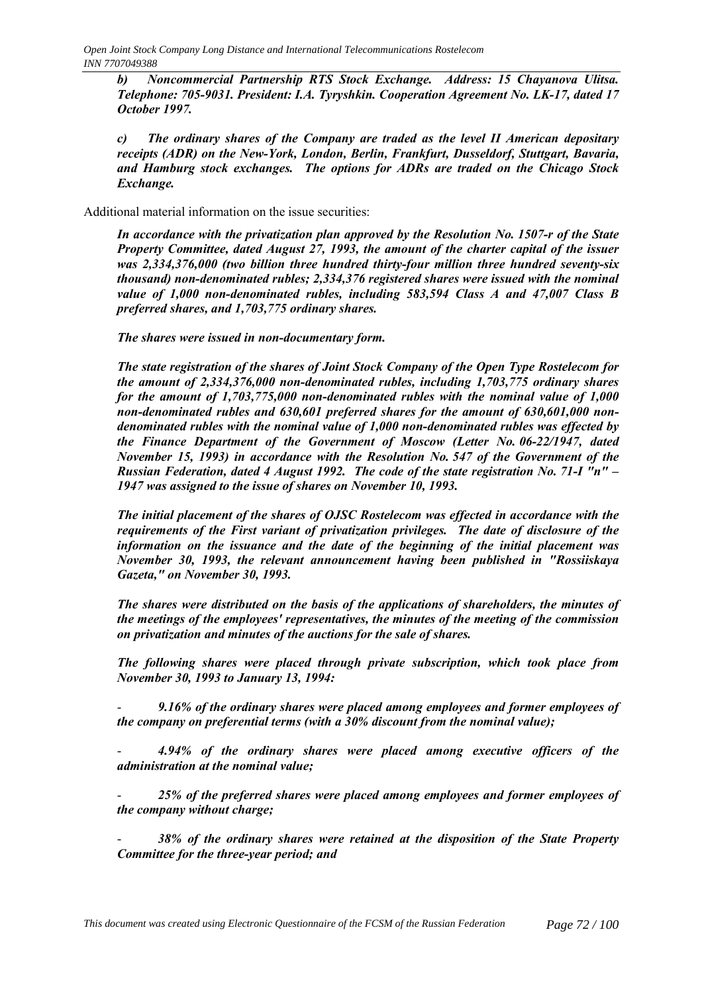*b) Noncommercial Partnership RTS Stock Exchange. Address: 15 Chayanova Ulitsa. Telephone: 705-9031. President: I.A. Tyryshkin. Cooperation Agreement No. LK-17, dated 17 October 1997.*

*c) The ordinary shares of the Company are traded as the level II American depositary receipts (ADR) on the New-York, London, Berlin, Frankfurt, Dusseldorf, Stuttgart, Bavaria, and Hamburg stock exchanges. The options for ADRs are traded on the Chicago Stock Exchange.*

Additional material information on the issue securities:

*In accordance with the privatization plan approved by the Resolution No. 1507-r of the State Property Committee, dated August 27, 1993, the amount of the charter capital of the issuer was 2,334,376,000 (two billion three hundred thirty-four million three hundred seventy-six thousand) non-denominated rubles; 2,334,376 registered shares were issued with the nominal value of 1,000 non-denominated rubles, including 583,594 Class A and 47,007 Class B preferred shares, and 1,703,775 ordinary shares.*

*The shares were issued in non-documentary form.*

*The state registration of the shares of Joint Stock Company of the Open Type Rostelecom for the amount of 2,334,376,000 non-denominated rubles, including 1,703,775 ordinary shares for the amount of 1,703,775,000 non-denominated rubles with the nominal value of 1,000 non-denominated rubles and 630,601 preferred shares for the amount of 630,601,000 nondenominated rubles with the nominal value of 1,000 non-denominated rubles was effected by the Finance Department of the Government of Moscow (Letter No. 06-22/1947, dated November 15, 1993) in accordance with the Resolution No. 547 of the Government of the Russian Federation, dated 4 August 1992. The code of the state registration No. 71-I "n" – 1947 was assigned to the issue of shares on November 10, 1993.*

*The initial placement of the shares of OJSC Rostelecom was effected in accordance with the requirements of the First variant of privatization privileges. The date of disclosure of the information on the issuance and the date of the beginning of the initial placement was November 30, 1993, the relevant announcement having been published in "Rossiiskaya Gazeta," on November 30, 1993.*

*The shares were distributed on the basis of the applications of shareholders, the minutes of the meetings of the employees' representatives, the minutes of the meeting of the commission on privatization and minutes of the auctions for the sale of shares.*

*The following shares were placed through private subscription, which took place from November 30, 1993 to January 13, 1994:*

- *9.16% of the ordinary shares were placed among employees and former employees of the company on preferential terms (with a 30% discount from the nominal value);*

- *4.94% of the ordinary shares were placed among executive officers of the administration at the nominal value;*

- *25% of the preferred shares were placed among employees and former employees of the company without charge;*

38% of the ordinary shares were retained at the disposition of the State Property *Committee for the three-year period; and*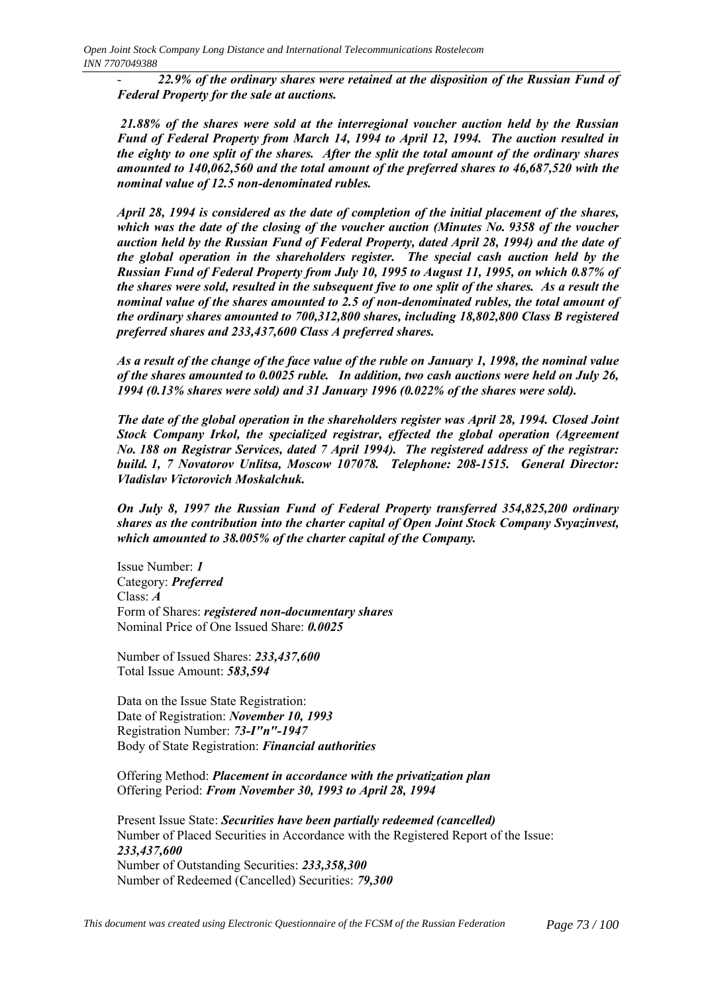- *22.9% of the ordinary shares were retained at the disposition of the Russian Fund of Federal Property for the sale at auctions.*

 *21.88% of the shares were sold at the interregional voucher auction held by the Russian Fund of Federal Property from March 14, 1994 to April 12, 1994. The auction resulted in the eighty to one split of the shares. After the split the total amount of the ordinary shares amounted to 140,062,560 and the total amount of the preferred shares to 46,687,520 with the nominal value of 12.5 non-denominated rubles.*

*April 28, 1994 is considered as the date of completion of the initial placement of the shares, which was the date of the closing of the voucher auction (Minutes No. 9358 of the voucher auction held by the Russian Fund of Federal Property, dated April 28, 1994) and the date of the global operation in the shareholders register. The special cash auction held by the Russian Fund of Federal Property from July 10, 1995 to August 11, 1995, on which 0.87% of the shares were sold, resulted in the subsequent five to one split of the shares. As a result the nominal value of the shares amounted to 2.5 of non-denominated rubles, the total amount of the ordinary shares amounted to 700,312,800 shares, including 18,802,800 Class B registered preferred shares and 233,437,600 Class A preferred shares.*

*As a result of the change of the face value of the ruble on January 1, 1998, the nominal value of the shares amounted to 0.0025 ruble. In addition, two cash auctions were held on July 26, 1994 (0.13% shares were sold) and 31 January 1996 (0.022% of the shares were sold).*

*The date of the global operation in the shareholders register was April 28, 1994. Closed Joint Stock Company Irkol, the specialized registrar, effected the global operation (Agreement No. 188 on Registrar Services, dated 7 April 1994). The registered address of the registrar: build. 1, 7 Novatorov Unlitsa, Moscow 107078. Telephone: 208-1515. General Director: Vladislav Victorovich Moskalchuk.*

*On July 8, 1997 the Russian Fund of Federal Property transferred 354,825,200 ordinary shares as the contribution into the charter capital of Open Joint Stock Company Svyazinvest, which amounted to 38.005% of the charter capital of the Company.*

Issue Number: *1* Category: *Preferred* Class: *A* Form of Shares: *registered non-documentary shares* Nominal Price of One Issued Share: *0.0025*

Number of Issued Shares: *233,437,600* Total Issue Amount: *583,594*

Data on the Issue State Registration: Date of Registration: *November 10, 1993* Registration Number: *73-I"n"-1947* Body of State Registration: *Financial authorities*

Offering Method: *Placement in accordance with the privatization plan* Offering Period: *From November 30, 1993 to April 28, 1994*

Present Issue State: *Securities have been partially redeemed (cancelled)* Number of Placed Securities in Accordance with the Registered Report of the Issue: *233,437,600* Number of Outstanding Securities: *233,358,300* Number of Redeemed (Cancelled) Securities: *79,300*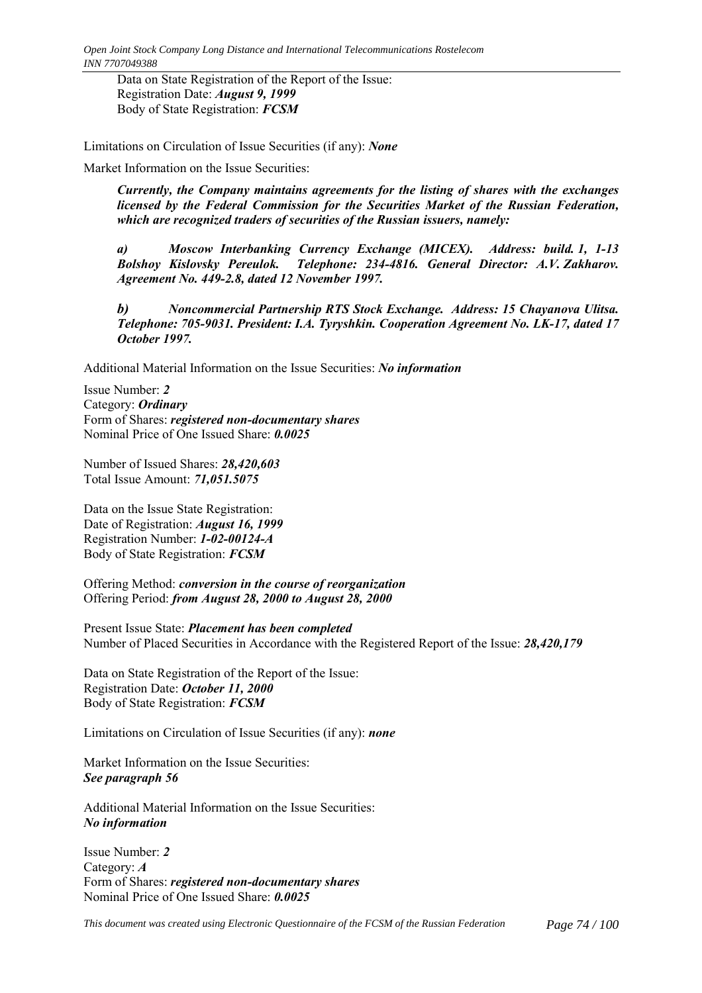Data on State Registration of the Report of the Issue: Registration Date: *August 9, 1999* Body of State Registration: *FCSM*

Limitations on Circulation of Issue Securities (if any): *None*

Market Information on the Issue Securities:

*Currently, the Company maintains agreements for the listing of shares with the exchanges licensed by the Federal Commission for the Securities Market of the Russian Federation, which are recognized traders of securities of the Russian issuers, namely:*

*a) Moscow Interbanking Currency Exchange (MICEX). Address: build. 1, 1-13 Bolshoy Kislovsky Pereulok. Telephone: 234-4816. General Director: A.V. Zakharov. Agreement No. 449-2.8, dated 12 November 1997.*

*b) Noncommercial Partnership RTS Stock Exchange. Address: 15 Chayanova Ulitsa. Telephone: 705-9031. President: I.A. Tyryshkin. Cooperation Agreement No. LK-17, dated 17 October 1997.*

Additional Material Information on the Issue Securities: *No information*

Issue Number: *2* Category: *Ordinary* Form of Shares: *registered non-documentary shares* Nominal Price of One Issued Share: *0.0025*

Number of Issued Shares: *28,420,603* Total Issue Amount: *71,051.5075*

Data on the Issue State Registration: Date of Registration: *August 16, 1999* Registration Number: *1-02-00124-A* Body of State Registration: *FCSM*

Offering Method: *conversion in the course of reorganization* Offering Period: *from August 28, 2000 to August 28, 2000*

Present Issue State: *Placement has been completed* Number of Placed Securities in Accordance with the Registered Report of the Issue: *28,420,179*

Data on State Registration of the Report of the Issue: Registration Date: *October 11, 2000* Body of State Registration: *FCSM*

Limitations on Circulation of Issue Securities (if any): *none*

Market Information on the Issue Securities: *See paragraph 56*

Additional Material Information on the Issue Securities: *No information*

Issue Number: *2* Category: *A* Form of Shares: *registered non-documentary shares* Nominal Price of One Issued Share: *0.0025*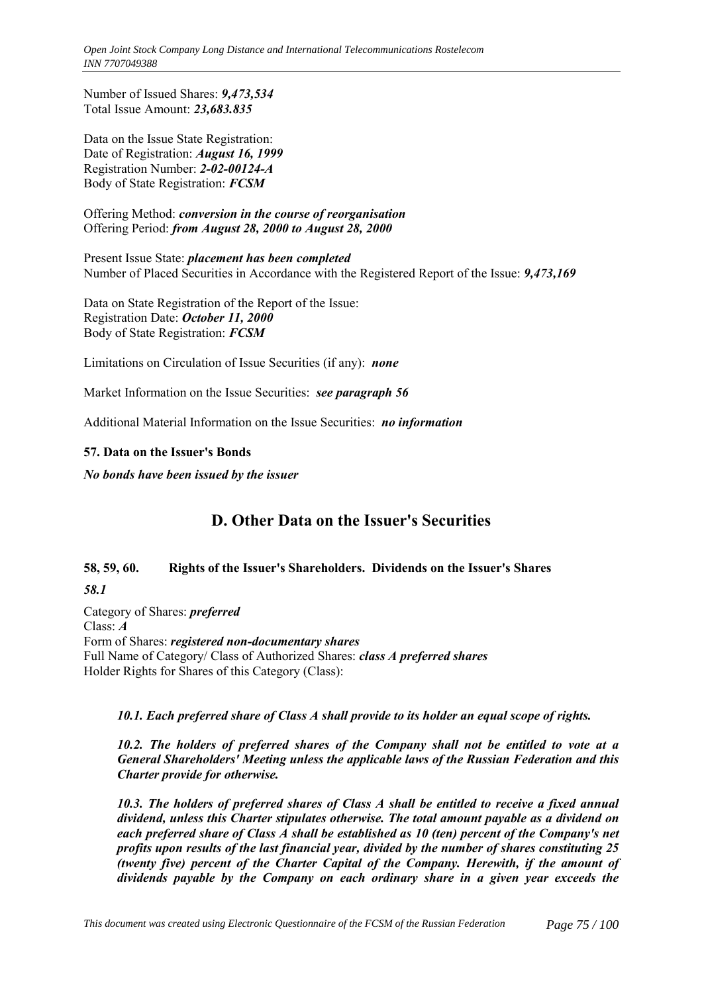*Open Joint Stock Company Long Distance and International Telecommunications Rostelecom INN 7707049388*

Number of Issued Shares: *9,473,534* Total Issue Amount: *23,683.835*

Data on the Issue State Registration: Date of Registration: *August 16, 1999* Registration Number: *2-02-00124-A* Body of State Registration: *FCSM*

Offering Method: *conversion in the course of reorganisation* Offering Period: *from August 28, 2000 to August 28, 2000*

Present Issue State: *placement has been completed* Number of Placed Securities in Accordance with the Registered Report of the Issue: *9,473,169*

Data on State Registration of the Report of the Issue: Registration Date: *October 11, 2000* Body of State Registration: *FCSM*

Limitations on Circulation of Issue Securities (if any): *none*

Market Information on the Issue Securities: *see paragraph 56*

Additional Material Information on the Issue Securities: *no information*

#### **57. Data on the Issuer's Bonds**

*No bonds have been issued by the issuer*

# **D. Other Data on the Issuer's Securities**

#### **58, 59, 60. Rights of the Issuer's Shareholders. Dividends on the Issuer's Shares**

## *58.1*

Category of Shares: *preferred* Class: *A* Form of Shares: *registered non-documentary shares* Full Name of Category/ Class of Authorized Shares: *class A preferred shares* Holder Rights for Shares of this Category (Class):

## *10.1. Each preferred share of Class A shall provide to its holder an equal scope of rights.*

*10.2. The holders of preferred shares of the Company shall not be entitled to vote at a General Shareholders' Meeting unless the applicable laws of the Russian Federation and this Charter provide for otherwise.*

*10.3. The holders of preferred shares of Class A shall be entitled to receive a fixed annual dividend, unless this Charter stipulates otherwise. The total amount payable as a dividend on each preferred share of Class A shall be established as 10 (ten) percent of the Company's net profits upon results of the last financial year, divided by the number of shares constituting 25 (twenty five) percent of the Charter Capital of the Company. Herewith, if the amount of dividends payable by the Company on each ordinary share in a given year exceeds the*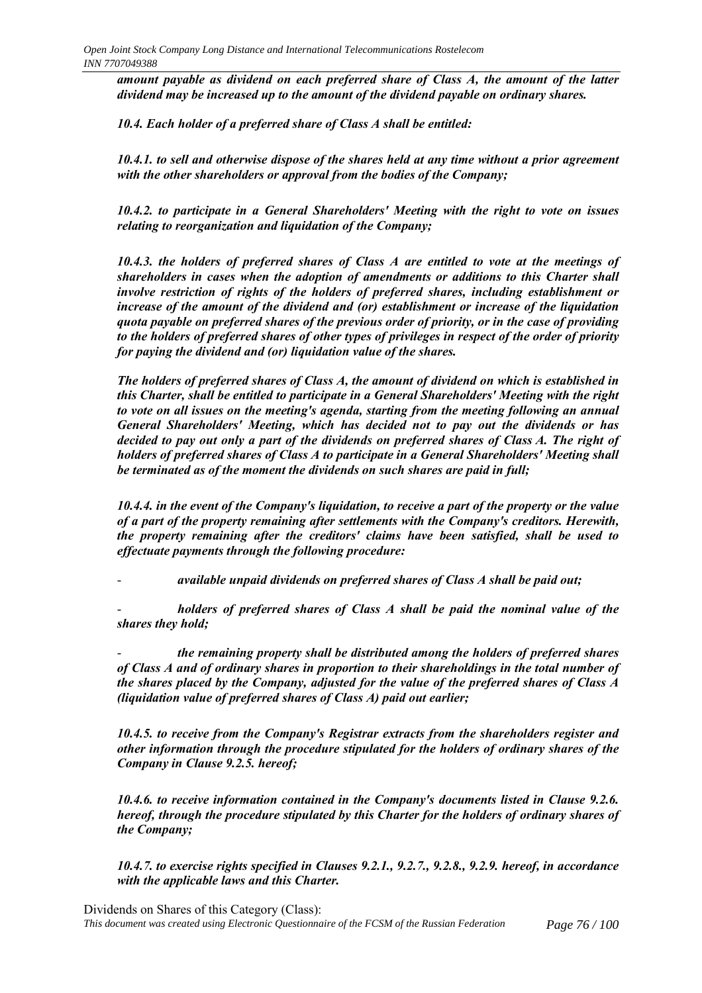*amount payable as dividend on each preferred share of Class A, the amount of the latter dividend may be increased up to the amount of the dividend payable on ordinary shares.*

*10.4. Each holder of a preferred share of Class A shall be entitled:*

*10.4.1. to sell and otherwise dispose of the shares held at any time without a prior agreement with the other shareholders or approval from the bodies of the Company;*

*10.4.2. to participate in a General Shareholders' Meeting with the right to vote on issues relating to reorganization and liquidation of the Company;*

*10.4.3. the holders of preferred shares of Class A are entitled to vote at the meetings of shareholders in cases when the adoption of amendments or additions to this Charter shall involve restriction of rights of the holders of preferred shares, including establishment or increase of the amount of the dividend and (or) establishment or increase of the liquidation quota payable on preferred shares of the previous order of priority, or in the case of providing to the holders of preferred shares of other types of privileges in respect of the order of priority for paying the dividend and (or) liquidation value of the shares.*

*The holders of preferred shares of Class A, the amount of dividend on which is established in this Charter, shall be entitled to participate in a General Shareholders' Meeting with the right to vote on all issues on the meeting's agenda, starting from the meeting following an annual General Shareholders' Meeting, which has decided not to pay out the dividends or has decided to pay out only a part of the dividends on preferred shares of Class A. The right of holders of preferred shares of Class A to participate in a General Shareholders' Meeting shall be terminated as of the moment the dividends on such shares are paid in full;*

*10.4.4. in the event of the Company's liquidation, to receive a part of the property or the value of a part of the property remaining after settlements with the Company's creditors. Herewith, the property remaining after the creditors' claims have been satisfied, shall be used to effectuate payments through the following procedure:*

- *available unpaid dividends on preferred shares of Class A shall be paid out;*

holders of preferred shares of Class A shall be paid the nominal value of the *shares they hold;*

- *the remaining property shall be distributed among the holders of preferred shares of Class A and of ordinary shares in proportion to their shareholdings in the total number of the shares placed by the Company, adjusted for the value of the preferred shares of Class A (liquidation value of preferred shares of Class A) paid out earlier;*

*10.4.5. to receive from the Company's Registrar extracts from the shareholders register and other information through the procedure stipulated for the holders of ordinary shares of the Company in Clause 9.2.5. hereof;*

*10.4.6. to receive information contained in the Company's documents listed in Clause 9.2.6. hereof, through the procedure stipulated by this Charter for the holders of ordinary shares of the Company;*

*10.4.7. to exercise rights specified in Clauses 9.2.1., 9.2.7., 9.2.8., 9.2.9. hereof, in accordance with the applicable laws and this Charter.*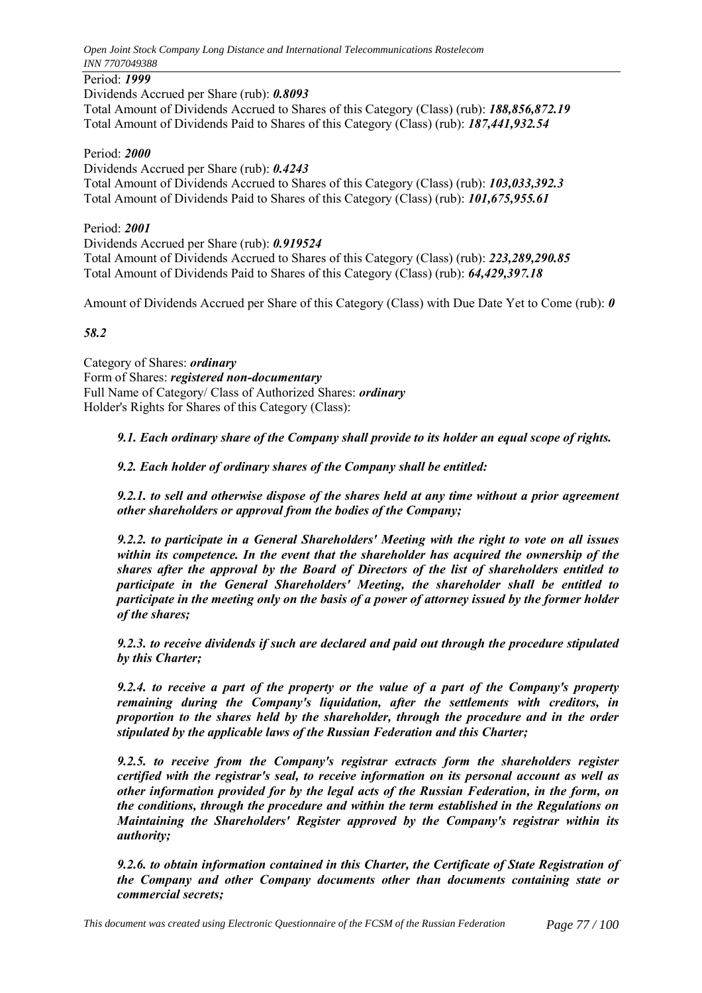## Period: *1999*

Dividends Accrued per Share (rub): *0.8093* Total Amount of Dividends Accrued to Shares of this Category (Class) (rub): *188,856,872.19* Total Amount of Dividends Paid to Shares of this Category (Class) (rub): *187,441,932.54*

#### Period: *2000*

Dividends Accrued per Share (rub): *0.4243* Total Amount of Dividends Accrued to Shares of this Category (Class) (rub): *103,033,392.3* Total Amount of Dividends Paid to Shares of this Category (Class) (rub): *101,675,955.61*

#### Period: *2001*

Dividends Accrued per Share (rub): *0.919524* Total Amount of Dividends Accrued to Shares of this Category (Class) (rub): *223,289,290.85* Total Amount of Dividends Paid to Shares of this Category (Class) (rub): *64,429,397.18*

Amount of Dividends Accrued per Share of this Category (Class) with Due Date Yet to Come (rub): *0*

#### *58.2*

Category of Shares: *ordinary* Form of Shares: *registered non-documentary* Full Name of Category/ Class of Authorized Shares: *ordinary* Holder's Rights for Shares of this Category (Class):

*9.1. Each ordinary share of the Company shall provide to its holder an equal scope of rights.*

*9.2. Each holder of ordinary shares of the Company shall be entitled:*

*9.2.1. to sell and otherwise dispose of the shares held at any time without a prior agreement other shareholders or approval from the bodies of the Company;*

*9.2.2. to participate in a General Shareholders' Meeting with the right to vote on all issues within its competence. In the event that the shareholder has acquired the ownership of the shares after the approval by the Board of Directors of the list of shareholders entitled to participate in the General Shareholders' Meeting, the shareholder shall be entitled to participate in the meeting only on the basis of a power of attorney issued by the former holder of the shares;*

*9.2.3. to receive dividends if such are declared and paid out through the procedure stipulated by this Charter;*

*9.2.4. to receive a part of the property or the value of a part of the Company's property remaining during the Company's liquidation, after the settlements with creditors, in proportion to the shares held by the shareholder, through the procedure and in the order stipulated by the applicable laws of the Russian Federation and this Charter;*

*9.2.5. to receive from the Company's registrar extracts form the shareholders register certified with the registrar's seal, to receive information on its personal account as well as other information provided for by the legal acts of the Russian Federation, in the form, on the conditions, through the procedure and within the term established in the Regulations on Maintaining the Shareholders' Register approved by the Company's registrar within its authority;*

*9.2.6. to obtain information contained in this Charter, the Certificate of State Registration of the Company and other Company documents other than documents containing state or commercial secrets;*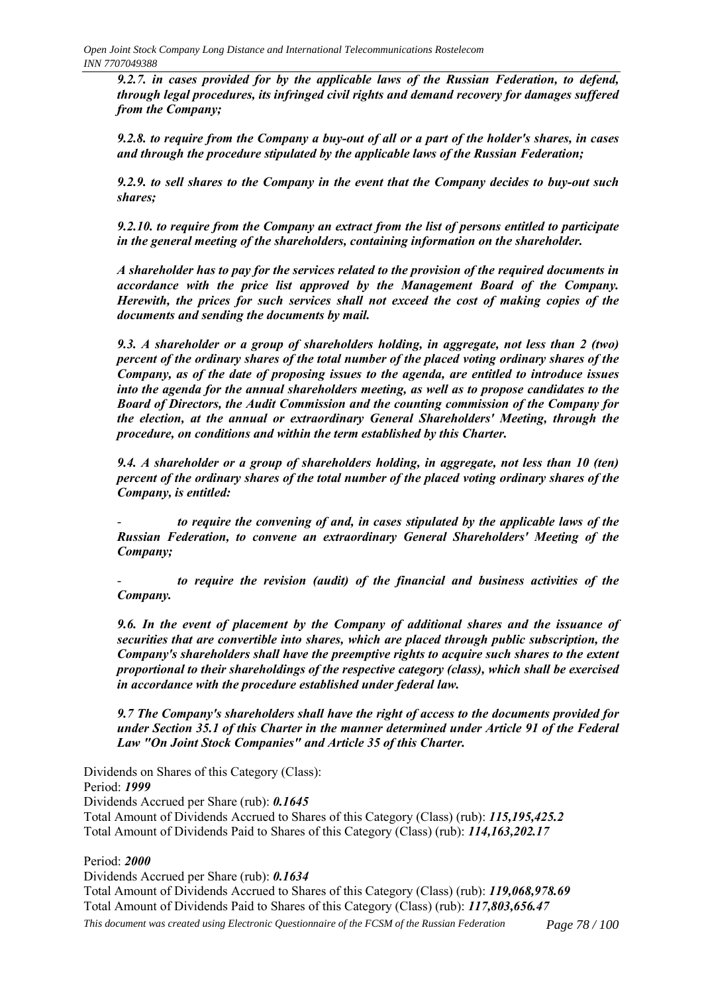*9.2.7. in cases provided for by the applicable laws of the Russian Federation, to defend, through legal procedures, its infringed civil rights and demand recovery for damages suffered from the Company;*

*9.2.8. to require from the Company a buy-out of all or a part of the holder's shares, in cases and through the procedure stipulated by the applicable laws of the Russian Federation;*

*9.2.9. to sell shares to the Company in the event that the Company decides to buy-out such shares;*

*9.2.10. to require from the Company an extract from the list of persons entitled to participate in the general meeting of the shareholders, containing information on the shareholder.*

*A shareholder has to pay for the services related to the provision of the required documents in accordance with the price list approved by the Management Board of the Company. Herewith, the prices for such services shall not exceed the cost of making copies of the documents and sending the documents by mail.*

*9.3. A shareholder or a group of shareholders holding, in aggregate, not less than 2 (two) percent of the ordinary shares of the total number of the placed voting ordinary shares of the Company, as of the date of proposing issues to the agenda, are entitled to introduce issues into the agenda for the annual shareholders meeting, as well as to propose candidates to the Board of Directors, the Audit Commission and the counting commission of the Company for the election, at the annual or extraordinary General Shareholders' Meeting, through the procedure, on conditions and within the term established by this Charter.*

*9.4. A shareholder or a group of shareholders holding, in aggregate, not less than 10 (ten) percent of the ordinary shares of the total number of the placed voting ordinary shares of the Company, is entitled:*

to require the convening of and, in cases stipulated by the applicable laws of the *Russian Federation, to convene an extraordinary General Shareholders' Meeting of the Company;*

to require the revision (audit) of the financial and business activities of the *Company.*

*9.6. In the event of placement by the Company of additional shares and the issuance of securities that are convertible into shares, which are placed through public subscription, the Company's shareholders shall have the preemptive rights to acquire such shares to the extent proportional to their shareholdings of the respective category (class), which shall be exercised in accordance with the procedure established under federal law.*

*9.7 The Company's shareholders shall have the right of access to the documents provided for under Section 35.1 of this Charter in the manner determined under Article 91 of the Federal Law "On Joint Stock Companies" and Article 35 of this Charter.*

Dividends on Shares of this Category (Class): Period: *1999* Dividends Accrued per Share (rub): *0.1645* Total Amount of Dividends Accrued to Shares of this Category (Class) (rub): *115,195,425.2* Total Amount of Dividends Paid to Shares of this Category (Class) (rub): *114,163,202.17*

#### Period: *2000*

Dividends Accrued per Share (rub): *0.1634*

*This document was created using Electronic Questionnaire of the FCSM of the Russian Federation Page 78 / 100* Total Amount of Dividends Accrued to Shares of this Category (Class) (rub): *119,068,978.69* Total Amount of Dividends Paid to Shares of this Category (Class) (rub): *117,803,656.47*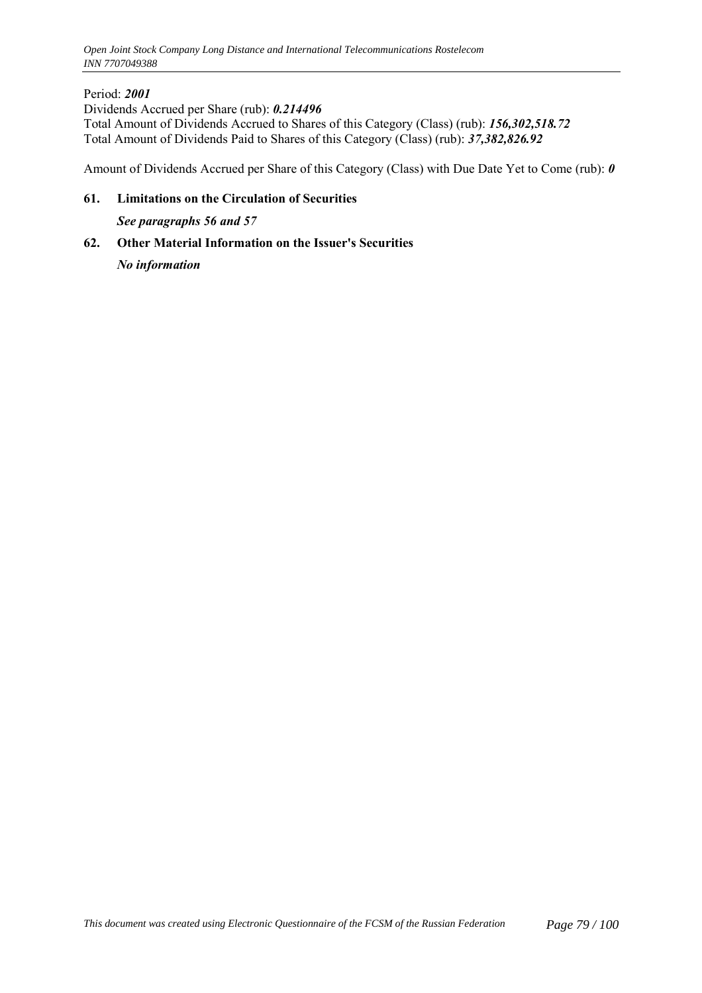## Period: *2001*

Dividends Accrued per Share (rub): *0.214496* Total Amount of Dividends Accrued to Shares of this Category (Class) (rub): *156,302,518.72* Total Amount of Dividends Paid to Shares of this Category (Class) (rub): *37,382,826.92*

Amount of Dividends Accrued per Share of this Category (Class) with Due Date Yet to Come (rub): *0*

**61. Limitations on the Circulation of Securities**

*See paragraphs 56 and 57*

**62. Other Material Information on the Issuer's Securities** *No information*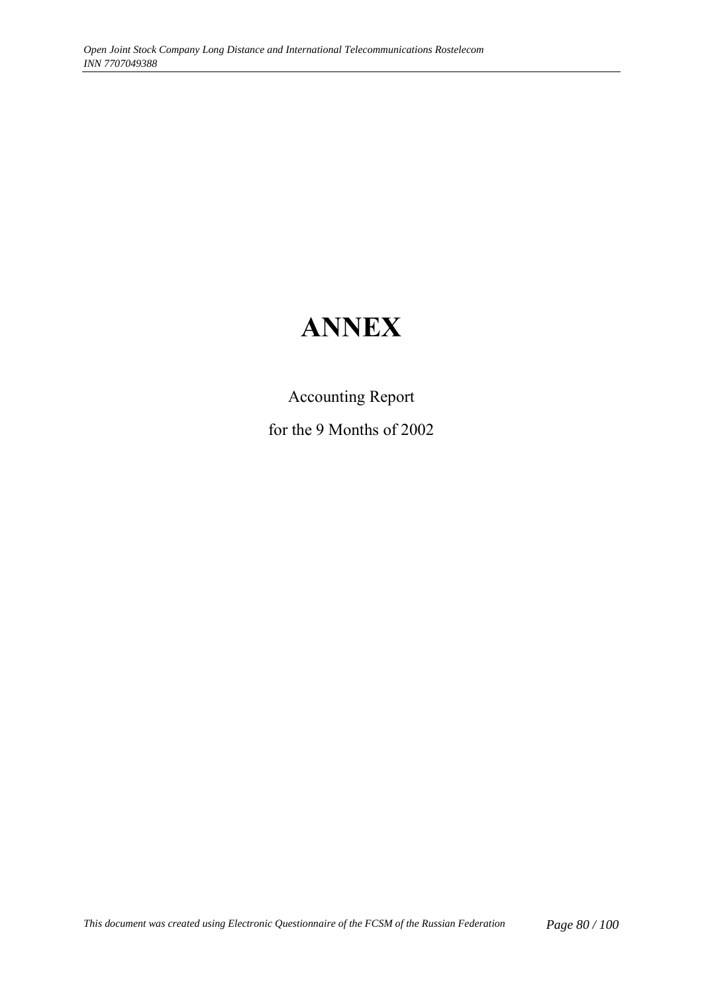# **ANNEX**

Accounting Report for the 9 Months of 2002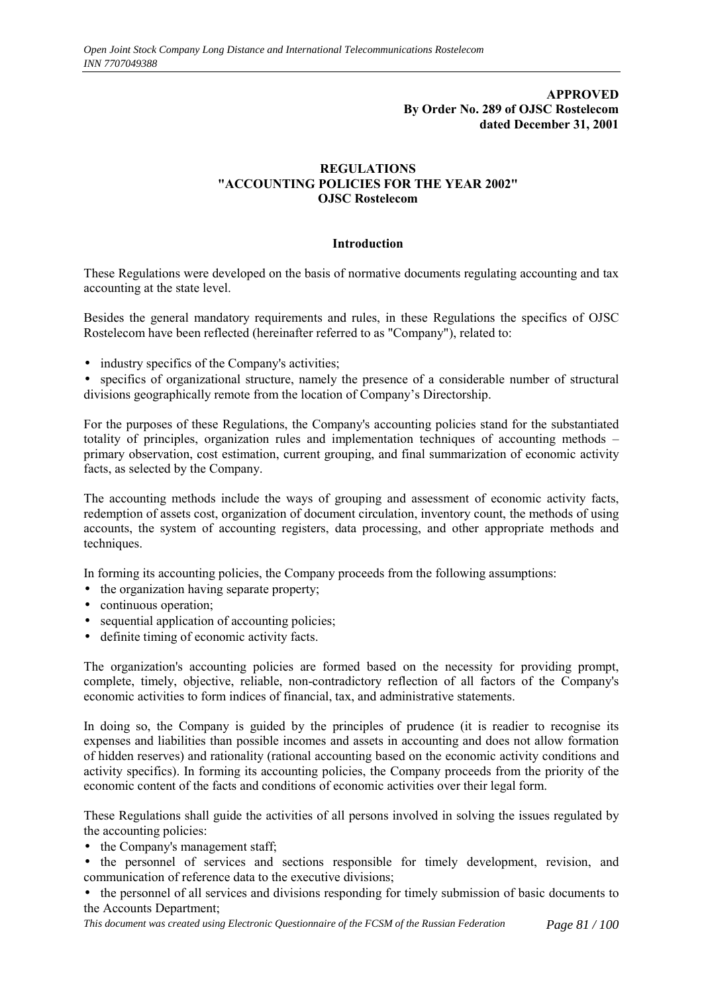#### **APPROVED By Order No. 289 of OJSC Rostelecom dated December 31, 2001**

#### **REGULATIONS "ACCOUNTING POLICIES FOR THE YEAR 2002" OJSC Rostelecom**

#### **Introduction**

These Regulations were developed on the basis of normative documents regulating accounting and tax accounting at the state level.

Besides the general mandatory requirements and rules, in these Regulations the specifics of OJSC Rostelecom have been reflected (hereinafter referred to as "Company"), related to:

• industry specifics of the Company's activities;

• specifics of organizational structure, namely the presence of a considerable number of structural divisions geographically remote from the location of Company's Directorship.

For the purposes of these Regulations, the Company's accounting policies stand for the substantiated totality of principles, organization rules and implementation techniques of accounting methods  $$ primary observation, cost estimation, current grouping, and final summarization of economic activity facts, as selected by the Company.

The accounting methods include the ways of grouping and assessment of economic activity facts, redemption of assets cost, organization of document circulation, inventory count, the methods of using accounts, the system of accounting registers, data processing, and other appropriate methods and techniques.

In forming its accounting policies, the Company proceeds from the following assumptions:

- the organization having separate property;
- continuous operation;
- sequential application of accounting policies;
- definite timing of economic activity facts.

The organization's accounting policies are formed based on the necessity for providing prompt, complete, timely, objective, reliable, non-contradictory reflection of all factors of the Company's economic activities to form indices of financial, tax, and administrative statements.

In doing so, the Company is guided by the principles of prudence (it is readier to recognise its expenses and liabilities than possible incomes and assets in accounting and does not allow formation of hidden reserves) and rationality (rational accounting based on the economic activity conditions and activity specifics). In forming its accounting policies, the Company proceeds from the priority of the economic content of the facts and conditions of economic activities over their legal form.

These Regulations shall guide the activities of all persons involved in solving the issues regulated by the accounting policies:

- the Company's management staff;
- the personnel of services and sections responsible for timely development, revision, and communication of reference data to the executive divisions;
- the personnel of all services and divisions responding for timely submission of basic documents to the Accounts Department;

*This document was created using Electronic Questionnaire of the FCSM of the Russian Federation Page 81 / 100*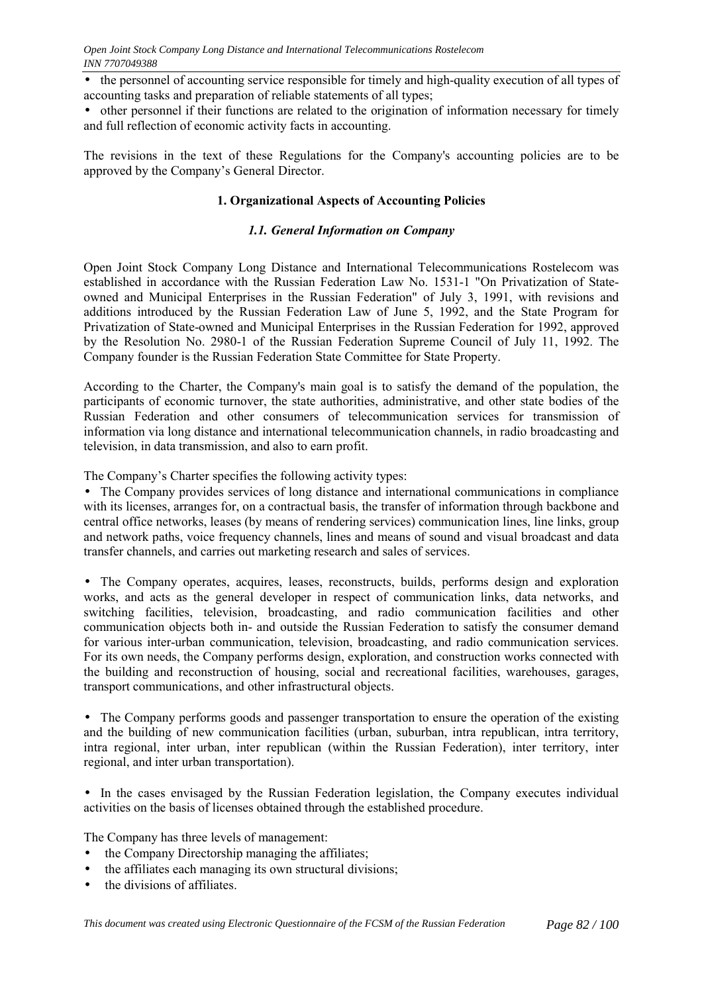• the personnel of accounting service responsible for timely and high-quality execution of all types of accounting tasks and preparation of reliable statements of all types;

• other personnel if their functions are related to the origination of information necessary for timely and full reflection of economic activity facts in accounting.

The revisions in the text of these Regulations for the Company's accounting policies are to be approved by the Company's General Director.

## **1. Organizational Aspects of Accounting Policies**

## *1.1. General Information on Company*

Open Joint Stock Company Long Distance and International Telecommunications Rostelecom was established in accordance with the Russian Federation Law No. 1531-1 "On Privatization of Stateowned and Municipal Enterprises in the Russian Federation" of July 3, 1991, with revisions and additions introduced by the Russian Federation Law of June 5, 1992, and the State Program for Privatization of State-owned and Municipal Enterprises in the Russian Federation for 1992, approved by the Resolution No. 2980-1 of the Russian Federation Supreme Council of July 11, 1992. The Company founder is the Russian Federation State Committee for State Property.

According to the Charter, the Company's main goal is to satisfy the demand of the population, the participants of economic turnover, the state authorities, administrative, and other state bodies of the Russian Federation and other consumers of telecommunication services for transmission of information via long distance and international telecommunication channels, in radio broadcasting and television, in data transmission, and also to earn profit.

The Company's Charter specifies the following activity types:

• The Company provides services of long distance and international communications in compliance with its licenses, arranges for, on a contractual basis, the transfer of information through backbone and central office networks, leases (by means of rendering services) communication lines, line links, group and network paths, voice frequency channels, lines and means of sound and visual broadcast and data transfer channels, and carries out marketing research and sales of services.

• The Company operates, acquires, leases, reconstructs, builds, performs design and exploration works, and acts as the general developer in respect of communication links, data networks, and switching facilities, television, broadcasting, and radio communication facilities and other communication objects both in- and outside the Russian Federation to satisfy the consumer demand for various inter-urban communication, television, broadcasting, and radio communication services. For its own needs, the Company performs design, exploration, and construction works connected with the building and reconstruction of housing, social and recreational facilities, warehouses, garages, transport communications, and other infrastructural objects.

• The Company performs goods and passenger transportation to ensure the operation of the existing and the building of new communication facilities (urban, suburban, intra republican, intra territory, intra regional, inter urban, inter republican (within the Russian Federation), inter territory, inter regional, and inter urban transportation).

• In the cases envisaged by the Russian Federation legislation, the Company executes individual activities on the basis of licenses obtained through the established procedure.

The Company has three levels of management:

- the Company Directorship managing the affiliates;
- the affiliates each managing its own structural divisions;
- the divisions of affiliates.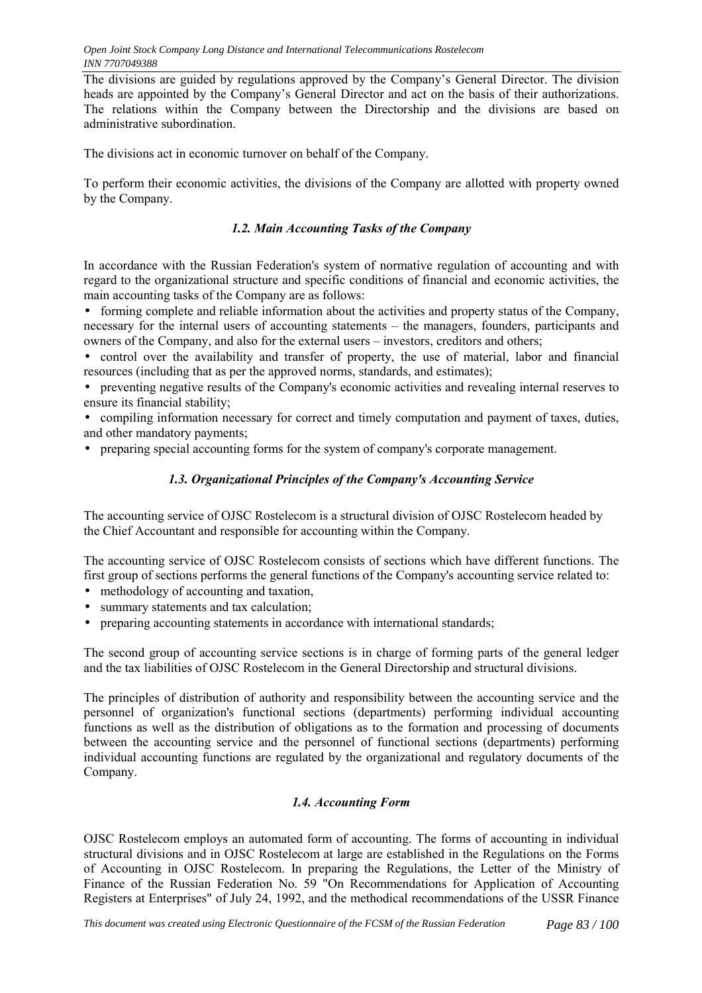The divisions are guided by regulations approved by the Company's General Director. The division heads are appointed by the Company's General Director and act on the basis of their authorizations. The relations within the Company between the Directorship and the divisions are based on administrative subordination.

The divisions act in economic turnover on behalf of the Company.

To perform their economic activities, the divisions of the Company are allotted with property owned by the Company.

## *1.2. Main Accounting Tasks of the Company*

In accordance with the Russian Federation's system of normative regulation of accounting and with regard to the organizational structure and specific conditions of financial and economic activities, the main accounting tasks of the Company are as follows:

• forming complete and reliable information about the activities and property status of the Company, necessary for the internal users of accounting statements – the managers, founders, participants and owners of the Company, and also for the external users – investors, creditors and others;

• control over the availability and transfer of property, the use of material, labor and financial resources (including that as per the approved norms, standards, and estimates);

• preventing negative results of the Company's economic activities and revealing internal reserves to ensure its financial stability;

• compiling information necessary for correct and timely computation and payment of taxes, duties, and other mandatory payments;

• preparing special accounting forms for the system of company's corporate management.

#### *1.3. Organizational Principles of the Company's Accounting Service*

The accounting service of OJSC Rostelecom is a structural division of OJSC Rostelecom headed by the Chief Accountant and responsible for accounting within the Company.

The accounting service of OJSC Rostelecom consists of sections which have different functions. The first group of sections performs the general functions of the Company's accounting service related to:

- methodology of accounting and taxation,
- summary statements and tax calculation;
- preparing accounting statements in accordance with international standards;

The second group of accounting service sections is in charge of forming parts of the general ledger and the tax liabilities of OJSC Rostelecom in the General Directorship and structural divisions.

The principles of distribution of authority and responsibility between the accounting service and the personnel of organization's functional sections (departments) performing individual accounting functions as well as the distribution of obligations as to the formation and processing of documents between the accounting service and the personnel of functional sections (departments) performing individual accounting functions are regulated by the organizational and regulatory documents of the Company.

## *1.4. Accounting Form*

OJSC Rostelecom employs an automated form of accounting. The forms of accounting in individual structural divisions and in OJSC Rostelecom at large are established in the Regulations on the Forms of Accounting in OJSC Rostelecom. In preparing the Regulations, the Letter of the Ministry of Finance of the Russian Federation No. 59 "On Recommendations for Application of Accounting Registers at Enterprises" of July 24, 1992, and the methodical recommendations of the USSR Finance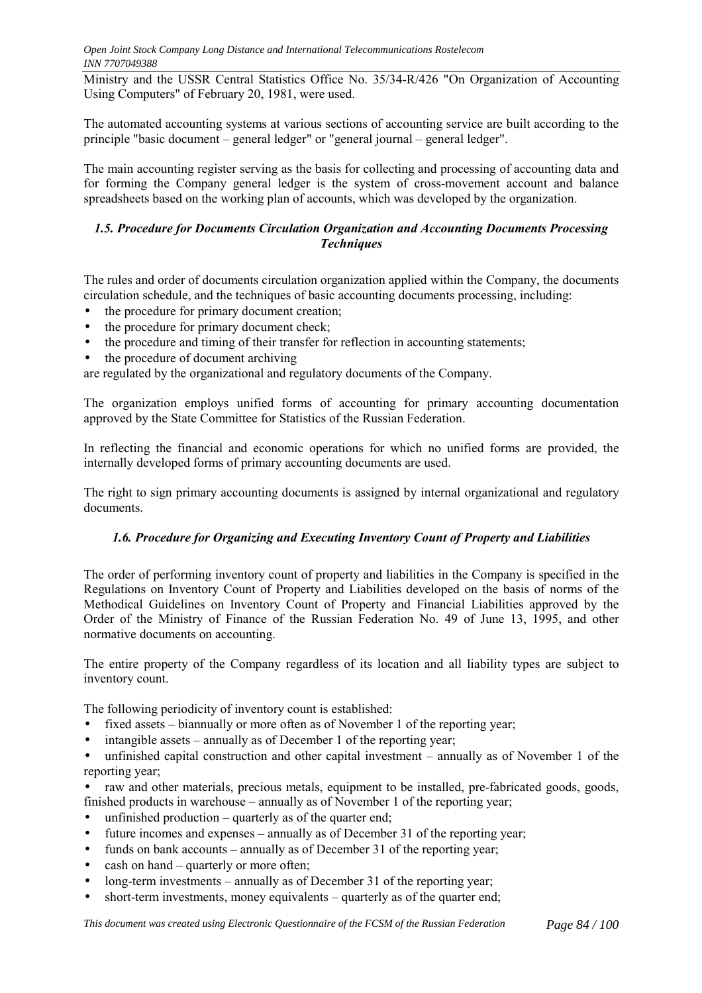Ministry and the USSR Central Statistics Office No. 35/34-R/426 "On Organization of Accounting Using Computers" of February 20, 1981, were used.

The automated accounting systems at various sections of accounting service are built according to the principle "basic document  $-$  general ledger" or "general journal  $-$  general ledger".

The main accounting register serving as the basis for collecting and processing of accounting data and for forming the Company general ledger is the system of cross-movement account and balance spreadsheets based on the working plan of accounts, which was developed by the organization.

#### *1.5. Procedure for Documents Circulation Organization and Accounting Documents Processing Techniques*

The rules and order of documents circulation organization applied within the Company, the documents circulation schedule, and the techniques of basic accounting documents processing, including:

- the procedure for primary document creation:
- the procedure for primary document check;
- the procedure and timing of their transfer for reflection in accounting statements:
- the procedure of document archiving

are regulated by the organizational and regulatory documents of the Company.

The organization employs unified forms of accounting for primary accounting documentation approved by the State Committee for Statistics of the Russian Federation.

In reflecting the financial and economic operations for which no unified forms are provided, the internally developed forms of primary accounting documents are used.

The right to sign primary accounting documents is assigned by internal organizational and regulatory documents.

## *1.6. Procedure for Organizing and Executing Inventory Count of Property and Liabilities*

The order of performing inventory count of property and liabilities in the Company is specified in the Regulations on Inventory Count of Property and Liabilities developed on the basis of norms of the Methodical Guidelines on Inventory Count of Property and Financial Liabilities approved by the Order of the Ministry of Finance of the Russian Federation No. 49 of June 13, 1995, and other normative documents on accounting.

The entire property of the Company regardless of its location and all liability types are subject to inventory count.

The following periodicity of inventory count is established:

- fixed assets  $-\frac{1}{2}$  biannually or more often as of November 1 of the reporting year;
- $\bullet$  intangible assets annually as of December 1 of the reporting year;

• unfinished capital construction and other capital investment  $-$  annually as of November 1 of the reporting year;

• raw and other materials, precious metals, equipment to be installed, pre-fabricated goods, goods, finished products in warehouse  $-$  annually as of November 1 of the reporting year;

- unfinished production  $-$  quarterly as of the quarter end;
- future incomes and expenses  $-\frac{1}{2}$  annually as of December 31 of the reporting year;
- funds on bank accounts  $-$  annually as of December 31 of the reporting year;
- cash on hand  $-$  quarterly or more often:
- long-term investments  $-$  annually as of December 31 of the reporting year;
- short-term investments, money equivalents  $-$  quarterly as of the quarter end;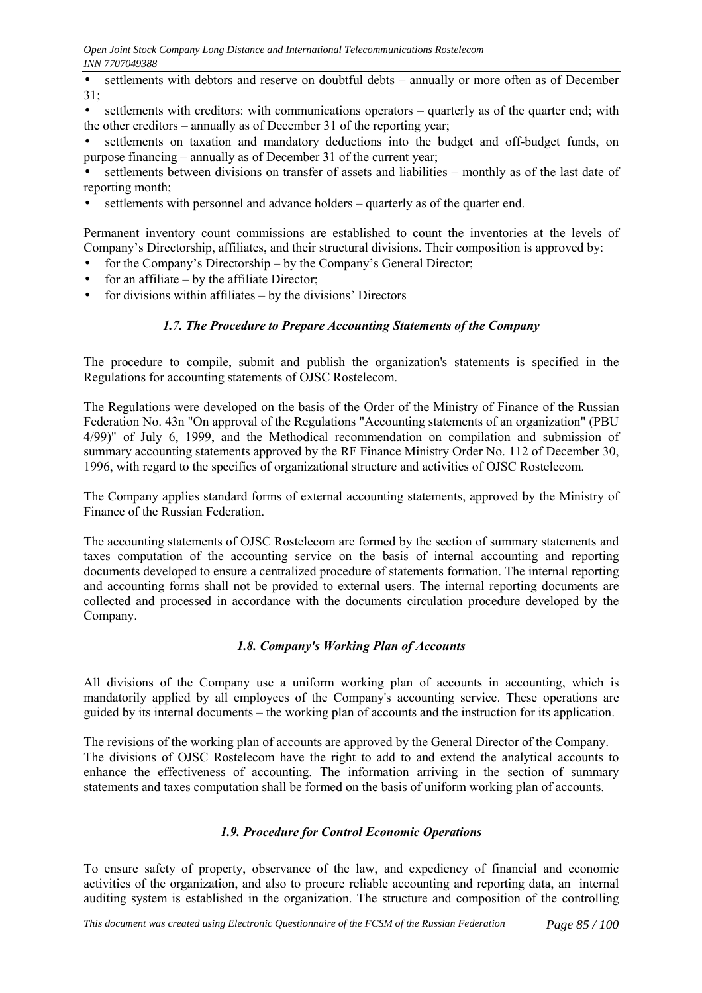$\bullet$  settlements with debtors and reserve on doubtful debts  $-$  annually or more often as of December 31;

• settlements with creditors: with communications operators  $-$  quarterly as of the quarter end; with the other creditors  $-$  annually as of December 31 of the reporting year;

• settlements on taxation and mandatory deductions into the budget and off-budget funds, on purpose financing  $-$  annually as of December 31 of the current year;

settlements between divisions on transfer of assets and liabilities – monthly as of the last date of reporting month;

settlements with personnel and advance holders – quarterly as of the quarter end.

Permanent inventory count commissions are established to count the inventories at the levels of Company's Directorship, affiliates, and their structural divisions. Their composition is approved by:

- for the Company's Directorship  $-$  by the Company's General Director;
- for an affiliate  $-$  by the affiliate Director;
- for divisions within affiliates  $-$  by the divisions' Directors

#### *1.7. The Procedure to Prepare Accounting Statements of the Company*

The procedure to compile, submit and publish the organization's statements is specified in the Regulations for accounting statements of OJSC Rostelecom.

The Regulations were developed on the basis of the Order of the Ministry of Finance of the Russian Federation No. 43n "On approval of the Regulations "Accounting statements of an organization" (PBU 4/99)" of July 6, 1999, and the Methodical recommendation on compilation and submission of summary accounting statements approved by the RF Finance Ministry Order No. 112 of December 30, 1996, with regard to the specifics of organizational structure and activities of OJSC Rostelecom.

The Company applies standard forms of external accounting statements, approved by the Ministry of Finance of the Russian Federation.

The accounting statements of OJSC Rostelecom are formed by the section of summary statements and taxes computation of the accounting service on the basis of internal accounting and reporting documents developed to ensure a centralized procedure of statements formation. The internal reporting and accounting forms shall not be provided to external users. The internal reporting documents are collected and processed in accordance with the documents circulation procedure developed by the Company.

#### *1.8. Company's Working Plan of Accounts*

All divisions of the Company use a uniform working plan of accounts in accounting, which is mandatorily applied by all employees of the Company's accounting service. These operations are guided by its internal documents – the working plan of accounts and the instruction for its application.

The revisions of the working plan of accounts are approved by the General Director of the Company. The divisions of OJSC Rostelecom have the right to add to and extend the analytical accounts to enhance the effectiveness of accounting. The information arriving in the section of summary statements and taxes computation shall be formed on the basis of uniform working plan of accounts.

#### *1.9. Procedure for Control Economic Operations*

To ensure safety of property, observance of the law, and expediency of financial and economic activities of the organization, and also to procure reliable accounting and reporting data, an internal auditing system is established in the organization. The structure and composition of the controlling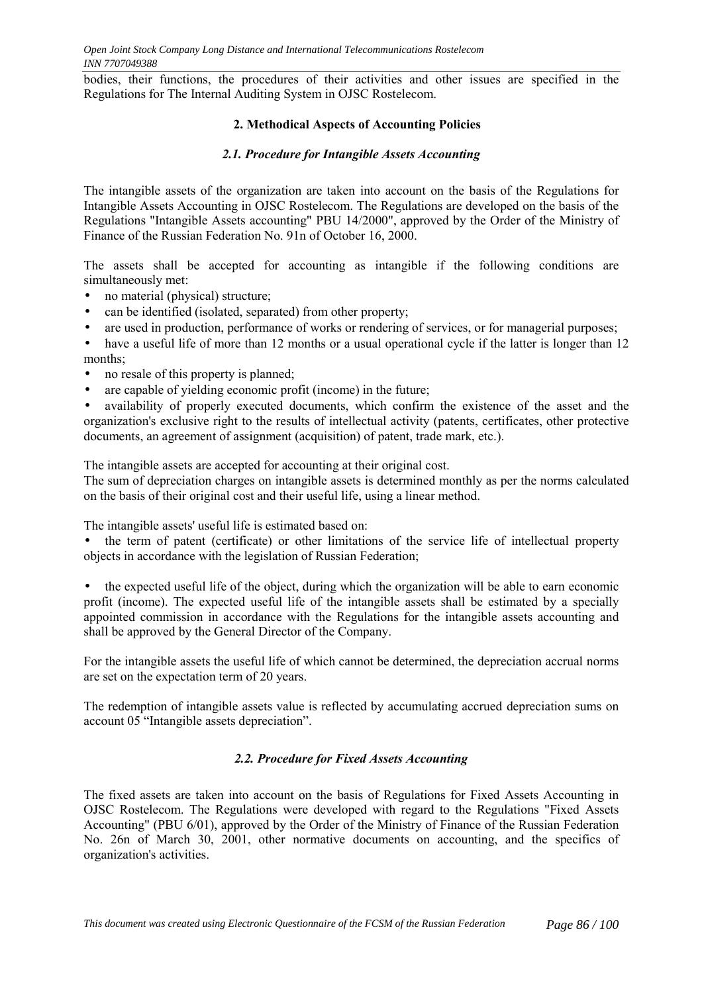bodies, their functions, the procedures of their activities and other issues are specified in the Regulations for The Internal Auditing System in OJSC Rostelecom.

#### **2. Methodical Aspects of Accounting Policies**

#### *2.1. Procedure for Intangible Assets Accounting*

The intangible assets of the organization are taken into account on the basis of the Regulations for Intangible Assets Accounting in OJSC Rostelecom. The Regulations are developed on the basis of the Regulations "Intangible Assets accounting" PBU 14/2000", approved by the Order of the Ministry of Finance of the Russian Federation No. 91n of October 16, 2000.

The assets shall be accepted for accounting as intangible if the following conditions are simultaneously met:

- no material (physical) structure:
- can be identified (isolated, separated) from other property;
- are used in production, performance of works or rendering of services, or for managerial purposes;

• have a useful life of more than 12 months or a usual operational cycle if the latter is longer than 12 months;

- no resale of this property is planned;
- are capable of yielding economic profit (income) in the future;

• availability of properly executed documents, which confirm the existence of the asset and the organization's exclusive right to the results of intellectual activity (patents, certificates, other protective documents, an agreement of assignment (acquisition) of patent, trade mark, etc.).

The intangible assets are accepted for accounting at their original cost.

The sum of depreciation charges on intangible assets is determined monthly as per the norms calculated on the basis of their original cost and their useful life, using a linear method.

The intangible assets' useful life is estimated based on:

• the term of patent (certificate) or other limitations of the service life of intellectual property objects in accordance with the legislation of Russian Federation;

• the expected useful life of the object, during which the organization will be able to earn economic profit (income). The expected useful life of the intangible assets shall be estimated by a specially appointed commission in accordance with the Regulations for the intangible assets accounting and shall be approved by the General Director of the Company.

For the intangible assets the useful life of which cannot be determined, the depreciation accrual norms are set on the expectation term of 20 years.

The redemption of intangible assets value is reflected by accumulating accrued depreciation sums on account 05 "Intangible assets depreciation".

## *2.2. Procedure for Fixed Assets Accounting*

The fixed assets are taken into account on the basis of Regulations for Fixed Assets Accounting in OJSC Rostelecom. The Regulations were developed with regard to the Regulations "Fixed Assets Accounting" (PBU 6/01), approved by the Order of the Ministry of Finance of the Russian Federation No. 26n of March 30, 2001, other normative documents on accounting, and the specifics of organization's activities.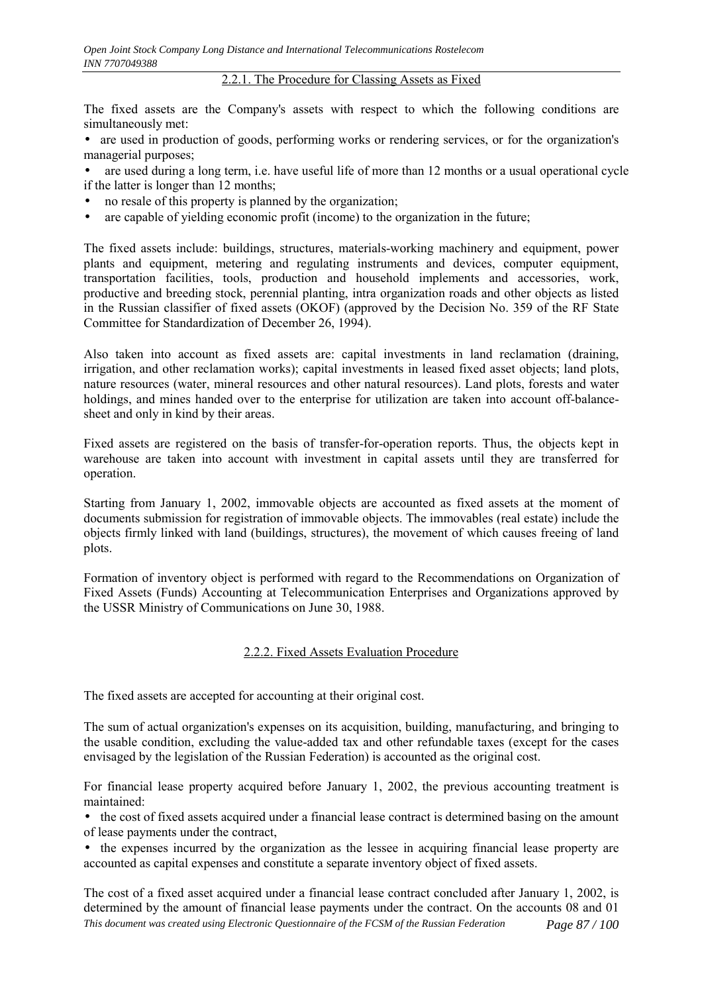2.2.1. The Procedure for Classing Assets as Fixed

The fixed assets are the Company's assets with respect to which the following conditions are simultaneously met:

• are used in production of goods, performing works or rendering services, or for the organization's managerial purposes;

are used during a long term, i.e. have useful life of more than 12 months or a usual operational cycle if the latter is longer than 12 months;

- no resale of this property is planned by the organization;
- are capable of vielding economic profit (income) to the organization in the future;

The fixed assets include: buildings, structures, materials-working machinery and equipment, power plants and equipment, metering and regulating instruments and devices, computer equipment, transportation facilities, tools, production and household implements and accessories, work, productive and breeding stock, perennial planting, intra organization roads and other objects as listed in the Russian classifier of fixed assets (OKOF) (approved by the Decision No. 359 of the RF State Committee for Standardization of December 26, 1994).

Also taken into account as fixed assets are: capital investments in land reclamation (draining, irrigation, and other reclamation works); capital investments in leased fixed asset objects; land plots, nature resources (water, mineral resources and other natural resources). Land plots, forests and water holdings, and mines handed over to the enterprise for utilization are taken into account off-balancesheet and only in kind by their areas.

Fixed assets are registered on the basis of transfer-for-operation reports. Thus, the objects kept in warehouse are taken into account with investment in capital assets until they are transferred for operation.

Starting from January 1, 2002, immovable objects are accounted as fixed assets at the moment of documents submission for registration of immovable objects. The immovables (real estate) include the objects firmly linked with land (buildings, structures), the movement of which causes freeing of land plots.

Formation of inventory object is performed with regard to the Recommendations on Organization of Fixed Assets (Funds) Accounting at Telecommunication Enterprises and Organizations approved by the USSR Ministry of Communications on June 30, 1988.

## 2.2.2. Fixed Assets Evaluation Procedure

The fixed assets are accepted for accounting at their original cost.

The sum of actual organization's expenses on its acquisition, building, manufacturing, and bringing to the usable condition, excluding the value-added tax and other refundable taxes (except for the cases envisaged by the legislation of the Russian Federation) is accounted as the original cost.

For financial lease property acquired before January 1, 2002, the previous accounting treatment is maintained:

• the cost of fixed assets acquired under a financial lease contract is determined basing on the amount of lease payments under the contract,

• the expenses incurred by the organization as the lessee in acquiring financial lease property are accounted as capital expenses and constitute a separate inventory object of fixed assets.

*This document was created using Electronic Questionnaire of the FCSM of the Russian Federation Page 87 / 100* The cost of a fixed asset acquired under a financial lease contract concluded after January 1, 2002, is determined by the amount of financial lease payments under the contract. On the accounts 08 and 01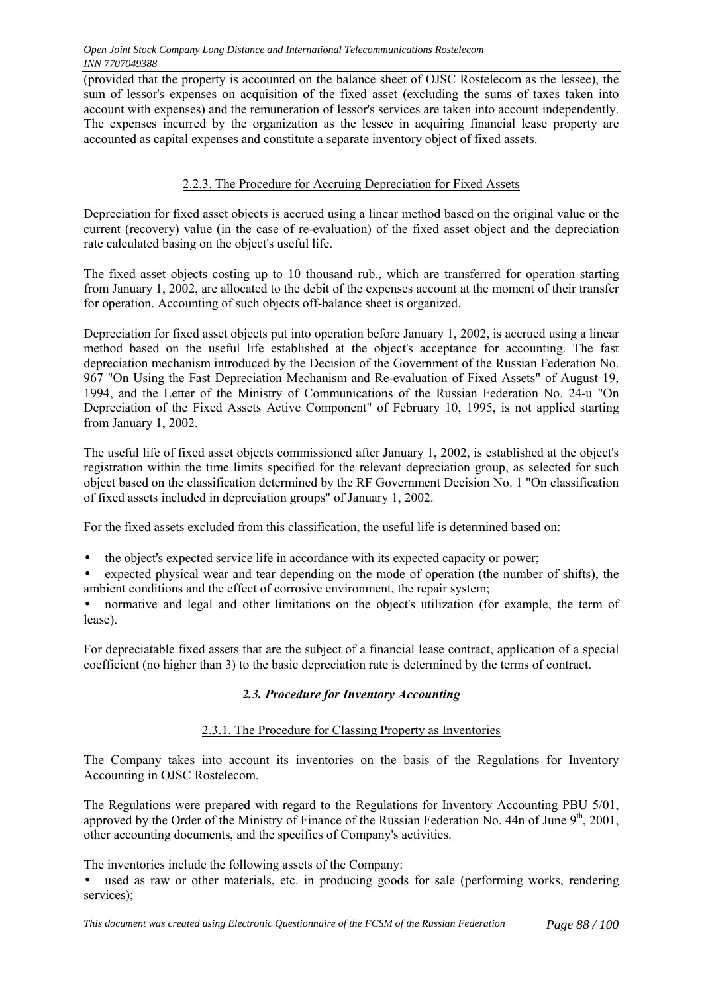(provided that the property is accounted on the balance sheet of OJSC Rostelecom as the lessee), the sum of lessor's expenses on acquisition of the fixed asset (excluding the sums of taxes taken into account with expenses) and the remuneration of lessor's services are taken into account independently. The expenses incurred by the organization as the lessee in acquiring financial lease property are accounted as capital expenses and constitute a separate inventory object of fixed assets.

## 2.2.3. The Procedure for Accruing Depreciation for Fixed Assets

Depreciation for fixed asset objects is accrued using a linear method based on the original value or the current (recovery) value (in the case of re-evaluation) of the fixed asset object and the depreciation rate calculated basing on the object's useful life.

The fixed asset objects costing up to 10 thousand rub., which are transferred for operation starting from January 1, 2002, are allocated to the debit of the expenses account at the moment of their transfer for operation. Accounting of such objects off-balance sheet is organized.

Depreciation for fixed asset objects put into operation before January 1, 2002, is accrued using a linear method based on the useful life established at the object's acceptance for accounting. The fast depreciation mechanism introduced by the Decision of the Government of the Russian Federation No. 967 "On Using the Fast Depreciation Mechanism and Re-evaluation of Fixed Assets" of August 19, 1994, and the Letter of the Ministry of Communications of the Russian Federation No. 24-u "On Depreciation of the Fixed Assets Active Component" of February 10, 1995, is not applied starting from January 1, 2002.

The useful life of fixed asset objects commissioned after January 1, 2002, is established at the object's registration within the time limits specified for the relevant depreciation group, as selected for such object based on the classification determined by the RF Government Decision No. 1 "On classification of fixed assets included in depreciation groups" of January 1, 2002.

For the fixed assets excluded from this classification, the useful life is determined based on:

- the object's expected service life in accordance with its expected capacity or power;
- expected physical wear and tear depending on the mode of operation (the number of shifts), the ambient conditions and the effect of corrosive environment, the repair system;

• normative and legal and other limitations on the object's utilization (for example, the term of lease).

For depreciatable fixed assets that are the subject of a financial lease contract, application of a special coefficient (no higher than 3) to the basic depreciation rate is determined by the terms of contract.

## *2.3. Procedure for Inventory Accounting*

## 2.3.1. The Procedure for Classing Property as Inventories

The Company takes into account its inventories on the basis of the Regulations for Inventory Accounting in OJSC Rostelecom.

The Regulations were prepared with regard to the Regulations for Inventory Accounting PBU 5/01, approved by the Order of the Ministry of Finance of the Russian Federation No. 44n of June  $9<sup>th</sup>$ , 2001, other accounting documents, and the specifics of Company's activities.

The inventories include the following assets of the Company:

• used as raw or other materials, etc. in producing goods for sale (performing works, rendering services);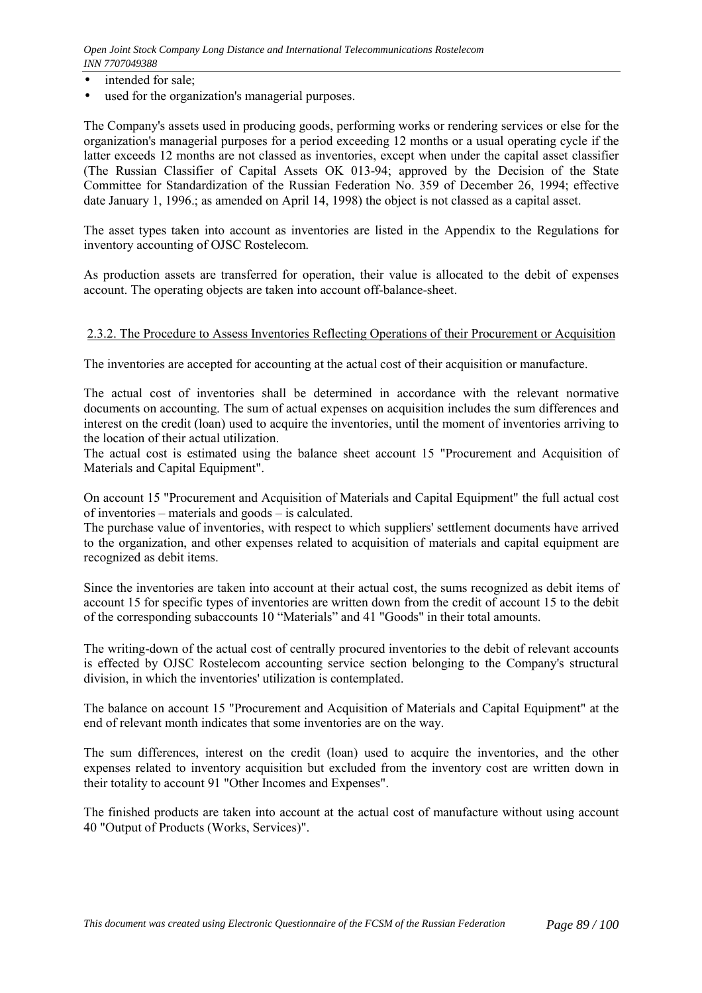- intended for sale:
- used for the organization's managerial purposes.

The Company's assets used in producing goods, performing works or rendering services or else for the organization's managerial purposes for a period exceeding 12 months or a usual operating cycle if the latter exceeds 12 months are not classed as inventories, except when under the capital asset classifier (The Russian Classifier of Capital Assets OK 013-94; approved by the Decision of the State Committee for Standardization of the Russian Federation No. 359 of December 26, 1994; effective date January 1, 1996.; as amended on April 14, 1998) the object is not classed as a capital asset.

The asset types taken into account as inventories are listed in the Appendix to the Regulations for inventory accounting of OJSC Rostelecom.

As production assets are transferred for operation, their value is allocated to the debit of expenses account. The operating objects are taken into account off-balance-sheet.

#### 2.3.2. The Procedure to Assess Inventories Reflecting Operations of their Procurement or Acquisition

The inventories are accepted for accounting at the actual cost of their acquisition or manufacture.

The actual cost of inventories shall be determined in accordance with the relevant normative documents on accounting. The sum of actual expenses on acquisition includes the sum differences and interest on the credit (loan) used to acquire the inventories, until the moment of inventories arriving to the location of their actual utilization.

The actual cost is estimated using the balance sheet account 15 "Procurement and Acquisition of Materials and Capital Equipment".

On account 15 "Procurement and Acquisition of Materials and Capital Equipment" the full actual cost of inventories – materials and goods – is calculated.

The purchase value of inventories, with respect to which suppliers' settlement documents have arrived to the organization, and other expenses related to acquisition of materials and capital equipment are recognized as debit items.

Since the inventories are taken into account at their actual cost, the sums recognized as debit items of account 15 for specific types of inventories are written down from the credit of account 15 to the debit of the corresponding subaccounts 10 "Materials" and 41 "Goods" in their total amounts.

The writing-down of the actual cost of centrally procured inventories to the debit of relevant accounts is effected by OJSC Rostelecom accounting service section belonging to the Company's structural division, in which the inventories' utilization is contemplated.

The balance on account 15 "Procurement and Acquisition of Materials and Capital Equipment" at the end of relevant month indicates that some inventories are on the way.

The sum differences, interest on the credit (loan) used to acquire the inventories, and the other expenses related to inventory acquisition but excluded from the inventory cost are written down in their totality to account 91 "Other Incomes and Expenses".

The finished products are taken into account at the actual cost of manufacture without using account 40 "Output of Products (Works, Services)".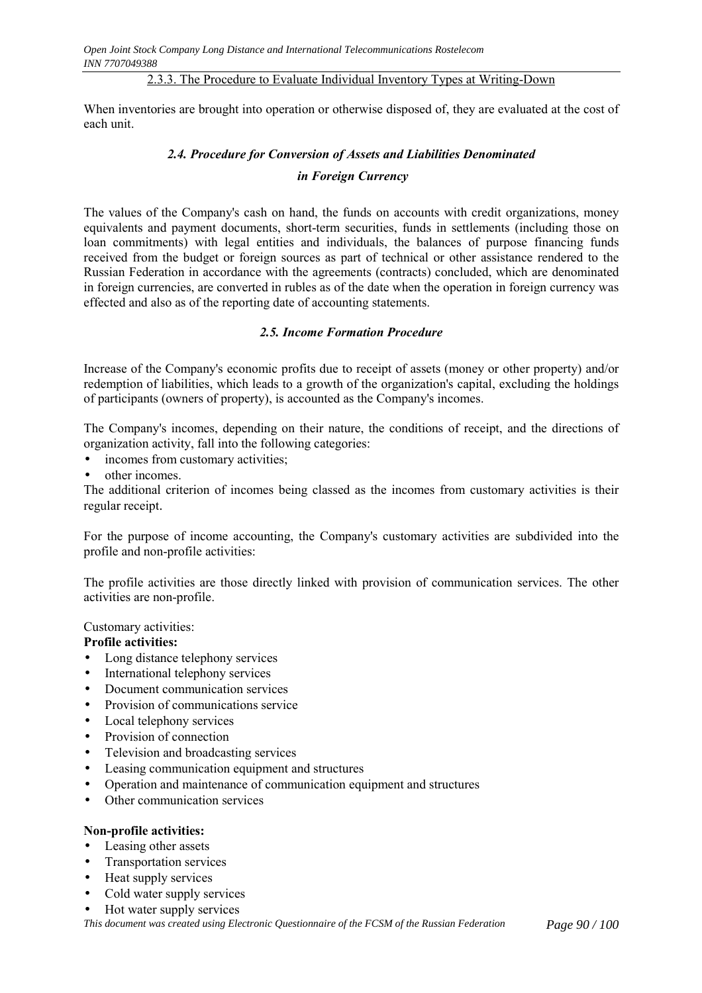#### 2.3.3. The Procedure to Evaluate Individual Inventory Types at Writing-Down

When inventories are brought into operation or otherwise disposed of, they are evaluated at the cost of each unit.

#### *2.4. Procedure for Conversion of Assets and Liabilities Denominated*

#### *in Foreign Currency*

The values of the Company's cash on hand, the funds on accounts with credit organizations, money equivalents and payment documents, short-term securities, funds in settlements (including those on loan commitments) with legal entities and individuals, the balances of purpose financing funds received from the budget or foreign sources as part of technical or other assistance rendered to the Russian Federation in accordance with the agreements (contracts) concluded, which are denominated in foreign currencies, are converted in rubles as of the date when the operation in foreign currency was effected and also as of the reporting date of accounting statements.

#### *2.5. Income Formation Procedure*

Increase of the Company's economic profits due to receipt of assets (money or other property) and/or redemption of liabilities, which leads to a growth of the organization's capital, excluding the holdings of participants (owners of property), is accounted as the Company's incomes.

The Company's incomes, depending on their nature, the conditions of receipt, and the directions of organization activity, fall into the following categories:

- incomes from customary activities;
- other incomes

The additional criterion of incomes being classed as the incomes from customary activities is their regular receipt.

For the purpose of income accounting, the Company's customary activities are subdivided into the profile and non-profile activities:

The profile activities are those directly linked with provision of communication services. The other activities are non-profile.

Customary activities:

#### **Profile activities:**

- Long distance telephony services
- International telephony services
- Document communication services
- Provision of communications service
- Local telephony services
- Provision of connection
- Television and broadcasting services
- Leasing communication equipment and structures
- Operation and maintenance of communication equipment and structures
- Other communication services

#### **Non-profile activities:**

- Leasing other assets
- Transportation services
- Heat supply services
- Cold water supply services
- Hot water supply services

*This document was created using Electronic Questionnaire of the FCSM of the Russian Federation Page 90 / 100*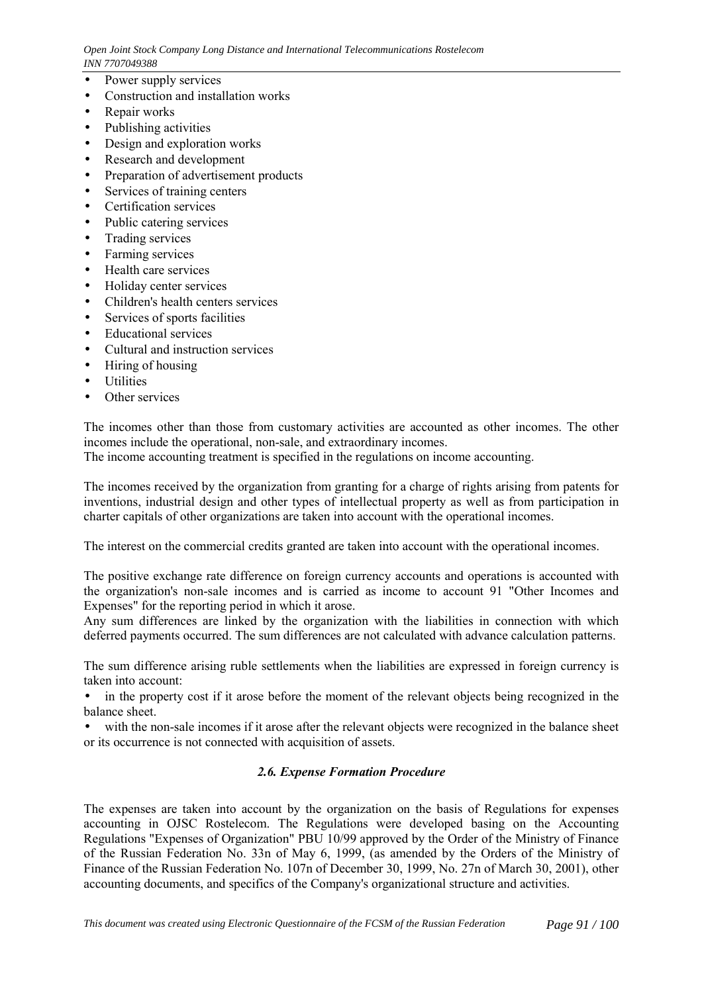*Open Joint Stock Company Long Distance and International Telecommunications Rostelecom INN 7707049388*

- Power supply services
- Construction and installation works
- Repair works
- Publishing activities
- Design and exploration works
- Research and development
- Preparation of advertisement products
- Services of training centers
- Certification services
- Public catering services
- Trading services
- Farming services
- Health care services
- Holiday center services
- Children's health centers services
- Services of sports facilities
- Educational services
- Cultural and instruction services
- Hiring of housing
- Utilities
- Other services

The incomes other than those from customary activities are accounted as other incomes. The other incomes include the operational, non-sale, and extraordinary incomes. The income accounting treatment is specified in the regulations on income accounting.

The incomes received by the organization from granting for a charge of rights arising from patents for inventions, industrial design and other types of intellectual property as well as from participation in charter capitals of other organizations are taken into account with the operational incomes.

The interest on the commercial credits granted are taken into account with the operational incomes.

The positive exchange rate difference on foreign currency accounts and operations is accounted with the organization's non-sale incomes and is carried as income to account 91 "Other Incomes and Expenses" for the reporting period in which it arose.

Any sum differences are linked by the organization with the liabilities in connection with which deferred payments occurred. The sum differences are not calculated with advance calculation patterns.

The sum difference arising ruble settlements when the liabilities are expressed in foreign currency is taken into account:

• in the property cost if it arose before the moment of the relevant objects being recognized in the balance sheet.

• with the non-sale incomes if it arose after the relevant objects were recognized in the balance sheet or its occurrence is not connected with acquisition of assets.

## *2.6. Expense Formation Procedure*

The expenses are taken into account by the organization on the basis of Regulations for expenses accounting in OJSC Rostelecom. The Regulations were developed basing on the Accounting Regulations "Expenses of Organization" PBU 10/99 approved by the Order of the Ministry of Finance of the Russian Federation No. 33n of May 6, 1999, (as amended by the Orders of the Ministry of Finance of the Russian Federation No. 107n of December 30, 1999, No. 27n of March 30, 2001), other accounting documents, and specifics of the Company's organizational structure and activities.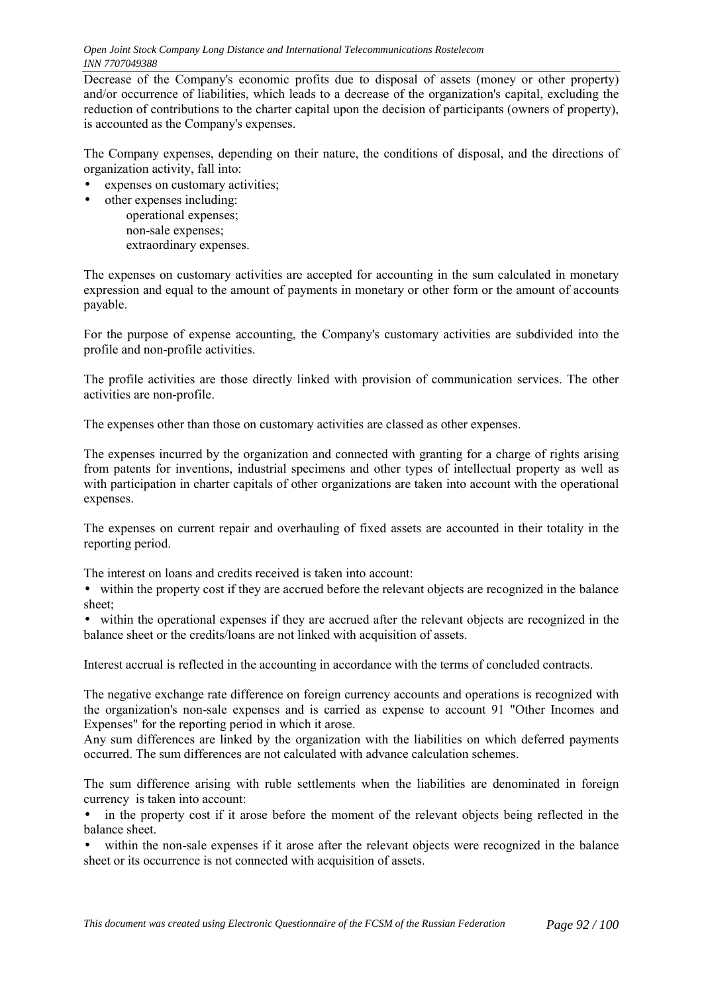*Open Joint Stock Company Long Distance and International Telecommunications Rostelecom INN 7707049388*

Decrease of the Company's economic profits due to disposal of assets (money or other property) and/or occurrence of liabilities, which leads to a decrease of the organization's capital, excluding the reduction of contributions to the charter capital upon the decision of participants (owners of property), is accounted as the Company's expenses.

The Company expenses, depending on their nature, the conditions of disposal, and the directions of organization activity, fall into:

- expenses on customary activities;
- other expenses including: operational expenses; non-sale expenses; extraordinary expenses.

The expenses on customary activities are accepted for accounting in the sum calculated in monetary expression and equal to the amount of payments in monetary or other form or the amount of accounts payable.

For the purpose of expense accounting, the Company's customary activities are subdivided into the profile and non-profile activities.

The profile activities are those directly linked with provision of communication services. The other activities are non-profile.

The expenses other than those on customary activities are classed as other expenses.

The expenses incurred by the organization and connected with granting for a charge of rights arising from patents for inventions, industrial specimens and other types of intellectual property as well as with participation in charter capitals of other organizations are taken into account with the operational expenses.

The expenses on current repair and overhauling of fixed assets are accounted in their totality in the reporting period.

The interest on loans and credits received is taken into account:

• within the property cost if they are accrued before the relevant objects are recognized in the balance sheet;

• within the operational expenses if they are accrued after the relevant objects are recognized in the balance sheet or the credits/loans are not linked with acquisition of assets.

Interest accrual is reflected in the accounting in accordance with the terms of concluded contracts.

The negative exchange rate difference on foreign currency accounts and operations is recognized with the organization's non-sale expenses and is carried as expense to account 91 "Other Incomes and Expenses" for the reporting period in which it arose.

Any sum differences are linked by the organization with the liabilities on which deferred payments occurred. The sum differences are not calculated with advance calculation schemes.

The sum difference arising with ruble settlements when the liabilities are denominated in foreign currency is taken into account:

• in the property cost if it arose before the moment of the relevant objects being reflected in the balance sheet.

within the non-sale expenses if it arose after the relevant objects were recognized in the balance sheet or its occurrence is not connected with acquisition of assets.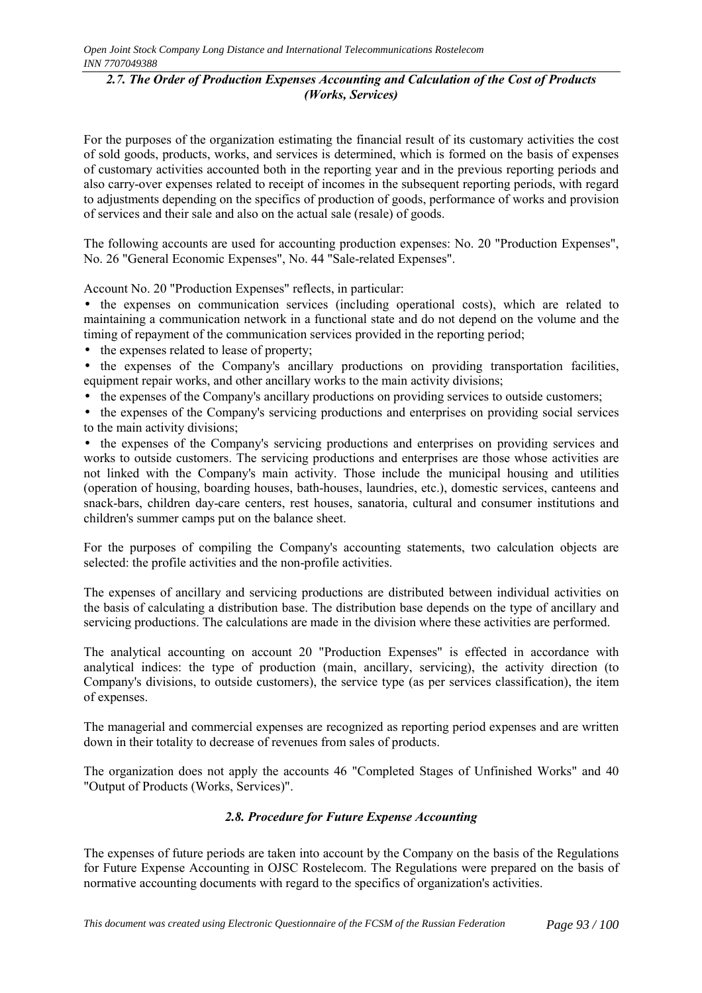## *2.7. The Order of Production Expenses Accounting and Calculation of the Cost of Products (Works, Services)*

For the purposes of the organization estimating the financial result of its customary activities the cost of sold goods, products, works, and services is determined, which is formed on the basis of expenses of customary activities accounted both in the reporting year and in the previous reporting periods and also carry-over expenses related to receipt of incomes in the subsequent reporting periods, with regard to adjustments depending on the specifics of production of goods, performance of works and provision of services and their sale and also on the actual sale (resale) of goods.

The following accounts are used for accounting production expenses: No. 20 "Production Expenses", No. 26 "General Economic Expenses", No. 44 "Sale-related Expenses".

Account No. 20 "Production Expenses" reflects, in particular:

• the expenses on communication services (including operational costs), which are related to maintaining a communication network in a functional state and do not depend on the volume and the timing of repayment of the communication services provided in the reporting period;

- the expenses related to lease of property;
- the expenses of the Company's ancillary productions on providing transportation facilities, equipment repair works, and other ancillary works to the main activity divisions;
- the expenses of the Company's ancillary productions on providing services to outside customers;

• the expenses of the Company's servicing productions and enterprises on providing social services to the main activity divisions;

• the expenses of the Company's servicing productions and enterprises on providing services and works to outside customers. The servicing productions and enterprises are those whose activities are not linked with the Company's main activity. Those include the municipal housing and utilities (operation of housing, boarding houses, bath-houses, laundries, etc.), domestic services, canteens and snack-bars, children day-care centers, rest houses, sanatoria, cultural and consumer institutions and children's summer camps put on the balance sheet.

For the purposes of compiling the Company's accounting statements, two calculation objects are selected: the profile activities and the non-profile activities.

The expenses of ancillary and servicing productions are distributed between individual activities on the basis of calculating a distribution base. The distribution base depends on the type of ancillary and servicing productions. The calculations are made in the division where these activities are performed.

The analytical accounting on account 20 "Production Expenses" is effected in accordance with analytical indices: the type of production (main, ancillary, servicing), the activity direction (to Company's divisions, to outside customers), the service type (as per services classification), the item of expenses.

The managerial and commercial expenses are recognized as reporting period expenses and are written down in their totality to decrease of revenues from sales of products.

The organization does not apply the accounts 46 "Completed Stages of Unfinished Works" and 40 "Output of Products (Works, Services)".

# *2.8. Procedure for Future Expense Accounting*

The expenses of future periods are taken into account by the Company on the basis of the Regulations for Future Expense Accounting in OJSC Rostelecom. The Regulations were prepared on the basis of normative accounting documents with regard to the specifics of organization's activities.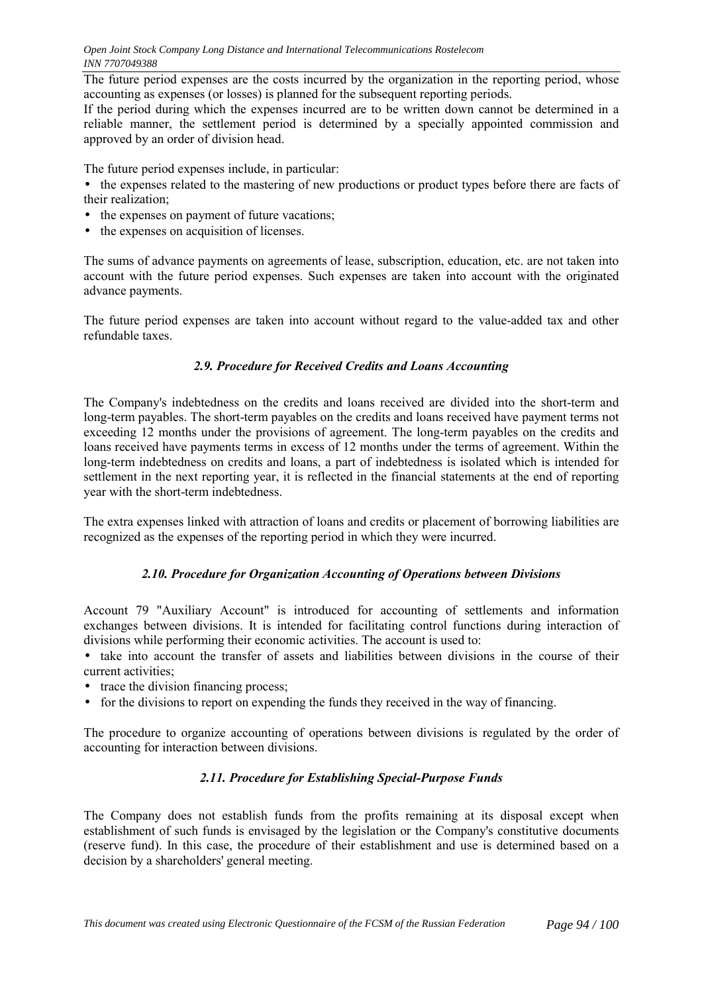The future period expenses are the costs incurred by the organization in the reporting period, whose accounting as expenses (or losses) is planned for the subsequent reporting periods.

If the period during which the expenses incurred are to be written down cannot be determined in a reliable manner, the settlement period is determined by a specially appointed commission and approved by an order of division head.

The future period expenses include, in particular:

• the expenses related to the mastering of new productions or product types before there are facts of their realization;

- the expenses on payment of future vacations;
- the expenses on acquisition of licenses.

The sums of advance payments on agreements of lease, subscription, education, etc. are not taken into account with the future period expenses. Such expenses are taken into account with the originated advance payments.

The future period expenses are taken into account without regard to the value-added tax and other refundable taxes.

## *2.9. Procedure for Received Credits and Loans Accounting*

The Company's indebtedness on the credits and loans received are divided into the short-term and long-term payables. The short-term payables on the credits and loans received have payment terms not exceeding 12 months under the provisions of agreement. The long-term payables on the credits and loans received have payments terms in excess of 12 months under the terms of agreement. Within the long-term indebtedness on credits and loans, a part of indebtedness is isolated which is intended for settlement in the next reporting year, it is reflected in the financial statements at the end of reporting year with the short-term indebtedness.

The extra expenses linked with attraction of loans and credits or placement of borrowing liabilities are recognized as the expenses of the reporting period in which they were incurred.

## *2.10. Procedure for Organization Accounting of Operations between Divisions*

Account 79 "Auxiliary Account" is introduced for accounting of settlements and information exchanges between divisions. It is intended for facilitating control functions during interaction of divisions while performing their economic activities. The account is used to:

- take into account the transfer of assets and liabilities between divisions in the course of their current activities;
- trace the division financing process;
- for the divisions to report on expending the funds they received in the way of financing.

The procedure to organize accounting of operations between divisions is regulated by the order of accounting for interaction between divisions.

## *2.11. Procedure for Establishing Special-Purpose Funds*

The Company does not establish funds from the profits remaining at its disposal except when establishment of such funds is envisaged by the legislation or the Company's constitutive documents (reserve fund). In this case, the procedure of their establishment and use is determined based on a decision by a shareholders' general meeting.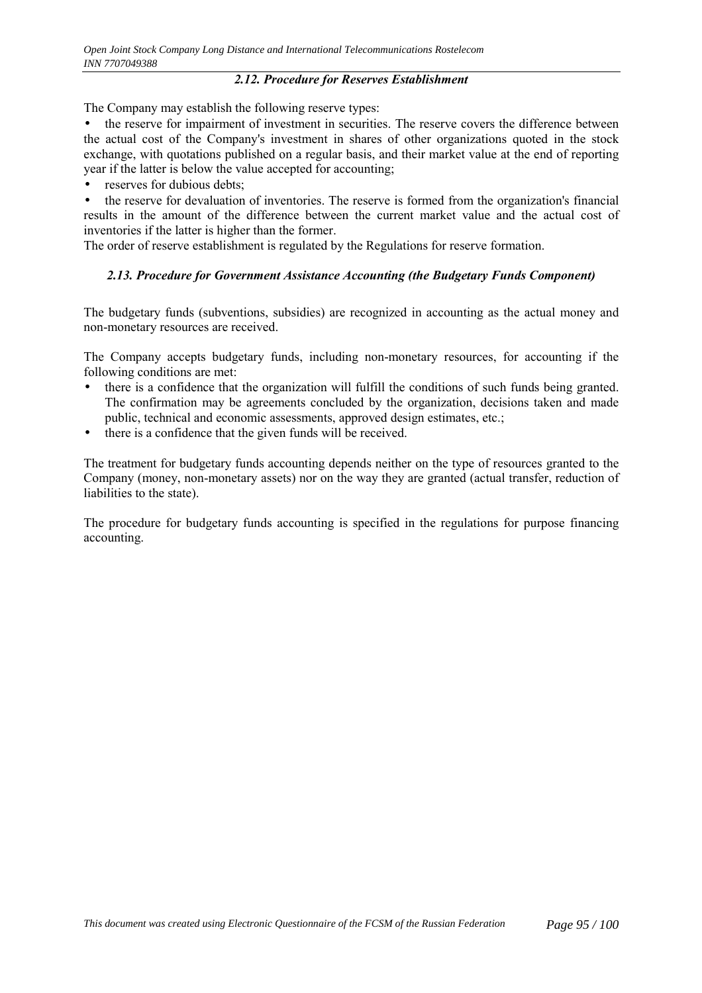#### *2.12. Procedure for Reserves Establishment*

The Company may establish the following reserve types:

• the reserve for impairment of investment in securities. The reserve covers the difference between the actual cost of the Company's investment in shares of other organizations quoted in the stock exchange, with quotations published on a regular basis, and their market value at the end of reporting year if the latter is below the value accepted for accounting;

reserves for dubious debts;

• the reserve for devaluation of inventories. The reserve is formed from the organization's financial results in the amount of the difference between the current market value and the actual cost of inventories if the latter is higher than the former.

The order of reserve establishment is regulated by the Regulations for reserve formation.

## *2.13. Procedure for Government Assistance Accounting (the Budgetary Funds Component)*

The budgetary funds (subventions, subsidies) are recognized in accounting as the actual money and non-monetary resources are received.

The Company accepts budgetary funds, including non-monetary resources, for accounting if the following conditions are met:

- there is a confidence that the organization will fulfill the conditions of such funds being granted. The confirmation may be agreements concluded by the organization, decisions taken and made public, technical and economic assessments, approved design estimates, etc.;
- there is a confidence that the given funds will be received.

The treatment for budgetary funds accounting depends neither on the type of resources granted to the Company (money, non-monetary assets) nor on the way they are granted (actual transfer, reduction of liabilities to the state).

The procedure for budgetary funds accounting is specified in the regulations for purpose financing accounting.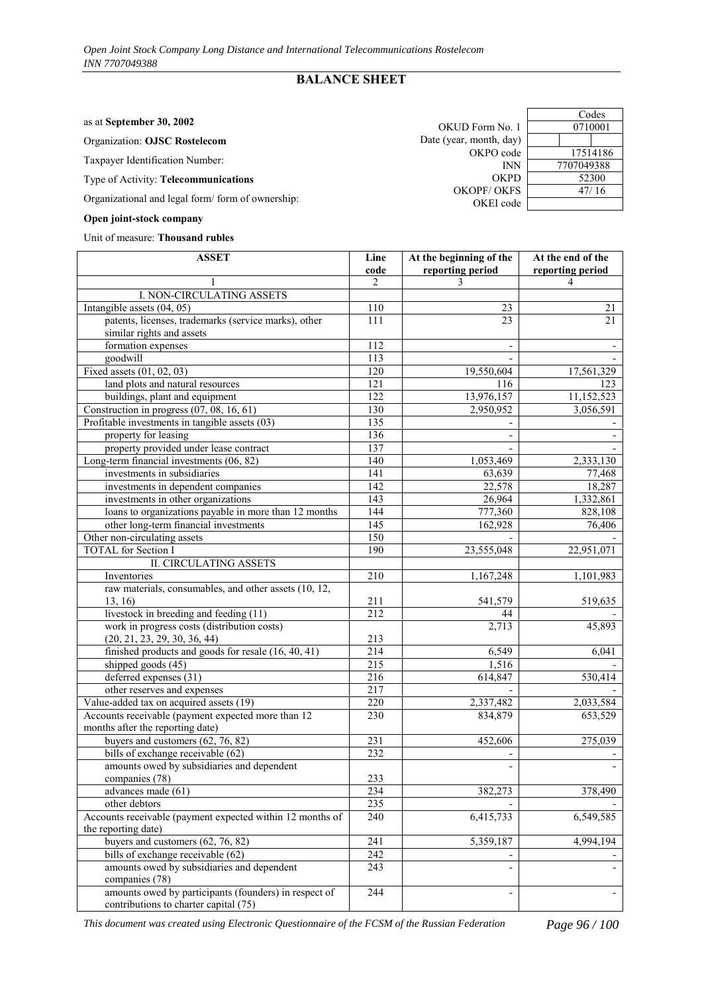## **BALANCE SHEET**

|  | as at September 30, 2002 |  |  |
|--|--------------------------|--|--|
|  |                          |  |  |

Organization: **OJSC Rostelecom**

Taxpayer Identification Number:

## Type of Activity: **Telecommunications**

Organizational and legal form/ form of ownership:

#### **Open joint-stock company**

#### Unit of measure: **Thousand rubles**

| <b>ASSET</b>                                                                                   | Line<br>code     | At the beginning of the<br>reporting period | At the end of the<br>reporting period |
|------------------------------------------------------------------------------------------------|------------------|---------------------------------------------|---------------------------------------|
|                                                                                                | $\mathfrak{D}$   | 3                                           | 4                                     |
| I. NON-CIRCULATING ASSETS                                                                      |                  |                                             |                                       |
| Intangible assets $(04, 05)$                                                                   | 110              | 23                                          | 21                                    |
| patents, licenses, trademarks (service marks), other                                           | 111              | 23                                          | 21                                    |
| similar rights and assets                                                                      |                  |                                             |                                       |
| formation expenses                                                                             | 112              |                                             |                                       |
| goodwill                                                                                       | 113              |                                             |                                       |
| Fixed assets $(01, 02, 03)$                                                                    | 120              | 19,550,604                                  | 17,561,329                            |
| land plots and natural resources                                                               | 121              | 116                                         | 123                                   |
| buildings, plant and equipment                                                                 | 122              | 13,976,157                                  | 11,152,523                            |
| Construction in progress (07, 08, 16, 61)                                                      | 130              | 2,950,952                                   | 3,056,591                             |
| Profitable investments in tangible assets (03)                                                 | $\overline{135}$ |                                             |                                       |
| property for leasing                                                                           | 136              |                                             |                                       |
| property provided under lease contract                                                         | 137              |                                             |                                       |
| Long-term financial investments (06, 82)                                                       | 140              |                                             |                                       |
| investments in subsidiaries                                                                    | 141              | 1,053,469                                   | 2,333,130                             |
|                                                                                                | 142              | 63,639<br>22,578                            | 77,468                                |
| investments in dependent companies                                                             | $\overline{143}$ |                                             | 18,287                                |
| investments in other organizations                                                             |                  | 26,964                                      | 1,332,861                             |
| loans to organizations payable in more than 12 months                                          | 144              | 777,360                                     | 828,108                               |
| other long-term financial investments                                                          | 145              | 162,928                                     | 76,406                                |
| Other non-circulating assets                                                                   | 150              |                                             |                                       |
| <b>TOTAL</b> for Section I                                                                     | 190              | 23,555,048                                  | 22,951,071                            |
| <b>II. CIRCULATING ASSETS</b>                                                                  |                  |                                             |                                       |
| Inventories                                                                                    | 210              | 1,167,248                                   | 1,101,983                             |
| raw materials, consumables, and other assets (10, 12,                                          |                  |                                             |                                       |
| 13, 16)                                                                                        | 211<br>212       | 541,579                                     | 519,635                               |
| livestock in breeding and feeding (11)                                                         |                  | 44<br>2,713                                 | 45,893                                |
| work in progress costs (distribution costs)                                                    | 213              |                                             |                                       |
| (20, 21, 23, 29, 30, 36, 44)<br>finished products and goods for resale $(16, 40, 41)$          | 214              | 6,549                                       | 6,041                                 |
| shipped goods (45)                                                                             | 215              | 1,516                                       |                                       |
| deferred expenses (31)                                                                         |                  |                                             |                                       |
|                                                                                                | 216              | 614,847                                     | 530,414                               |
| other reserves and expenses                                                                    | 217<br>220       |                                             |                                       |
| Value-added tax on acquired assets (19)<br>Accounts receivable (payment expected more than 12  | 230              | 2,337,482<br>834,879                        | 2,033,584                             |
| months after the reporting date)                                                               |                  |                                             | 653,529                               |
| buyers and customers $(62, 76, 82)$                                                            | 231              | 452,606                                     | 275,039                               |
| bills of exchange receivable (62)                                                              | 232              |                                             |                                       |
| amounts owed by subsidiaries and dependent                                                     |                  |                                             |                                       |
| companies (78)                                                                                 | 233              |                                             |                                       |
| advances made (61)                                                                             | 234              | 382,273                                     | 378,490                               |
| other debtors                                                                                  | 235              |                                             |                                       |
| Accounts receivable (payment expected within 12 months of                                      | 240              | 6,415,733                                   | 6,549,585                             |
| the reporting date)                                                                            |                  |                                             |                                       |
| buyers and customers $(62, 76, 82)$                                                            | $\overline{241}$ | 5,359,187                                   | 4,994,194                             |
| bills of exchange receivable (62)                                                              | 242              |                                             |                                       |
| amounts owed by subsidiaries and dependent                                                     | 243              |                                             |                                       |
| companies (78)                                                                                 |                  |                                             |                                       |
| amounts owed by participants (founders) in respect of<br>contributions to charter capital (75) | 244              |                                             |                                       |

*This document was created using Electronic Questionnaire of the FCSM of the Russian Federation Page 96 / 100*

 $\frac{\text{Codes}}{\text{0710001}}$ OKUD Form No. 1 Date (year, month, day) OKPO code 17514186 INN 7707049388 OKPD 52300<br>
OKFS 47/16 OKOPF/ OKFS OKEI code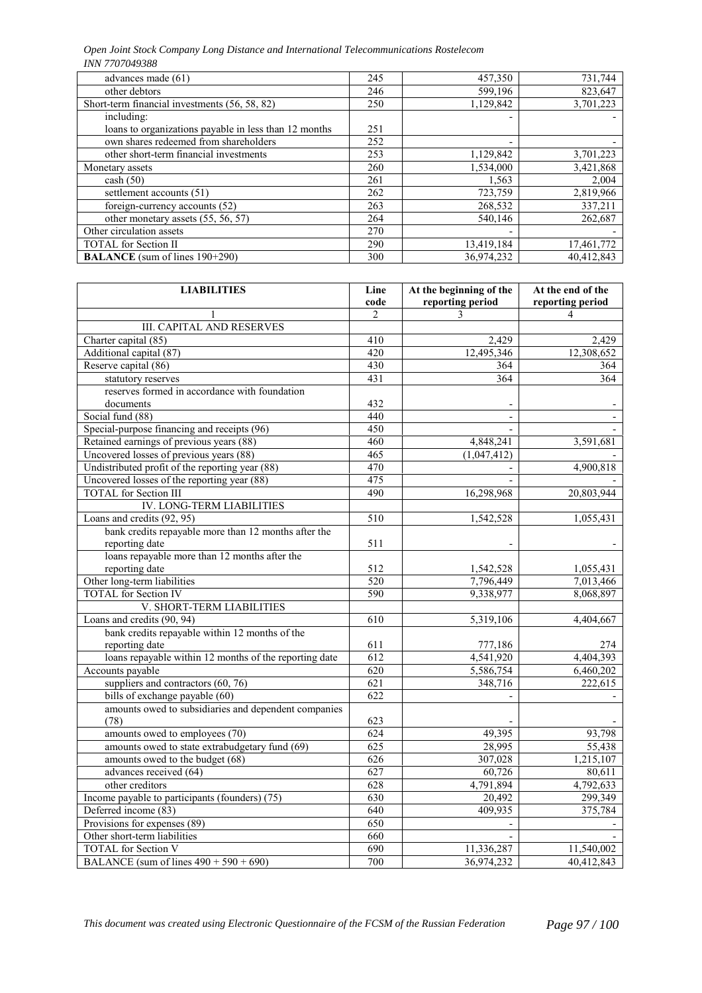*Open Joint Stock Company Long Distance and International Telecommunications Rostelecom INN 7707049388*

| advances made (61)                                    | 245 | 457,350    | 731,744    |
|-------------------------------------------------------|-----|------------|------------|
| other debtors                                         | 246 | 599,196    | 823,647    |
| Short-term financial investments (56, 58, 82)         | 250 | 1,129,842  | 3,701,223  |
| including:                                            |     |            |            |
| loans to organizations payable in less than 12 months | 251 |            |            |
| own shares redeemed from shareholders                 | 252 |            |            |
| other short-term financial investments                | 253 | 1,129,842  | 3,701,223  |
| Monetary assets                                       | 260 | 1,534,000  | 3,421,868  |
| $\cosh(50)$                                           | 261 | 1,563      | 2,004      |
| settlement accounts (51)                              | 262 | 723,759    | 2,819,966  |
| foreign-currency accounts (52)                        | 263 | 268,532    | 337,211    |
| other monetary assets (55, 56, 57)                    | 264 | 540,146    | 262,687    |
| Other circulation assets                              | 270 |            |            |
| <b>TOTAL</b> for Section II                           | 290 | 13,419,184 | 17,461,772 |
| <b>BALANCE</b> (sum of lines 190+290)                 | 300 | 36.974.232 | 40.412.843 |

| <b>LIABILITIES</b>                                     | Line           | At the beginning of the | At the end of the |
|--------------------------------------------------------|----------------|-------------------------|-------------------|
|                                                        | code           | reporting period        | reporting period  |
|                                                        | $\overline{2}$ | 3                       | $\overline{4}$    |
| <b>III. CAPITAL AND RESERVES</b>                       |                |                         |                   |
| Charter capital (85)                                   | 410            | 2,429                   | 2,429             |
| Additional capital (87)                                | 420            | 12,495,346              | 12,308,652        |
| Reserve capital (86)                                   | 430            | 364                     | 364               |
| statutory reserves                                     | 431            | 364                     | 364               |
| reserves formed in accordance with foundation          |                |                         |                   |
| documents                                              | 432            |                         |                   |
| Social fund (88)                                       | 440            |                         |                   |
| Special-purpose financing and receipts (96)            | 450            |                         |                   |
| Retained earnings of previous years (88)               | 460            | 4,848,241               | 3,591,681         |
| Uncovered losses of previous years (88)                | 465            | (1,047,412)             |                   |
| Undistributed profit of the reporting year (88)        | 470            |                         | 4,900,818         |
| Uncovered losses of the reporting year (88)            | 475            |                         |                   |
| <b>TOTAL</b> for Section III                           | 490            | 16,298,968              | 20,803,944        |
| <b>IV. LONG-TERM LIABILITIES</b>                       |                |                         |                   |
| Loans and credits (92, 95)                             | 510            | 1,542,528               | 1,055,431         |
| bank credits repayable more than 12 months after the   |                |                         |                   |
| reporting date                                         | 511            |                         |                   |
| loans repayable more than 12 months after the          |                |                         |                   |
| reporting date                                         | 512            | 1,542,528               | 1,055,431         |
| Other long-term liabilities                            | 520            | 7,796,449               | 7,013,466         |
| <b>TOTAL</b> for Section IV                            | 590            | 9,338,977               | 8,068,897         |
| V. SHORT-TERM LIABILITIES                              |                |                         |                   |
| Loans and credits (90, 94)                             | 610            | 5,319,106               | 4,404,667         |
| bank credits repayable within 12 months of the         |                |                         |                   |
| reporting date                                         | 611            | 777,186                 | 274               |
| loans repayable within 12 months of the reporting date | 612            | 4,541,920               | 4,404,393         |
| Accounts payable                                       | 620            | 5,586,754               | 6,460,202         |
| suppliers and contractors $(60, 76)$                   | 621            | 348,716                 | 222,615           |
| bills of exchange payable (60)                         | 622            |                         |                   |
| amounts owed to subsidiaries and dependent companies   |                |                         |                   |
| (78)                                                   | 623            |                         |                   |
| amounts owed to employees (70)                         | 624            | 49,395                  | 93,798            |
| amounts owed to state extrabudgetary fund (69)         | 625            | 28,995                  | 55,438            |
| amounts owed to the budget (68)                        | 626            | 307,028                 | 1,215,107         |
| advances received (64)                                 | 627            | 60,726                  | 80,611            |
| other creditors                                        | 628            | 4,791,894               | 4,792,633         |
| Income payable to participants (founders) (75)         | 630            | 20,492                  | 299,349           |
| Deferred income (83)                                   | 640            | 409,935                 | 375,784           |
| Provisions for expenses (89)                           | 650            |                         |                   |
| Other short-term liabilities                           | 660            |                         |                   |
| <b>TOTAL</b> for Section V                             | 690            | 11,336,287              | 11,540,002        |
| BALANCE (sum of lines $490 + 590 + 690$ )              | 700            | 36,974,232              | 40,412,843        |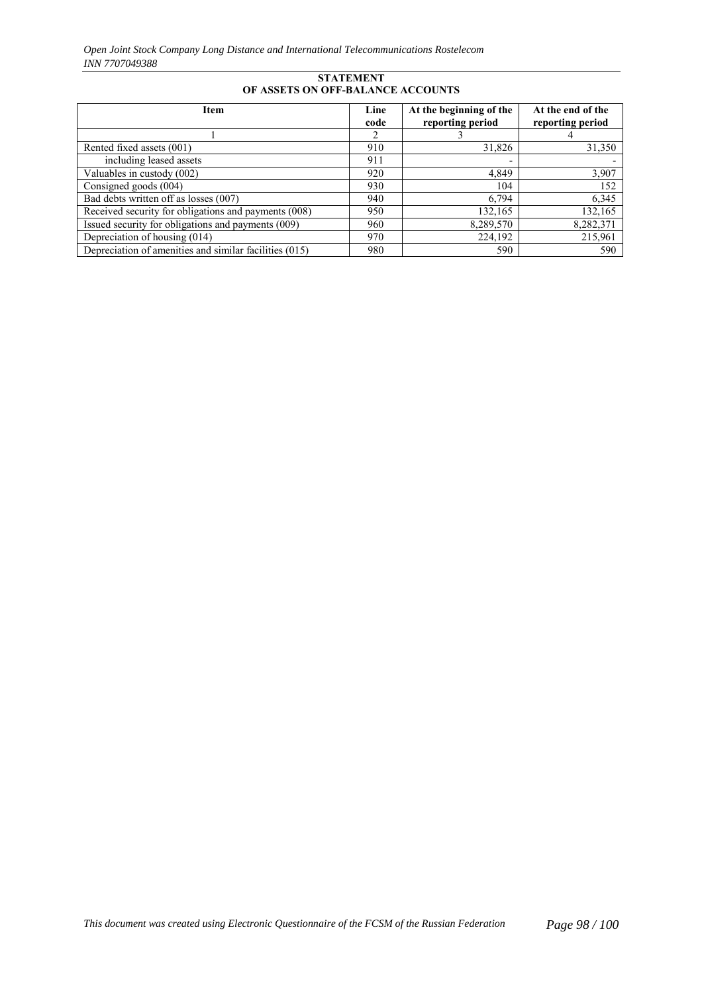#### **STATEMENT OF ASSETS ON OFF-BALANCE ACCOUNTS**

| <b>Item</b>                                            | Line<br>code | At the beginning of the<br>reporting period | At the end of the<br>reporting period |
|--------------------------------------------------------|--------------|---------------------------------------------|---------------------------------------|
|                                                        |              |                                             | 4                                     |
| Rented fixed assets (001)                              | 910          | 31,826                                      | 31,350                                |
| including leased assets                                | 911          |                                             |                                       |
| Valuables in custody (002)                             | 920          | 4,849                                       | 3,907                                 |
| Consigned goods (004)                                  | 930          | 104                                         | 152                                   |
| Bad debts written off as losses (007)                  | 940          | 6,794                                       | 6,345                                 |
| Received security for obligations and payments (008)   | 950          | 132,165                                     | 132,165                               |
| Issued security for obligations and payments (009)     | 960          | 8,289,570                                   | 8,282,371                             |
| Depreciation of housing (014)                          | 970          | 224,192                                     | 215,961                               |
| Depreciation of amenities and similar facilities (015) | 980          | 590                                         | 590                                   |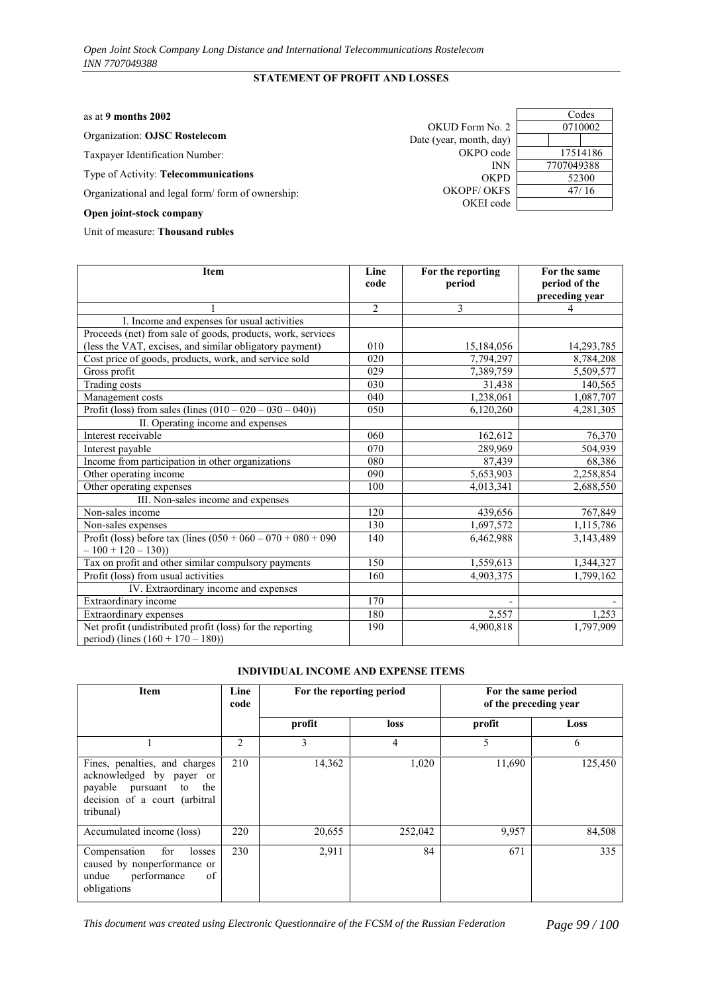## **STATEMENT OF PROFIT AND LOSSES**

| as at 9 months $2002$                            |                         | Codes      |
|--------------------------------------------------|-------------------------|------------|
|                                                  | OKUD Form No. 2         | 0710002    |
| <b>Organization: OJSC Rostelecom</b>             | Date (year, month, day) |            |
| Taxpayer Identification Number:                  | OKPO code               | 17514186   |
|                                                  | <b>INN</b>              | 7707049388 |
| Type of Activity: Telecommunications             | <b>OKPD</b>             | 52300      |
| Organizational and legal form/form of ownership: | OKOPF/ OKFS             | 47/16      |
| Origin total should commonly                     | OKEI code               |            |

# **Open joint-stock company**

Unit of measure: **Thousand rubles**

| <b>Item</b>                                                                                       | Line<br>code   | For the reporting<br>period | For the same<br>period of the<br>preceding year |
|---------------------------------------------------------------------------------------------------|----------------|-----------------------------|-------------------------------------------------|
|                                                                                                   | $\overline{2}$ | 3                           | 4                                               |
| I. Income and expenses for usual activities                                                       |                |                             |                                                 |
| Proceeds (net) from sale of goods, products, work, services                                       |                |                             |                                                 |
| (less the VAT, excises, and similar obligatory payment)                                           | 010            | 15,184,056                  | 14,293,785                                      |
| Cost price of goods, products, work, and service sold                                             | 020            | 7,794,297                   | 8,784,208                                       |
| Gross profit                                                                                      | 029            | 7,389,759                   | 5,509,577                                       |
| Trading costs                                                                                     | 030            | 31,438                      | 140,565                                         |
| Management costs                                                                                  | 040            | 1,238,061                   | 1,087,707                                       |
| Profit (loss) from sales (lines $(010 - 020 - 030 - 040)$ )                                       | 050            | 6,120,260                   | 4,281,305                                       |
| II. Operating income and expenses                                                                 |                |                             |                                                 |
| Interest receivable                                                                               | 060            | 162,612                     | 76,370                                          |
| Interest payable                                                                                  | 070            | 289,969                     | 504,939                                         |
| Income from participation in other organizations                                                  | 080            | 87,439                      | 68,386                                          |
| Other operating income                                                                            | 090            | 5,653,903                   | 2,258,854                                       |
| Other operating expenses                                                                          | 100            | 4,013,341                   | 2,688,550                                       |
| III. Non-sales income and expenses                                                                |                |                             |                                                 |
| Non-sales income                                                                                  | 120            | 439,656                     | 767,849                                         |
| Non-sales expenses                                                                                | 130            | 1,697,572                   | 1,115,786                                       |
| Profit (loss) before tax (lines $(050 + 060 - 070 + 080 + 090)$                                   | 140            | 6,462,988                   | 3,143,489                                       |
| $-100 + 120 - 130$                                                                                |                |                             |                                                 |
| Tax on profit and other similar compulsory payments                                               | 150            | 1,559,613                   | 1,344,327                                       |
| Profit (loss) from usual activities                                                               | 160            | 4,903,375                   | 1,799,162                                       |
| IV. Extraordinary income and expenses                                                             |                |                             |                                                 |
| Extraordinary income                                                                              | 170            |                             |                                                 |
| Extraordinary expenses                                                                            | 180            | 2,557                       | 1,253                                           |
| Net profit (undistributed profit (loss) for the reporting<br>period) (lines $(160 + 170 - 180)$ ) | 190            | 4,900,818                   | 1,797,909                                       |

#### **INDIVIDUAL INCOME AND EXPENSE ITEMS**

| Item                                                                                                                                  | Line<br>code   |        | For the reporting period | For the same period<br>of the preceding year |         |  |
|---------------------------------------------------------------------------------------------------------------------------------------|----------------|--------|--------------------------|----------------------------------------------|---------|--|
|                                                                                                                                       |                | profit | loss                     | profit                                       | Loss    |  |
|                                                                                                                                       | $\overline{c}$ | 3      | 4                        | 5                                            | 6       |  |
| Fines, penalties, and charges<br>acknowledged by payer or<br>payable pursuant to<br>the<br>decision of a court (arbitral<br>tribunal) | 210            | 14,362 | 1,020                    | 11,690                                       | 125,450 |  |
| Accumulated income (loss)                                                                                                             | 220            | 20,655 | 252,042                  | 9,957                                        | 84,508  |  |
| Compensation<br>for<br>losses<br>caused by nonperformance or<br>undue performance<br>of<br>obligations                                | 230            | 2,911  | 84                       | 671                                          | 335     |  |